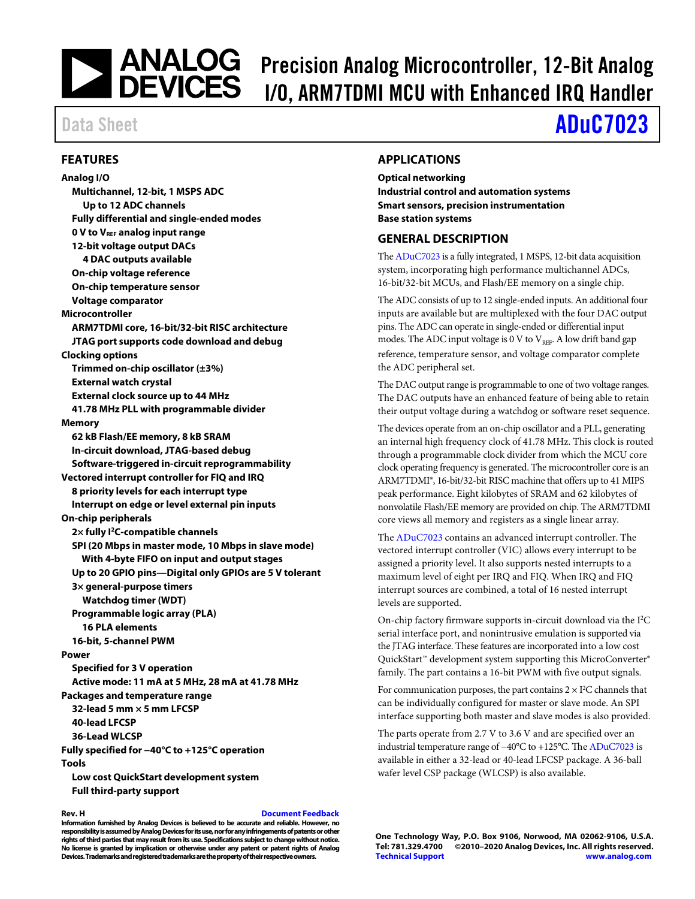# **PRECISE ANALOG** Precision Analog Microcontroller, 12-Bit Analog DEVICES 1/0 ARM7TDMI MCII with Enhanced IRO Handler I/O, ARM7TDMI MCU with Enhanced IRQ Handler

# Data Sheet **[ADuC7023](http://www.analog.com/ADuC7023?doc=ADuC7023.pdf)**

### <span id="page-0-0"></span>**FEATURES**

**Analog I/O Multichannel, 12-bit, 1 MSPS ADC Up to 12 ADC channels Fully differential and single-ended modes 0 V to VREF analog input range 12-bit voltage output DACs 4 DAC outputs available On-chip voltage reference On-chip temperature sensor Voltage comparator Microcontroller ARM7TDMI core, 16-bit/32-bit RISC architecture JTAG port supports code download and debug Clocking options Trimmed on-chip oscillator (±3%) External watch crystal External clock source up to 44 MHz 41.78 MHz PLL with programmable divider Memory 62 kB Flash/EE memory, 8 kB SRAM In-circuit download, JTAG-based debug Software-triggered in-circuit reprogrammability Vectored interrupt controller for FIQ and IRQ 8 priority levels for each interrupt type Interrupt on edge or level external pin inputs On-chip peripherals 2× fully I2C-compatible channels SPI (20 Mbps in master mode, 10 Mbps in slave mode) With 4-byte FIFO on input and output stages Up to 20 GPIO pins—Digital only GPIOs are 5 V tolerant 3× general-purpose timers Watchdog timer (WDT) Programmable logic array (PLA) 16 PLA elements 16-bit, 5-channel PWM Power Specified for 3 V operation Active mode: 11 mA at 5 MHz, 28 mA at 41.78 MHz Packages and temperature range 32-lead 5 mm × 5 mm LFCSP 40-lead LFCSP 36-Lead WLCSP Fully specified for −40°C to +125°C operation Tools Low cost QuickStart development system Full third-party support** 

#### **Rev. H [Document Feedback](https://form.analog.com/Form_Pages/feedback/documentfeedback.aspx?doc=ADuC7023.pdf&product=ADuC7023&rev=H)**

**Information furnished by Analog Devices is believed to be accurate and reliable. However, no responsibility is assumed by Analog Devices for its use, nor for any infringements of patents or other rights of third parties that may result from its use. Specifications subject to change without notice. No license is granted by implication or otherwise under any patent or patent rights of Analog Devices. Trademarks and registered trademarks are the property of their respective owners.** 

#### <span id="page-0-1"></span>**APPLICATIONS**

**Optical networking Industrial control and automation systems Smart sensors, precision instrumentation Base station systems** 

#### <span id="page-0-2"></span>**GENERAL DESCRIPTION**

Th[e ADuC7023 i](http://www.analog.com/ADuC7023?doc=ADuC7023.pdf)s a fully integrated, 1 MSPS, 12-bit data acquisition system, incorporating high performance multichannel ADCs, 16-bit/32-bit MCUs, and Flash/EE memory on a single chip.

The ADC consists of up to 12 single-ended inputs. An additional four inputs are available but are multiplexed with the four DAC output pins. The ADC can operate in single-ended or differential input modes. The ADC input voltage is 0 V to  $V_{REF}$ . A low drift band gap reference, temperature sensor, and voltage comparator complete the ADC peripheral set.

The DAC output range is programmable to one of two voltage ranges. The DAC outputs have an enhanced feature of being able to retain their output voltage during a watchdog or software reset sequence.

The devices operate from an on-chip oscillator and a PLL, generating an internal high frequency clock of 41.78 MHz. This clock is routed through a programmable clock divider from which the MCU core clock operating frequency is generated. The microcontroller core is an ARM7TDMI®, 16-bit/32-bit RISC machine that offers up to 41 MIPS peak performance. Eight kilobytes of SRAM and 62 kilobytes of nonvolatile Flash/EE memory are provided on chip. The ARM7TDMI core views all memory and registers as a single linear array.

Th[e ADuC7023](http://www.analog.com/ADuC7023?doc=ADuC7023.pdf) contains an advanced interrupt controller. The vectored interrupt controller (VIC) allows every interrupt to be assigned a priority level. It also supports nested interrupts to a maximum level of eight per IRQ and FIQ. When IRQ and FIQ interrupt sources are combined, a total of 16 nested interrupt levels are supported.

On-chip factory firmware supports in-circuit download via the I<sup>2</sup>C serial interface port, and nonintrusive emulation is supported via the JTAG interface. These features are incorporated into a low cost QuickStart™ development system supporting this MicroConverter® family. The part contains a 16-bit PWM with five output signals.

For communication purposes, the part contains  $2 \times I^2C$  channels that can be individually configured for master or slave mode. An SPI interface supporting both master and slave modes is also provided.

The parts operate from 2.7 V to 3.6 V and are specified over an industrial temperature range of −40°C to +125°C. Th[e ADuC7023 i](http://www.analog.com/ADuC7023?doc=ADuC7023.pdf)s available in either a 32-lead or 40-lead LFCSP package. A 36-ball wafer level CSP package (WLCSP) is also available.

**One Technology Way, P.O. Box 9106, Norwood, MA 02062-9106, U.S.A.** ©2010-2020 Analog Devices, Inc. All rights reserved. **[Technical Support](http://www.analog.com/en/content/technical_support_page/fca.html) [www.analog.com](http://www.analog.com/)**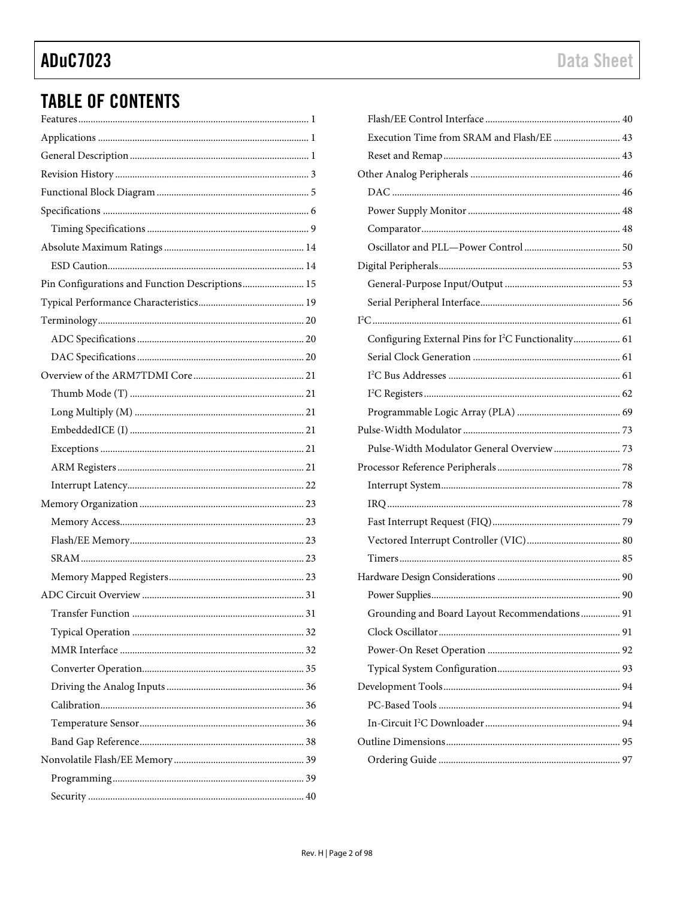# **TABLE OF CONTENTS**

| Pin Configurations and Function Descriptions 15 |
|-------------------------------------------------|
|                                                 |
|                                                 |
|                                                 |
|                                                 |
|                                                 |
|                                                 |
|                                                 |
|                                                 |
|                                                 |
|                                                 |
|                                                 |
|                                                 |
|                                                 |
|                                                 |
|                                                 |
|                                                 |
|                                                 |
|                                                 |
|                                                 |
|                                                 |
|                                                 |
|                                                 |
|                                                 |
|                                                 |
|                                                 |
|                                                 |
|                                                 |
|                                                 |

| Execution Time from SRAM and Flash/EE  43                       |  |
|-----------------------------------------------------------------|--|
|                                                                 |  |
|                                                                 |  |
|                                                                 |  |
|                                                                 |  |
|                                                                 |  |
|                                                                 |  |
|                                                                 |  |
|                                                                 |  |
|                                                                 |  |
|                                                                 |  |
| Configuring External Pins for I <sup>2</sup> C Functionality 61 |  |
|                                                                 |  |
|                                                                 |  |
|                                                                 |  |
|                                                                 |  |
|                                                                 |  |
|                                                                 |  |
|                                                                 |  |
|                                                                 |  |
|                                                                 |  |
|                                                                 |  |
|                                                                 |  |
|                                                                 |  |
|                                                                 |  |
|                                                                 |  |
| Grounding and Board Layout Recommendations 91                   |  |
|                                                                 |  |
|                                                                 |  |
|                                                                 |  |
|                                                                 |  |
|                                                                 |  |
|                                                                 |  |
|                                                                 |  |
|                                                                 |  |
|                                                                 |  |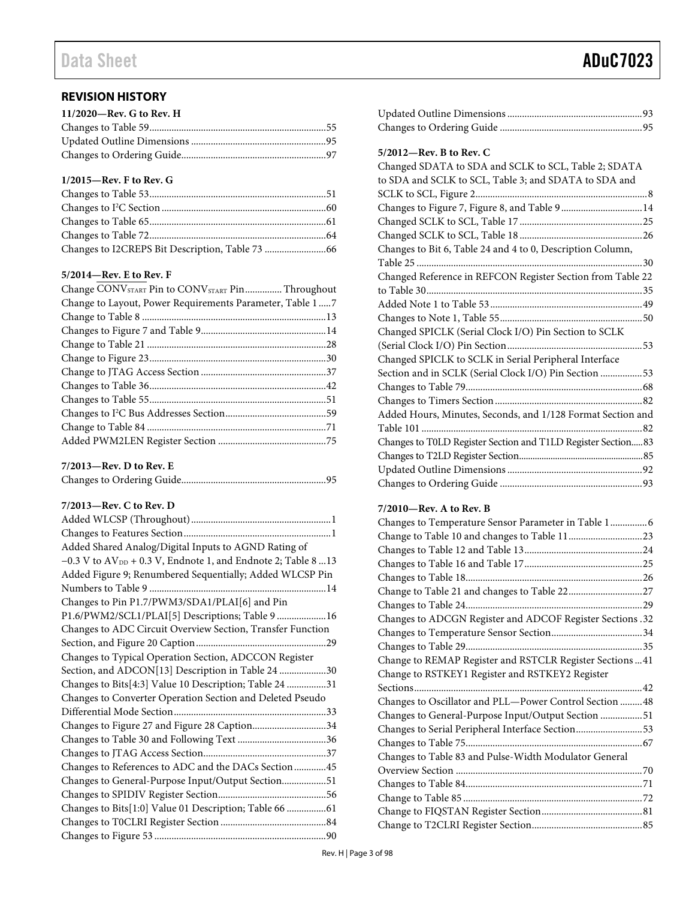# <span id="page-2-0"></span>**REVISION HISTORY**

| $11/2020$ —Rev. G to Rev. H |  |
|-----------------------------|--|
|                             |  |
|                             |  |
|                             |  |

## **1/2015—Rev. F to Rev. G**

### **5/2014—Rev. E to Rev. F**

| Change CONVSTART Pin to CONVSTART Pin Throughout         |  |
|----------------------------------------------------------|--|
| Change to Layout, Power Requirements Parameter, Table 17 |  |
|                                                          |  |
|                                                          |  |
|                                                          |  |
|                                                          |  |
|                                                          |  |
|                                                          |  |
|                                                          |  |
|                                                          |  |
|                                                          |  |
|                                                          |  |
|                                                          |  |

## **7/2013—Rev. D to Rev. E**

|--|--|

# **7/2013—Rev. C to Rev. D**

| Added Shared Analog/Digital Inputs to AGND Rating of                |
|---------------------------------------------------------------------|
| $-0.3$ V to $AV_{DD}$ + 0.3 V, Endnote 1, and Endnote 2; Table 8 13 |
| Added Figure 9; Renumbered Sequentially; Added WLCSP Pin            |
|                                                                     |
| Changes to Pin P1.7/PWM3/SDA1/PLAI[6] and Pin                       |
| P1.6/PWM2/SCL1/PLAI[5] Descriptions; Table 9  16                    |
| Changes to ADC Circuit Overview Section, Transfer Function          |
|                                                                     |
| Changes to Typical Operation Section, ADCCON Register               |
| Section, and ADCON[13] Description in Table 24 30                   |
| Changes to Bits[4:3] Value 10 Description; Table 24 31              |
| Changes to Converter Operation Section and Deleted Pseudo           |
|                                                                     |
| Changes to Figure 27 and Figure 28 Caption34                        |
|                                                                     |
|                                                                     |
| Changes to References to ADC and the DACs Section 45                |
| Changes to General-Purpose Input/Output Section51                   |
|                                                                     |
| Changes to Bits[1:0] Value 01 Description; Table 66 61              |
|                                                                     |
|                                                                     |

| $5/2012$ —Rev. B to Rev. C                                   |
|--------------------------------------------------------------|
| Changed SDATA to SDA and SCLK to SCL, Table 2; SDATA         |
| to SDA and SCLK to SCL, Table 3; and SDATA to SDA and        |
|                                                              |
| Changes to Figure 7, Figure 8, and Table 9 14                |
|                                                              |
|                                                              |
| Changes to Bit 6, Table 24 and 4 to 0, Description Column,   |
|                                                              |
| Changed Reference in REFCON Register Section from Table 22   |
|                                                              |
|                                                              |
|                                                              |
| Changed SPICLK (Serial Clock I/O) Pin Section to SCLK        |
|                                                              |
| Changed SPICLK to SCLK in Serial Peripheral Interface        |
| Section and in SCLK (Serial Clock I/O) Pin Section 53        |
|                                                              |
|                                                              |
| Added Hours, Minutes, Seconds, and 1/128 Format Section and  |
|                                                              |
| Changes to T0LD Register Section and T1LD Register Section83 |
|                                                              |
|                                                              |
|                                                              |

## **7/2010—Rev. A to Rev. B**

| Changes to Temperature Sensor Parameter in Table 1 6      |
|-----------------------------------------------------------|
|                                                           |
|                                                           |
|                                                           |
|                                                           |
|                                                           |
|                                                           |
| Changes to ADCGN Register and ADCOF Register Sections .32 |
|                                                           |
|                                                           |
| Change to REMAP Register and RSTCLR Register Sections  41 |
| Change to RSTKEY1 Register and RSTKEY2 Register           |
|                                                           |
|                                                           |
| Changes to Oscillator and PLL-Power Control Section  48   |
| Changes to General-Purpose Input/Output Section 51        |
| Changes to Serial Peripheral Interface Section53          |
|                                                           |
| Changes to Table 83 and Pulse-Width Modulator General     |
|                                                           |
|                                                           |
|                                                           |
|                                                           |
|                                                           |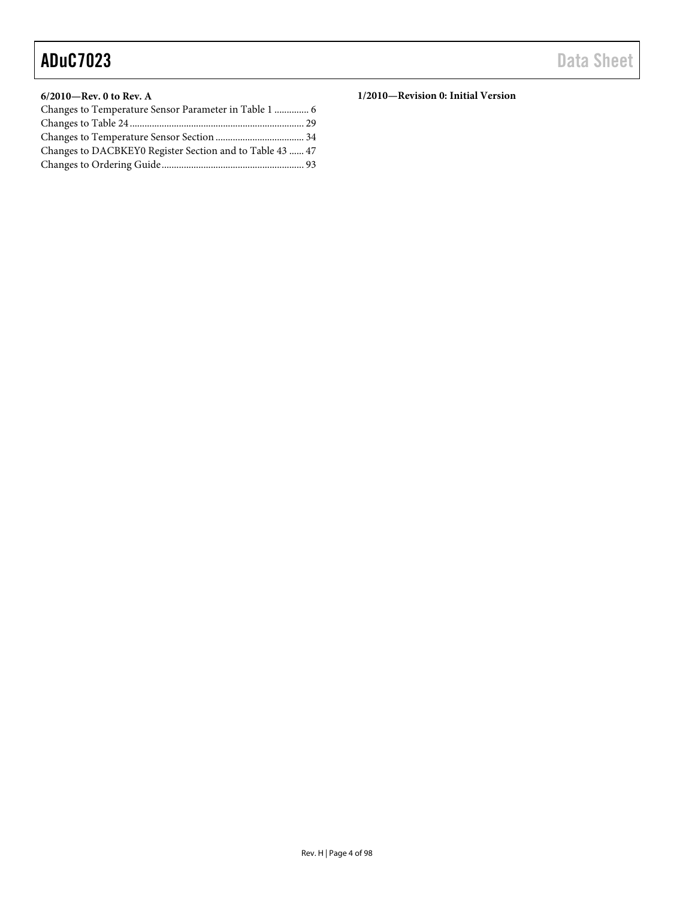# **6/2010—Rev. 0 to Rev. A**

| Changes to DACBKEY0 Register Section and to Table 43  47 |  |
|----------------------------------------------------------|--|
|                                                          |  |

**1/2010—Revision 0: Initial Version**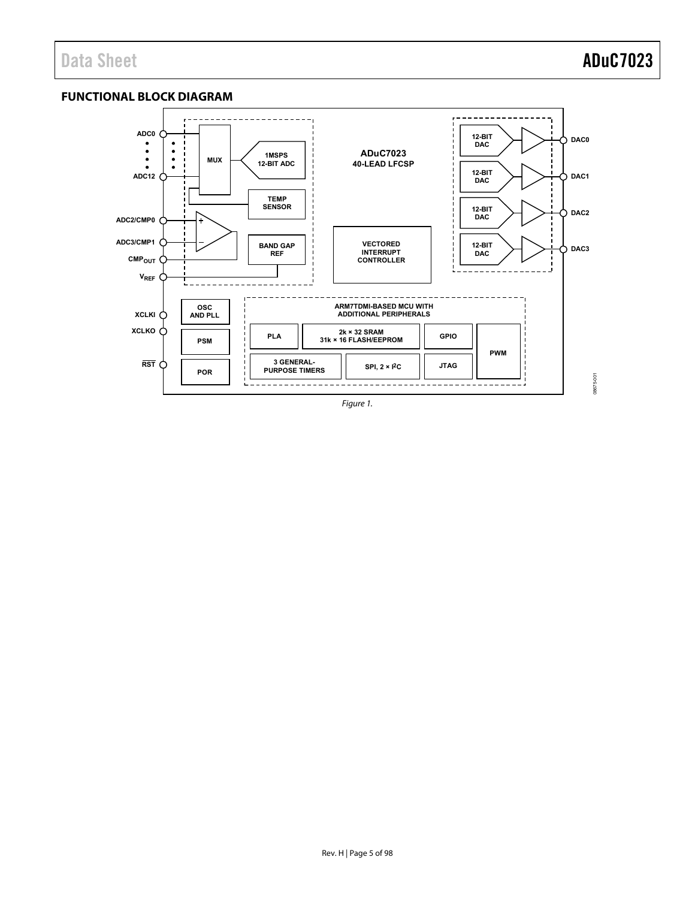# <span id="page-4-0"></span>**FUNCTIONAL BLOCK DIAGRAM**



Figure 1.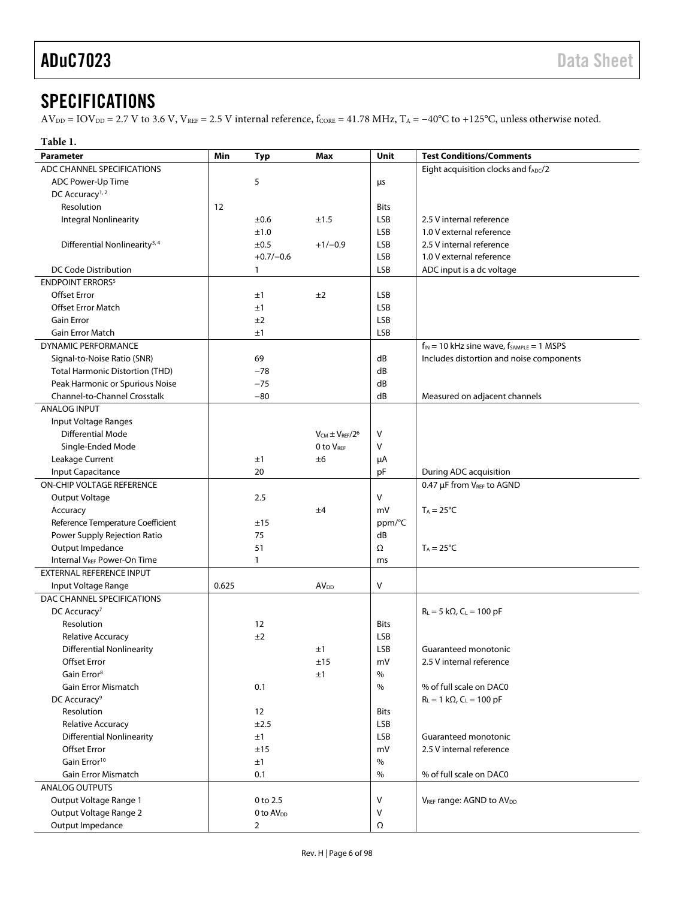# <span id="page-5-0"></span>**SPECIFICATIONS**

 $AV_{DD} = IOV_{DD} = 2.7 V$  to 3.6 V,  $V_{REF} = 2.5 V$  internal reference,  $f_{CORE} = 41.78 MHz$ ,  $T_A = -40°C$  to +125°C, unless otherwise noted.

| Table 1.                                  |       |                       |                          |             |                                                    |
|-------------------------------------------|-------|-----------------------|--------------------------|-------------|----------------------------------------------------|
| <b>Parameter</b>                          | Min   | <b>Typ</b>            | Max                      | Unit        | <b>Test Conditions/Comments</b>                    |
| ADC CHANNEL SPECIFICATIONS                |       |                       |                          |             | Eight acquisition clocks and fADC/2                |
| ADC Power-Up Time                         |       | 5                     |                          | μs          |                                                    |
| DC Accuracy <sup>1,2</sup>                |       |                       |                          |             |                                                    |
| Resolution                                | 12    |                       |                          | <b>Bits</b> |                                                    |
| <b>Integral Nonlinearity</b>              |       | ±0.6                  | ±1.5                     | LSB         | 2.5 V internal reference                           |
|                                           |       | ±1.0                  |                          | LSB         | 1.0 V external reference                           |
| Differential Nonlinearity <sup>3, 4</sup> |       | ±0.5                  | $+1/-0.9$                | LSB         | 2.5 V internal reference                           |
|                                           |       | $+0.7/-0.6$           |                          | LSB         | 1.0 V external reference                           |
| DC Code Distribution                      |       | 1                     |                          | LSB         | ADC input is a dc voltage                          |
| <b>ENDPOINT ERRORS</b>                    |       |                       |                          |             |                                                    |
| <b>Offset Error</b>                       |       | ±1                    | ±2                       | LSB         |                                                    |
| <b>Offset Error Match</b>                 |       | ±1                    |                          | <b>LSB</b>  |                                                    |
| <b>Gain Error</b>                         |       | ±2                    |                          | LSB         |                                                    |
| Gain Error Match                          |       | ±1                    |                          | LSB         |                                                    |
| <b>DYNAMIC PERFORMANCE</b>                |       |                       |                          |             | $f_{IN}$ = 10 kHz sine wave, $f_{SAMPLE}$ = 1 MSPS |
| Signal-to-Noise Ratio (SNR)               |       | 69                    |                          | dB          | Includes distortion and noise components           |
|                                           |       | $-78$                 |                          | dB          |                                                    |
| <b>Total Harmonic Distortion (THD)</b>    |       |                       |                          |             |                                                    |
| Peak Harmonic or Spurious Noise           |       | $-75$                 |                          | dB          |                                                    |
| Channel-to-Channel Crosstalk              |       | $-80$                 |                          | dB          | Measured on adjacent channels                      |
| <b>ANALOG INPUT</b>                       |       |                       |                          |             |                                                    |
| Input Voltage Ranges                      |       |                       |                          |             |                                                    |
| Differential Mode                         |       |                       | $V_{CM} \pm V_{RFF}/2^6$ | $\vee$      |                                                    |
| Single-Ended Mode                         |       |                       | 0 to VREF                | V           |                                                    |
| Leakage Current                           |       | ±1                    | ±6                       | μA          |                                                    |
| Input Capacitance                         |       | 20                    |                          | pF          | During ADC acquisition                             |
| <b>ON-CHIP VOLTAGE REFERENCE</b>          |       |                       |                          |             | 0.47 µF from VREF to AGND                          |
| Output Voltage                            |       | 2.5                   |                          | V           |                                                    |
| Accuracy                                  |       |                       | ±4                       | mV          | $T_A = 25^{\circ}C$                                |
| Reference Temperature Coefficient         |       | ±15                   |                          | ppm/°C      |                                                    |
| Power Supply Rejection Ratio              |       | 75                    |                          | dB          |                                                    |
| Output Impedance                          |       | 51                    |                          | Ω           | $T_A = 25^{\circ}C$                                |
| Internal V <sub>REF</sub> Power-On Time   |       | 1                     |                          | ms          |                                                    |
| <b>EXTERNAL REFERENCE INPUT</b>           |       |                       |                          |             |                                                    |
| Input Voltage Range                       | 0.625 |                       | <b>AV<sub>DD</sub></b>   | V           |                                                    |
| DAC CHANNEL SPECIFICATIONS                |       |                       |                          |             |                                                    |
| DC Accuracy <sup>7</sup>                  |       |                       |                          |             | $R_L = 5 k\Omega$ , $C_L = 100 pF$                 |
| Resolution                                |       | 12                    |                          | <b>Bits</b> |                                                    |
| <b>Relative Accuracy</b>                  |       | ±2                    |                          | LSB         |                                                    |
| <b>Differential Nonlinearity</b>          |       |                       | ±1                       | <b>LSB</b>  | Guaranteed monotonic                               |
| <b>Offset Error</b>                       |       |                       | ±15                      | mV          | 2.5 V internal reference                           |
| Gain Error <sup>8</sup>                   |       |                       | ±1                       | $\%$        |                                                    |
| <b>Gain Error Mismatch</b>                |       | 0.1                   |                          | $\%$        | % of full scale on DAC0                            |
| DC Accuracy <sup>9</sup>                  |       |                       |                          |             | $R_L = 1 k\Omega$ , $C_L = 100 pF$                 |
| Resolution                                |       | 12                    |                          | <b>Bits</b> |                                                    |
| <b>Relative Accuracy</b>                  |       | ±2.5                  |                          | <b>LSB</b>  |                                                    |
| <b>Differential Nonlinearity</b>          |       | ±1                    |                          | LSB         | Guaranteed monotonic                               |
| Offset Error                              |       | ±15                   |                          | mV          | 2.5 V internal reference                           |
| Gain Error <sup>10</sup>                  |       | ±1                    |                          | $\%$        |                                                    |
| <b>Gain Error Mismatch</b>                |       | 0.1                   |                          | $\%$        | % of full scale on DAC0                            |
| <b>ANALOG OUTPUTS</b>                     |       |                       |                          |             |                                                    |
| Output Voltage Range 1                    |       | 0 to 2.5              |                          | $\vee$      | VREF range: AGND to AV <sub>DD</sub>               |
| Output Voltage Range 2                    |       | 0 to AV <sub>DD</sub> |                          | ٧           |                                                    |
| Output Impedance                          |       | $\overline{2}$        |                          | Ω           |                                                    |
|                                           |       |                       |                          |             |                                                    |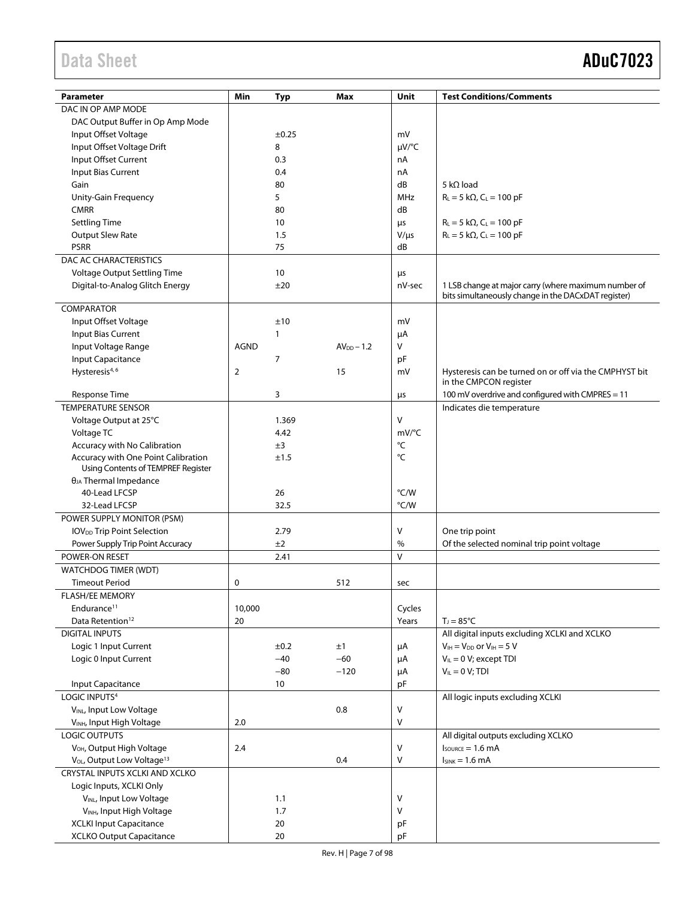# Data Sheet **ADuC7023**

| Parameter                                          | Min         | <b>Typ</b>   | Max          | Unit            | <b>Test Conditions/Comments</b>                                                                             |
|----------------------------------------------------|-------------|--------------|--------------|-----------------|-------------------------------------------------------------------------------------------------------------|
| DAC IN OP AMP MODE                                 |             |              |              |                 |                                                                                                             |
| DAC Output Buffer in Op Amp Mode                   |             |              |              |                 |                                                                                                             |
| Input Offset Voltage                               |             | ±0.25        |              | mV              |                                                                                                             |
| Input Offset Voltage Drift                         |             | 8            |              | µV/°C           |                                                                                                             |
| Input Offset Current                               |             | 0.3          |              | nA              |                                                                                                             |
| Input Bias Current                                 |             | 0.4          |              | nA              |                                                                                                             |
| Gain                                               |             | 80           |              | dB              | 5 k $\Omega$ load                                                                                           |
| Unity-Gain Frequency                               |             | 5            |              | MHz             | $R_L = 5 k\Omega$ , $C_L = 100 pF$                                                                          |
| <b>CMRR</b>                                        |             | 80           |              | dB              |                                                                                                             |
|                                                    |             | 10           |              |                 |                                                                                                             |
| <b>Settling Time</b>                               |             |              |              | μs              | $R_L = 5 k\Omega$ , $C_L = 100 pF$                                                                          |
| <b>Output Slew Rate</b><br><b>PSRR</b>             |             | 1.5<br>75    |              | $V/\mu s$<br>dB | $R_L = 5 k\Omega$ , $C_L = 100 pF$                                                                          |
|                                                    |             |              |              |                 |                                                                                                             |
| DAC AC CHARACTERISTICS                             |             |              |              |                 |                                                                                                             |
| Voltage Output Settling Time                       |             | 10           |              | μs              |                                                                                                             |
| Digital-to-Analog Glitch Energy                    |             | ±20          |              | nV-sec          | 1 LSB change at major carry (where maximum number of<br>bits simultaneously change in the DACxDAT register) |
| COMPARATOR                                         |             |              |              |                 |                                                                                                             |
| Input Offset Voltage                               |             | ±10          |              | mV              |                                                                                                             |
| Input Bias Current                                 |             | $\mathbf{1}$ |              | μA              |                                                                                                             |
| Input Voltage Range                                | <b>AGND</b> |              | $AVDD - 1.2$ | V               |                                                                                                             |
|                                                    |             | 7            |              |                 |                                                                                                             |
| Input Capacitance<br>Hysteresis <sup>4, 6</sup>    | 2           |              | 15           | pF<br>mV        |                                                                                                             |
|                                                    |             |              |              |                 | Hysteresis can be turned on or off via the CMPHYST bit<br>in the CMPCON register                            |
| Response Time                                      |             | 3            |              | μs              | 100 mV overdrive and configured with CMPRES = 11                                                            |
| <b>TEMPERATURE SENSOR</b>                          |             |              |              |                 | Indicates die temperature                                                                                   |
| Voltage Output at 25°C                             |             | 1.369        |              | V               |                                                                                                             |
| Voltage TC                                         |             | 4.42         |              | mV/°C           |                                                                                                             |
| Accuracy with No Calibration                       |             | ±3           |              | °C              |                                                                                                             |
| Accuracy with One Point Calibration                |             | ±1.5         |              | °C              |                                                                                                             |
| Using Contents of TEMPREF Register                 |             |              |              |                 |                                                                                                             |
| $\theta_{JA}$ Thermal Impedance                    |             |              |              |                 |                                                                                                             |
| 40-Lead LFCSP                                      |             | 26           |              | °C/W            |                                                                                                             |
| 32-Lead LFCSP                                      |             | 32.5         |              | °C/W            |                                                                                                             |
| POWER SUPPLY MONITOR (PSM)                         |             |              |              |                 |                                                                                                             |
| <b>IOVDD</b> Trip Point Selection                  |             | 2.79         |              | $\mathsf{V}$    | One trip point                                                                                              |
| Power Supply Trip Point Accuracy                   |             | ±2           |              | $\%$            | Of the selected nominal trip point voltage                                                                  |
| POWER-ON RESET                                     |             | 2.41         |              | $\vee$          |                                                                                                             |
| <b>WATCHDOG TIMER (WDT)</b>                        |             |              |              |                 |                                                                                                             |
| <b>Timeout Period</b>                              | 0           |              | 512          | sec             |                                                                                                             |
| <b>FLASH/EE MEMORY</b>                             |             |              |              |                 |                                                                                                             |
| Endurance <sup>11</sup>                            | 10,000      |              |              | Cycles          |                                                                                                             |
| Data Retention <sup>12</sup>                       | 20          |              |              | Years           | $T_J = 85^{\circ}C$                                                                                         |
| <b>DIGITAL INPUTS</b>                              |             |              |              |                 | All digital inputs excluding XCLKI and XCLKO                                                                |
| Logic 1 Input Current                              |             | ±0.2         | ±1           | μA              | $V_{IH} = V_{DD}$ or $V_{IH} = 5$ V                                                                         |
| Logic 0 Input Current                              |             | $-40$        | $-60$        | μA              | $V_{IL} = 0 V$ ; except TDI                                                                                 |
|                                                    |             | $-80$        | $-120$       | μA              | $V_{IL} = 0 V$ ; TDI                                                                                        |
| Input Capacitance                                  |             | 10           |              | pF              |                                                                                                             |
| LOGIC INPUTS <sup>4</sup>                          |             |              |              |                 | All logic inputs excluding XCLKI                                                                            |
| VINL, Input Low Voltage                            |             |              | $0.8\,$      | V               |                                                                                                             |
| V <sub>INH</sub> , Input High Voltage              | 2.0         |              |              | $\mathsf{V}$    |                                                                                                             |
| LOGIC OUTPUTS                                      |             |              |              |                 | All digital outputs excluding XCLKO                                                                         |
| V <sub>OH</sub> , Output High Voltage              | 2.4         |              |              | V               | $I_{\text{SOWRCE}} = 1.6 \text{ mA}$                                                                        |
| V <sub>OL</sub> , Output Low Voltage <sup>13</sup> |             |              | 0.4          | V               | $I_{SINK} = 1.6 mA$                                                                                         |
| CRYSTAL INPUTS XCLKI AND XCLKO                     |             |              |              |                 |                                                                                                             |
| Logic Inputs, XCLKI Only                           |             |              |              |                 |                                                                                                             |
| VINL, Input Low Voltage                            |             | 1.1          |              | V               |                                                                                                             |
| VINH, Input High Voltage                           |             | 1.7          |              | V               |                                                                                                             |
| <b>XCLKI Input Capacitance</b>                     |             | 20           |              | рF              |                                                                                                             |
| <b>XCLKO Output Capacitance</b>                    |             | 20           |              | pF              |                                                                                                             |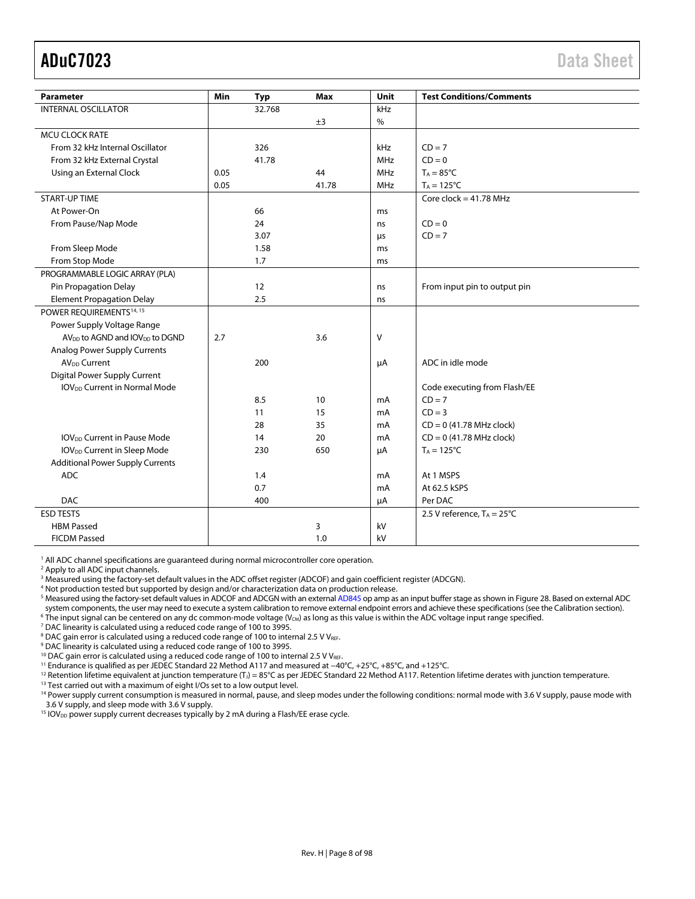<span id="page-7-0"></span>

| Min<br>Unit<br><b>Parameter</b><br><b>Typ</b><br>Max<br><b>INTERNAL OSCILLATOR</b><br>32.768<br>kHz<br>$\%$<br>±3<br><b>MCU CLOCK RATE</b><br>$CD = 7$<br>From 32 kHz Internal Oscillator<br>326<br>kHz<br><b>MHz</b><br>$CD = 0$<br>From 32 kHz External Crystal<br>41.78<br>Using an External Clock<br>0.05<br>44<br><b>MHz</b><br>$T_A = 85^{\circ}C$<br>0.05<br>41.78<br><b>MHz</b><br>$T_A = 125$ °C<br><b>START-UP TIME</b><br>Core clock = $41.78$ MHz<br>At Power-On<br>66<br>ms<br>From Pause/Nap Mode<br>24<br>$CD = 0$<br>ns |  |      |    |                                 |
|-----------------------------------------------------------------------------------------------------------------------------------------------------------------------------------------------------------------------------------------------------------------------------------------------------------------------------------------------------------------------------------------------------------------------------------------------------------------------------------------------------------------------------------------|--|------|----|---------------------------------|
|                                                                                                                                                                                                                                                                                                                                                                                                                                                                                                                                         |  |      |    | <b>Test Conditions/Comments</b> |
|                                                                                                                                                                                                                                                                                                                                                                                                                                                                                                                                         |  |      |    |                                 |
|                                                                                                                                                                                                                                                                                                                                                                                                                                                                                                                                         |  |      |    |                                 |
|                                                                                                                                                                                                                                                                                                                                                                                                                                                                                                                                         |  |      |    |                                 |
|                                                                                                                                                                                                                                                                                                                                                                                                                                                                                                                                         |  |      |    |                                 |
|                                                                                                                                                                                                                                                                                                                                                                                                                                                                                                                                         |  |      |    |                                 |
|                                                                                                                                                                                                                                                                                                                                                                                                                                                                                                                                         |  |      |    |                                 |
|                                                                                                                                                                                                                                                                                                                                                                                                                                                                                                                                         |  |      |    |                                 |
|                                                                                                                                                                                                                                                                                                                                                                                                                                                                                                                                         |  |      |    |                                 |
|                                                                                                                                                                                                                                                                                                                                                                                                                                                                                                                                         |  |      |    |                                 |
|                                                                                                                                                                                                                                                                                                                                                                                                                                                                                                                                         |  |      |    |                                 |
|                                                                                                                                                                                                                                                                                                                                                                                                                                                                                                                                         |  | 3.07 | μs | $CD = 7$                        |
| From Sleep Mode<br>1.58<br>ms                                                                                                                                                                                                                                                                                                                                                                                                                                                                                                           |  |      |    |                                 |
| 1.7<br>From Stop Mode<br>ms                                                                                                                                                                                                                                                                                                                                                                                                                                                                                                             |  |      |    |                                 |
| PROGRAMMABLE LOGIC ARRAY (PLA)                                                                                                                                                                                                                                                                                                                                                                                                                                                                                                          |  |      |    |                                 |
| Pin Propagation Delay<br>12<br>From input pin to output pin<br>ns                                                                                                                                                                                                                                                                                                                                                                                                                                                                       |  |      |    |                                 |
| <b>Element Propagation Delay</b><br>2.5<br>ns                                                                                                                                                                                                                                                                                                                                                                                                                                                                                           |  |      |    |                                 |
| POWER REQUIREMENTS <sup>14, 15</sup>                                                                                                                                                                                                                                                                                                                                                                                                                                                                                                    |  |      |    |                                 |
| Power Supply Voltage Range                                                                                                                                                                                                                                                                                                                                                                                                                                                                                                              |  |      |    |                                 |
| AV <sub>DD</sub> to AGND and IOV <sub>DD</sub> to DGND<br>3.6<br>v<br>2.7                                                                                                                                                                                                                                                                                                                                                                                                                                                               |  |      |    |                                 |
| <b>Analog Power Supply Currents</b>                                                                                                                                                                                                                                                                                                                                                                                                                                                                                                     |  |      |    |                                 |
| <b>AV<sub>DD</sub></b> Current<br>ADC in idle mode<br>200<br>μA                                                                                                                                                                                                                                                                                                                                                                                                                                                                         |  |      |    |                                 |
| Digital Power Supply Current                                                                                                                                                                                                                                                                                                                                                                                                                                                                                                            |  |      |    |                                 |
| <b>IOV<sub>DD</sub></b> Current in Normal Mode<br>Code executing from Flash/EE                                                                                                                                                                                                                                                                                                                                                                                                                                                          |  |      |    |                                 |
| 8.5<br>$CD = 7$<br>10<br>mA                                                                                                                                                                                                                                                                                                                                                                                                                                                                                                             |  |      |    |                                 |
| 15<br>$CD = 3$<br>11<br>mA                                                                                                                                                                                                                                                                                                                                                                                                                                                                                                              |  |      |    |                                 |
| 28<br>35<br>$CD = 0$ (41.78 MHz clock)<br>mA                                                                                                                                                                                                                                                                                                                                                                                                                                                                                            |  |      |    |                                 |
| $CD = 0$ (41.78 MHz clock)<br><b>IOV<sub>DD</sub></b> Current in Pause Mode<br>14<br>20<br>mA                                                                                                                                                                                                                                                                                                                                                                                                                                           |  |      |    |                                 |
| IOV <sub>DD</sub> Current in Sleep Mode<br>230<br>650<br>$T_A = 125$ °C<br>μA                                                                                                                                                                                                                                                                                                                                                                                                                                                           |  |      |    |                                 |
| <b>Additional Power Supply Currents</b>                                                                                                                                                                                                                                                                                                                                                                                                                                                                                                 |  |      |    |                                 |
| <b>ADC</b><br>At 1 MSPS<br>1.4<br>mA                                                                                                                                                                                                                                                                                                                                                                                                                                                                                                    |  |      |    |                                 |
| 0.7<br>At 62.5 kSPS<br>mA                                                                                                                                                                                                                                                                                                                                                                                                                                                                                                               |  |      |    |                                 |
| <b>DAC</b><br>Per DAC<br>400<br>μA                                                                                                                                                                                                                                                                                                                                                                                                                                                                                                      |  |      |    |                                 |
| <b>ESD TESTS</b><br>2.5 V reference, $T_A = 25^{\circ}C$                                                                                                                                                                                                                                                                                                                                                                                                                                                                                |  |      |    |                                 |
| <b>HBM Passed</b><br>3<br>kV                                                                                                                                                                                                                                                                                                                                                                                                                                                                                                            |  |      |    |                                 |
| <b>FICDM Passed</b><br>1.0<br>kV                                                                                                                                                                                                                                                                                                                                                                                                                                                                                                        |  |      |    |                                 |

<sup>1</sup> All ADC channel specifications are guaranteed during normal microcontroller core operation.<br><sup>2</sup> Apply to all ADC input channels

<sup>2</sup> Apply to all ADC input channels.

<sup>3</sup> Measured using the factory-set default values in the ADC offset register (ADCOF) and gain coefficient register (ADCGN).

4 Not production tested but supported by design and/or characterization data on production release.

5 Measured using the factory-set default values in ADCOF and ADCGN with an externa[l AD845 o](http://www.analog.com/AD845?doc=ADuC7023.pdf)p amp as an input buffer stage as shown i[n Figure 28.](#page-35-3) Based on external ADC system components, the user may need to execute a system calibration to remove external endpoint errors and achieve these specifications (see th[e Calibration s](#page-35-1)ection).  $6$  The input signal can be centered on any dc common-mode voltage (V<sub>CM</sub>) as long as this value is within the ADC voltage input range specified.

<sup>7</sup> DAC linearity is calculated using a reduced code range of 100 to 3995.

<sup>8</sup> DAC gain error is calculated using a reduced code range of 100 to internal 2.5 V V<sub>REF</sub>.<br><sup>9</sup> DAC linearity is calculated using a reduced code range of 100 to 3995.

<sup>10</sup> DAC gain error is calculated using a reduced code range of 100 to internal 2.5 V V<sub>REF</sub>.<br><sup>11</sup> Endurance is qualified as per JEDEC Standard 22 Method A117 and measured at -40°C, +25°C, +85°C, and +125°C.<br><sup>12</sup> Retention

3.6 V supply, and sleep mode with 3.6 V supply.

<sup>15</sup> IOV<sub>DD</sub> power supply current decreases typically by 2 mA during a Flash/EE erase cycle.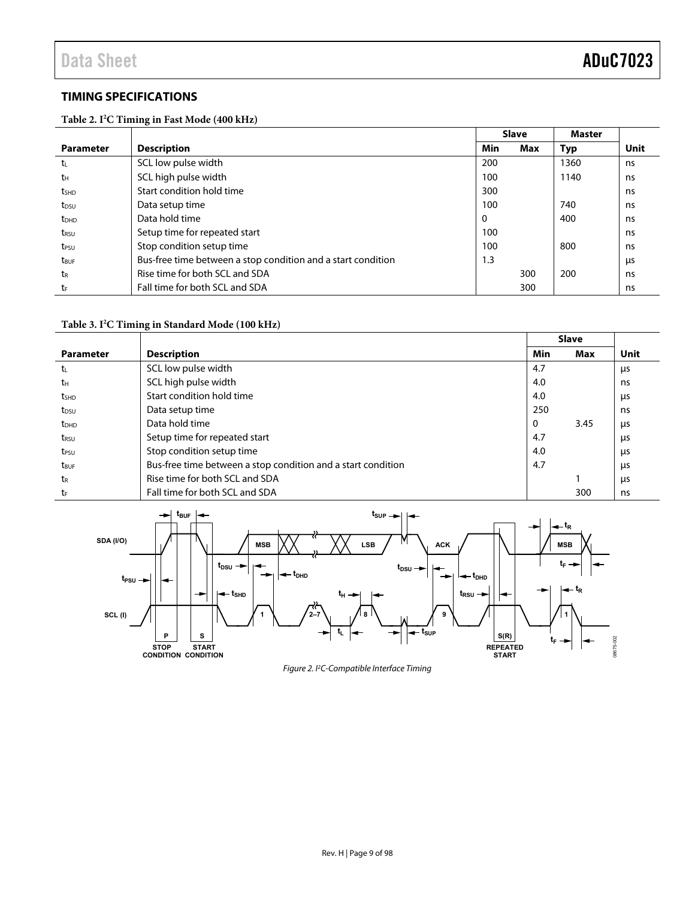# <span id="page-8-0"></span>**TIMING SPECIFICATIONS**

**Table 2. I2 C Timing in Fast Mode (400 kHz)** 

|                         |                                                              |     | <b>Slave</b> | <b>Master</b> |      |
|-------------------------|--------------------------------------------------------------|-----|--------------|---------------|------|
| <b>Parameter</b>        | <b>Description</b>                                           | Min | Max          | Typ           | Unit |
| t.                      | SCL low pulse width                                          | 200 |              | 1360          | ns   |
| tн                      | SCL high pulse width                                         | 100 |              | 1140          | ns   |
| t <sub>SHD</sub>        | Start condition hold time                                    | 300 |              |               | ns   |
| t <sub>DSU</sub>        | Data setup time                                              | 100 |              | 740           | ns   |
| $t_{DHD}$               | Data hold time                                               | 0   |              | 400           | ns   |
| t <sub>RSU</sub>        | Setup time for repeated start                                | 100 |              |               | ns   |
| t <sub>PSU</sub>        | Stop condition setup time                                    | 100 |              | 800           | ns   |
| <b>t</b> <sub>BUF</sub> | Bus-free time between a stop condition and a start condition | 1.3 |              |               | μs   |
| t <sub>R</sub>          | Rise time for both SCL and SDA                               |     | 300          | 200           | ns   |
| tF                      | Fall time for both SCL and SDA                               |     | 300          |               | ns   |

#### **Table 3. I2 C Timing in Standard Mode (100 kHz)**

|                         |                                                              |     | <b>Slave</b> |      |
|-------------------------|--------------------------------------------------------------|-----|--------------|------|
| <b>Parameter</b>        | <b>Description</b>                                           | Min | Max          | Unit |
| t                       | SCL low pulse width                                          | 4.7 |              | μs   |
| tн                      | SCL high pulse width                                         | 4.0 |              | ns   |
| t <sub>SHD</sub>        | Start condition hold time                                    | 4.0 |              | μs   |
| t <sub>DSU</sub>        | Data setup time                                              | 250 |              | ns   |
| <b>t</b> <sub>DHD</sub> | Data hold time                                               | 0   | 3.45         | μs   |
| trsu                    | Setup time for repeated start                                | 4.7 |              | μs   |
| t <sub>PSU</sub>        | Stop condition setup time                                    | 4.0 |              | μs   |
| t <sub>RUF</sub>        | Bus-free time between a stop condition and a start condition | 4.7 |              | μs   |
| t <sub>R</sub>          | Rise time for both SCL and SDA                               |     |              | μs   |
| tr                      | Fall time for both SCL and SDA                               |     | 300          | ns   |



Figure 2. I2 C-Compatible Interface Timing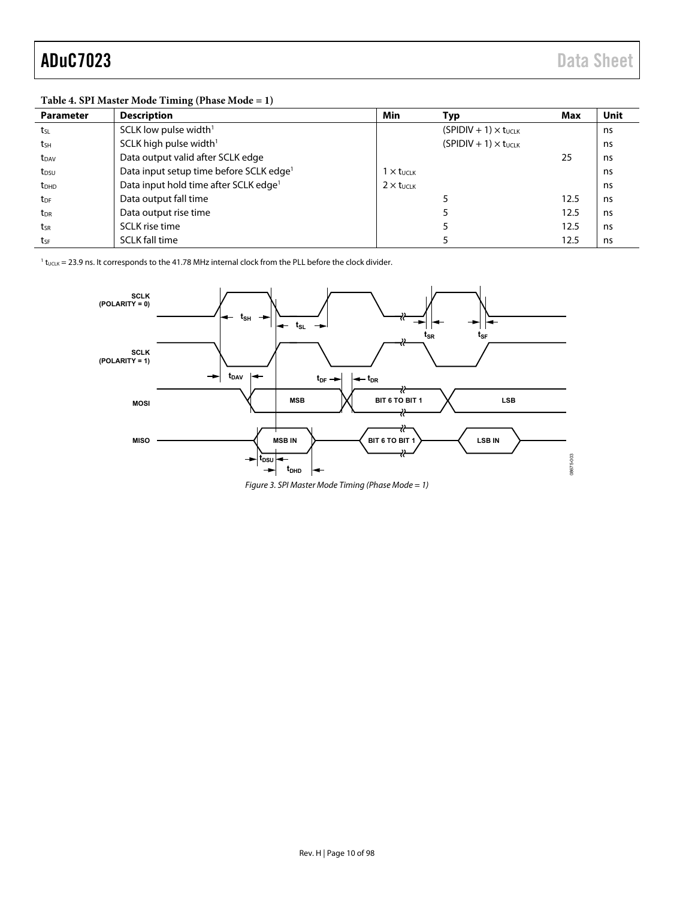### **Table 4. SPI Master Mode Timing (Phase Mode = 1)**

| <b>Parameter</b> | <b>Description</b>                                  | Min                        | Typ                            | Max  | <b>Unit</b> |
|------------------|-----------------------------------------------------|----------------------------|--------------------------------|------|-------------|
| tsL              | SCLK low pulse width <sup>1</sup>                   |                            | $(SPIDIV + 1) \times t_{UCLK}$ |      | ns          |
| tsh              | SCLK high pulse width $1$                           |                            | $(SPIDIV + 1) \times t_{UCIK}$ |      | ns          |
| t <sub>DAV</sub> | Data output valid after SCLK edge                   |                            |                                | 25   | ns          |
| $t_{DSU}$        | Data input setup time before SCLK edge <sup>1</sup> | $1 \times t_{\text{UCLK}}$ |                                |      | ns          |
| t <sub>DHD</sub> | Data input hold time after SCLK edge <sup>1</sup>   | $2 \times t$ uclk          |                                |      | ns          |
| $t_{DF}$         | Data output fall time                               |                            |                                | 12.5 | ns          |
| t <sub>DR</sub>  | Data output rise time                               |                            |                                | 12.5 | ns          |
| tsr              | SCLK rise time                                      |                            |                                | 12.5 | ns          |
| tsF              | <b>SCLK fall time</b>                               |                            |                                | 12.5 | ns          |

 $1$  t<sub>UCLK</sub> = 23.9 ns. It corresponds to the 41.78 MHz internal clock from the PLL before the clock divider.



Figure 3. SPI Master Mode Timing (Phase Mode = 1)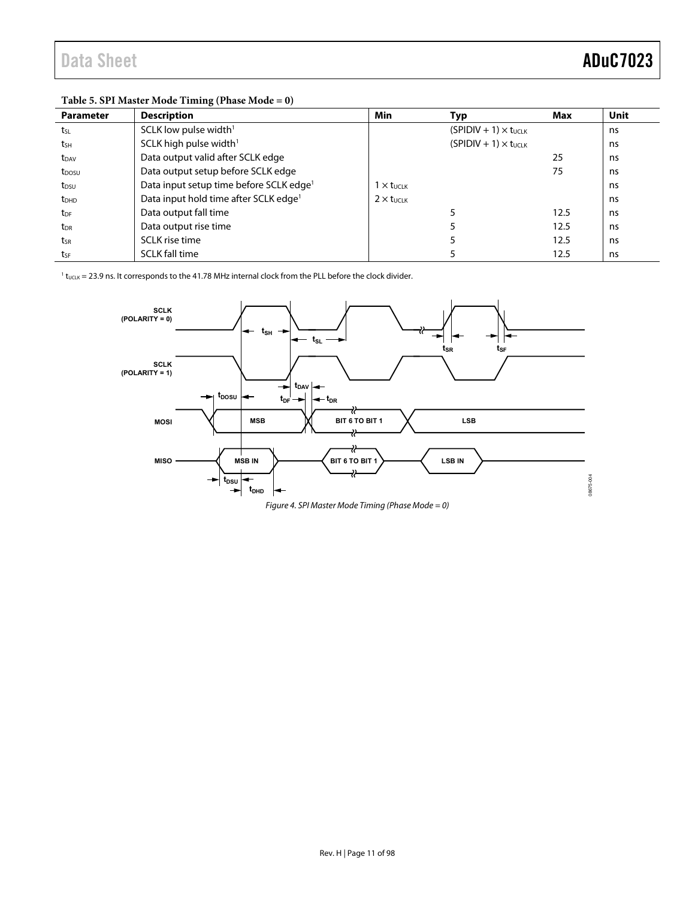| Table 5. 31 I master mout Thinnig (I hast mout $-9$ ) |                            |                                |      |      |  |  |  |
|-------------------------------------------------------|----------------------------|--------------------------------|------|------|--|--|--|
| <b>Description</b>                                    | Min                        | Typ                            | Max  | Unit |  |  |  |
| SCLK low pulse width <sup>1</sup>                     |                            | $(SPIDIV + 1) \times t_{UCLK}$ |      | ns   |  |  |  |
| SCLK high pulse width <sup>1</sup>                    |                            | $(SPIDIV + 1) \times t_{UCIK}$ |      | ns   |  |  |  |
| Data output valid after SCLK edge                     |                            |                                | 25   | ns   |  |  |  |
| Data output setup before SCLK edge                    |                            |                                | 75   | ns.  |  |  |  |
| Data input setup time before SCLK edge <sup>1</sup>   | $1 \times t$ uclk          |                                |      | ns   |  |  |  |
| Data input hold time after SCLK edge <sup>1</sup>     | $2 \times t_{\text{UCLK}}$ |                                |      | ns   |  |  |  |
| Data output fall time                                 |                            |                                | 12.5 | ns   |  |  |  |
| Data output rise time                                 |                            |                                | 12.5 | ns   |  |  |  |
| <b>SCLK</b> rise time                                 |                            |                                | 12.5 | ns   |  |  |  |
| <b>SCLK fall time</b>                                 |                            |                                | 12.5 | ns   |  |  |  |
|                                                       |                            |                                |      |      |  |  |  |

### **Table 5. SPI Master Mode Timing (Phase Mode = 0)**

 $1_{\rm t_{UCLK}}$  = 23.9 ns. It corresponds to the 41.78 MHz internal clock from the PLL before the clock divider.



Figure 4. SPI Master Mode Timing (Phase Mode = 0)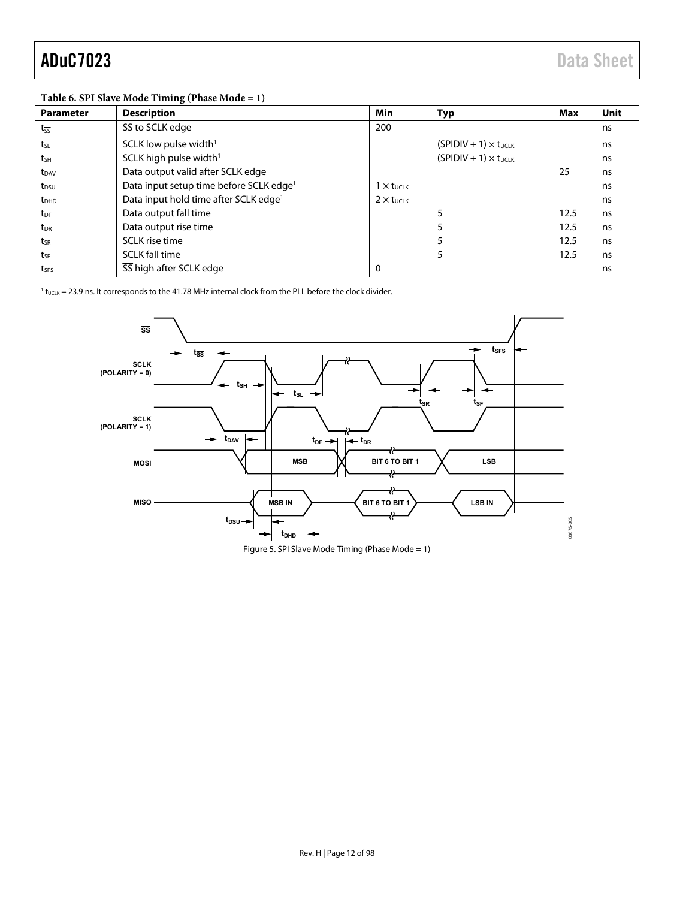| Table 0. Of 1 blave mode Thinnig (1 hase mode $-1$ ) |                                                     |                              |                                |      |             |  |  |
|------------------------------------------------------|-----------------------------------------------------|------------------------------|--------------------------------|------|-------------|--|--|
| <b>Parameter</b>                                     | <b>Description</b>                                  | Min                          | Typ                            | Max  | <b>Unit</b> |  |  |
| $t_{\overline{SS}}$                                  | SS to SCLK edge                                     | 200                          |                                |      | ns          |  |  |
| tsL                                                  | SCLK low pulse width <sup>1</sup>                   |                              | $(SPIDIV + 1) \times t_{UCLK}$ |      | ns          |  |  |
| tsh                                                  | SCLK high pulse width <sup>1</sup>                  |                              | $(SPIDIV + 1) \times t_{UCLK}$ |      | ns          |  |  |
| t <sub>DAV</sub>                                     | Data output valid after SCLK edge                   |                              |                                | 25   | ns          |  |  |
| t <sub>DSU</sub>                                     | Data input setup time before SCLK edge <sup>1</sup> | $1 \times t$ <sub>UCLK</sub> |                                |      | ns          |  |  |
| <b>t</b> <sub>DHD</sub>                              | Data input hold time after SCLK edge <sup>1</sup>   | $2 \times t$ UCLK            |                                |      | ns          |  |  |
| t <sub>DF</sub>                                      | Data output fall time                               |                              | 5                              | 12.5 | ns          |  |  |
| t <sub>DR</sub>                                      | Data output rise time                               |                              | 5                              | 12.5 | ns          |  |  |
| tsr                                                  | SCLK rise time                                      |                              | 5                              | 12.5 | ns          |  |  |
| tsF                                                  | <b>SCLK fall time</b>                               |                              | 5                              | 12.5 | ns          |  |  |
| tses                                                 | SS high after SCLK edge                             | 0                            |                                |      | ns          |  |  |

#### **Table 6. SPI Slave Mode Timing (Phase Mode = 1)**

 $1$  t<sub>UCLK</sub> = 23.9 ns. It corresponds to the 41.78 MHz internal clock from the PLL before the clock divider.



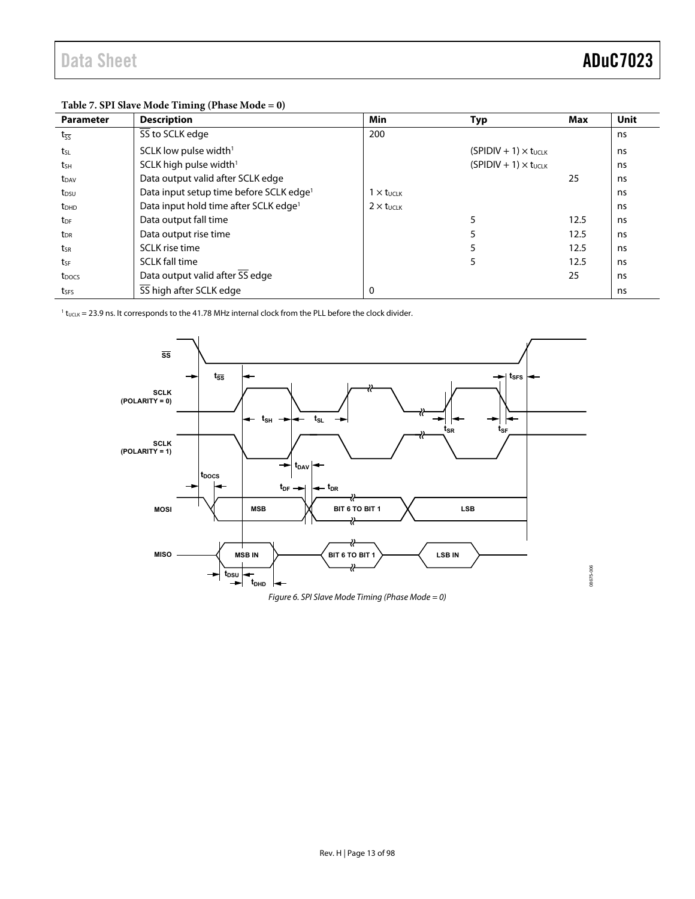| <b>Parameter</b>        | <b>Description</b>                                  | <b>Min</b>        | Typ                            | Max  | Unit |  |
|-------------------------|-----------------------------------------------------|-------------------|--------------------------------|------|------|--|
| $t_{\overline{SS}}$     | SS to SCLK edge                                     | 200               |                                |      | ns   |  |
| tsL                     | SCLK low pulse width <sup>1</sup>                   |                   | $(SPIDIV + 1) \times t_{UCLK}$ |      | ns   |  |
| tsh                     | SCLK high pulse width <sup>1</sup>                  |                   | $(SPIDIV + 1) \times t_{UCLK}$ |      | ns   |  |
| t <sub>DAV</sub>        | Data output valid after SCLK edge                   |                   |                                | 25   | ns   |  |
| t <sub>DSU</sub>        | Data input setup time before SCLK edge <sup>1</sup> | $1 \times t$ uclk |                                |      | ns   |  |
| <b>t</b> <sub>DHD</sub> | Data input hold time after SCLK edge <sup>1</sup>   | $2 \times t$ UCLK |                                |      | ns   |  |
| t <sub>DF</sub>         | Data output fall time                               |                   |                                | 12.5 | ns.  |  |
| t <sub>DR</sub>         | Data output rise time                               |                   |                                | 12.5 | ns   |  |
| tsr                     | SCLK rise time                                      |                   |                                | 12.5 | ns   |  |
| tsF                     | <b>SCLK fall time</b>                               |                   | 5                              | 12.5 | ns   |  |
| t <sub>pocs</sub>       | Data output valid after SS edge                     |                   |                                | 25   | ns   |  |
| t <sub>SFS</sub>        | SS high after SCLK edge                             |                   |                                |      | ns   |  |

#### **Table 7. SPI Slave Mode Timing (Phase Mode = 0)**

 $1$  t<sub>UCLK</sub> = 23.9 ns. It corresponds to the 41.78 MHz internal clock from the PLL before the clock divider.



Figure 6. SPI Slave Mode Timing (Phase Mode = 0)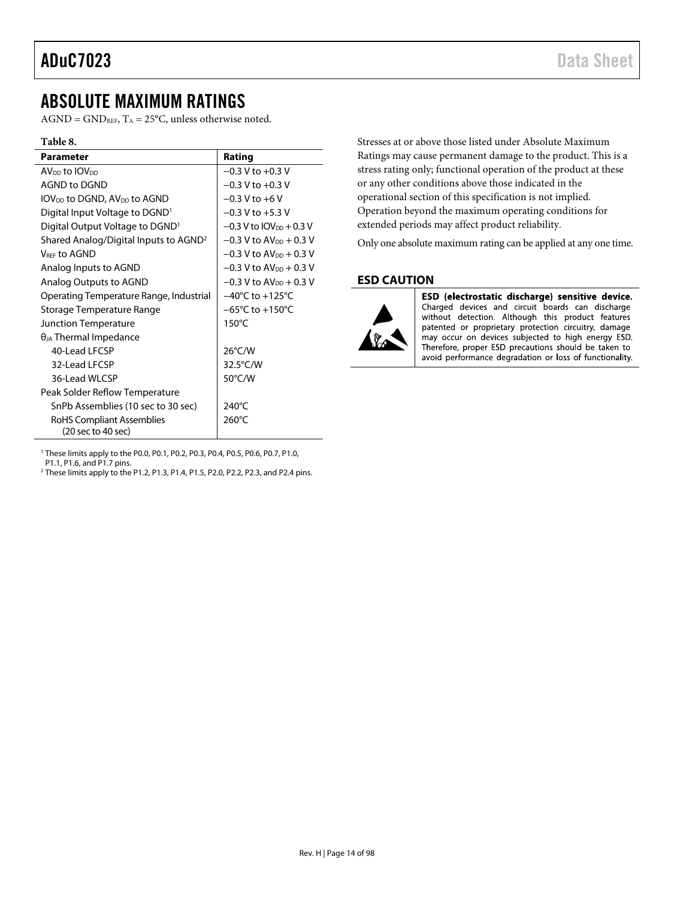# <span id="page-13-0"></span>ABSOLUTE MAXIMUM RATINGS

 $AGND = GND<sub>REF</sub>, T<sub>A</sub> = 25°C$ , unless otherwise noted.

#### **Table 8.**

| <b>Parameter</b>                                                   | Rating                                |
|--------------------------------------------------------------------|---------------------------------------|
| AV <sub>DD</sub> to IOV <sub>DD</sub>                              | $-0.3$ V to $+0.3$ V                  |
| AGND to DGND                                                       | $-0.3$ V to $+0.3$ V                  |
| $IOV_{DD}$ to DGND, $AV_{DD}$ to AGND                              | $-0.3 V$ to $+6 V$                    |
| Digital Input Voltage to DGND                                      | $-0.3 V$ to $+5.3 V$                  |
| Digital Output Voltage to DGND <sup>1</sup>                        | $-0.3$ V to IOV <sub>DD</sub> + 0.3 V |
| Shared Analog/Digital Inputs to AGND <sup>2</sup>                  | $-0.3$ V to AV <sub>DD</sub> + 0.3 V  |
| <b>VREE tO AGND</b>                                                | $-0.3$ V to AV <sub>DD</sub> + 0.3 V  |
| Analog Inputs to AGND                                              | $-0.3$ V to AV <sub>DD</sub> + 0.3 V  |
| Analog Outputs to AGND                                             | $-0.3$ V to AV <sub>pp</sub> + 0.3 V  |
| Operating Temperature Range, Industrial                            | $-40^{\circ}$ C to $+125^{\circ}$ C   |
| Storage Temperature Range                                          | $-65^{\circ}$ C to $+150^{\circ}$ C   |
| Junction Temperature                                               | $150^{\circ}$ C                       |
| $\theta_{JA}$ Thermal Impedance                                    |                                       |
| 40-Lead LECSP                                                      | $26^{\circ}$ C/W                      |
| 32-Lead LECSP                                                      | 32.5°C/W                              |
| 36-Lead WLCSP                                                      | $50^{\circ}$ C/W                      |
| Peak Solder Reflow Temperature                                     |                                       |
| SnPb Assemblies (10 sec to 30 sec)                                 | 240°C                                 |
| RoHS Compliant Assemblies<br>$(20 \text{ sec to } 40 \text{ sec})$ | 260°C                                 |
|                                                                    |                                       |

Stresses at or above those listed under Absolute Maximum Ratings may cause permanent damage to the product. This is a stress rating only; functional operation of the product at these or any other conditions above those indicated in the operational section of this specification is not implied. Operation beyond the maximum operating conditions for extended periods may affect product reliability.

Only one absolute maximum rating can be applied at any one time.

## <span id="page-13-1"></span>**ESD CAUTION**



ESD (electrostatic discharge) sensitive device. Charged devices and circuit boards can discharge without detection. Although this product features patented or proprietary protection circuitry, damage may occur on devices subjected to high energy ESD. Therefore, proper ESD precautions should be taken to avoid performance degradation or loss of functionality.

1 These limits apply to the P0.0, P0.1, P0.2, P0.3, P0.4, P0.5, P0.6, P0.7, P1.0,

P1.1, P1.6, and P1.7 pins.

<sup>2</sup> These limits apply to the P1.2, P1.3, P1.4, P1.5, P2.0, P2.2, P2.3, and P2.4 pins.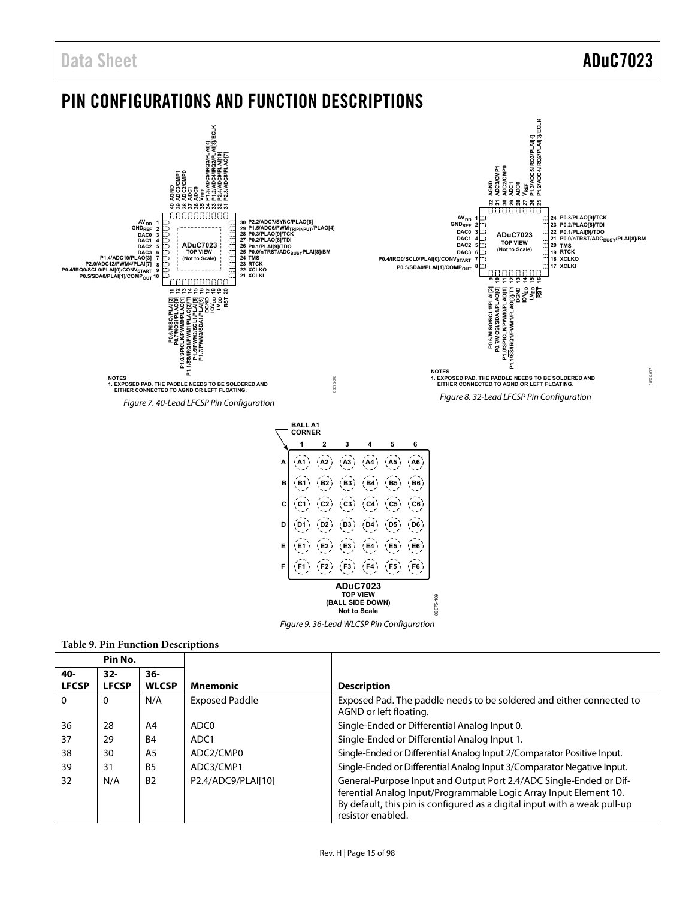# <span id="page-14-0"></span>PIN CONFIGURATIONS AND FUNCTION DESCRIPTIONS



resistor enabled.

ferential Analog Input/Programmable Logic Array Input Element 10. By default, this pin is configured as a digital input with a weak pull-up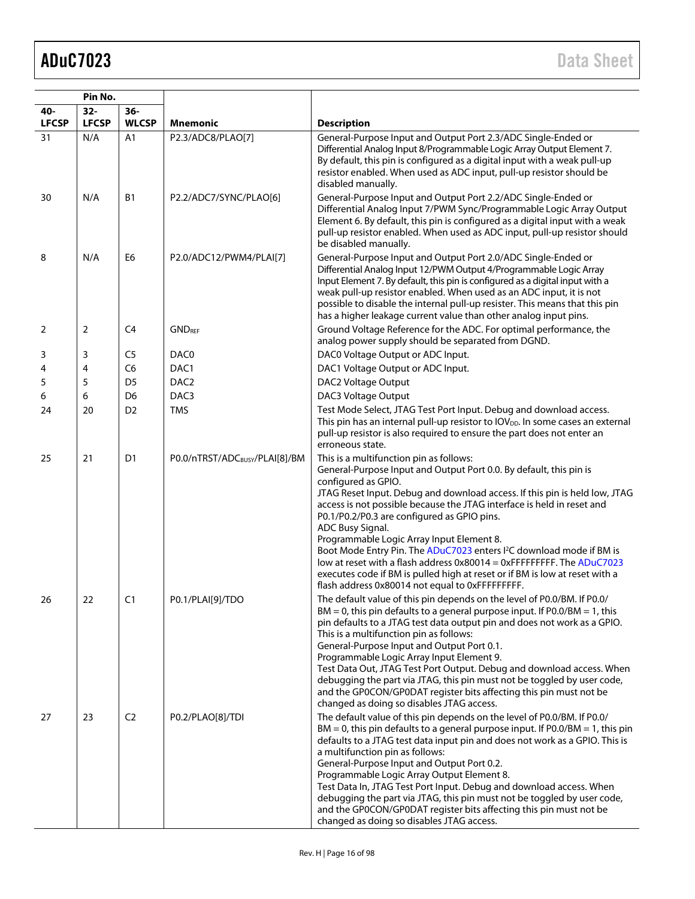|              | Pin No.      |                |                                            |                                                                                                                                                                                                                                                                                                                                                                                                                                                                                                                                                                                                                                                                                                                               |  |  |  |
|--------------|--------------|----------------|--------------------------------------------|-------------------------------------------------------------------------------------------------------------------------------------------------------------------------------------------------------------------------------------------------------------------------------------------------------------------------------------------------------------------------------------------------------------------------------------------------------------------------------------------------------------------------------------------------------------------------------------------------------------------------------------------------------------------------------------------------------------------------------|--|--|--|
| 40-          | $32-$        | $36-$          |                                            |                                                                                                                                                                                                                                                                                                                                                                                                                                                                                                                                                                                                                                                                                                                               |  |  |  |
| <b>LFCSP</b> | <b>LFCSP</b> | <b>WLCSP</b>   | <b>Mnemonic</b>                            | <b>Description</b>                                                                                                                                                                                                                                                                                                                                                                                                                                                                                                                                                                                                                                                                                                            |  |  |  |
| 31           | N/A          | A1             | P2.3/ADC8/PLAO[7]                          | General-Purpose Input and Output Port 2.3/ADC Single-Ended or<br>Differential Analog Input 8/Programmable Logic Array Output Element 7.<br>By default, this pin is configured as a digital input with a weak pull-up<br>resistor enabled. When used as ADC input, pull-up resistor should be<br>disabled manually.                                                                                                                                                                                                                                                                                                                                                                                                            |  |  |  |
| 30           | N/A          | <b>B1</b>      | P2.2/ADC7/SYNC/PLAO[6]                     | General-Purpose Input and Output Port 2.2/ADC Single-Ended or<br>Differential Analog Input 7/PWM Sync/Programmable Logic Array Output<br>Element 6. By default, this pin is configured as a digital input with a weak<br>pull-up resistor enabled. When used as ADC input, pull-up resistor should<br>be disabled manually.                                                                                                                                                                                                                                                                                                                                                                                                   |  |  |  |
| 8            | N/A          | E6             | P2.0/ADC12/PWM4/PLAI[7]                    | General-Purpose Input and Output Port 2.0/ADC Single-Ended or<br>Differential Analog Input 12/PWM Output 4/Programmable Logic Array<br>Input Element 7. By default, this pin is configured as a digital input with a<br>weak pull-up resistor enabled. When used as an ADC input, it is not<br>possible to disable the internal pull-up resister. This means that this pin<br>has a higher leakage current value than other analog input pins.                                                                                                                                                                                                                                                                                |  |  |  |
| 2            | 2            | C <sub>4</sub> | <b>GNDREF</b>                              | Ground Voltage Reference for the ADC. For optimal performance, the<br>analog power supply should be separated from DGND.                                                                                                                                                                                                                                                                                                                                                                                                                                                                                                                                                                                                      |  |  |  |
| 3            | 3            | C <sub>5</sub> | DAC0                                       | DAC0 Voltage Output or ADC Input.                                                                                                                                                                                                                                                                                                                                                                                                                                                                                                                                                                                                                                                                                             |  |  |  |
| 4            | 4            | C <sub>6</sub> | DAC1                                       | DAC1 Voltage Output or ADC Input.                                                                                                                                                                                                                                                                                                                                                                                                                                                                                                                                                                                                                                                                                             |  |  |  |
| 5            | 5            | D <sub>5</sub> | DAC <sub>2</sub>                           | DAC2 Voltage Output                                                                                                                                                                                                                                                                                                                                                                                                                                                                                                                                                                                                                                                                                                           |  |  |  |
| 6            | 6            | D <sub>6</sub> | DAC <sub>3</sub>                           | DAC3 Voltage Output                                                                                                                                                                                                                                                                                                                                                                                                                                                                                                                                                                                                                                                                                                           |  |  |  |
| 24           | 20           | D <sub>2</sub> | <b>TMS</b>                                 | Test Mode Select, JTAG Test Port Input. Debug and download access.<br>This pin has an internal pull-up resistor to IOV <sub>DD</sub> . In some cases an external<br>pull-up resistor is also required to ensure the part does not enter an<br>erroneous state.                                                                                                                                                                                                                                                                                                                                                                                                                                                                |  |  |  |
| 25           | 21           | D <sub>1</sub> | P0.0/nTRST/ADC <sub>BUSY</sub> /PLAI[8]/BM | This is a multifunction pin as follows:<br>General-Purpose Input and Output Port 0.0. By default, this pin is<br>configured as GPIO.<br>JTAG Reset Input. Debug and download access. If this pin is held low, JTAG<br>access is not possible because the JTAG interface is held in reset and<br>P0.1/P0.2/P0.3 are configured as GPIO pins.<br>ADC Busy Signal.<br>Programmable Logic Array Input Element 8.<br>Boot Mode Entry Pin. The ADuC7023 enters I <sup>2</sup> C download mode if BM is<br>low at reset with a flash address $0 \times 80014 = 0 \times F$ FFFFFFFFF. The ADuC7023<br>executes code if BM is pulled high at reset or if BM is low at reset with a<br>flash address 0x80014 not equal to 0xFFFFFFFFF. |  |  |  |
| 26           | 22           | C <sub>1</sub> | P0.1/PLAI[9]/TDO                           | The default value of this pin depends on the level of P0.0/BM. If P0.0/<br>$BM = 0$ , this pin defaults to a general purpose input. If P0.0/BM = 1, this<br>pin defaults to a JTAG test data output pin and does not work as a GPIO.<br>This is a multifunction pin as follows:<br>General-Purpose Input and Output Port 0.1.<br>Programmable Logic Array Input Element 9.<br>Test Data Out, JTAG Test Port Output. Debug and download access. When<br>debugging the part via JTAG, this pin must not be toggled by user code,<br>and the GP0CON/GP0DAT register bits affecting this pin must not be<br>changed as doing so disables JTAG access.                                                                             |  |  |  |
| 27           | 23           | C <sub>2</sub> | P0.2/PLAO[8]/TDI                           | The default value of this pin depends on the level of P0.0/BM. If P0.0/<br>$BM = 0$ , this pin defaults to a general purpose input. If P0.0/BM = 1, this pin<br>defaults to a JTAG test data input pin and does not work as a GPIO. This is<br>a multifunction pin as follows:<br>General-Purpose Input and Output Port 0.2.<br>Programmable Logic Array Output Element 8.<br>Test Data In, JTAG Test Port Input. Debug and download access. When<br>debugging the part via JTAG, this pin must not be toggled by user code,<br>and the GP0CON/GP0DAT register bits affecting this pin must not be<br>changed as doing so disables JTAG access.                                                                               |  |  |  |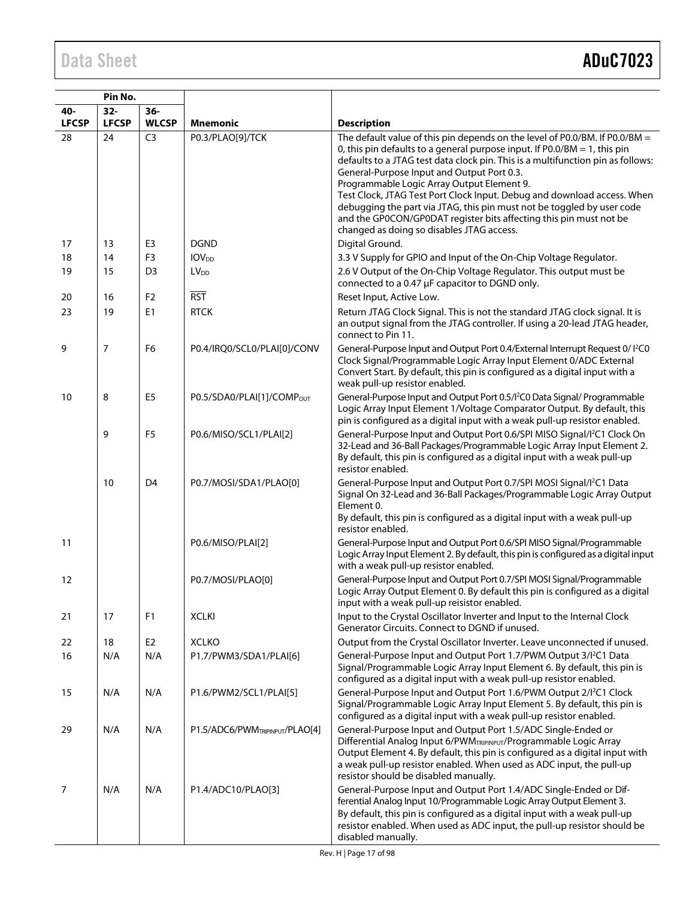|                     | Pin No.                |                        |                                       |                                                                                                                                                                                                                                                                                                                                                                                                                                                                                                                                                                                                                    |
|---------------------|------------------------|------------------------|---------------------------------------|--------------------------------------------------------------------------------------------------------------------------------------------------------------------------------------------------------------------------------------------------------------------------------------------------------------------------------------------------------------------------------------------------------------------------------------------------------------------------------------------------------------------------------------------------------------------------------------------------------------------|
| 40-<br><b>LFCSP</b> | $32 -$<br><b>LFCSP</b> | $36 -$<br><b>WLCSP</b> | <b>Mnemonic</b>                       | <b>Description</b>                                                                                                                                                                                                                                                                                                                                                                                                                                                                                                                                                                                                 |
| 28                  | 24                     | C <sub>3</sub>         | P0.3/PLAO[9]/TCK                      | The default value of this pin depends on the level of P0.0/BM. If P0.0/BM =<br>0, this pin defaults to a general purpose input. If $PO.0/BM = 1$ , this pin<br>defaults to a JTAG test data clock pin. This is a multifunction pin as follows:<br>General-Purpose Input and Output Port 0.3.<br>Programmable Logic Array Output Element 9.<br>Test Clock, JTAG Test Port Clock Input. Debug and download access. When<br>debugging the part via JTAG, this pin must not be toggled by user code<br>and the GP0CON/GP0DAT register bits affecting this pin must not be<br>changed as doing so disables JTAG access. |
| 17                  | 13                     | E <sub>3</sub>         | <b>DGND</b>                           | Digital Ground.                                                                                                                                                                                                                                                                                                                                                                                                                                                                                                                                                                                                    |
| 18                  | 14                     | F <sub>3</sub>         | <b>IOV</b> <sub>DD</sub>              | 3.3 V Supply for GPIO and Input of the On-Chip Voltage Regulator.                                                                                                                                                                                                                                                                                                                                                                                                                                                                                                                                                  |
| 19                  | 15                     | D <sub>3</sub>         | LV <sub>DD</sub>                      | 2.6 V Output of the On-Chip Voltage Regulator. This output must be<br>connected to a 0.47 µF capacitor to DGND only.                                                                                                                                                                                                                                                                                                                                                                                                                                                                                               |
| 20                  | 16                     | F <sub>2</sub>         | $\overline{RST}$                      | Reset Input, Active Low.                                                                                                                                                                                                                                                                                                                                                                                                                                                                                                                                                                                           |
| 23                  | 19                     | E1                     | <b>RTCK</b>                           | Return JTAG Clock Signal. This is not the standard JTAG clock signal. It is<br>an output signal from the JTAG controller. If using a 20-lead JTAG header,<br>connect to Pin 11.                                                                                                                                                                                                                                                                                                                                                                                                                                    |
| 9                   | 7                      | F <sub>6</sub>         | P0.4/IRQ0/SCL0/PLAI[0]/CONV           | General-Purpose Input and Output Port 0.4/External Interrupt Request 0/ I <sup>2</sup> C0<br>Clock Signal/Programmable Logic Array Input Element 0/ADC External<br>Convert Start. By default, this pin is configured as a digital input with a<br>weak pull-up resistor enabled.                                                                                                                                                                                                                                                                                                                                   |
| 10                  | 8                      | E <sub>5</sub>         | P0.5/SDA0/PLAI[1]/COMP <sub>OUT</sub> | General-Purpose Input and Output Port 0.5/l <sup>2</sup> C0 Data Signal/ Programmable<br>Logic Array Input Element 1/Voltage Comparator Output. By default, this<br>pin is configured as a digital input with a weak pull-up resistor enabled.                                                                                                                                                                                                                                                                                                                                                                     |
|                     | 9                      | F <sub>5</sub>         | P0.6/MISO/SCL1/PLAI[2]                | General-Purpose Input and Output Port 0.6/SPI MISO Signal/l <sup>2</sup> C1 Clock On<br>32-Lead and 36-Ball Packages/Programmable Logic Array Input Element 2.<br>By default, this pin is configured as a digital input with a weak pull-up<br>resistor enabled.                                                                                                                                                                                                                                                                                                                                                   |
|                     | 10                     | D <sub>4</sub>         | P0.7/MOSI/SDA1/PLAO[0]                | General-Purpose Input and Output Port 0.7/SPI MOSI Signal/l <sup>2</sup> C1 Data<br>Signal On 32-Lead and 36-Ball Packages/Programmable Logic Array Output<br>Element 0.<br>By default, this pin is configured as a digital input with a weak pull-up<br>resistor enabled.                                                                                                                                                                                                                                                                                                                                         |
| 11                  |                        |                        | P0.6/MISO/PLAI[2]                     | General-Purpose Input and Output Port 0.6/SPI MISO Signal/Programmable<br>Logic Array Input Element 2. By default, this pin is configured as a digital input<br>with a weak pull-up resistor enabled.                                                                                                                                                                                                                                                                                                                                                                                                              |
| 12                  |                        |                        | P0.7/MOSI/PLAO[0]                     | General-Purpose Input and Output Port 0.7/SPI MOSI Signal/Programmable<br>Logic Array Output Element 0. By default this pin is configured as a digital<br>input with a weak pull-up reisistor enabled.                                                                                                                                                                                                                                                                                                                                                                                                             |
| 21                  | 17                     | F1                     | <b>XCLKI</b>                          | Input to the Crystal Oscillator Inverter and Input to the Internal Clock<br>Generator Circuits. Connect to DGND if unused.                                                                                                                                                                                                                                                                                                                                                                                                                                                                                         |
| 22                  | 18                     | E <sub>2</sub>         | <b>XCLKO</b>                          | Output from the Crystal Oscillator Inverter. Leave unconnected if unused.                                                                                                                                                                                                                                                                                                                                                                                                                                                                                                                                          |
| 16                  | N/A                    | N/A                    | P1.7/PWM3/SDA1/PLAI[6]                | General-Purpose Input and Output Port 1.7/PWM Output 3/I <sup>2</sup> C1 Data<br>Signal/Programmable Logic Array Input Element 6. By default, this pin is<br>configured as a digital input with a weak pull-up resistor enabled.                                                                                                                                                                                                                                                                                                                                                                                   |
| 15                  | N/A                    | N/A                    | P1.6/PWM2/SCL1/PLAI[5]                | General-Purpose Input and Output Port 1.6/PWM Output 2/l <sup>2</sup> C1 Clock<br>Signal/Programmable Logic Array Input Element 5. By default, this pin is<br>configured as a digital input with a weak pull-up resistor enabled.                                                                                                                                                                                                                                                                                                                                                                                  |
| 29                  | N/A                    | N/A                    | P1.5/ADC6/PWMTRIPINPUT/PLAO[4]        | General-Purpose Input and Output Port 1.5/ADC Single-Ended or<br>Differential Analog Input 6/PWMTRIPINPUT/Programmable Logic Array<br>Output Element 4. By default, this pin is configured as a digital input with<br>a weak pull-up resistor enabled. When used as ADC input, the pull-up<br>resistor should be disabled manually.                                                                                                                                                                                                                                                                                |
| 7                   | N/A                    | N/A                    | P1.4/ADC10/PLAO[3]                    | General-Purpose Input and Output Port 1.4/ADC Single-Ended or Dif-<br>ferential Analog Input 10/Programmable Logic Array Output Element 3.<br>By default, this pin is configured as a digital input with a weak pull-up<br>resistor enabled. When used as ADC input, the pull-up resistor should be<br>disabled manually.                                                                                                                                                                                                                                                                                          |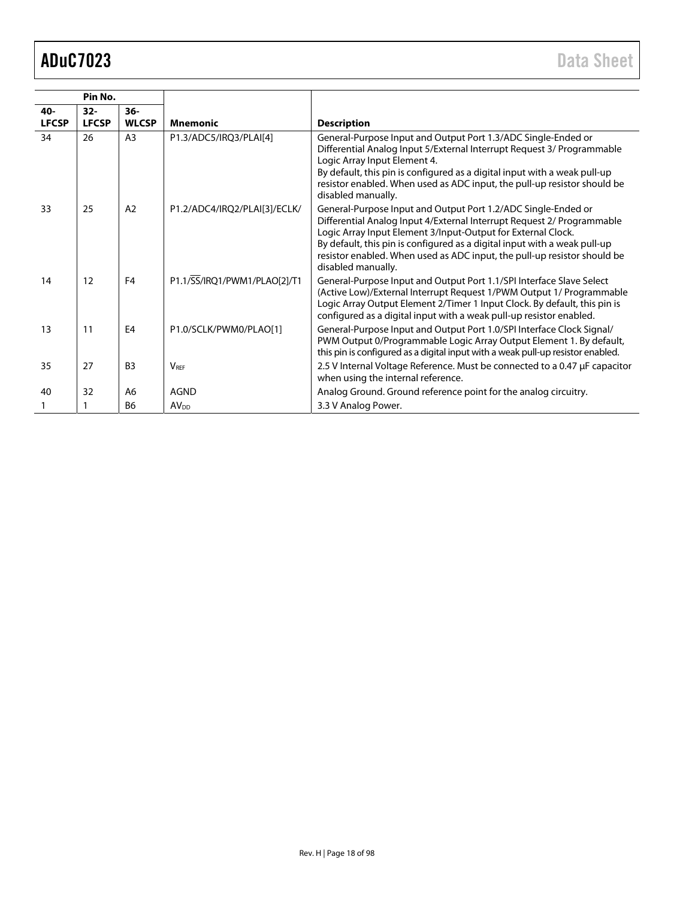| Pin No.      |              |                |                              |                                                                                                                                                                                                                                                                                                                                                                                        |
|--------------|--------------|----------------|------------------------------|----------------------------------------------------------------------------------------------------------------------------------------------------------------------------------------------------------------------------------------------------------------------------------------------------------------------------------------------------------------------------------------|
| 40-          | $32 -$       | $36-$          |                              |                                                                                                                                                                                                                                                                                                                                                                                        |
| <b>LFCSP</b> | <b>LFCSP</b> | <b>WLCSP</b>   | <b>Mnemonic</b>              | <b>Description</b>                                                                                                                                                                                                                                                                                                                                                                     |
| 34           | 26           | A <sub>3</sub> | P1.3/ADC5/IRQ3/PLAI[4]       | General-Purpose Input and Output Port 1.3/ADC Single-Ended or<br>Differential Analog Input 5/External Interrupt Request 3/ Programmable<br>Logic Array Input Element 4.<br>By default, this pin is configured as a digital input with a weak pull-up<br>resistor enabled. When used as ADC input, the pull-up resistor should be<br>disabled manually.                                 |
| 33           | 25           | A2             | P1.2/ADC4/IRQ2/PLAI[3]/ECLK/ | General-Purpose Input and Output Port 1.2/ADC Single-Ended or<br>Differential Analog Input 4/External Interrupt Request 2/ Programmable<br>Logic Array Input Element 3/Input-Output for External Clock.<br>By default, this pin is configured as a digital input with a weak pull-up<br>resistor enabled. When used as ADC input, the pull-up resistor should be<br>disabled manually. |
| 14           | 12           | F <sub>4</sub> | P1.1/SS/IRQ1/PWM1/PLAO[2]/T1 | General-Purpose Input and Output Port 1.1/SPI Interface Slave Select<br>(Active Low)/External Interrupt Request 1/PWM Output 1/ Programmable<br>Logic Array Output Element 2/Timer 1 Input Clock. By default, this pin is<br>configured as a digital input with a weak pull-up resistor enabled.                                                                                       |
| 13           | 11           | E <sub>4</sub> | P1.0/SCLK/PWM0/PLAO[1]       | General-Purpose Input and Output Port 1.0/SPI Interface Clock Signal/<br>PWM Output 0/Programmable Logic Array Output Element 1. By default,<br>this pin is configured as a digital input with a weak pull-up resistor enabled.                                                                                                                                                        |
| 35           | 27           | B <sub>3</sub> | <b>VRFF</b>                  | 2.5 V Internal Voltage Reference. Must be connected to a 0.47 µF capacitor<br>when using the internal reference.                                                                                                                                                                                                                                                                       |
| 40           | 32           | A <sub>6</sub> | <b>AGND</b>                  | Analog Ground. Ground reference point for the analog circuitry.                                                                                                                                                                                                                                                                                                                        |
| 1            |              | B <sub>6</sub> | AV <sub>DD</sub>             | 3.3 V Analog Power.                                                                                                                                                                                                                                                                                                                                                                    |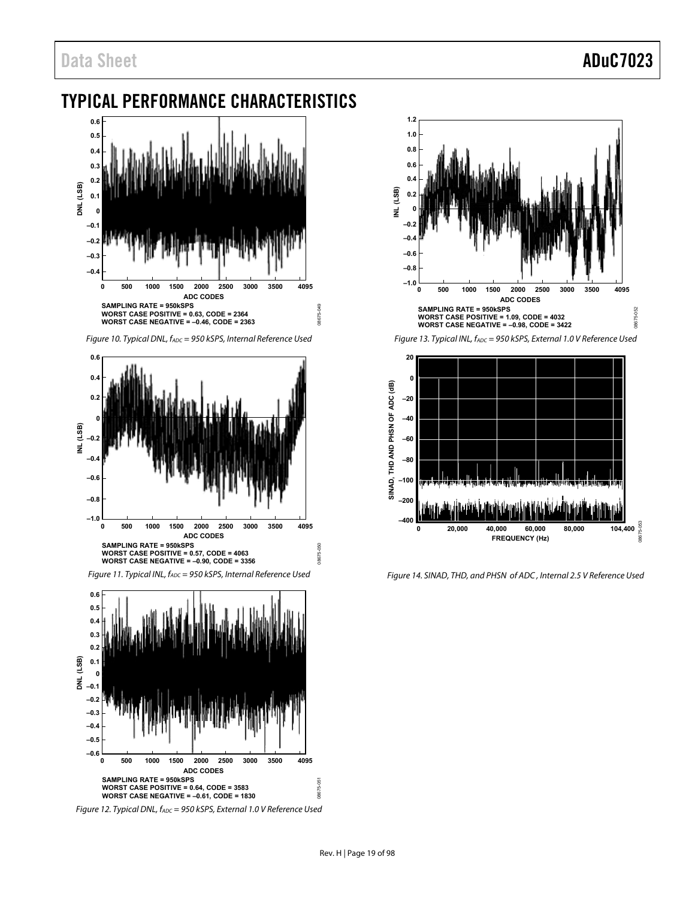# <span id="page-18-0"></span>TYPICAL PERFORMANCE CHARACTERISTICS



Figure 10. Typical DNL,  $f_{ADC} = 950$  kSPS, Internal Reference Used

08675-049

08675-050

08675-051



Figure 11. Typical INL, fADC = 950 kSPS, Internal Reference Used



Figure 12. Typical DNL, fADC = 950 kSPS, External 1.0 V Reference Used







Figure 14. SINAD, THD, and PHSN of ADC , Internal 2.5 V Reference Used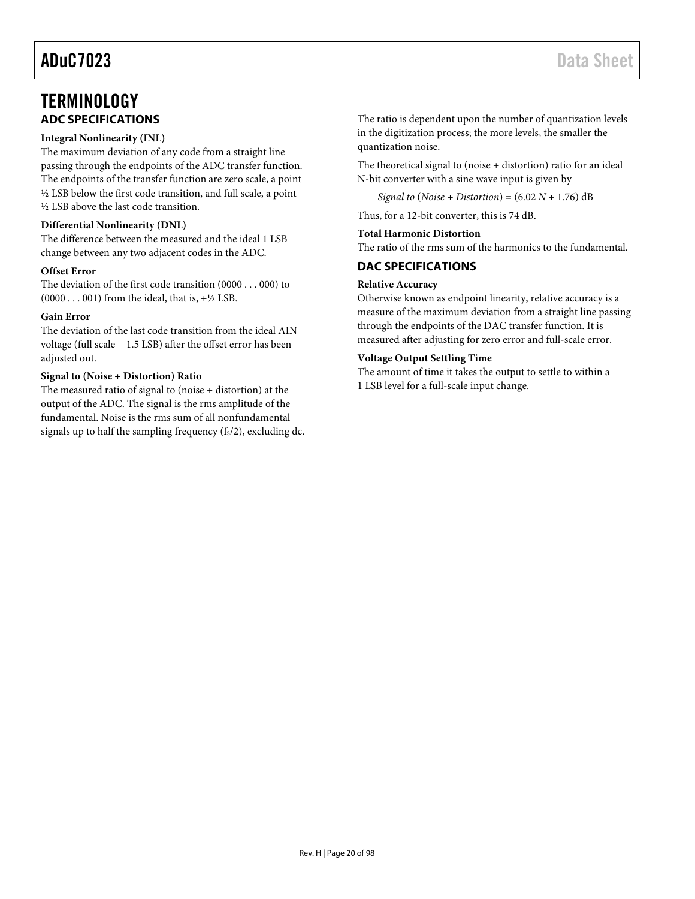# <span id="page-19-0"></span>**TERMINOLOGY ADC SPECIFICATIONS**

#### <span id="page-19-1"></span>**Integral Nonlinearity (INL)**

The maximum deviation of any code from a straight line passing through the endpoints of the ADC transfer function. The endpoints of the transfer function are zero scale, a point ½ LSB below the first code transition, and full scale, a point ½ LSB above the last code transition.

#### **Differential Nonlinearity (DNL)**

The difference between the measured and the ideal 1 LSB change between any two adjacent codes in the ADC.

#### **Offset Error**

The deviation of the first code transition (0000 . . . 000) to  $(0000 \dots 001)$  from the ideal, that is,  $+\frac{1}{2}$  LSB.

#### **Gain Error**

The deviation of the last code transition from the ideal AIN voltage (full scale − 1.5 LSB) after the offset error has been adjusted out.

### **Signal to (Noise + Distortion) Ratio**

The measured ratio of signal to (noise + distortion) at the output of the ADC. The signal is the rms amplitude of the fundamental. Noise is the rms sum of all nonfundamental signals up to half the sampling frequency  $(f<sub>S</sub>/2)$ , excluding dc. The ratio is dependent upon the number of quantization levels in the digitization process; the more levels, the smaller the quantization noise.

The theoretical signal to (noise + distortion) ratio for an ideal N-bit converter with a sine wave input is given by

*Signal to* (*Noise* + *Distortion*) = (6.02 *N* + 1.76) dB

Thus, for a 12-bit converter, this is 74 dB.

#### **Total Harmonic Distortion**

The ratio of the rms sum of the harmonics to the fundamental.

### <span id="page-19-2"></span>**DAC SPECIFICATIONS**

#### **Relative Accuracy**

Otherwise known as endpoint linearity, relative accuracy is a measure of the maximum deviation from a straight line passing through the endpoints of the DAC transfer function. It is measured after adjusting for zero error and full-scale error.

#### **Voltage Output Settling Time**

The amount of time it takes the output to settle to within a 1 LSB level for a full-scale input change.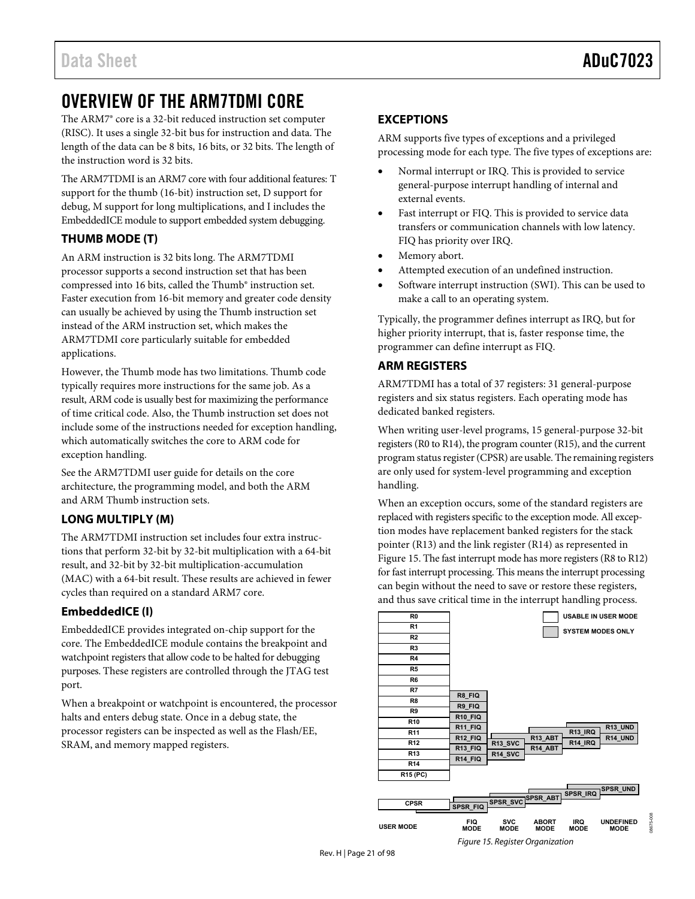# <span id="page-20-0"></span>OVERVIEW OF THE ARM7TDMI CORE

The ARM7® core is a 32-bit reduced instruction set computer (RISC). It uses a single 32-bit bus for instruction and data. The length of the data can be 8 bits, 16 bits, or 32 bits. The length of the instruction word is 32 bits.

The ARM7TDMI is an ARM7 core with four additional features: T support for the thumb (16-bit) instruction set, D support for debug, M support for long multiplications, and I includes the EmbeddedICE module to support embedded system debugging.

# <span id="page-20-1"></span>**THUMB MODE (T)**

An ARM instruction is 32 bits long. The ARM7TDMI processor supports a second instruction set that has been compressed into 16 bits, called the Thumb® instruction set. Faster execution from 16-bit memory and greater code density can usually be achieved by using the Thumb instruction set instead of the ARM instruction set, which makes the ARM7TDMI core particularly suitable for embedded applications.

However, the Thumb mode has two limitations. Thumb code typically requires more instructions for the same job. As a result, ARM code is usually best for maximizing the performance of time critical code. Also, the Thumb instruction set does not include some of the instructions needed for exception handling, which automatically switches the core to ARM code for exception handling.

See the ARM7TDMI user guide for details on the core architecture, the programming model, and both the ARM and ARM Thumb instruction sets.

# <span id="page-20-2"></span>**LONG MULTIPLY (M)**

The ARM7TDMI instruction set includes four extra instructions that perform 32-bit by 32-bit multiplication with a 64-bit result, and 32-bit by 32-bit multiplication-accumulation (MAC) with a 64-bit result. These results are achieved in fewer cycles than required on a standard ARM7 core.

# <span id="page-20-3"></span>**EmbeddedICE (I)**

EmbeddedICE provides integrated on-chip support for the core. The EmbeddedICE module contains the breakpoint and watchpoint registers that allow code to be halted for debugging purposes. These registers are controlled through the JTAG test port.

When a breakpoint or watchpoint is encountered, the processor halts and enters debug state. Once in a debug state, the processor registers can be inspected as well as the Flash/EE, SRAM, and memory mapped registers.

# <span id="page-20-4"></span>**EXCEPTIONS**

ARM supports five types of exceptions and a privileged processing mode for each type. The five types of exceptions are:

- Normal interrupt or IRQ. This is provided to service general-purpose interrupt handling of internal and external events.
- Fast interrupt or FIQ. This is provided to service data transfers or communication channels with low latency. FIQ has priority over IRQ.
- Memory abort.
- Attempted execution of an undefined instruction.
- Software interrupt instruction (SWI). This can be used to make a call to an operating system.

Typically, the programmer defines interrupt as IRQ, but for higher priority interrupt, that is, faster response time, the programmer can define interrupt as FIQ.

# <span id="page-20-5"></span>**ARM REGISTERS**

ARM7TDMI has a total of 37 registers: 31 general-purpose registers and six status registers. Each operating mode has dedicated banked registers.

When writing user-level programs, 15 general-purpose 32-bit registers (R0 to R14), the program counter (R15), and the current program status register (CPSR) are usable. The remaining registers are only used for system-level programming and exception handling.

When an exception occurs, some of the standard registers are replaced with registers specific to the exception mode. All exception modes have replacement banked registers for the stack pointer (R13) and the link register (R14) as represented in [Figure 15.](#page-20-6) The fast interrupt mode has more registers (R8 to R12) for fast interrupt processing. This means the interrupt processing can begin without the need to save or restore these registers, and thus save critical time in the interrupt handling process.

<span id="page-20-6"></span>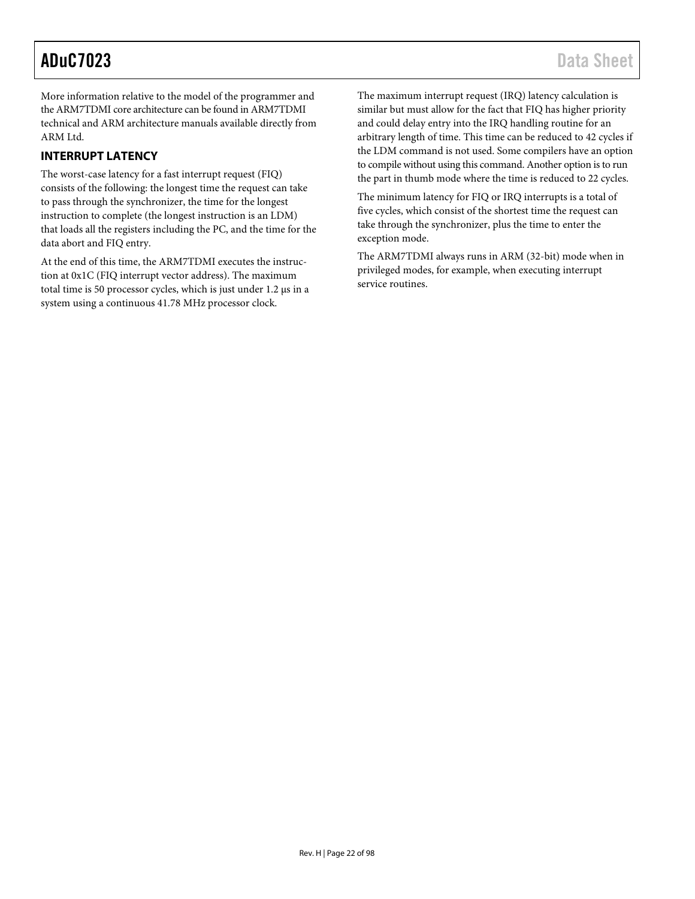More information relative to the model of the programmer and the ARM7TDMI core architecture can be found in ARM7TDMI technical and ARM architecture manuals available directly from ARM Ltd.

# <span id="page-21-0"></span>**INTERRUPT LATENCY**

The worst-case latency for a fast interrupt request (FIQ) consists of the following: the longest time the request can take to pass through the synchronizer, the time for the longest instruction to complete (the longest instruction is an LDM) that loads all the registers including the PC, and the time for the data abort and FIQ entry.

At the end of this time, the ARM7TDMI executes the instruction at 0x1C (FIQ interrupt vector address). The maximum total time is 50 processor cycles, which is just under 1.2 μs in a system using a continuous 41.78 MHz processor clock.

The maximum interrupt request (IRQ) latency calculation is similar but must allow for the fact that FIQ has higher priority and could delay entry into the IRQ handling routine for an arbitrary length of time. This time can be reduced to 42 cycles if the LDM command is not used. Some compilers have an option to compile without using this command. Another option is to run the part in thumb mode where the time is reduced to 22 cycles.

The minimum latency for FIQ or IRQ interrupts is a total of five cycles, which consist of the shortest time the request can take through the synchronizer, plus the time to enter the exception mode.

The ARM7TDMI always runs in ARM (32-bit) mode when in privileged modes, for example, when executing interrupt service routines.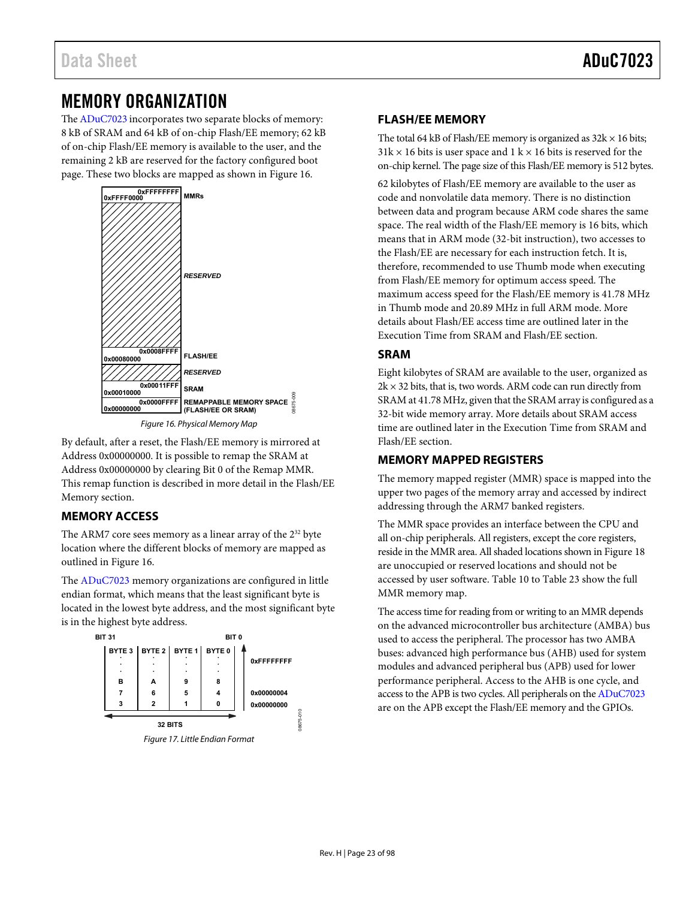# <span id="page-22-0"></span>MEMORY ORGANIZATION

Th[e ADuC7023 i](http://www.analog.com/ADuC7023?doc=ADuC7023.pdf)ncorporates two separate blocks of memory: 8 kB of SRAM and 64 kB of on-chip Flash/EE memory; 62 kB of on-chip Flash/EE memory is available to the user, and the remaining 2 kB are reserved for the factory configured boot page. These two blocks are mapped as shown i[n Figure 16.](#page-22-5) 



Figure 16. Physical Memory Map

08675-009

<span id="page-22-5"></span>By default, after a reset, the Flash/EE memory is mirrored at Address 0x00000000. It is possible to remap the SRAM at Address 0x00000000 by clearing Bit 0 of the Remap MMR. This remap function is described in more detail in the [Flash/EE](#page-22-2)  [Memory](#page-22-2) section.

# <span id="page-22-1"></span>**MEMORY ACCESS**

The ARM7 core sees memory as a linear array of the 2<sup>32</sup> byte location where the different blocks of memory are mapped as outlined in [Figure 16.](#page-22-5)

The [ADuC7023 m](http://www.analog.com/ADuC7023?doc=ADuC7023.pdf)emory organizations are configured in little endian format, which means that the least significant byte is located in the lowest byte address, and the most significant byte is in the highest byte address.



# <span id="page-22-2"></span>**FLASH/EE MEMORY**

The total 64 kB of Flash/EE memory is organized as  $32k \times 16$  bits;  $31k \times 16$  bits is user space and  $1 k \times 16$  bits is reserved for the on-chip kernel. The page size of this Flash/EE memory is 512 bytes.

62 kilobytes of Flash/EE memory are available to the user as code and nonvolatile data memory. There is no distinction between data and program because ARM code shares the same space. The real width of the Flash/EE memory is 16 bits, which means that in ARM mode (32-bit instruction), two accesses to the Flash/EE are necessary for each instruction fetch. It is, therefore, recommended to use Thumb mode when executing from Flash/EE memory for optimum access speed. The maximum access speed for the Flash/EE memory is 41.78 MHz in Thumb mode and 20.89 MHz in full ARM mode. More details about Flash/EE access time are outlined later in the [Execution Time from SRAM and Flash/EE s](#page-42-0)ection.

# <span id="page-22-3"></span>**SRAM**

Eight kilobytes of SRAM are available to the user, organized as  $2k \times 32$  bits, that is, two words. ARM code can run directly from SRAM at 41.78 MHz, given that the SRAM array is configured as a 32-bit wide memory array. More details about SRAM access time are outlined later in th[e Execution Time from SRAM and](#page-42-0)  [Flash/EE](#page-42-0) section.

# <span id="page-22-4"></span>**MEMORY MAPPED REGISTERS**

The memory mapped register (MMR) space is mapped into the upper two pages of the memory array and accessed by indirect addressing through the ARM7 banked registers.

The MMR space provides an interface between the CPU and all on-chip peripherals. All registers, except the core registers, reside in the MMR area. All shaded locations shown i[n Figure 18](#page-23-0)  are unoccupied or reserved locations and should not be accessed by user software[. Table 10](#page-24-0) to [Table 23 s](#page-29-0)how the full MMR memory map.

The access time for reading from or writing to an MMR depends on the advanced microcontroller bus architecture (AMBA) bus used to access the peripheral. The processor has two AMBA buses: advanced high performance bus (AHB) used for system modules and advanced peripheral bus (APB) used for lower performance peripheral. Access to the AHB is one cycle, and access to the APB is two cycles. All peripherals on th[e ADuC7023](http://www.analog.com/ADuC7023?doc=ADuC7023.pdf) are on the APB except the Flash/EE memory and the GPIOs.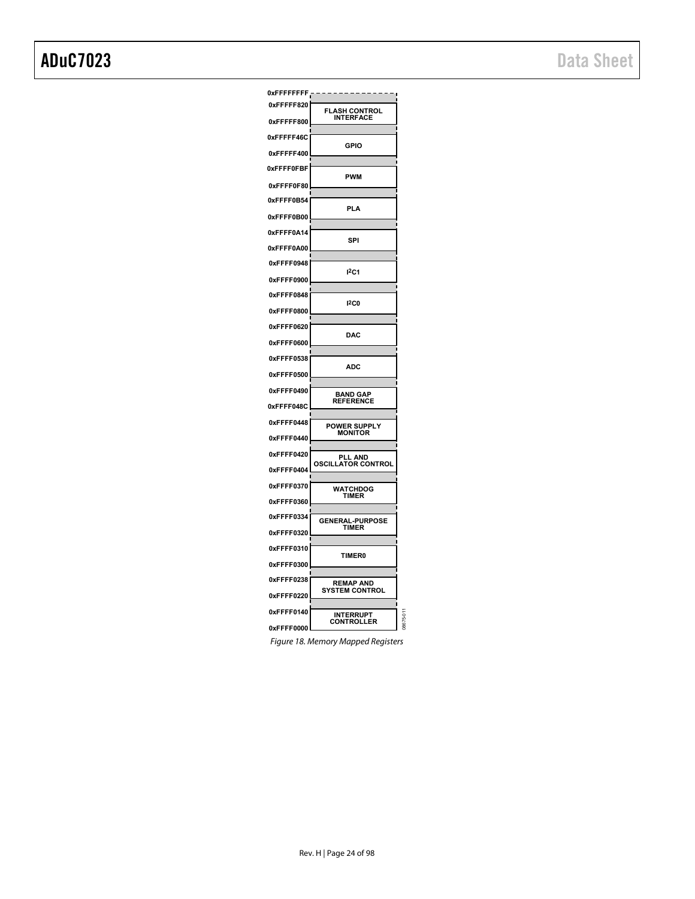| 0xFFFFFFFF <sub>1</sub> |                                                        |          |
|-------------------------|--------------------------------------------------------|----------|
| 0xFFFFF820              | FL<br><b>ASH CONTROL</b>                               |          |
| 0xFFFFF800              | <b>INTERFACE</b>                                       |          |
| 0xFFFFF46C              | GPIO                                                   |          |
| 0xFFFFF400              |                                                        |          |
| 0xFFFF0FBF              | <b>PWM</b>                                             |          |
| 0xFFFF0F80              |                                                        |          |
| 0xFFFF0B54              | PLA                                                    |          |
| 0xFFFF0B00              |                                                        |          |
| 0xFFFF0A14              | SPI                                                    |          |
| 0xFFFF0A00              |                                                        |          |
| 0xFFFF0948              | 12C1                                                   |          |
| 0xFFFF0900              |                                                        |          |
| 0xFFFF0848              | 12C0                                                   |          |
| 0xFFFF0800              |                                                        |          |
| 0xFFFF0620              | <b>DAC</b>                                             |          |
| 0xFFFF0600              |                                                        |          |
| 0xFFFF0538              | <b>ADC</b>                                             |          |
| 0xFFFF0500              |                                                        |          |
| 0xFFFF0490              | <b>BAND GAP</b><br><b>REFERENCE</b>                    |          |
| 0xFFFF048C              |                                                        |          |
| 0xFFFF0448              | <b>POWER SUPPLY</b><br><b>MONITOR</b>                  |          |
| 0xFFFF0440              |                                                        |          |
| 0xFFFF0420              | PLL<br><b>AND</b><br>OSCIL<br><b>ATOR CONTROI</b><br>ı |          |
| 0xFFFF0404              |                                                        |          |
| 0xFFFF0370              | WATCHDOG<br>TIMER                                      |          |
| 0xFFFF0360              |                                                        |          |
| 0xFFFF0334              | <b>GENERAL-PURPOSE</b><br><b>TIMER</b>                 |          |
| 0xFFFF0320              |                                                        |          |
| 0xFFFF0310              | <b>TIMER0</b>                                          |          |
| 0xFFFF0300              |                                                        |          |
| 0xFFFF0238              | <b>REMAP AND</b><br><b>SYSTEM CONTROL</b>              |          |
| 0xFFFF0220              |                                                        |          |
| 0xFFFF0140              | INTERRUPT<br><b>CONTROLLER</b>                         | 18675-01 |
| 0xFFFF0000              |                                                        |          |

<span id="page-23-0"></span>Figure 18. Memory Mapped Registers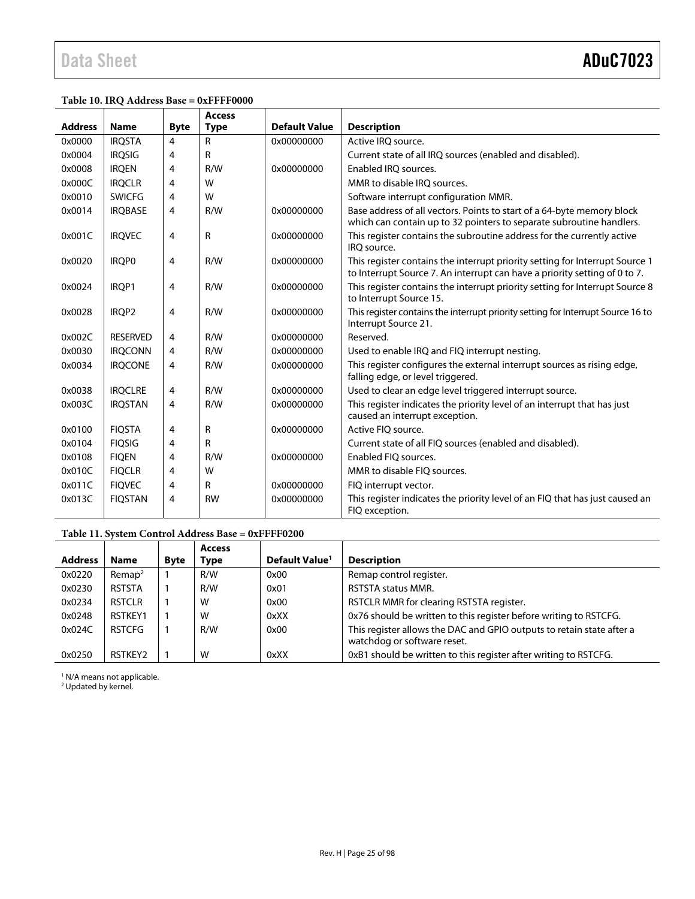### <span id="page-24-0"></span>**Table 10. IRQ Address Base = 0xFFFF0000**

|                |                   |                | <b>Access</b> |                      |                                                                                                                                                            |
|----------------|-------------------|----------------|---------------|----------------------|------------------------------------------------------------------------------------------------------------------------------------------------------------|
| <b>Address</b> | <b>Name</b>       | <b>Byte</b>    | <b>Type</b>   | <b>Default Value</b> | <b>Description</b>                                                                                                                                         |
| 0x0000         | <b>IRQSTA</b>     | $\overline{4}$ | R             | 0x00000000           | Active IRO source.                                                                                                                                         |
| 0x0004         | <b>IROSIG</b>     | 4              | R             |                      | Current state of all IRQ sources (enabled and disabled).                                                                                                   |
| 0x0008         | <b>IROEN</b>      | 4              | R/W           | 0x00000000           | Enabled IRO sources.                                                                                                                                       |
| 0x000C         | <b>IRQCLR</b>     | 4              | W             |                      | MMR to disable IRO sources.                                                                                                                                |
| 0x0010         | <b>SWICFG</b>     | 4              | W             |                      | Software interrupt configuration MMR.                                                                                                                      |
| 0x0014         | <b>IRQBASE</b>    | 4              | R/W           | 0x00000000           | Base address of all vectors. Points to start of a 64-byte memory block<br>which can contain up to 32 pointers to separate subroutine handlers.             |
| 0x001C         | <b>IRQVEC</b>     | 4              | $\mathsf{R}$  | 0x00000000           | This register contains the subroutine address for the currently active<br>IRO source.                                                                      |
| 0x0020         | <b>IROPO</b>      | 4              | R/W           | 0x00000000           | This register contains the interrupt priority setting for Interrupt Source 1<br>to Interrupt Source 7. An interrupt can have a priority setting of 0 to 7. |
| 0x0024         | IROP1             | 4              | R/W           | 0x00000000           | This register contains the interrupt priority setting for Interrupt Source 8<br>to Interrupt Source 15.                                                    |
| 0x0028         | IROP <sub>2</sub> | 4              | R/W           | 0x00000000           | This register contains the interrupt priority setting for Interrupt Source 16 to<br>Interrupt Source 21.                                                   |
| 0x002C         | <b>RESERVED</b>   | 4              | R/W           | 0x00000000           | Reserved.                                                                                                                                                  |
| 0x0030         | <b>IROCONN</b>    | 4              | R/W           | 0x00000000           | Used to enable IRQ and FIQ interrupt nesting.                                                                                                              |
| 0x0034         | <b>IROCONE</b>    | 4              | R/W           | 0x00000000           | This register configures the external interrupt sources as rising edge,<br>falling edge, or level triggered.                                               |
| 0x0038         | <b>IROCLRE</b>    | 4              | R/W           | 0x00000000           | Used to clear an edge level triggered interrupt source.                                                                                                    |
| 0x003C         | <b>IRQSTAN</b>    | 4              | R/W           | 0x00000000           | This register indicates the priority level of an interrupt that has just<br>caused an interrupt exception.                                                 |
| 0x0100         | <b>FIQSTA</b>     | 4              | R             | 0x00000000           | Active FIO source.                                                                                                                                         |
| 0x0104         | <b>FIQSIG</b>     | 4              | R             |                      | Current state of all FIQ sources (enabled and disabled).                                                                                                   |
| 0x0108         | <b>FIQEN</b>      | 4              | R/W           | 0x00000000           | Enabled FIO sources.                                                                                                                                       |
| 0x010C         | <b>FIQCLR</b>     | 4              | W             |                      | MMR to disable FIO sources.                                                                                                                                |
| 0x011C         | <b>FIOVEC</b>     | 4              | R             | 0x00000000           | FIQ interrupt vector.                                                                                                                                      |
| 0x013C         | <b>FIQSTAN</b>    | 4              | <b>RW</b>     | 0x00000000           | This register indicates the priority level of an FIQ that has just caused an<br>FIQ exception.                                                             |

### **Table 11. System Control Address Base = 0xFFFF0200**

|                |                    |             | <b>Access</b> |                            |                                                                                                      |
|----------------|--------------------|-------------|---------------|----------------------------|------------------------------------------------------------------------------------------------------|
| <b>Address</b> | <b>Name</b>        | <b>Byte</b> | Type          | Default Value <sup>1</sup> | <b>Description</b>                                                                                   |
| 0x0220         | Remap <sup>2</sup> |             | R/W           | 0x00                       | Remap control register.                                                                              |
| 0x0230         | <b>RSTSTA</b>      |             | R/W           | 0x01                       | <b>RSTSTA status MMR.</b>                                                                            |
| 0x0234         | <b>RSTCLR</b>      |             | W             | 0x00                       | RSTCLR MMR for clearing RSTSTA register.                                                             |
| 0x0248         | RSTKEY1            |             | W             | 0xXX                       | 0x76 should be written to this register before writing to RSTCFG.                                    |
| 0x024C         | <b>RSTCFG</b>      |             | R/W           | 0x00                       | This register allows the DAC and GPIO outputs to retain state after a<br>watchdog or software reset. |
| 0x0250         | RSTKEY2            |             | W             | 0xXX                       | 0xB1 should be written to this register after writing to RSTCFG.                                     |

<sup>1</sup> N/A means not applicable.<br><sup>2</sup> Updated by kernel.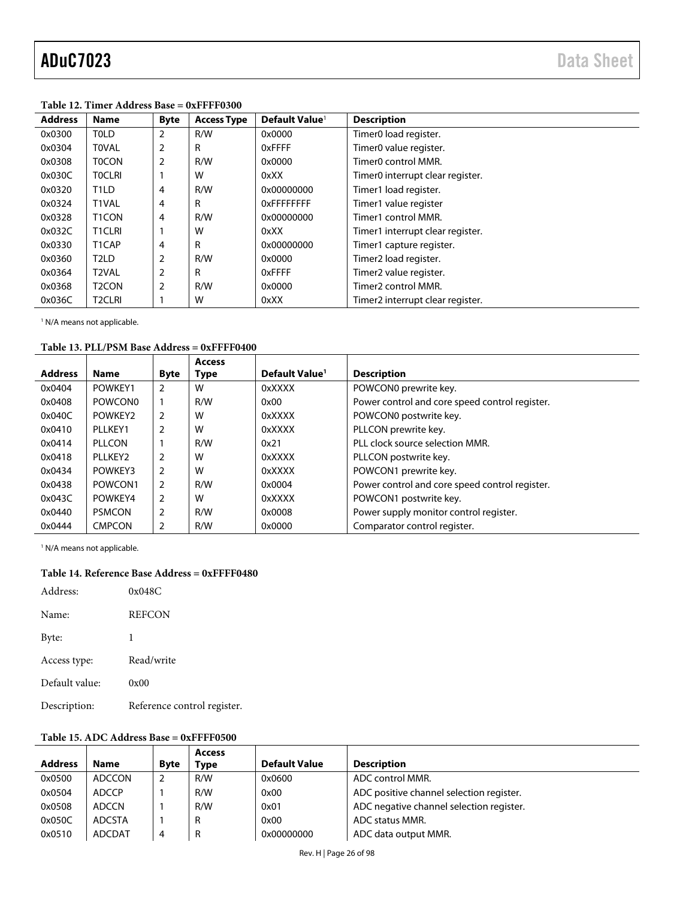| <b>Address</b> | <b>Name</b>        | <b>Byte</b>    | <b>Access Type</b> | Default Value <sup>1</sup> | <b>Description</b>               |  |  |  |
|----------------|--------------------|----------------|--------------------|----------------------------|----------------------------------|--|--|--|
| 0x0300         | <b>TOLD</b>        | 2              | R/W                | 0x0000                     | Timer0 load register.            |  |  |  |
| 0x0304         | <b>TOVAL</b>       | $\overline{2}$ | R                  | 0xFFFF                     | Timer0 value register.           |  |  |  |
| 0x0308         | <b>TOCON</b>       | 2              | R/W                | 0x0000                     | Timer <sub>0</sub> control MMR.  |  |  |  |
| 0x030C         | <b>TOCLRI</b>      |                | W                  | 0xXX                       | Timer0 interrupt clear register. |  |  |  |
| 0x0320         | T <sub>1</sub> LD  | 4              | R/W                | 0x00000000                 | Timer1 load register.            |  |  |  |
| 0x0324         | T1VAL              | 4              | R                  | <b>OXFFFFFFFFF</b>         | Timer1 value register            |  |  |  |
| 0x0328         | T <sub>1</sub> CON | 4              | R/W                | 0x00000000                 | Timer1 control MMR.              |  |  |  |
| 0x032C         | <b>T1CLRI</b>      |                | W                  | 0xXX                       | Timer1 interrupt clear register. |  |  |  |
| 0x0330         | T1CAP              | 4              | R                  | 0x00000000                 | Timer1 capture register.         |  |  |  |
| 0x0360         | T <sub>2</sub> LD  | $\overline{2}$ | R/W                | 0x0000                     | Timer2 load register.            |  |  |  |
| 0x0364         | T <sub>2</sub> VAL | $\overline{2}$ | R                  | 0xFFFF                     | Timer2 value register.           |  |  |  |
| 0x0368         | T <sub>2</sub> CON | $\overline{2}$ | R/W                | 0x0000                     | Timer2 control MMR.              |  |  |  |
| 0x036C         | <b>T2CLRI</b>      |                | W                  | 0xXX                       | Timer2 interrupt clear register. |  |  |  |

**Table 12. Timer Address Base = 0xFFFF0300** 

<sup>1</sup> N/A means not applicable.

#### **Table 13. PLL/PSM Base Address = 0xFFFF0400**

|                |                     |             | <b>Access</b> |                            |                                                |
|----------------|---------------------|-------------|---------------|----------------------------|------------------------------------------------|
| <b>Address</b> | <b>Name</b>         | <b>Byte</b> | Type          | Default Value <sup>1</sup> | <b>Description</b>                             |
| 0x0404         | POWKEY1             |             | W             | 0xXXXX                     | POWCON0 prewrite key.                          |
| 0x0408         | POWCON <sub>0</sub> |             | R/W           | 0x00                       | Power control and core speed control register. |
| 0x040C         | POWKEY2             | 2           | W             | 0xXXXX                     | POWCON0 postwrite key.                         |
| 0x0410         | PLLKEY1             |             | W             | 0xXXXX                     | PLLCON prewrite key.                           |
| 0x0414         | PLLCON              |             | R/W           | 0x21                       | PLL clock source selection MMR.                |
| 0x0418         | PLLKEY2             | 2           | W             | 0xXXXX                     | PLLCON postwrite key.                          |
| 0x0434         | POWKEY3             | 2           | W             | 0xXXXX                     | POWCON1 prewrite key.                          |
| 0x0438         | POWCON1             | 2           | R/W           | 0x0004                     | Power control and core speed control register. |
| 0x043C         | POWKEY4             | 2           | W             | 0xXXXX                     | POWCON1 postwrite key.                         |
| 0x0440         | <b>PSMCON</b>       | 2           | R/W           | 0x0008                     | Power supply monitor control register.         |
| 0x0444         | <b>CMPCON</b>       | 2           | R/W           | 0x0000                     | Comparator control register.                   |

<sup>1</sup> N/A means not applicable.

#### **Table 14. Reference Base Address = 0xFFFF0480**

| Address:       | 0x048C                      |
|----------------|-----------------------------|
| Name:          | <b>REFCON</b>               |
| Byte:          | 1                           |
| Access type:   | Read/write                  |
| Default value: | 0x00                        |
| Description:   | Reference control register. |

### **Table 15. ADC Address Base = 0xFFFF0500**

|                |              |             | <b>Access</b> |                      |                                          |
|----------------|--------------|-------------|---------------|----------------------|------------------------------------------|
| <b>Address</b> | <b>Name</b>  | <b>Byte</b> | <b>Type</b>   | <b>Default Value</b> | <b>Description</b>                       |
| 0x0500         | ADCCON       | 2           | R/W           | 0x0600               | ADC control MMR.                         |
| 0x0504         | <b>ADCCP</b> |             | R/W           | 0x00                 | ADC positive channel selection register. |
| 0x0508         | <b>ADCCN</b> |             | R/W           | 0x01                 | ADC negative channel selection register. |
| 0x050C         | ADCSTA       |             |               | 0x00                 | ADC status MMR.                          |
| 0x0510         | ADCDAT       | 4           | R             | 0x00000000           | ADC data output MMR.                     |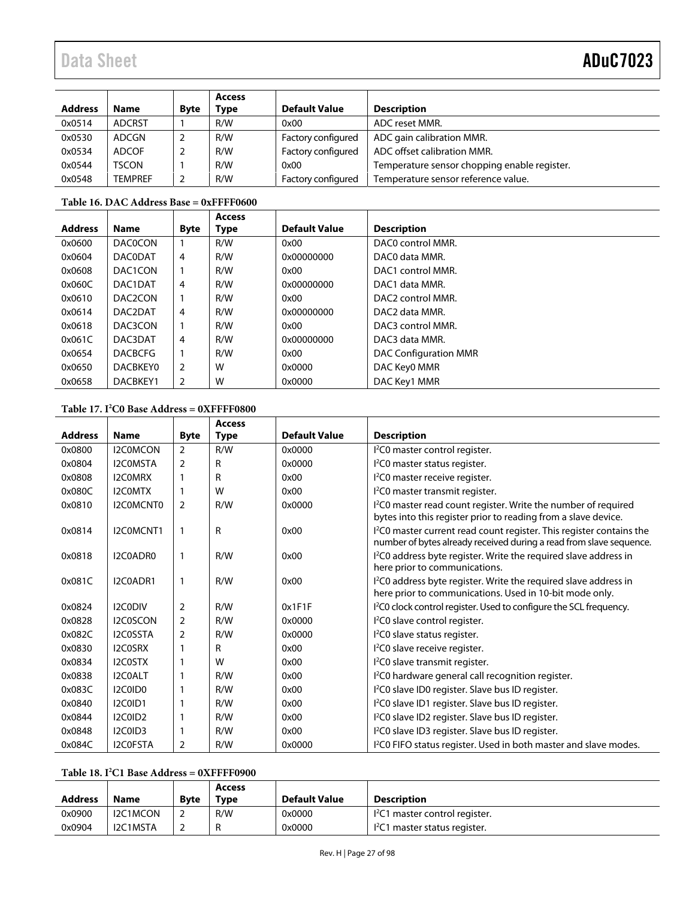| <b>Address</b> | <b>Name</b>    | <b>Byte</b> | Access<br>Type | <b>Default Value</b> | <b>Description</b>                           |
|----------------|----------------|-------------|----------------|----------------------|----------------------------------------------|
| 0x0514         | <b>ADCRST</b>  |             | R/W            | 0x00                 | ADC reset MMR.                               |
| 0x0530         | ADCGN          |             | R/W            | Factory configured   | ADC gain calibration MMR.                    |
| 0x0534         | <b>ADCOF</b>   |             | R/W            | Factory configured   | ADC offset calibration MMR.                  |
| 0x0544         | <b>TSCON</b>   |             | R/W            | 0x00                 | Temperature sensor chopping enable register. |
| 0x0548         | <b>TEMPREF</b> |             | R/W            | Factory configured   | Temperature sensor reference value.          |

### **Table 16. DAC Address Base = 0xFFFF0600**

| <b>Address</b> |                      |             | <b>Access</b> | <b>Default Value</b> |                              |
|----------------|----------------------|-------------|---------------|----------------------|------------------------------|
|                | <b>Name</b>          | <b>Byte</b> | Type          |                      | <b>Description</b>           |
| 0x0600         | <b>DACOCON</b>       |             | R/W           | 0x00                 | DAC0 control MMR.            |
| 0x0604         | <b>DACODAT</b>       | 4           | R/W           | 0x00000000           | DAC0 data MMR.               |
| 0x0608         | DAC1CON              |             | R/W           | 0x00                 | DAC1 control MMR.            |
| 0x060C         | DAC1DAT              | 4           | R/W           | 0x00000000           | DAC1 data MMR.               |
| 0x0610         | DAC <sub>2</sub> CON |             | R/W           | 0x00                 | DAC2 control MMR.            |
| 0x0614         | DAC2DAT              | 4           | R/W           | 0x00000000           | DAC2 data MMR.               |
| 0x0618         | DAC3CON              |             | R/W           | 0x00                 | DAC3 control MMR.            |
| 0x061C         | DAC3DAT              | 4           | R/W           | 0x00000000           | DAC3 data MMR.               |
| 0x0654         | <b>DACBCFG</b>       |             | R/W           | 0x00                 | <b>DAC Configuration MMR</b> |
| 0x0650         | <b>DACBKEY0</b>      | 2           | W             | 0x0000               | DAC Key0 MMR                 |
| 0x0658         | DACBKEY1             | 2           | W             | 0x0000               | DAC Key1 MMR                 |

### **Table 17. I2 C0 Base Address = 0XFFFF0800**

|                |                 |                | <b>Access</b> |                      |                                                                                                                                                         |
|----------------|-----------------|----------------|---------------|----------------------|---------------------------------------------------------------------------------------------------------------------------------------------------------|
| <b>Address</b> | <b>Name</b>     | <b>Byte</b>    | <b>Type</b>   | <b>Default Value</b> | <b>Description</b>                                                                                                                                      |
| 0x0800         | I2C0MCON        | $\overline{2}$ | R/W           | 0x0000               | I <sup>2</sup> C0 master control register.                                                                                                              |
| 0x0804         | <b>I2COMSTA</b> | 2              | R             | 0x0000               | I <sup>2</sup> C0 master status register.                                                                                                               |
| 0x0808         | <b>I2COMRX</b>  |                | R             | 0x00                 | I <sup>2</sup> C0 master receive register.                                                                                                              |
| 0x080C         | I2C0MTX         |                | W             | 0x00                 | I <sup>2</sup> C0 master transmit register.                                                                                                             |
| 0x0810         | I2COMCNTO       | $\overline{2}$ | R/W           | 0x0000               | I <sup>2</sup> C0 master read count register. Write the number of required<br>bytes into this register prior to reading from a slave device.            |
| 0x0814         | I2C0MCNT1       |                | R             | 0x00                 | I <sup>2</sup> C0 master current read count register. This register contains the<br>number of bytes already received during a read from slave sequence. |
| 0x0818         | I2C0ADR0        | 1              | R/W           | 0x00                 | I <sup>2</sup> C0 address byte register. Write the required slave address in<br>here prior to communications.                                           |
| 0x081C         | I2C0ADR1        | 1              | R/W           | 0x00                 | I <sup>2</sup> C0 address byte register. Write the required slave address in<br>here prior to communications. Used in 10-bit mode only.                 |
| 0x0824         | I2C0DIV         | $\overline{2}$ | R/W           | 0x1F1F               | I <sup>2</sup> C0 clock control register. Used to configure the SCL frequency.                                                                          |
| 0x0828         | I2C0SCON        | 2              | R/W           | 0x0000               | I <sup>2</sup> C0 slave control register.                                                                                                               |
| 0x082C         | I2C0SSTA        | $\overline{2}$ | R/W           | 0x0000               | I <sup>2</sup> C0 slave status register.                                                                                                                |
| 0x0830         | I2C0SRX         |                | R             | 0x00                 | I <sup>2</sup> C0 slave receive register.                                                                                                               |
| 0x0834         | I2C0STX         |                | W             | 0x00                 | I <sup>2</sup> C0 slave transmit register.                                                                                                              |
| 0x0838         | I2C0ALT         |                | R/W           | 0x00                 | I <sup>2</sup> C0 hardware general call recognition register.                                                                                           |
| 0x083C         | I2C0ID0         |                | R/W           | 0x00                 | I <sup>2</sup> C0 slave ID0 register. Slave bus ID register.                                                                                            |
| 0x0840         | I2C0ID1         |                | R/W           | 0x00                 | I <sup>2</sup> C0 slave ID1 register. Slave bus ID register.                                                                                            |
| 0x0844         | I2C0ID2         |                | R/W           | 0x00                 | I <sup>2</sup> C0 slave ID2 register. Slave bus ID register.                                                                                            |
| 0x0848         | I2C0ID3         |                | R/W           | 0x00                 | I <sup>2</sup> C0 slave ID3 register. Slave bus ID register.                                                                                            |
| 0x084C         | I2C0FSTA        | 2              | R/W           | 0x0000               | I <sup>2</sup> C0 FIFO status register. Used in both master and slave modes.                                                                            |

**Table 18. I2 C1 Base Address = 0XFFFF0900** 

| <b>Address</b> | <b>Name</b> | <b>Byte</b> | <b>Access</b><br>Type | Default Value | <b>Description</b>                         |
|----------------|-------------|-------------|-----------------------|---------------|--------------------------------------------|
| 0x0900         | I2C1MCON    |             | R/W                   | 0x0000        | I <sup>2</sup> C1 master control register. |
| 0x0904         | I2C1MSTA    |             |                       | 0x0000        | <sup>12</sup> C1 master status register.   |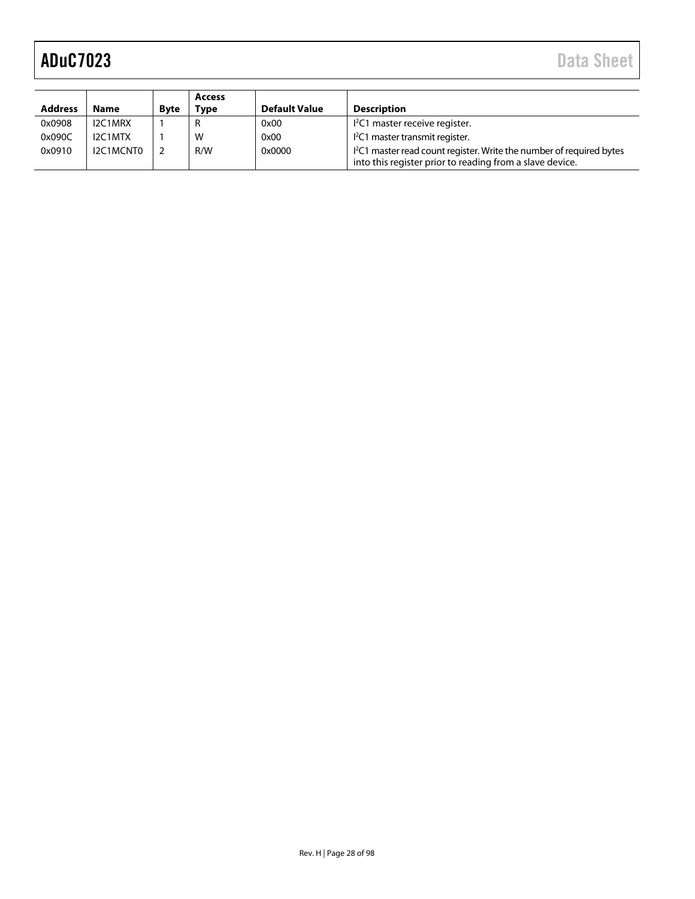| <b>Address</b> | <b>Name</b> | <b>Byte</b> | Access<br>Tvpe | <b>Default Value</b> | <b>Description</b>                                                                                                                          |
|----------------|-------------|-------------|----------------|----------------------|---------------------------------------------------------------------------------------------------------------------------------------------|
| 0x0908         | I2C1MRX     |             |                | 0x00                 | $l^2C1$ master receive register.                                                                                                            |
| 0x090C         | I2C1MTX     |             | W              | 0x00                 | I <sup>2</sup> C1 master transmit register.                                                                                                 |
| 0x0910         | I2C1MCNT0   |             | R/W            | 0x0000               | <sup>12</sup> C1 master read count register. Write the number of required bytes<br>into this register prior to reading from a slave device. |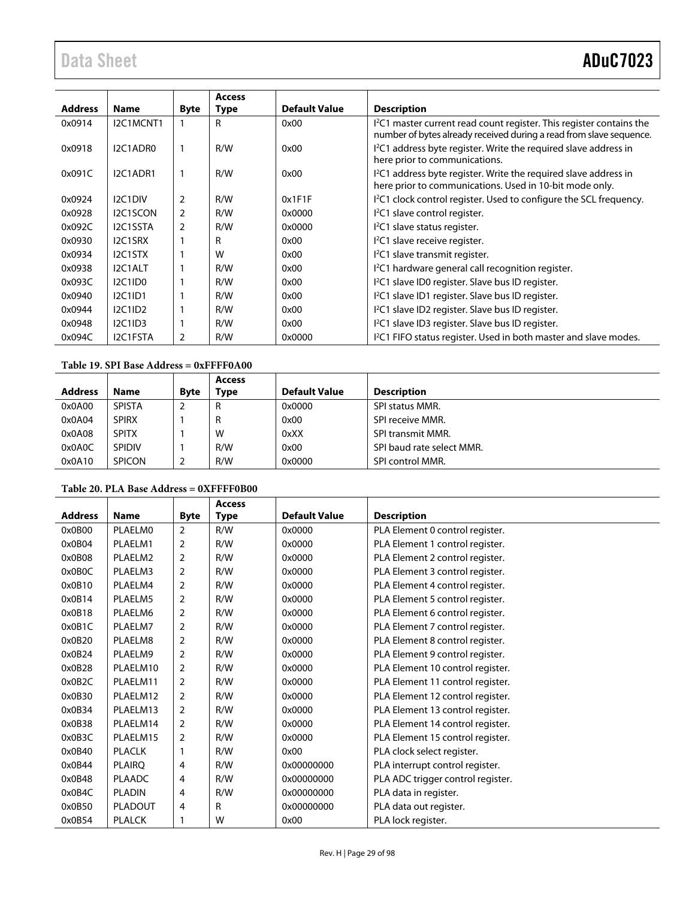| <b>Address</b> | <b>Name</b>    | <b>Byte</b>    | <b>Access</b><br><b>Type</b> | <b>Default Value</b> | <b>Description</b>                                                                                                                                      |
|----------------|----------------|----------------|------------------------------|----------------------|---------------------------------------------------------------------------------------------------------------------------------------------------------|
| 0x0914         | I2C1MCNT1      |                | R                            | 0x00                 | I <sup>2</sup> C1 master current read count register. This register contains the<br>number of bytes already received during a read from slave sequence. |
| 0x0918         | I2C1ADR0       |                | R/W                          | 0x00                 | I <sup>2</sup> C1 address byte register. Write the required slave address in<br>here prior to communications.                                           |
| 0x091C         | I2C1ADR1       |                | R/W                          | 0x00                 | I <sup>2</sup> C1 address byte register. Write the required slave address in<br>here prior to communications. Used in 10-bit mode only.                 |
| 0x0924         | I2C1DIV        | 2              | R/W                          | 0x1F1F               | I <sup>2</sup> C1 clock control register. Used to configure the SCL frequency.                                                                          |
| 0x0928         | I2C1SCON       | $\overline{2}$ | R/W                          | 0x0000               | <sup>12</sup> C1 slave control register.                                                                                                                |
| 0x092C         | I2C1SSTA       | 2              | R/W                          | 0x0000               | $I2CI$ slave status register.                                                                                                                           |
| 0x0930         | I2C1SRX        |                | R                            | 0x00                 | I <sup>2</sup> C1 slave receive register.                                                                                                               |
| 0x0934         | I2C1STX        |                | W                            | 0x00                 | I <sup>2</sup> C1 slave transmit register.                                                                                                              |
| 0x0938         | I2C1ALT        |                | R/W                          | 0x00                 | I <sup>2</sup> C1 hardware general call recognition register.                                                                                           |
| 0x093C         | <b>I2C1ID0</b> |                | R/W                          | 0x00                 | I <sup>2</sup> C1 slave ID0 register. Slave bus ID register.                                                                                            |
| 0x0940         | <b>I2C1ID1</b> |                | R/W                          | 0x00                 | I <sup>2</sup> C1 slave ID1 register. Slave bus ID register.                                                                                            |
| 0x0944         | I2C1ID2        |                | R/W                          | 0x00                 | I <sup>2</sup> C1 slave ID2 register. Slave bus ID register.                                                                                            |
| 0x0948         | I2C1ID3        |                | R/W                          | 0x00                 | I <sup>2</sup> C1 slave ID3 register. Slave bus ID register.                                                                                            |
| 0x094C         | I2C1FSTA       | 2              | R/W                          | 0x0000               | I <sup>2</sup> C1 FIFO status register. Used in both master and slave modes.                                                                            |

## **Table 19. SPI Base Address = 0xFFFF0A00**

| <b>Address</b> | <b>Name</b>   | <b>Byte</b> | <b>Access</b><br>Type | <b>Default Value</b> | <b>Description</b>        |
|----------------|---------------|-------------|-----------------------|----------------------|---------------------------|
| 0x0A00         | <b>SPISTA</b> |             | R                     | 0x0000               | <b>SPI status MMR.</b>    |
| 0x0A04         | <b>SPIRX</b>  |             | R                     | 0x00                 | SPI receive MMR.          |
| 0x0A08         | <b>SPITX</b>  |             | W                     | 0xXX                 | <b>SPI transmit MMR.</b>  |
| 0x0A0C         | <b>SPIDIV</b> |             | R/W                   | 0x00                 | SPI baud rate select MMR. |
| 0x0A10         | <b>SPICON</b> |             | R/W                   | 0x0000               | SPI control MMR.          |

## **Table 20. PLA Base Address = 0XFFFF0B00**

|                |                |                | <b>Access</b> |                      |                                   |
|----------------|----------------|----------------|---------------|----------------------|-----------------------------------|
| <b>Address</b> | <b>Name</b>    | <b>Byte</b>    | Type          | <b>Default Value</b> | <b>Description</b>                |
| 0x0B00         | <b>PLAELMO</b> | 2              | R/W           | 0x0000               | PLA Element 0 control register.   |
| 0x0B04         | PLAELM1        | $\overline{2}$ | R/W           | 0x0000               | PLA Element 1 control register.   |
| 0x0B08         | PLAELM2        | 2              | R/W           | 0x0000               | PLA Element 2 control register.   |
| 0x0B0C         | PLAELM3        | $\overline{2}$ | R/W           | 0x0000               | PLA Element 3 control register.   |
| 0x0B10         | PLAELM4        | 2              | R/W           | 0x0000               | PLA Element 4 control register.   |
| 0x0B14         | PLAELM5        | 2              | R/W           | 0x0000               | PLA Element 5 control register.   |
| 0x0B18         | PLAELM6        | $\overline{2}$ | R/W           | 0x0000               | PLA Element 6 control register.   |
| 0x0B1C         | PLAELM7        | $\overline{2}$ | R/W           | 0x0000               | PLA Element 7 control register.   |
| 0x0B20         | PLAELM8        | $\overline{2}$ | R/W           | 0x0000               | PLA Element 8 control register.   |
| 0x0B24         | PLAELM9        | $\overline{2}$ | R/W           | 0x0000               | PLA Element 9 control register.   |
| 0x0B28         | PLAELM10       | $\overline{2}$ | R/W           | 0x0000               | PLA Element 10 control register.  |
| 0x0B2C         | PLAELM11       | 2              | R/W           | 0x0000               | PLA Element 11 control register.  |
| 0x0B30         | PLAELM12       | $\overline{2}$ | R/W           | 0x0000               | PLA Element 12 control register.  |
| 0x0B34         | PLAELM13       | 2              | R/W           | 0x0000               | PLA Element 13 control register.  |
| 0x0B38         | PLAELM14       | 2              | R/W           | 0x0000               | PLA Element 14 control register.  |
| 0x0B3C         | PLAELM15       | 2              | R/W           | 0x0000               | PLA Element 15 control register.  |
| 0x0B40         | <b>PLACLK</b>  |                | R/W           | 0x00                 | PLA clock select register.        |
| 0x0B44         | <b>PLAIRQ</b>  | 4              | R/W           | 0x00000000           | PLA interrupt control register.   |
| 0x0B48         | <b>PLAADC</b>  | 4              | R/W           | 0x00000000           | PLA ADC trigger control register. |
| 0x0B4C         | <b>PLADIN</b>  | 4              | R/W           | 0x00000000           | PLA data in register.             |
| 0x0B50         | <b>PLADOUT</b> | 4              | R             | 0x00000000           | PLA data out register.            |
| 0x0B54         | <b>PLALCK</b>  | 1              | W             | 0x00                 | PLA lock register.                |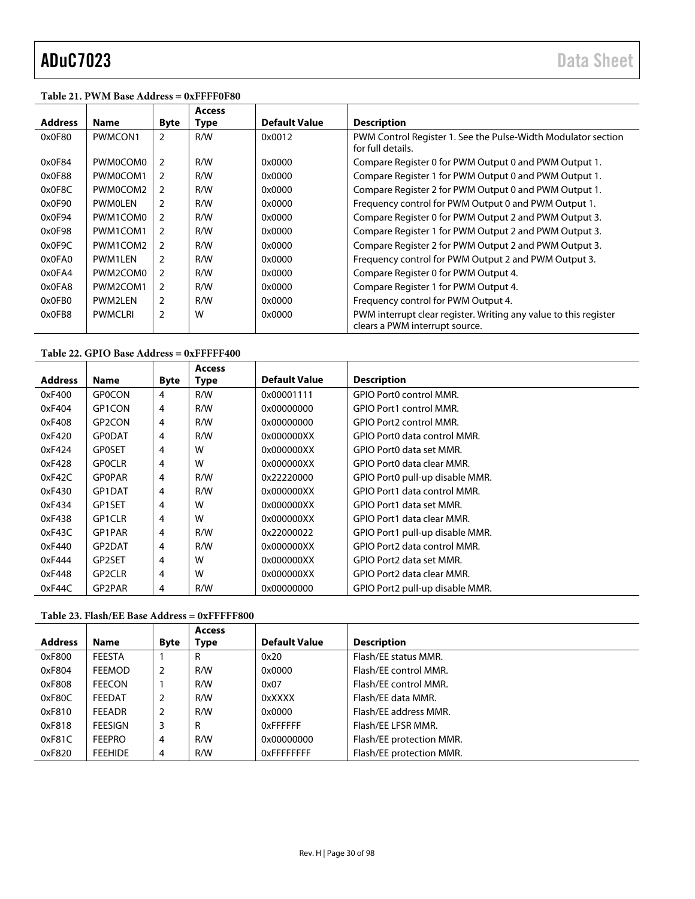#### **Table 21. PWM Base Address = 0xFFFF0F80**

|                |                |                | <b>Access</b> |                      |                                                                                                    |
|----------------|----------------|----------------|---------------|----------------------|----------------------------------------------------------------------------------------------------|
| <b>Address</b> | <b>Name</b>    | <b>Byte</b>    | <b>Type</b>   | <b>Default Value</b> | <b>Description</b>                                                                                 |
| 0x0F80         | PWMCON1        | $\overline{2}$ | R/W           | 0x0012               | PWM Control Register 1. See the Pulse-Width Modulator section<br>for full details.                 |
| 0x0F84         | PWM0COM0       | 2              | R/W           | 0x0000               | Compare Register 0 for PWM Output 0 and PWM Output 1.                                              |
| 0x0F88         | PWM0COM1       | $\mathcal{P}$  | R/W           | 0x0000               | Compare Register 1 for PWM Output 0 and PWM Output 1.                                              |
| 0x0F8C         | PWM0COM2       | 2              | R/W           | 0x0000               | Compare Register 2 for PWM Output 0 and PWM Output 1.                                              |
| 0x0F90         | <b>PWMOLEN</b> | $\mathcal{P}$  | R/W           | 0x0000               | Frequency control for PWM Output 0 and PWM Output 1.                                               |
| 0x0F94         | PWM1COM0       | $\mathcal{P}$  | R/W           | 0x0000               | Compare Register 0 for PWM Output 2 and PWM Output 3.                                              |
| 0x0F98         | PWM1COM1       | $\mathcal{P}$  | R/W           | 0x0000               | Compare Register 1 for PWM Output 2 and PWM Output 3.                                              |
| 0x0F9C         | PWM1COM2       | 2              | R/W           | 0x0000               | Compare Register 2 for PWM Output 2 and PWM Output 3.                                              |
| 0x0FA0         | PWM1LEN        | $\mathcal{P}$  | R/W           | 0x0000               | Frequency control for PWM Output 2 and PWM Output 3.                                               |
| 0x0FA4         | PWM2COM0       | $\overline{2}$ | R/W           | 0x0000               | Compare Register 0 for PWM Output 4.                                                               |
| 0x0FA8         | PWM2COM1       | 2              | R/W           | 0x0000               | Compare Register 1 for PWM Output 4.                                                               |
| 0x0FB0         | PWM2LEN        | 2              | R/W           | 0x0000               | Frequency control for PWM Output 4.                                                                |
| 0x0FB8         | <b>PWMCLRI</b> | $\overline{2}$ | W             | 0x0000               | PWM interrupt clear register. Writing any value to this register<br>clears a PWM interrupt source. |

### **Table 22. GPIO Base Address = 0xFFFFF400**

|                |                     |             | <b>Access</b> |                      |                                 |
|----------------|---------------------|-------------|---------------|----------------------|---------------------------------|
| <b>Address</b> | <b>Name</b>         | <b>Byte</b> | <b>Type</b>   | <b>Default Value</b> | <b>Description</b>              |
| 0xF400         | <b>GPOCON</b>       | 4           | R/W           | 0x00001111           | GPIO Port0 control MMR.         |
| 0xF404         | GP1CON              | 4           | R/W           | 0x00000000           | <b>GPIO Port1 control MMR.</b>  |
| 0xF408         | GP2CON              | 4           | R/W           | 0x00000000           | GPIO Port2 control MMR.         |
| 0xF420         | <b>GPODAT</b>       | 4           | R/W           | 0x000000XX           | GPIO Port0 data control MMR.    |
| 0xF424         | <b>GPOSET</b>       | 4           | W             | 0x000000XX           | GPIO Port0 data set MMR.        |
| 0xF428         | <b>GPOCLR</b>       | 4           | W             | 0x000000XX           | GPIO Port0 data clear MMR.      |
| 0xF42C         | <b>GPOPAR</b>       | 4           | R/W           | 0x22220000           | GPIO Port0 pull-up disable MMR. |
| 0xF430         | GP1DAT              | 4           | R/W           | 0x000000XX           | GPIO Port1 data control MMR.    |
| 0xF434         | GP1SET              | 4           | W             | 0x000000XX           | GPIO Port1 data set MMR.        |
| 0xF438         | GP1CLR              | 4           | W             | 0x000000XX           | GPIO Port1 data clear MMR.      |
| 0xF43C         | GP1PAR              | 4           | R/W           | 0x22000022           | GPIO Port1 pull-up disable MMR. |
| 0xF440         | GP2DAT              | 4           | R/W           | 0x000000XX           | GPIO Port2 data control MMR.    |
| 0xF444         | GP2SET              | 4           | W             | 0x000000XX           | GPIO Port2 data set MMR.        |
| 0xF448         | GP <sub>2</sub> CLR | 4           | W             | 0x000000XX           | GPIO Port2 data clear MMR.      |
| 0xF44C         | GP2PAR              | 4           | R/W           | 0x00000000           | GPIO Port2 pull-up disable MMR. |

### <span id="page-29-0"></span>**Table 23. Flash/EE Base Address = 0xFFFFF800**

|                |                |             | <b>Access</b> |                      |                          |
|----------------|----------------|-------------|---------------|----------------------|--------------------------|
| <b>Address</b> | <b>Name</b>    | <b>Byte</b> | Type          | <b>Default Value</b> | <b>Description</b>       |
| 0xF800         | <b>FEESTA</b>  |             | R             | 0x20                 | Flash/EE status MMR.     |
| 0xF804         | <b>FEEMOD</b>  | 2           | R/W           | 0x0000               | Flash/EE control MMR.    |
| 0xF808         | <b>FEECON</b>  |             | R/W           | 0x07                 | Flash/EE control MMR.    |
| 0xF80C         | FEEDAT         |             | R/W           | 0xXXXX               | Flash/EE data MMR.       |
| 0xF810         | <b>FEEADR</b>  |             | R/W           | 0x0000               | Flash/EE address MMR.    |
| 0xF818         | <b>FEESIGN</b> | 3           | R             | 0xFFFFFF             | Flash/EE LFSR MMR.       |
| 0xF81C         | <b>FEEPRO</b>  | 4           | R/W           | 0x00000000           | Flash/EE protection MMR. |
| 0xF820         | <b>FEEHIDE</b> | 4           | R/W           | <b>OxFFFFFFFFF</b>   | Flash/EE protection MMR. |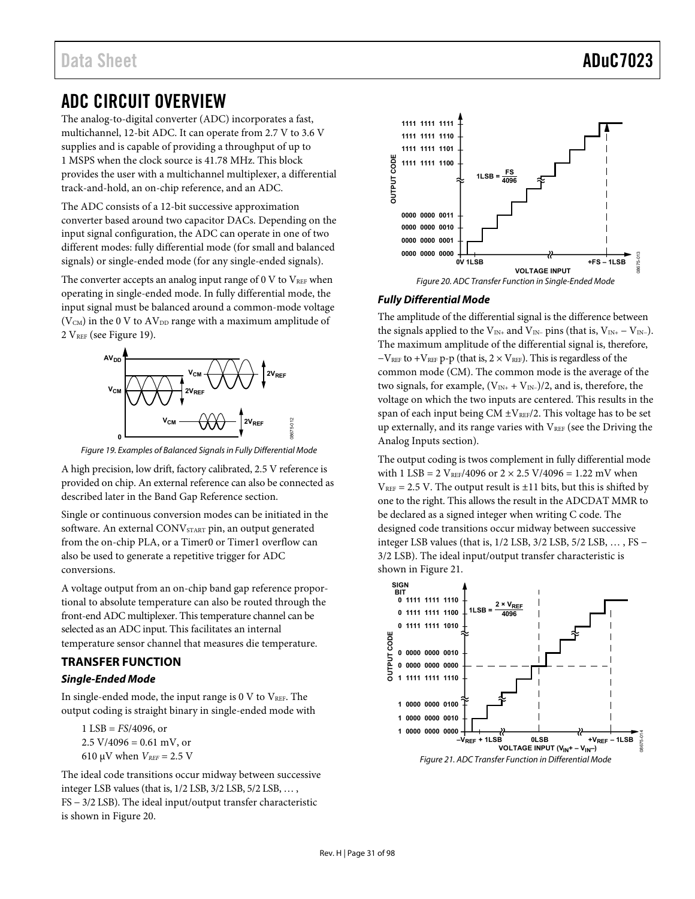# <span id="page-30-0"></span>ADC CIRCUIT OVERVIEW

The analog-to-digital converter (ADC) incorporates a fast, multichannel, 12-bit ADC. It can operate from 2.7 V to 3.6 V supplies and is capable of providing a throughput of up to 1 MSPS when the clock source is 41.78 MHz. This block provides the user with a multichannel multiplexer, a differential track-and-hold, an on-chip reference, and an ADC.

The ADC consists of a 12-bit successive approximation converter based around two capacitor DACs. Depending on the input signal configuration, the ADC can operate in one of two different modes: fully differential mode (for small and balanced signals) or single-ended mode (for any single-ended signals).

The converter accepts an analog input range of  $0 \,$ V to  $V_{REF}$  when operating in single-ended mode. In fully differential mode, the input signal must be balanced around a common-mode voltage ( $V<sub>CM</sub>$ ) in the 0 V to  $AV<sub>DD</sub>$  range with a maximum amplitude of 2 VREF (see [Figure 19\)](#page-30-2).



<span id="page-30-2"></span>Figure 19. Examples of Balanced Signals in Fully Differential Mode

A high precision, low drift, factory calibrated, 2.5 V reference is provided on chip. An external reference can also be connected as described later in the [Band Gap Reference s](#page-37-0)ection.

Single or continuous conversion modes can be initiated in the software. An external CONV<sub>START</sub> pin, an output generated from the on-chip PLA, or a Timer0 or Timer1 overflow can also be used to generate a repetitive trigger for ADC conversions.

A voltage output from an on-chip band gap reference proportional to absolute temperature can also be routed through the front-end ADC multiplexer. This temperature channel can be selected as an ADC input. This facilitates an internal temperature sensor channel that measures die temperature.

## <span id="page-30-1"></span>**TRANSFER FUNCTION**

### **Single-Ended Mode**

In single-ended mode, the input range is  $0 \,$ V to  $V_{REF}$ . The output coding is straight binary in single-ended mode with

1 LSB = *FS*/4096, or  $2.5 \text{ V}/4096 = 0.61 \text{ mV}$ , or 610 μV when  $V_{REF}$  = 2.5 V

The ideal code transitions occur midway between successive integer LSB values (that is, 1/2 LSB, 3/2 LSB, 5/2 LSB, … , FS − 3/2 LSB). The ideal input/output transfer characteristic is shown i[n Figure 20.](#page-30-3) 



## <span id="page-30-3"></span>**Fully Differential Mode**

The amplitude of the differential signal is the difference between the signals applied to the  $V_{IN+}$  and  $V_{IN-}$  pins (that is,  $V_{IN+} - V_{IN-}$ ). The maximum amplitude of the differential signal is, therefore,  $-V<sub>REF</sub>$  to +V<sub>REF</sub> p-p (that is, 2 × V<sub>REF</sub>). This is regardless of the common mode (CM). The common mode is the average of the two signals, for example,  $(V_{IN+} + V_{IN-})/2$ , and is, therefore, the voltage on which the two inputs are centered. This results in the span of each input being  $CM \pm V_{REF}/2$ . This voltage has to be set up externally, and its range varies with  $V_{REF}$  (see the Driving the [Analog Inputs s](#page-35-0)ection).

The output coding is twos complement in fully differential mode with 1 LSB = 2 V<sub>REF</sub>/4096 or  $2 \times 2.5$  V/4096 = 1.22 mV when  $V_{REF}$  = 2.5 V. The output result is  $\pm 11$  bits, but this is shifted by one to the right. This allows the result in the ADCDAT MMR to be declared as a signed integer when writing C code. The designed code transitions occur midway between successive integer LSB values (that is, 1/2 LSB, 3/2 LSB, 5/2 LSB, … , FS − 3/2 LSB). The ideal input/output transfer characteristic is shown in [Figure 21.](#page-30-4)

<span id="page-30-4"></span>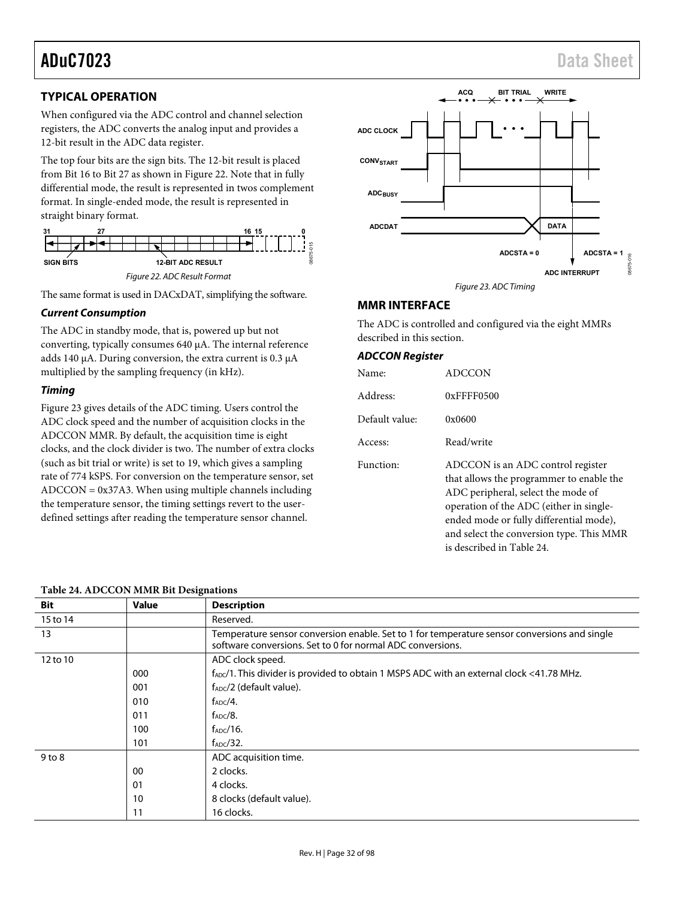**WRITE**

# <span id="page-31-0"></span>**TYPICAL OPERATION**

When configured via the ADC control and channel selection registers, the ADC converts the analog input and provides a 12-bit result in the ADC data register.

The top four bits are the sign bits. The 12-bit result is placed from Bit 16 to Bit 27 as shown in [Figure 22.](#page-31-2) Note that in fully differential mode, the result is represented in twos complement format. In single-ended mode, the result is represented in straight binary format.



<span id="page-31-2"></span>The same format is used in DACxDAT, simplifying the software.

### **Current Consumption**

The ADC in standby mode, that is, powered up but not converting, typically consumes 640 μA. The internal reference adds 140 μA. During conversion, the extra current is 0.3 μA multiplied by the sampling frequency (in kHz).

### **Timing**

[Figure 23 g](#page-31-3)ives details of the ADC timing. Users control the ADC clock speed and the number of acquisition clocks in the ADCCON MMR. By default, the acquisition time is eight clocks, and the clock divider is two. The number of extra clocks (such as bit trial or write) is set to 19, which gives a sampling rate of 774 kSPS. For conversion on the temperature sensor, set ADCCON = 0x37A3. When using multiple channels including the temperature sensor, the timing settings revert to the userdefined settings after reading the temperature sensor channel.

### <span id="page-31-4"></span>**Table 24. ADCCON MMR Bit Designations**



**ACQ BIT TRIAL**

# <span id="page-31-3"></span><span id="page-31-1"></span>**MMR INTERFACE**

The ADC is controlled and configured via the eight MMRs described in this section.

### **ADCCON Register**

| Name:          | ADCCON                                                                                                                                                                                                                                                                             |
|----------------|------------------------------------------------------------------------------------------------------------------------------------------------------------------------------------------------------------------------------------------------------------------------------------|
| Address:       | $0x$ FFFF0500                                                                                                                                                                                                                                                                      |
| Default value: | 0x0600                                                                                                                                                                                                                                                                             |
| Access:        | Read/write                                                                                                                                                                                                                                                                         |
| Function:      | ADCCON is an ADC control register<br>that allows the programmer to enable the<br>ADC peripheral, select the mode of<br>operation of the ADC (either in single-<br>ended mode or fully differential mode),<br>and select the conversion type. This MMR<br>is described in Table 24. |

| Bit        | <b>Value</b> | <b>Description</b>                                                                                                                                         |
|------------|--------------|------------------------------------------------------------------------------------------------------------------------------------------------------------|
| 15 to 14   |              | Reserved.                                                                                                                                                  |
| 13         |              | Temperature sensor conversion enable. Set to 1 for temperature sensor conversions and single<br>software conversions. Set to 0 for normal ADC conversions. |
| 12 to 10   |              | ADC clock speed.                                                                                                                                           |
|            | 000          | f <sub>ADC</sub> /1. This divider is provided to obtain 1 MSPS ADC with an external clock <41.78 MHz.                                                      |
|            | 001          | $f_{ADC}/2$ (default value).                                                                                                                               |
|            | 010          | $f_{ADC}/4$ .                                                                                                                                              |
|            | 011          | $f_{ADC}/8$ .                                                                                                                                              |
|            | 100          | $f_{ADC}/16$ .                                                                                                                                             |
|            | 101          | $f_{ADC}/32$ .                                                                                                                                             |
| $9$ to $8$ |              | ADC acquisition time.                                                                                                                                      |
|            | 00           | 2 clocks.                                                                                                                                                  |
|            | 01           | 4 clocks.                                                                                                                                                  |
|            | 10           | 8 clocks (default value).                                                                                                                                  |
|            | 11           | 16 clocks.                                                                                                                                                 |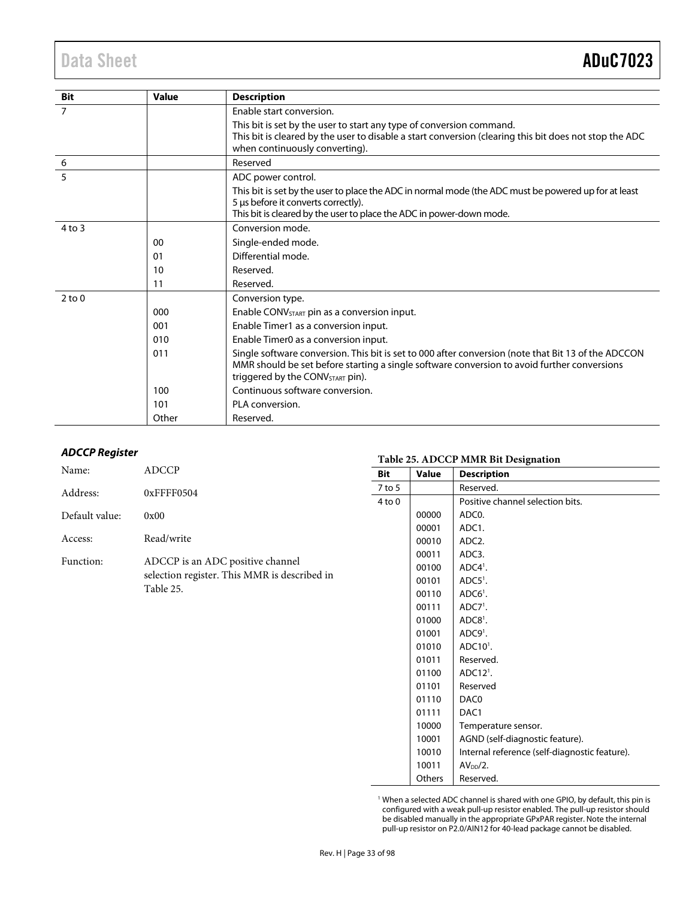| <b>Bit</b> | <b>Value</b> | <b>Description</b>                                                                                                                                                                                                                                 |
|------------|--------------|----------------------------------------------------------------------------------------------------------------------------------------------------------------------------------------------------------------------------------------------------|
| 7          |              | Enable start conversion.                                                                                                                                                                                                                           |
|            |              | This bit is set by the user to start any type of conversion command.<br>This bit is cleared by the user to disable a start conversion (clearing this bit does not stop the ADC<br>when continuously converting).                                   |
| 6          |              | Reserved                                                                                                                                                                                                                                           |
| 5          |              | ADC power control.                                                                                                                                                                                                                                 |
|            |              | This bit is set by the user to place the ADC in normal mode (the ADC must be powered up for at least<br>5 µs before it converts correctly).<br>This bit is cleared by the user to place the ADC in power-down mode.                                |
| $4$ to $3$ |              | Conversion mode.                                                                                                                                                                                                                                   |
|            | 00           | Single-ended mode.                                                                                                                                                                                                                                 |
|            | 01           | Differential mode.                                                                                                                                                                                                                                 |
|            | 10           | Reserved.                                                                                                                                                                                                                                          |
|            | 11           | Reserved.                                                                                                                                                                                                                                          |
| $2$ to 0   |              | Conversion type.                                                                                                                                                                                                                                   |
|            | 000          | Enable CONV <sub>START</sub> pin as a conversion input.                                                                                                                                                                                            |
|            | 001          | Enable Timer1 as a conversion input.                                                                                                                                                                                                               |
|            | 010          | Enable Timer0 as a conversion input.                                                                                                                                                                                                               |
|            | 011          | Single software conversion. This bit is set to 000 after conversion (note that Bit 13 of the ADCCON<br>MMR should be set before starting a single software conversion to avoid further conversions<br>triggered by the CONV <sub>START</sub> pin). |
|            | 100          | Continuous software conversion.                                                                                                                                                                                                                    |
|            | 101          | PLA conversion.                                                                                                                                                                                                                                    |
|            | Other        | Reserved.                                                                                                                                                                                                                                          |

### **ADCCP Register**

<span id="page-32-0"></span>

|                |                                              |            | Table 25. ADCCP MMR BIT Designation |                                               |  |  |  |
|----------------|----------------------------------------------|------------|-------------------------------------|-----------------------------------------------|--|--|--|
| Name:          | <b>ADCCP</b>                                 | Bit        | Value                               | <b>Description</b>                            |  |  |  |
| Address:       | 0xFFFF0504                                   | $7$ to 5   |                                     | Reserved.                                     |  |  |  |
|                |                                              | $4$ to $0$ |                                     | Positive channel selection bits.              |  |  |  |
| Default value: | 0x00                                         |            | 00000                               | ADC0.                                         |  |  |  |
|                |                                              |            | 00001                               | ADC1.                                         |  |  |  |
| Access:        | Read/write                                   |            | 00010                               | ADC2.                                         |  |  |  |
|                |                                              |            | 00011                               | ADC3.                                         |  |  |  |
| Function:      | ADCCP is an ADC positive channel             |            | 00100                               | $ADC41$ .                                     |  |  |  |
|                | selection register. This MMR is described in |            | 00101                               | $ADC51$ .                                     |  |  |  |
|                | Table 25.                                    |            | 00110                               | $ADC61$ .                                     |  |  |  |
|                |                                              |            | 00111                               | $ADC71$ .                                     |  |  |  |
|                |                                              |            | 01000                               | $ADC81$ .                                     |  |  |  |
|                |                                              |            | 01001                               | ADC9 <sup>1</sup> .                           |  |  |  |
|                |                                              |            | 01010                               | $ADC101$ .                                    |  |  |  |
|                |                                              |            | 01011                               | Reserved.                                     |  |  |  |
|                |                                              |            | 01100                               | $ADC121$ .                                    |  |  |  |
|                |                                              |            | 01101                               | Reserved                                      |  |  |  |
|                |                                              |            | 01110                               | DAC0                                          |  |  |  |
|                |                                              |            | 01111                               | DAC1                                          |  |  |  |
|                |                                              |            | 10000                               | Temperature sensor.                           |  |  |  |
|                |                                              |            | 10001                               | AGND (self-diagnostic feature).               |  |  |  |
|                |                                              |            | 10010                               | Internal reference (self-diagnostic feature). |  |  |  |
|                |                                              |            | 10011                               | $AVDD/2$ .                                    |  |  |  |

<sup>1</sup> When a selected ADC channel is shared with one GPIO, by default, this pin is configured with a weak pull-up resistor enabled. The pull-up resistor should be disabled manually in the appropriate GPxPAR register. Note the internal pull-up resistor on P2.0/AIN12 for 40-lead package cannot be disabled.

Others Reserved.

# **Table 25. ADCCP MMR Bit Designation**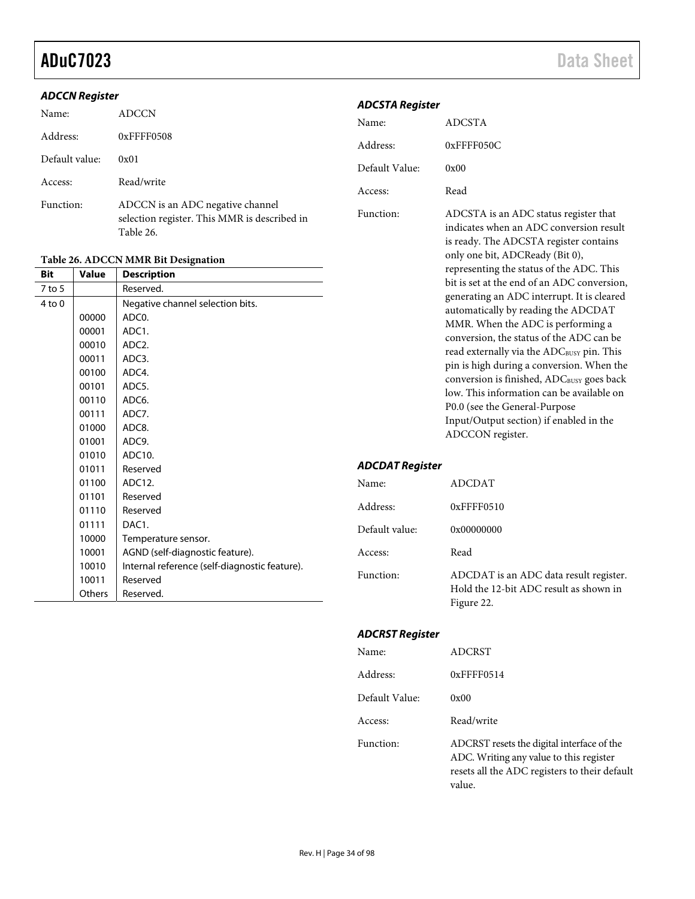# aduC7023 Data Sheet

### **ADCCN Register**

| Name:          | <b>ADCCN</b>                                                                                  | <b>ADCSTA Register</b> |                                                                                                                            |  |
|----------------|-----------------------------------------------------------------------------------------------|------------------------|----------------------------------------------------------------------------------------------------------------------------|--|
|                |                                                                                               | Name:                  | <b>ADCSTA</b>                                                                                                              |  |
| Address:       | $0x$ FFFF0508                                                                                 | Address:               | $0x$ FFFF050C                                                                                                              |  |
| Default value: | 0x01                                                                                          | Default Value:         | 0x00                                                                                                                       |  |
| Access:        | Read/write                                                                                    | Access:                | Read                                                                                                                       |  |
| Function:      | ADCCN is an ADC negative channel<br>selection register. This MMR is described in<br>Table 26. | Function:              | ADCSTA is an ADC status register that<br>indicates when an ADC conversion result<br>is ready. The ADCSTA register contains |  |

### <span id="page-33-0"></span>**Table 26. ADCCN MMR Bit Designation**

|            |               | Table 20. AD CON MINIK DR Designation         |                        |                                                                                        |
|------------|---------------|-----------------------------------------------|------------------------|----------------------------------------------------------------------------------------|
| <b>Bit</b> | <b>Value</b>  | <b>Description</b>                            |                        | representing the status of the ADC. This                                               |
| $7$ to 5   |               | Reserved.                                     |                        | bit is set at the end of an ADC conversion,                                            |
| $4$ to $0$ |               | Negative channel selection bits.              |                        | generating an ADC interrupt. It is cleared                                             |
|            | 00000         | ADC0.                                         |                        | automatically by reading the ADCDAT                                                    |
|            | 00001         | ADC1.                                         |                        | MMR. When the ADC is performing a                                                      |
|            | 00010         | ADC2.                                         |                        | conversion, the status of the ADC can be                                               |
|            | 00011         | ADC3.                                         |                        | read externally via the ADC <sub>BUSY</sub> pin. This                                  |
|            | 00100         | ADC4.                                         |                        | pin is high during a conversion. When the                                              |
|            | 00101         | ADC5.                                         |                        | conversion is finished, ADCBUSY goes back<br>low. This information can be available on |
|            | 00110         | ADC6.                                         |                        |                                                                                        |
|            | 00111         | ADC7.                                         |                        | P0.0 (see the General-Purpose<br>Input/Output section) if enabled in the               |
|            | 01000         | ADC8.                                         |                        | ADCCON register.                                                                       |
|            | 01001         | ADC9.                                         |                        |                                                                                        |
|            | 01010         | ADC10.                                        |                        |                                                                                        |
|            | 01011         | Reserved                                      | <b>ADCDAT Register</b> |                                                                                        |
|            | 01100         | ADC12.                                        | Name:                  | <b>ADCDAT</b>                                                                          |
|            | 01101         | Reserved                                      |                        |                                                                                        |
|            | 01110         | Reserved                                      | Address:               | $0x$ FFFF0510                                                                          |
|            | 01111         | DAC1.                                         | Default value:         | 0x00000000                                                                             |
|            | 10000         | Temperature sensor.                           |                        |                                                                                        |
|            | 10001         | AGND (self-diagnostic feature).               | Access:                | Read                                                                                   |
|            | 10010         | Internal reference (self-diagnostic feature). |                        |                                                                                        |
|            | 10011         | Reserved                                      | Function:              | ADCDAT is an ADC data result register.                                                 |
|            | <b>Others</b> | Reserved.                                     |                        | Hold the 12-bit ADC result as shown in                                                 |

### **ADCSTA Register**

| Name:           | ADCDAT                                                                                         |
|-----------------|------------------------------------------------------------------------------------------------|
| Address:        | 0xFFFF0510                                                                                     |
| Default value:  | 0x00000000                                                                                     |
| Access:         | Read                                                                                           |
| Function:       | ADCDAT is an ADC data result register.<br>Hold the 12-bit ADC result as shown in<br>Figure 22. |
| ADCRST Register |                                                                                                |
| Name:           | <b>ADCRST</b>                                                                                  |
| Address:        | 0xFFFF0514                                                                                     |
| Default Value:  | 0x00                                                                                           |
| Access:         | Read/write                                                                                     |
| Function:       | ADCRST resets the digital interface of the                                                     |

only one bit, ADCReady (Bit 0),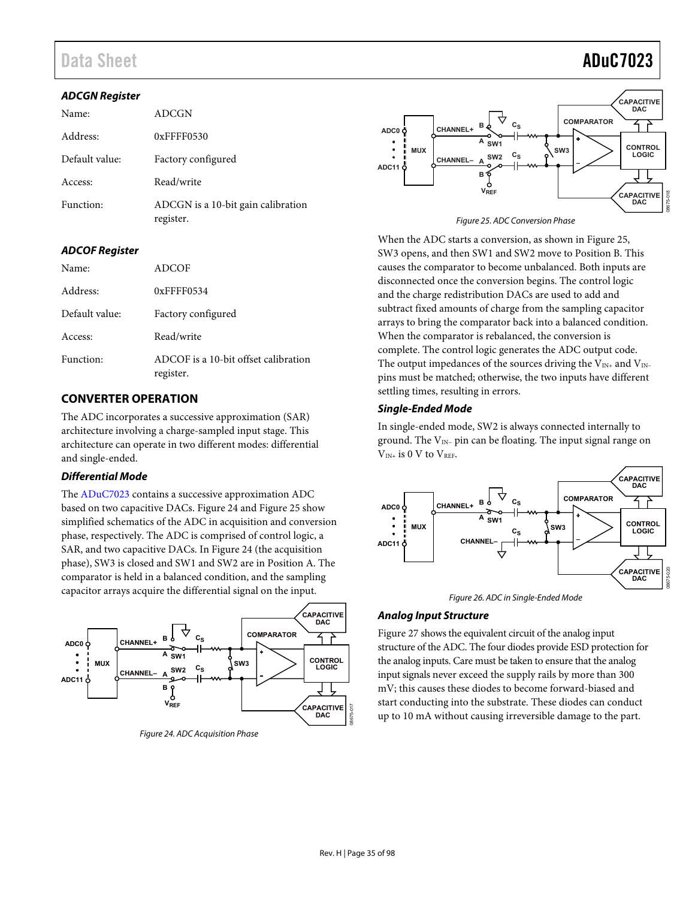# Data Sheet **ADuC7023**

#### **ADCGN Register**

| Name:          | ADCGN                                           |  |
|----------------|-------------------------------------------------|--|
| Address:       | $0x$ FFFF $0530$                                |  |
| Default value: | Factory configured                              |  |
| Access:        | Read/write                                      |  |
| Function:      | ADCGN is a 10-bit gain calibration<br>register. |  |

#### **ADCOF Register**

| Name:          | ADCOF                                             |  |
|----------------|---------------------------------------------------|--|
| Address:       | $0x$ FFFF $0534$                                  |  |
| Default value: | Factory configured                                |  |
| Access:        | Read/write                                        |  |
| Function:      | ADCOF is a 10-bit offset calibration<br>register. |  |

# <span id="page-34-0"></span>**CONVERTER OPERATION**

The ADC incorporates a successive approximation (SAR) architecture involving a charge-sampled input stage. This architecture can operate in two different modes: differential and single-ended.

### **Differential Mode**

The [ADuC7023 c](http://www.analog.com/ADuC7023?doc=ADuC7023.pdf)ontains a successive approximation ADC based on two capacitive DACs. [Figure 24 a](#page-34-1)n[d Figure 25 s](#page-34-2)how simplified schematics of the ADC in acquisition and conversion phase, respectively. The ADC is comprised of control logic, a SAR, and two capacitive DACs. I[n Figure 24 \(](#page-34-1)the acquisition phase), SW3 is closed and SW1 and SW2 are in Position A. The comparator is held in a balanced condition, and the sampling capacitor arrays acquire the differential signal on the input.



<span id="page-34-1"></span>Figure 24. ADC Acquisition Phase



Figure 25. ADC Conversion Phase

<span id="page-34-2"></span>When the ADC starts a conversion, as shown i[n Figure 25,](#page-34-2) SW3 opens, and then SW1 and SW2 move to Position B. This causes the comparator to become unbalanced. Both inputs are disconnected once the conversion begins. The control logic and the charge redistribution DACs are used to add and subtract fixed amounts of charge from the sampling capacitor arrays to bring the comparator back into a balanced condition. When the comparator is rebalanced, the conversion is complete. The control logic generates the ADC output code. The output impedances of the sources driving the  $V_{IN+}$  and  $V_{IN-}$ pins must be matched; otherwise, the two inputs have different settling times, resulting in errors.

#### **Single-Ended Mode**

In single-ended mode, SW2 is always connected internally to ground. The V<sub>IN−</sub> pin can be floating. The input signal range on  $V_{IN+}$  is 0 V to  $V_{REF}$ .





#### **Analog Input Structure**

[Figure 27 s](#page-35-4)hows the equivalent circuit of the analog input structure of the ADC. The four diodes provide ESD protection for the analog inputs. Care must be taken to ensure that the analog input signals never exceed the supply rails by more than 300 mV; this causes these diodes to become forward-biased and start conducting into the substrate. These diodes can conduct up to 10 mA without causing irreversible damage to the part.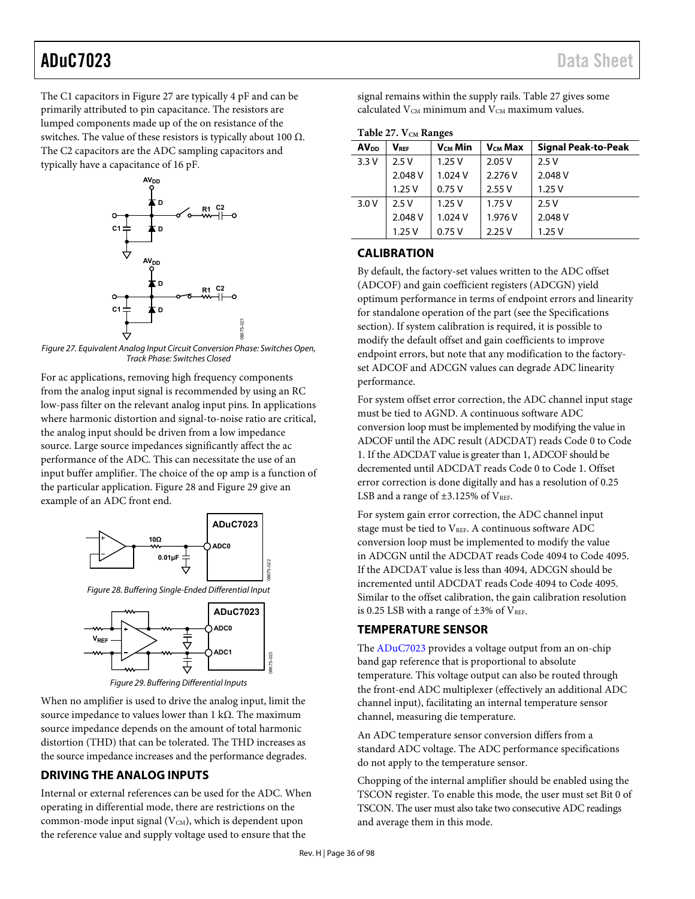The C1 capacitors in [Figure 27 a](#page-35-4)re typically 4 pF and can be primarily attributed to pin capacitance. The resistors are lumped components made up of the on resistance of the switches. The value of these resistors is typically about 100  $Ω$ . The C2 capacitors are the ADC sampling capacitors and typically have a capacitance of 16 pF.



<span id="page-35-4"></span>Figure 27. Equivalent Analog Input Circuit Conversion Phase: Switches Open, Track Phase: Switches Closed

For ac applications, removing high frequency components from the analog input signal is recommended by using an RC low-pass filter on the relevant analog input pins. In applications where harmonic distortion and signal-to-noise ratio are critical, the analog input should be driven from a low impedance source. Large source impedances significantly affect the ac performance of the ADC. This can necessitate the use of an input buffer amplifier. The choice of the op amp is a function of the particular application[. Figure 28 a](#page-35-3)n[d Figure 29](#page-35-5) give an example of an ADC front end.



<span id="page-35-3"></span>



Figure 29. Buffering Differential Inputs

<span id="page-35-5"></span>When no amplifier is used to drive the analog input, limit the source impedance to values lower than 1 kΩ. The maximum source impedance depends on the amount of total harmonic distortion (THD) that can be tolerated. The THD increases as the source impedance increases and the performance degrades.

# <span id="page-35-0"></span>**DRIVING THE ANALOG INPUTS**

Internal or external references can be used for the ADC. When operating in differential mode, there are restrictions on the common-mode input signal  $(V<sub>CM</sub>)$ , which is dependent upon the reference value and supply voltage used to ensure that the

signal remains within the supply rails[. Table 27 g](#page-35-6)ives some calculated  $V_{CM}$  minimum and  $V_{CM}$  maximum values.

<span id="page-35-6"></span>Table 27. V<sub>CM</sub> Ranges

| AV <sub>DD</sub> | $V_{\text{RFE}}$ | $V_{\text{CM}}$ Min | V <sub>CM</sub> Max | <b>Signal Peak-to-Peak</b> |  |
|------------------|------------------|---------------------|---------------------|----------------------------|--|
| 3.3V             | 2.5V             | 1.25V               | 2.05V               | 2.5V                       |  |
|                  | 2.048 V          | 1.024 V             | 2.276 V             | 2.048 V                    |  |
|                  | 1.25V            | 0.75V               | 2.55V               | 1.25V                      |  |
| 3.0V             | 2.5V             | 1.25V               | 1.75V               | 2.5V                       |  |
|                  | 2.048 V          | 1.024 V             | 1.976 V             | 2.048 V                    |  |
|                  | 1.25V            | 0.75V               | 2.25V               | 1.25V                      |  |

# <span id="page-35-1"></span>**CALIBRATION**

By default, the factory-set values written to the ADC offset (ADCOF) and gain coefficient registers (ADCGN) yield optimum performance in terms of endpoint errors and linearity for standalone operation of the part (see the [Specifications](#page-5-0)  section). If system calibration is required, it is possible to modify the default offset and gain coefficients to improve endpoint errors, but note that any modification to the factoryset ADCOF and ADCGN values can degrade ADC linearity performance.

For system offset error correction, the ADC channel input stage must be tied to AGND. A continuous software ADC conversion loop must be implemented by modifying the value in ADCOF until the ADC result (ADCDAT) reads Code 0 to Code 1. If the ADCDAT value is greater than 1, ADCOF should be decremented until ADCDAT reads Code 0 to Code 1. Offset error correction is done digitally and has a resolution of 0.25 LSB and a range of  $\pm 3.125\%$  of  $V_{REF}$ .

For system gain error correction, the ADC channel input stage must be tied to VREF. A continuous software ADC conversion loop must be implemented to modify the value in ADCGN until the ADCDAT reads Code 4094 to Code 4095. If the ADCDAT value is less than 4094, ADCGN should be incremented until ADCDAT reads Code 4094 to Code 4095. Similar to the offset calibration, the gain calibration resolution is 0.25 LSB with a range of  $\pm 3\%$  of V<sub>REF</sub>.

# <span id="page-35-2"></span>**TEMPERATURE SENSOR**

The [ADuC7023 p](http://www.analog.com/ADuC7023?doc=ADuC7023.pdf)rovides a voltage output from an on-chip band gap reference that is proportional to absolute temperature. This voltage output can also be routed through the front-end ADC multiplexer (effectively an additional ADC channel input), facilitating an internal temperature sensor channel, measuring die temperature.

An ADC temperature sensor conversion differs from a standard ADC voltage. The ADC performance specifications do not apply to the temperature sensor.

Chopping of the internal amplifier should be enabled using the TSCON register. To enable this mode, the user must set Bit 0 of TSCON. The user must also take two consecutive ADC readings and average them in this mode.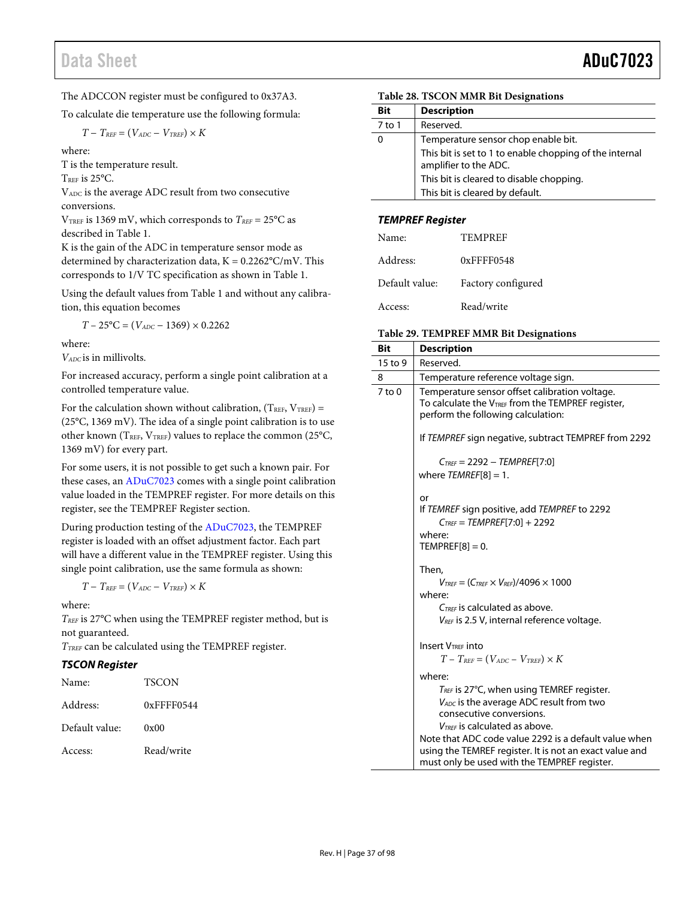The ADCCON register must be configured to 0x37A3.

To calculate die temperature use the following formula:

$$
T-T_{\it REF}=(V_{\it ADC}-V_{\it TREF})\times K
$$

where:

T is the temperature result.

T<sub>REF</sub> is 25°C.

VADC is the average ADC result from two consecutive conversions.

 $V<sub>TREF</sub>$  is 1369 mV, which corresponds to  $T<sub>REF</sub> = 25°C$  as described i[n Table 1.](#page-5-0) 

K is the gain of the ADC in temperature sensor mode as determined by characterization data,  $K = 0.2262^{\circ}C/mV$ . This corresponds to 1/V TC specification as shown in [Table 1.](#page-5-0)

Using the default values fro[m Table 1 a](#page-5-0)nd without any calibration, this equation becomes

 $T - 25$ °C = ( $V_{ADC}$  – 1369) × 0.2262

where:

*VADC* is in millivolts.

For increased accuracy, perform a single point calibration at a controlled temperature value.

For the calculation shown without calibration,  $(T_{REF}, V_{TREF}) =$ (25°C, 1369 mV). The idea of a single point calibration is to use other known (TREF, VTREF) values to replace the common (25°C, 1369 mV) for every part.

For some users, it is not possible to get such a known pair. For these cases, a[n ADuC7023 c](http://www.analog.com/ADuC7023?doc=ADuC7023.pdf)omes with a single point calibration value loaded in the TEMPREF register. For more details on this register, see th[e TEMPREF Register](#page-36-0) section.

During production testing of th[e ADuC7023,](http://www.analog.com/ADuC7023?doc=ADuC7023.pdf) the TEMPREF register is loaded with an offset adjustment factor. Each part will have a different value in the TEMPREF register. Using this single point calibration, use the same formula as shown:

$$
T-T_{REF}=(V_{ADC}-V_{TREF})\times K
$$

where:

*TREF* is 27°C when using the TEMPREF register method, but is not guaranteed.

*TTREF* can be calculated using the TEMPREF register.

## **TSCON Register**

| Name:          | <b>TSCON</b> |
|----------------|--------------|
| Address:       | 0xFFFF0544   |
| Default value: | 0x00         |
| Access:        | Read/write   |

### **Table 28. TSCON MMR Bit Designations**

| Bit      | <b>Description</b>                                                               |
|----------|----------------------------------------------------------------------------------|
| $7$ to 1 | Reserved.                                                                        |
| 0        | Temperature sensor chop enable bit.                                              |
|          | This bit is set to 1 to enable chopping of the internal<br>amplifier to the ADC. |
|          | This bit is cleared to disable chopping.                                         |
|          | This bit is cleared by default.                                                  |

### <span id="page-36-0"></span>**TEMPREF Register**

| Name:          | TEMPREF            |
|----------------|--------------------|
| Address:       | $0x$ FFFF $0548$   |
| Default value: | Factory configured |
| Access:        | Read/write         |

### **Table 29. TEMPREF MMR Bit Designations**

| <b>Bit</b> | <b>Description</b>                                                                                                                                                                                                                                                                                                                                                                                                                 |
|------------|------------------------------------------------------------------------------------------------------------------------------------------------------------------------------------------------------------------------------------------------------------------------------------------------------------------------------------------------------------------------------------------------------------------------------------|
| 15 to 9    | Reserved.                                                                                                                                                                                                                                                                                                                                                                                                                          |
| 8          | Temperature reference voltage sign.                                                                                                                                                                                                                                                                                                                                                                                                |
| $7$ to $0$ | Temperature sensor offset calibration voltage.<br>To calculate the $V_{TREF}$ from the TEMPREF register,<br>perform the following calculation:                                                                                                                                                                                                                                                                                     |
|            | If TEMPREF sign negative, subtract TEMPREF from 2292                                                                                                                                                                                                                                                                                                                                                                               |
|            | $C_{TREF} = 2292 - TEMPREF[7:0]$<br>where $TEMREF[8]=1$ .                                                                                                                                                                                                                                                                                                                                                                          |
|            | or<br>If TEMREF sign positive, add TEMPREF to 2292<br>$C_{TREF} = TEMPREF[7:0] + 2292$<br>where:<br>$TEMPREF[8]=0.$                                                                                                                                                                                                                                                                                                                |
|            | Then,<br>$V_{TREF} = (C_{TREF} \times V_{REF})/4096 \times 1000$<br>where:<br>$C_{TREF}$ is calculated as above.<br>$V_{REF}$ is 2.5 V, internal reference voltage.                                                                                                                                                                                                                                                                |
|            | <b>Insert VTREE Into</b><br>$T - T_{REF} = (V_{ADC} - V_{TREF}) \times K$<br>where:<br>$T_{REF}$ is 27°C, when using TEMREF register.<br>$V_{ADC}$ is the average ADC result from two<br>consecutive conversions.<br>$V_{\text{TREF}}$ is calculated as above.<br>Note that ADC code value 2292 is a default value when<br>using the TEMREF register. It is not an exact value and<br>must only be used with the TEMPREF register. |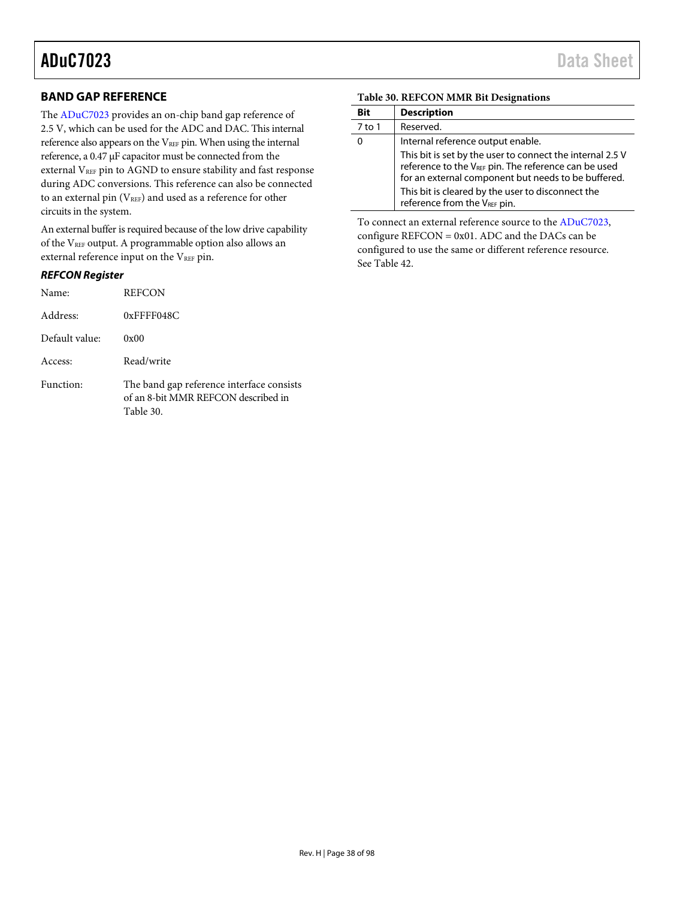## **BAND GAP REFERENCE**

The [ADuC7023 p](http://www.analog.com/ADuC7023?doc=ADuC7023.pdf)rovides an on-chip band gap reference of 2.5 V, which can be used for the ADC and DAC. This internal reference also appears on the VREF pin. When using the internal reference, a 0.47 μF capacitor must be connected from the external VREF pin to AGND to ensure stability and fast response during ADC conversions. This reference can also be connected to an external pin  $(V_{REF})$  and used as a reference for other circuits in the system.

An external buffer is required because of the low drive capability of the VREF output. A programmable option also allows an external reference input on the VREF pin.

### **REFCON Register**

| Name:          | <b>REFCON</b>                                                                                 |
|----------------|-----------------------------------------------------------------------------------------------|
| Address:       | $0x$ FFFF048C                                                                                 |
| Default value: | 0x00                                                                                          |
| Access:        | Read/write                                                                                    |
| Function:      | The band gap reference interface consists<br>of an 8-bit MMR REFCON described in<br>Table 30. |

### <span id="page-37-0"></span>**Table 30. REFCON MMR Bit Designations**

| <b>Bit</b> | <b>Description</b>                                                                                                                                                                   |
|------------|--------------------------------------------------------------------------------------------------------------------------------------------------------------------------------------|
| 7 to 1     | Reserved.                                                                                                                                                                            |
|            | Internal reference output enable.                                                                                                                                                    |
|            | This bit is set by the user to connect the internal 2.5 V<br>reference to the V <sub>REF</sub> pin. The reference can be used<br>for an external component but needs to be buffered. |
|            | This bit is cleared by the user to disconnect the<br>reference from the VREF pin.                                                                                                    |

To connect an external reference source to the [ADuC7023,](http://www.analog.com/ADuC7023?doc=ADuC7023.pdf)  configure REFCON = 0x01. ADC and the DACs can be configured to use the same or different reference resource. Se[e Table 42.](#page-46-0)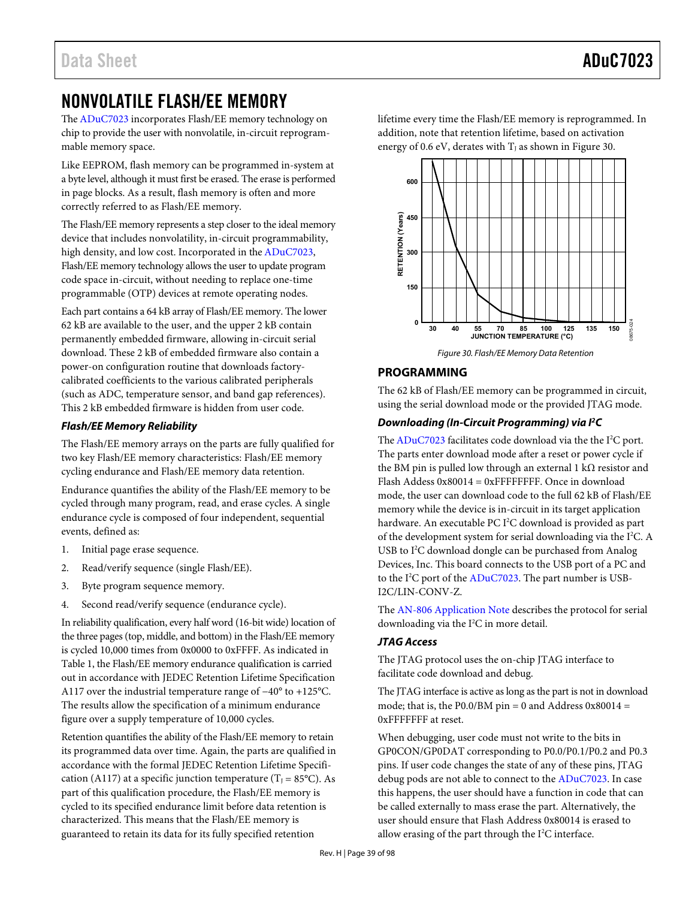## NONVOLATILE FLASH/EE MEMORY

Th[e ADuC7023 i](http://www.analog.com/ADuC7023?doc=ADuC7023.pdf)ncorporates Flash/EE memory technology on chip to provide the user with nonvolatile, in-circuit reprogrammable memory space.

Like EEPROM, flash memory can be programmed in-system at a byte level, although it must first be erased. The erase is performed in page blocks. As a result, flash memory is often and more correctly referred to as Flash/EE memory.

The Flash/EE memory represents a step closer to the ideal memory device that includes nonvolatility, in-circuit programmability, high density, and low cost. Incorporated in the ADuC7023, Flash/EE memory technology allows the user to update program code space in-circuit, without needing to replace one-time programmable (OTP) devices at remote operating nodes.

Each part contains a 64 kB array of Flash/EE memory. The lower 62 kB are available to the user, and the upper 2 kB contain permanently embedded firmware, allowing in-circuit serial download. These 2 kB of embedded firmware also contain a power-on configuration routine that downloads factorycalibrated coefficients to the various calibrated peripherals (such as ADC, temperature sensor, and band gap references). This 2 kB embedded firmware is hidden from user code.

## **Flash/EE Memory Reliability**

The Flash/EE memory arrays on the parts are fully qualified for two key Flash/EE memory characteristics: Flash/EE memory cycling endurance and Flash/EE memory data retention.

Endurance quantifies the ability of the Flash/EE memory to be cycled through many program, read, and erase cycles. A single endurance cycle is composed of four independent, sequential events, defined as:

- 1. Initial page erase sequence.
- 2. Read/verify sequence (single Flash/EE).
- 3. Byte program sequence memory.
- 4. Second read/verify sequence (endurance cycle).

In reliability qualification, every half word (16-bit wide) location of the three pages (top, middle, and bottom) in the Flash/EE memory is cycled 10,000 times from 0x0000 to 0xFFFF. As indicated in [Table 1,](#page-5-0) the Flash/EE memory endurance qualification is carried out in accordance with JEDEC Retention Lifetime Specification A117 over the industrial temperature range of −40° to +125°C. The results allow the specification of a minimum endurance figure over a supply temperature of 10,000 cycles.

Retention quantifies the ability of the Flash/EE memory to retain its programmed data over time. Again, the parts are qualified in accordance with the formal JEDEC Retention Lifetime Specification (A117) at a specific junction temperature (T<sub>J</sub> = 85°C). As part of this qualification procedure, the Flash/EE memory is cycled to its specified endurance limit before data retention is characterized. This means that the Flash/EE memory is guaranteed to retain its data for its fully specified retention

lifetime every time the Flash/EE memory is reprogrammed. In addition, note that retention lifetime, based on activation energy of 0.6 eV, derates with  $T<sub>I</sub>$  as shown in Figure 30.



## <span id="page-38-0"></span>**PROGRAMMING**

The 62 kB of Flash/EE memory can be programmed in circuit, using the serial download mode or the provided JTAG mode.

## **Downloading (In-Circuit Programming) via I2 C**

The  $ADuC7023$  facilitates code download via the the  $I<sup>2</sup>C$  port. The parts enter download mode after a reset or power cycle if the BM pin is pulled low through an external 1 kΩ resistor and Flash Addess 0x80014 = 0xFFFFFFFF. Once in download mode, the user can download code to the full 62 kB of Flash/EE memory while the device is in-circuit in its target application hardware. An executable PC I<sup>2</sup>C download is provided as part of the development system for serial downloading via the I<sup>2</sup>C. A USB to I<sup>2</sup>C download dongle can be purchased from Analog Devices, Inc. This board connects to the USB port of a PC and to the I<sup>2</sup>C port of the [ADuC7023.](http://www.analog.com/ADuC7023?doc=ADuC7023.pdf) The part number is USB-I2C/LIN-CONV-Z.

The [AN-806 Application Note](http://www.analog.com/AN806?doc=ADuC7023.pdf) describes the protocol for serial downloading via the I<sup>2</sup>C in more detail.

## **JTAG Access**

The JTAG protocol uses the on-chip JTAG interface to facilitate code download and debug.

The JTAG interface is active as long as the part is not in download mode; that is, the P0.0/BM pin = 0 and Address  $0x80014 =$ 0xFFFFFFF at reset.

When debugging, user code must not write to the bits in GP0CON/GP0DAT corresponding to P0.0/P0.1/P0.2 and P0.3 pins. If user code changes the state of any of these pins, JTAG debug pods are not able to connect to the [ADuC7023.](http://www.analog.com/ADuC7023?doc=ADuC7023.pdf) In case this happens, the user should have a function in code that can be called externally to mass erase the part. Alternatively, the user should ensure that Flash Address 0x80014 is erased to allow erasing of the part through the  $I^2C$  interface.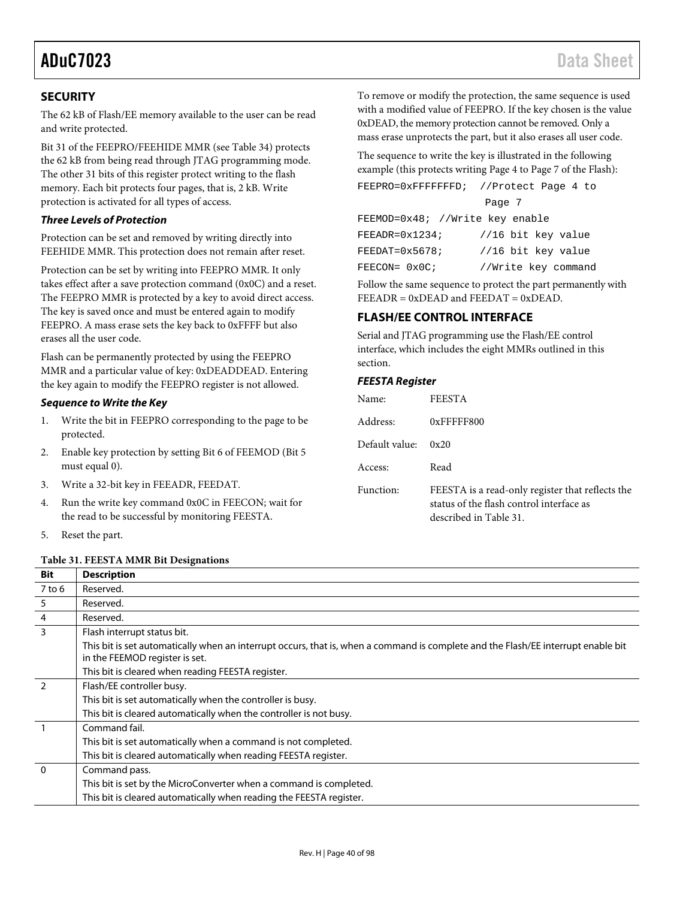## **SECURITY**

The 62 kB of Flash/EE memory available to the user can be read and write protected.

Bit 31 of the FEEPRO/FEEHIDE MMR (se[e Table 34\)](#page-41-0) protects the 62 kB from being read through JTAG programming mode. The other 31 bits of this register protect writing to the flash memory. Each bit protects four pages, that is, 2 kB. Write protection is activated for all types of access.

### **Three Levels of Protection**

Protection can be set and removed by writing directly into FEEHIDE MMR. This protection does not remain after reset.

Protection can be set by writing into FEEPRO MMR. It only takes effect after a save protection command (0x0C) and a reset. The FEEPRO MMR is protected by a key to avoid direct access. The key is saved once and must be entered again to modify FEEPRO. A mass erase sets the key back to 0xFFFF but also erases all the user code.

Flash can be permanently protected by using the FEEPRO MMR and a particular value of key: 0xDEADDEAD. Entering the key again to modify the FEEPRO register is not allowed.

### <span id="page-39-1"></span>**Sequence to Write the Key**

- 1. Write the bit in FEEPRO corresponding to the page to be protected.
- 2. Enable key protection by setting Bit 6 of FEEMOD (Bit 5 must equal 0).
- 3. Write a 32-bit key in FEEADR, FEEDAT.
- 4. Run the write key command 0x0C in FEECON; wait for the read to be successful by monitoring FEESTA.
- 5. Reset the part.

### <span id="page-39-0"></span>**Table 31. FEESTA MMR Bit Designations**

To remove or modify the protection, the same sequence is used with a modified value of FEEPRO. If the key chosen is the value 0xDEAD, the memory protection cannot be removed. Only a mass erase unprotects the part, but it also erases all user code.

The sequence to write the key is illustrated in the following example (this protects writing Page 4 to Page 7 of the Flash):

| FEEPRO=0xFFFFFFFD; //Protect Page 4 to |                     |
|----------------------------------------|---------------------|
|                                        | Page 7              |
| FEEMOD=0x48; //Write key enable        |                     |
| $FERADR = 0 \times 1234;$              | //16 bit key value  |
| $FEEDAT=0x5678;$                       | //16 bit key value  |
| FEECON= 0x0C;                          | //Write key command |

Follow the same sequence to protect the part permanently with  $FEEADR = 0xDEAD$  and  $FEEDATA = 0xDEAD$ .

## **FLASH/EE CONTROL INTERFACE**

Serial and JTAG programming use the Flash/EE control interface, which includes the eight MMRs outlined in this section.

### **FEESTA Register**

| Name:          | <b>FEESTA</b>                                                                                                          |
|----------------|------------------------------------------------------------------------------------------------------------------------|
| Address:       | $0x$ FFFFF800                                                                                                          |
| Default value: | 0x20                                                                                                                   |
| Access:        | Read                                                                                                                   |
| Function:      | FEESTA is a read-only register that reflects the<br>status of the flash control interface as<br>described in Table 31. |

| <b>Bit</b>     | <b>Description</b>                                                                                                                                                  |
|----------------|---------------------------------------------------------------------------------------------------------------------------------------------------------------------|
| $7$ to 6       | Reserved.                                                                                                                                                           |
| 5              | Reserved.                                                                                                                                                           |
| $\overline{4}$ | Reserved.                                                                                                                                                           |
| $\overline{3}$ | Flash interrupt status bit.                                                                                                                                         |
|                | This bit is set automatically when an interrupt occurs, that is, when a command is complete and the Flash/EE interrupt enable bit<br>in the FEEMOD register is set. |
|                | This bit is cleared when reading FEESTA register.                                                                                                                   |
| $\mathcal{P}$  | Flash/EE controller busy.                                                                                                                                           |
|                | This bit is set automatically when the controller is busy.                                                                                                          |
|                | This bit is cleared automatically when the controller is not busy.                                                                                                  |
|                | Command fail.                                                                                                                                                       |
|                | This bit is set automatically when a command is not completed.                                                                                                      |
|                | This bit is cleared automatically when reading FEESTA register.                                                                                                     |
| $\overline{0}$ | Command pass.                                                                                                                                                       |
|                | This bit is set by the MicroConverter when a command is completed.                                                                                                  |
|                | This bit is cleared automatically when reading the FEESTA register.                                                                                                 |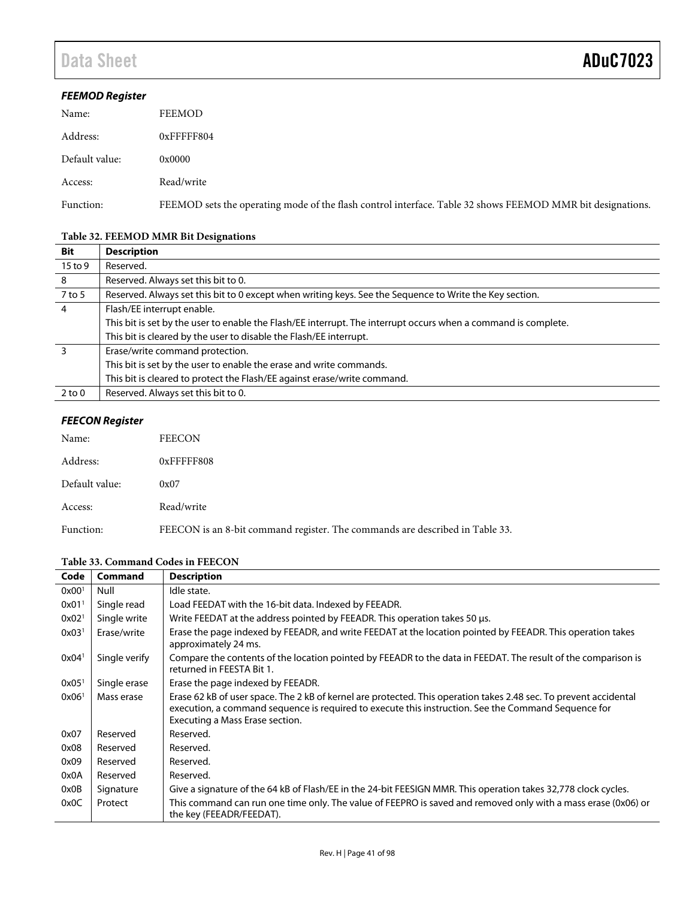## **FEEMOD Register**

| Name:          | FEEMOD                                                                                                     |
|----------------|------------------------------------------------------------------------------------------------------------|
| Address:       | 0xFFFFF804                                                                                                 |
| Default value: | 0x0000                                                                                                     |
| Access:        | Read/write                                                                                                 |
| Function:      | FEEMOD sets the operating mode of the flash control interface. Table 32 shows FEEMOD MMR bit designations. |

## <span id="page-40-0"></span>**Table 32. FEEMOD MMR Bit Designations**

| <b>Bit</b>     | <b>Description</b>                                                                                             |
|----------------|----------------------------------------------------------------------------------------------------------------|
| $15$ to 9      | Reserved.                                                                                                      |
| -8             | Reserved. Always set this bit to 0.                                                                            |
| 7 to 5         | Reserved. Always set this bit to 0 except when writing keys. See the Sequence to Write the Key section.        |
| $\overline{4}$ | Flash/EE interrupt enable.                                                                                     |
|                | This bit is set by the user to enable the Flash/EE interrupt. The interrupt occurs when a command is complete. |
|                | This bit is cleared by the user to disable the Flash/EE interrupt.                                             |
| 3              | Erase/write command protection.                                                                                |
|                | This bit is set by the user to enable the erase and write commands.                                            |
|                | This bit is cleared to protect the Flash/EE against erase/write command.                                       |
| $2$ to $0$     | Reserved. Always set this bit to 0.                                                                            |

## **FEECON Register**

| Name:          | <b>FEECON</b>                                                                |
|----------------|------------------------------------------------------------------------------|
| Address:       | 0xFFFFF808                                                                   |
| Default value: | 0x07                                                                         |
| Access:        | Read/write                                                                   |
| Function:      | FEECON is an 8-bit command register. The commands are described in Table 33. |

## <span id="page-40-1"></span>**Table 33. Command Codes in FEECON**

| Code                | Command       | <b>Description</b>                                                                                                                                                                                                                                          |
|---------------------|---------------|-------------------------------------------------------------------------------------------------------------------------------------------------------------------------------------------------------------------------------------------------------------|
| 0x00 <sup>1</sup>   | Null          | Idle state.                                                                                                                                                                                                                                                 |
| $0x01$ <sup>1</sup> | Single read   | Load FEEDAT with the 16-bit data. Indexed by FEEADR.                                                                                                                                                                                                        |
| 0x02 <sup>1</sup>   | Single write  | Write FEEDAT at the address pointed by FEEADR. This operation takes 50 µs.                                                                                                                                                                                  |
| 0x03 <sup>1</sup>   | Erase/write   | Erase the page indexed by FEEADR, and write FEEDAT at the location pointed by FEEADR. This operation takes<br>approximately 24 ms.                                                                                                                          |
| 0x04 <sup>1</sup>   | Single verify | Compare the contents of the location pointed by FEEADR to the data in FEEDAT. The result of the comparison is<br>returned in FEESTA Bit 1.                                                                                                                  |
| 0x05 <sup>1</sup>   | Single erase  | Erase the page indexed by FEEADR.                                                                                                                                                                                                                           |
| 0x06 <sup>1</sup>   | Mass erase    | Erase 62 kB of user space. The 2 kB of kernel are protected. This operation takes 2.48 sec. To prevent accidental<br>execution, a command sequence is required to execute this instruction. See the Command Sequence for<br>Executing a Mass Erase section. |
| 0x07                | Reserved      | Reserved.                                                                                                                                                                                                                                                   |
| 0x08                | Reserved      | Reserved.                                                                                                                                                                                                                                                   |
| 0x09                | Reserved      | Reserved.                                                                                                                                                                                                                                                   |
| 0x0A                | Reserved      | Reserved.                                                                                                                                                                                                                                                   |
| 0x0B                | Signature     | Give a signature of the 64 kB of Flash/EE in the 24-bit FEESIGN MMR. This operation takes 32,778 clock cycles.                                                                                                                                              |
| 0x0C                | Protect       | This command can run one time only. The value of FEEPRO is saved and removed only with a mass erase (0x06) or<br>the key (FEEADR/FEEDAT).                                                                                                                   |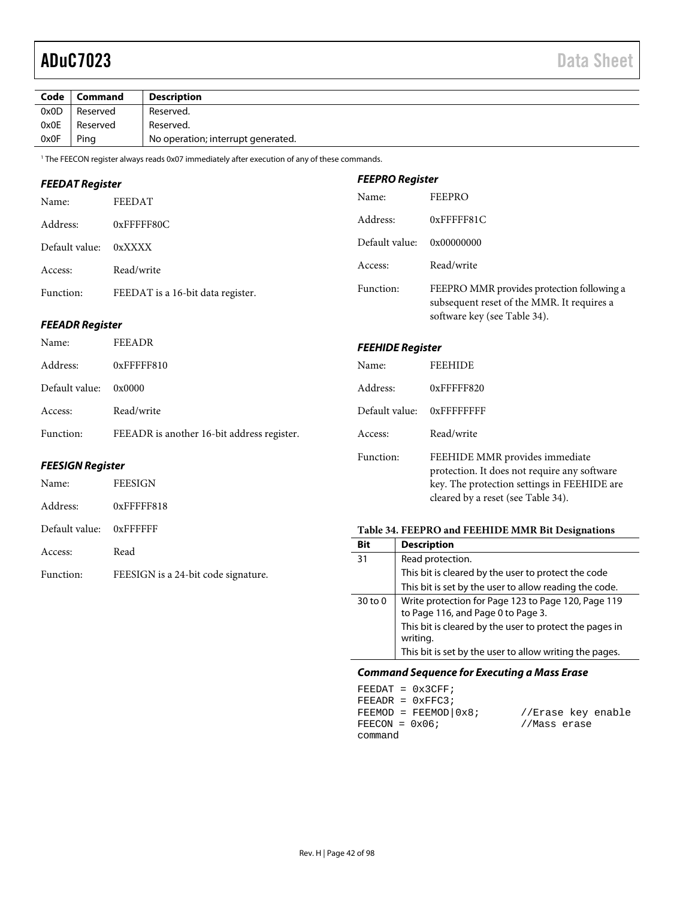| Code | Command  | <b>Description</b>                 |
|------|----------|------------------------------------|
| 0x0D | Reserved | Reserved.                          |
| 0x0E | Reserved | Reserved.                          |
| 0x0F | Ping     | No operation; interrupt generated. |

**FEEPRO Register** 

1 The FEECON register always reads 0x07 immediately after execution of any of these commands.

## **FEEDAT Register**

| Name:          | FEEDAT                            | Name:          | <b>FEEPRO</b>                                                                            |
|----------------|-----------------------------------|----------------|------------------------------------------------------------------------------------------|
| Address:       | $0x$ FFFFF80C                     | Address:       | $0x$ FFFFF81 $C$                                                                         |
| Default value: | 0xXXXX                            | Default value: | 0x00000000                                                                               |
| Access:        | Read/write                        | Access:        | Read/write                                                                               |
| Function:      | FEEDAT is a 16-bit data register. | Function:      | FEEPRO MMR provides protection following a<br>subsequent reset of the MMR. It requires a |

## **FEEADR Register**

| Name:          | FEEADR                                     | <b>FEEHIDE Register</b> |                                |
|----------------|--------------------------------------------|-------------------------|--------------------------------|
| Address:       | $0x$ FFFFF810                              | Name:                   | <b>FEEHIDE</b>                 |
| Default value: | 0x0000                                     | Address:                | $0x$ FFFFF820                  |
| Access:        | Read/write                                 | Default value:          | $0x$ FFFFFFFFF                 |
| Function:      | FEEADR is another 16-bit address register. | Access:                 | Read/write                     |
|                |                                            | Function.               | FFFHIDE MMR provides immediate |

### **FEESIGN Register**

| Name:                   | <b>FEESIGN</b>                      |
|-------------------------|-------------------------------------|
| Address:                | $0x$ FFFFF818                       |
| Default value: 0xFFFFFF |                                     |
| Access:                 | Read                                |
| Function:               | FEESIGN is a 24-bit code signature. |

| Address:       | 0xFFFFF820                                                                                                                                                          |
|----------------|---------------------------------------------------------------------------------------------------------------------------------------------------------------------|
| Default value: | <b>OXFFFFFFFFF</b>                                                                                                                                                  |
| Access:        | Read/write                                                                                                                                                          |
| Function:      | FEEHIDE MMR provides immediate<br>protection. It does not require any software<br>key. The protection settings in FEEHIDE are<br>cleared by a reset (see Table 34). |

software key (se[e Table 34\)](#page-41-0).

### <span id="page-41-0"></span>**Table 34. FEEPRO and FEEHIDE MMR Bit Designations**

| Bit         | <b>Description</b>                                                                        |
|-------------|-------------------------------------------------------------------------------------------|
| 31          | Read protection.                                                                          |
|             | This bit is cleared by the user to protect the code                                       |
|             | This bit is set by the user to allow reading the code.                                    |
| $30$ to $0$ | Write protection for Page 123 to Page 120, Page 119<br>to Page 116, and Page 0 to Page 3. |
|             | This bit is cleared by the user to protect the pages in<br>writing.                       |
|             | This bit is set by the user to allow writing the pages.                                   |

### <span id="page-41-1"></span>**Command Sequence for Executing a Mass Erase**

|                  | $FEEDAT = 0x3CFF;$       |                    |
|------------------|--------------------------|--------------------|
|                  | $FEEADR = 0xFFC3;$       |                    |
|                  | $FEEMOD = FEEMOD   0x8;$ | //Erase key enable |
| $FEECON = 0x06;$ |                          | //Mass erase       |
| command          |                          |                    |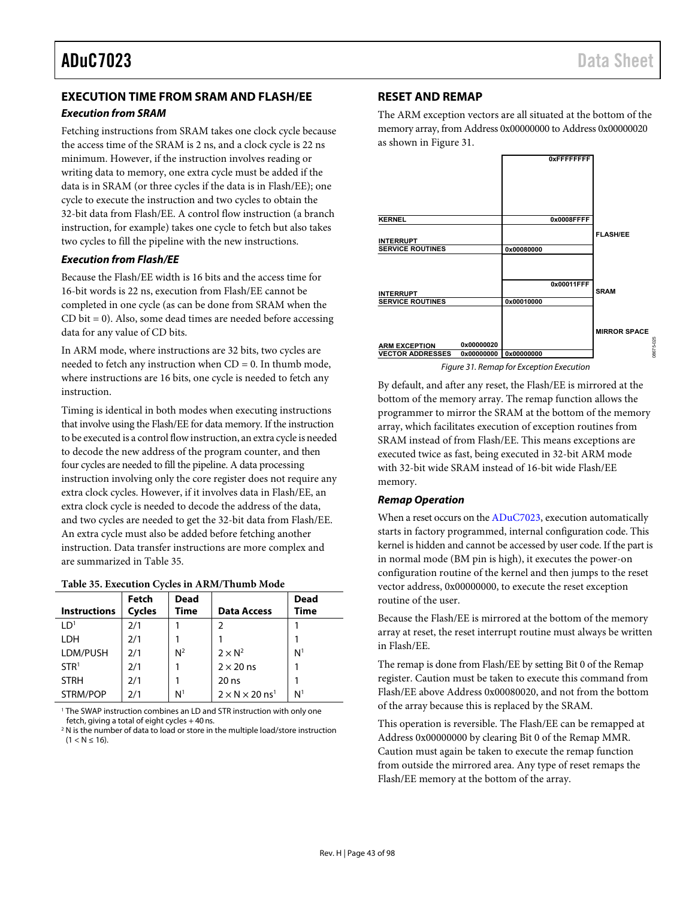## **EXECUTION TIME FROM SRAM AND FLASH/EE**

### **Execution from SRAM**

Fetching instructions from SRAM takes one clock cycle because the access time of the SRAM is 2 ns, and a clock cycle is 22 ns minimum. However, if the instruction involves reading or writing data to memory, one extra cycle must be added if the data is in SRAM (or three cycles if the data is in Flash/EE); one cycle to execute the instruction and two cycles to obtain the 32-bit data from Flash/EE. A control flow instruction (a branch instruction, for example) takes one cycle to fetch but also takes two cycles to fill the pipeline with the new instructions.

### **Execution from Flash/EE**

Because the Flash/EE width is 16 bits and the access time for 16-bit words is 22 ns, execution from Flash/EE cannot be completed in one cycle (as can be done from SRAM when the CD bit = 0). Also, some dead times are needed before accessing data for any value of CD bits.

In ARM mode, where instructions are 32 bits, two cycles are needed to fetch any instruction when  $CD = 0$ . In thumb mode, where instructions are 16 bits, one cycle is needed to fetch any instruction.

Timing is identical in both modes when executing instructions that involve using the Flash/EE for data memory. If the instruction to be executed is a control flow instruction, an extra cycle is needed to decode the new address of the program counter, and then four cycles are needed to fill the pipeline. A data processing instruction involving only the core register does not require any extra clock cycles. However, if it involves data in Flash/EE, an extra clock cycle is needed to decode the address of the data, and two cycles are needed to get the 32-bit data from Flash/EE. An extra cycle must also be added before fetching another instruction. Data transfer instructions are more complex and are summarized i[n Table 35.](#page-42-0)

### <span id="page-42-0"></span>**Table 35. Execution Cycles in ARM/Thumb Mode**

| <b>Instructions</b> | Fetch<br><b>Cycles</b> | <b>Dead</b><br><b>Time</b> | <b>Data Access</b>                     | <b>Dead</b><br>Time |
|---------------------|------------------------|----------------------------|----------------------------------------|---------------------|
| LD <sup>1</sup>     | 2/1                    |                            | 2                                      |                     |
| <b>LDH</b>          | 2/1                    |                            |                                        |                     |
| LDM/PUSH            | 2/1                    | $N^2$                      | $2 \times N^2$                         | N <sup>1</sup>      |
| STR <sup>1</sup>    | 2/1                    |                            | $2 \times 20$ ns                       |                     |
| <b>STRH</b>         | 2/1                    |                            | $20$ ns                                |                     |
| STRM/POP            | 2/1                    | N <sup>1</sup>             | $2 \times N \times 20$ ns <sup>1</sup> | N <sup>1</sup>      |

1 The SWAP instruction combines an LD and STR instruction with only one fetch, giving a total of eight cycles + 40 ns.

<sup>2</sup> N is the number of data to load or store in the multiple load/store instruction  $(1 < N \le 16)$ .

## **RESET AND REMAP**

The ARM exception vectors are all situated at the bottom of the memory array, from Address 0x00000000 to Address 0x00000020 as shown in [Figure 31.](#page-42-1)



Figure 31. Remap for Exception Execution

<span id="page-42-1"></span>By default, and after any reset, the Flash/EE is mirrored at the bottom of the memory array. The remap function allows the programmer to mirror the SRAM at the bottom of the memory array, which facilitates execution of exception routines from SRAM instead of from Flash/EE. This means exceptions are executed twice as fast, being executed in 32-bit ARM mode with 32-bit wide SRAM instead of 16-bit wide Flash/EE memory.

### **Remap Operation**

When a reset occurs on th[e ADuC7023,](http://www.analog.com/ADuC7023?doc=ADuC7023.pdf) execution automatically starts in factory programmed, internal configuration code. This kernel is hidden and cannot be accessed by user code. If the part is in normal mode (BM pin is high), it executes the power-on configuration routine of the kernel and then jumps to the reset vector address, 0x00000000, to execute the reset exception routine of the user.

Because the Flash/EE is mirrored at the bottom of the memory array at reset, the reset interrupt routine must always be written in Flash/EE.

The remap is done from Flash/EE by setting Bit 0 of the Remap register. Caution must be taken to execute this command from Flash/EE above Address 0x00080020, and not from the bottom of the array because this is replaced by the SRAM.

This operation is reversible. The Flash/EE can be remapped at Address 0x00000000 by clearing Bit 0 of the Remap MMR. Caution must again be taken to execute the remap function from outside the mirrored area. Any type of reset remaps the Flash/EE memory at the bottom of the array.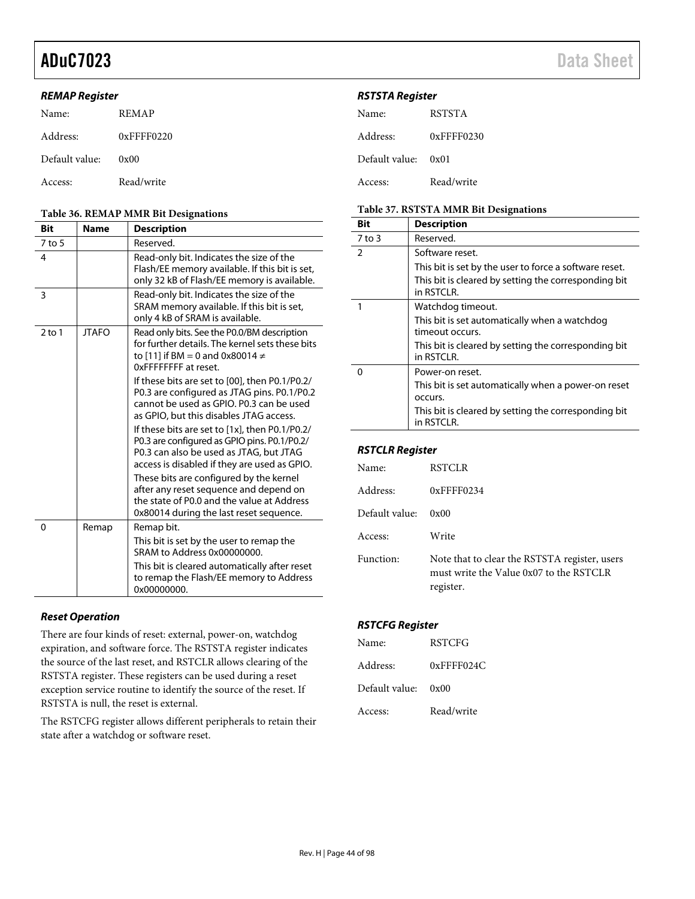### **REMAP Register**

| Name:          | <b>REMAP</b>     |
|----------------|------------------|
| Address:       | $0x$ FFFF $0220$ |
| Default value: | 0x00             |
| Access:        | Read/write       |

#### <span id="page-43-0"></span>**Table 36. REMAP MMR Bit Designations**

| <b>Bit</b> | <b>Name</b>  | <b>Description</b>                                                                                                                                                                           |
|------------|--------------|----------------------------------------------------------------------------------------------------------------------------------------------------------------------------------------------|
| $7$ to 5   |              | Reserved.                                                                                                                                                                                    |
| 4          |              | Read-only bit. Indicates the size of the<br>Flash/EE memory available. If this bit is set,<br>only 32 kB of Flash/EE memory is available.                                                    |
| 3          |              | Read-only bit. Indicates the size of the<br>SRAM memory available. If this bit is set,<br>only 4 kB of SRAM is available.                                                                    |
| $2$ to 1   | <b>JTAFO</b> | Read only bits. See the P0.0/BM description<br>for further details. The kernel sets these bits<br>to [11] if BM = 0 and 0x80014 $\neq$<br>OxFFFFFFFF at reset.                               |
|            |              | If these bits are set to [00], then P0.1/P0.2/<br>P0.3 are configured as JTAG pins. P0.1/P0.2<br>cannot be used as GPIO. P0.3 can be used<br>as GPIO, but this disables JTAG access.         |
|            |              | If these bits are set to $[1x]$ , then P0.1/P0.2/<br>P0.3 are configured as GPIO pins. P0.1/P0.2/<br>P0.3 can also be used as JTAG, but JTAG<br>access is disabled if they are used as GPIO. |
|            |              | These bits are configured by the kernel<br>after any reset sequence and depend on<br>the state of P0.0 and the value at Address<br>0x80014 during the last reset sequence.                   |
| $\Omega$   | Remap        | Remap bit.                                                                                                                                                                                   |
|            |              | This bit is set by the user to remap the<br>SRAM to Address 0x00000000.                                                                                                                      |
|            |              | This bit is cleared automatically after reset<br>to remap the Flash/EE memory to Address<br>0x00000000.                                                                                      |

## **Reset Operation**

There are four kinds of reset: external, power-on, watchdog expiration, and software force. The RSTSTA register indicates the source of the last reset, and RSTCLR allows clearing of the RSTSTA register. These registers can be used during a reset exception service routine to identify the source of the reset. If RSTSTA is null, the reset is external.

The RSTCFG register allows different peripherals to retain their state after a watchdog or software reset.

## **RSTSTA Register**

| Name:               | <b>RSTSTA</b>    |
|---------------------|------------------|
| Address:            | $0x$ FFFF $0230$ |
| Default value: 0x01 |                  |
| Access:             | Read/write       |

### **Table 37. RSTSTA MMR Bit Designations**

| <b>Bit</b>    | <b>Description</b>                                                  |  |  |
|---------------|---------------------------------------------------------------------|--|--|
| $7$ to 3      | Reserved.                                                           |  |  |
| $\mathcal{P}$ | Software reset.                                                     |  |  |
|               | This bit is set by the user to force a software reset.              |  |  |
|               | This bit is cleared by setting the corresponding bit<br>in RSTCI R. |  |  |
|               | Watchdog timeout.                                                   |  |  |
|               | This bit is set automatically when a watchdog<br>timeout occurs.    |  |  |
|               | This bit is cleared by setting the corresponding bit<br>in RSTCLR.  |  |  |
| 0             | Power-on reset.                                                     |  |  |
|               | This bit is set automatically when a power-on reset<br>occurs.      |  |  |
|               | This bit is cleared by setting the corresponding bit<br>in RSTCLR.  |  |  |

### **RSTCLR Register**

| Name:          | <b>RSTCLR</b>                                                                                         |
|----------------|-------------------------------------------------------------------------------------------------------|
| Address:       | $0x$ FFFF $0234$                                                                                      |
| Default value: | 0x00                                                                                                  |
| Access:        | Write                                                                                                 |
| Function:      | Note that to clear the RSTSTA register, users<br>must write the Value 0x07 to the RSTCLR<br>register. |

## **RSTCFG Register**

| Name:          | <b>RSTCFG</b> |
|----------------|---------------|
| Address:       | $0x$ FFFF024C |
| Default value: | 0x00          |
| Access:        | Read/write    |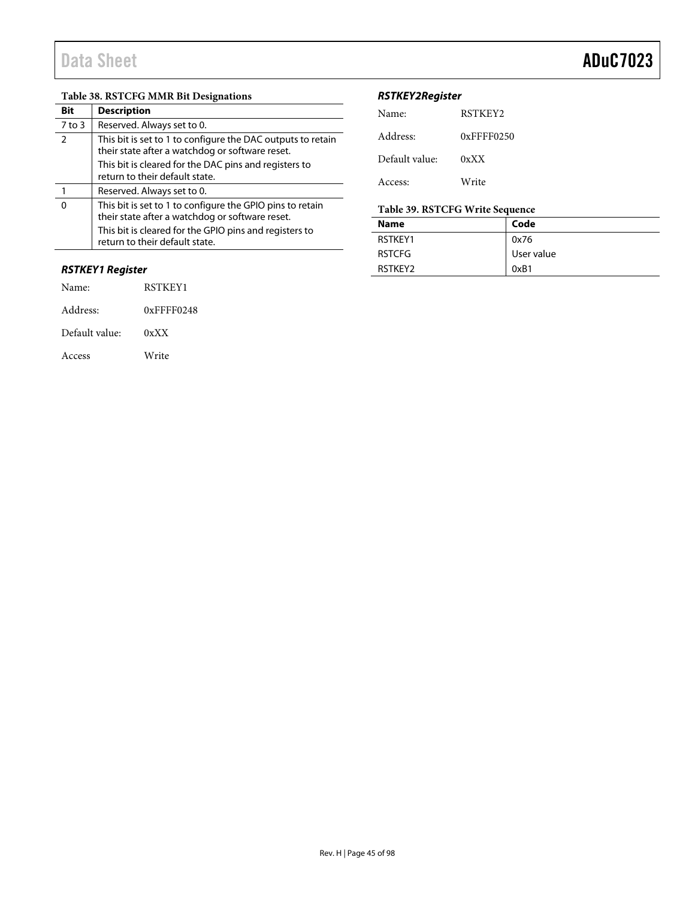## **Table 38. RSTCFG MMR Bit Designations**

| Bit           | <b>Description</b>                                                                                             |
|---------------|----------------------------------------------------------------------------------------------------------------|
| $7$ to 3      | Reserved. Always set to 0.                                                                                     |
| $\mathcal{P}$ | This bit is set to 1 to configure the DAC outputs to retain<br>their state after a watchdog or software reset. |
|               | This bit is cleared for the DAC pins and registers to<br>return to their default state.                        |
|               | Reserved. Always set to 0.                                                                                     |
| O             | This bit is set to 1 to configure the GPIO pins to retain<br>their state after a watchdog or software reset.   |
|               | This bit is cleared for the GPIO pins and registers to<br>return to their default state.                       |

## **RSTKEY1 Register**

| Name:          | RSTKEY1          |
|----------------|------------------|
| Address:       | $0x$ FFFF $0248$ |
| Default value: | 0xXX             |
| Access         | Write            |

## **RSTKEY2Register**

| Name:          | RSTKEY2          |
|----------------|------------------|
| Address:       | $0x$ FFFF $0250$ |
| Default value: | 0xXX             |
| Access:        | Write            |

## **Table 39. RSTCFG Write Sequence**

| <b>Name</b>    | Code       |
|----------------|------------|
| RSTKFY1        | 0x76       |
| <b>RSTCFG</b>  | User value |
| <b>RSTKFY2</b> | 0xB1       |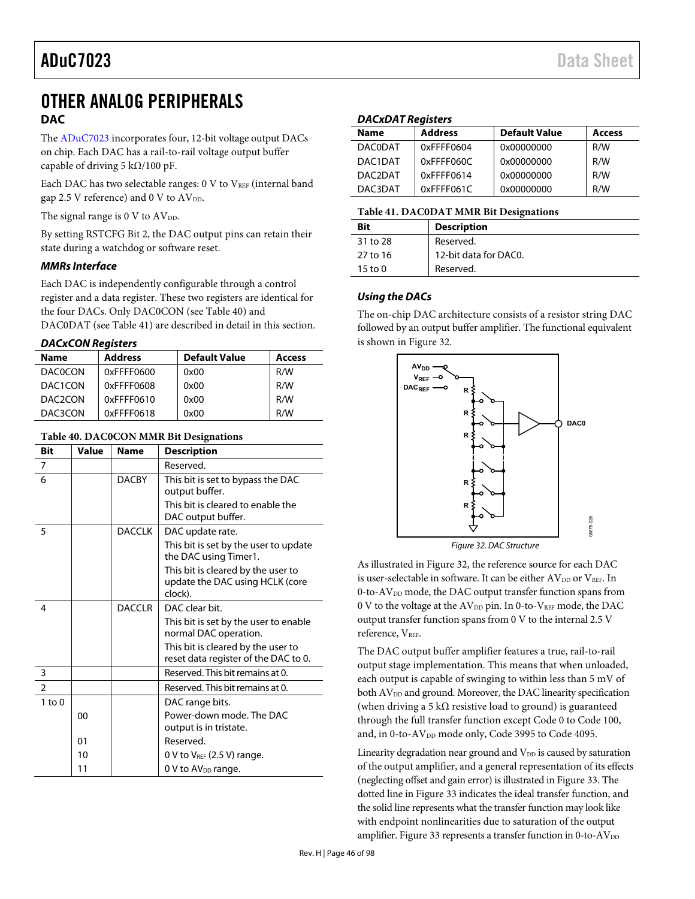## OTHER ANALOG PERIPHERALS **DAC**

The [ADuC7023 i](http://www.analog.com/ADuC7023?doc=ADuC7023.pdf)ncorporates four, 12-bit voltage output DACs on chip. Each DAC has a rail-to-rail voltage output buffer capable of driving 5 k $\Omega$ /100 pF.

Each DAC has two selectable ranges:  $0 \nabla$  to  $V_{REF}$  (internal band gap 2.5 V reference) and 0 V to  $AV_{DD}$ .

The signal range is  $0 \text{ V}$  to  $\text{AV}_{\text{DD}}$ .

By setting RSTCFG Bit 2, the DAC output pins can retain their state during a watchdog or software reset.

## **MMRs Interface**

Each DAC is independently configurable through a control register and a data register. These two registers are identical for the four DACs. Only DAC0CON (se[e Table 40\)](#page-45-0) and DAC0DAT (see [Table 41\)](#page-45-1) are described in detail in this section.

**DACxCON Registers** 

| <b>Address</b> | <b>Default Value</b> | Access |
|----------------|----------------------|--------|
| 0xFFFF0600     | 0x00                 | R/W    |
| 0xFFFF0608     | 0x00                 | R/W    |
| 0xFFFF0610     | 0x00                 | R/W    |
| 0xFFFF0618     | 0x00                 | R/W    |
|                |                      |        |

### <span id="page-45-0"></span>**Table 40. DAC0CON MMR Bit Designations**

| <b>Bit</b>    | Value | <b>Name</b>   | <b>Description</b>                                                               |  |
|---------------|-------|---------------|----------------------------------------------------------------------------------|--|
| 7             |       |               | Reserved.                                                                        |  |
| 6             |       | <b>DACBY</b>  | This bit is set to bypass the DAC<br>output buffer.                              |  |
|               |       |               | This bit is cleared to enable the<br>DAC output buffer.                          |  |
| 5             |       | <b>DACCLK</b> | DAC update rate.                                                                 |  |
|               |       |               | This bit is set by the user to update<br>the DAC using Timer1.                   |  |
|               |       |               | This bit is cleared by the user to<br>update the DAC using HCLK (core<br>clock). |  |
| 4             |       | <b>DACCLR</b> | DAC clear bit.                                                                   |  |
|               |       |               | This bit is set by the user to enable<br>normal DAC operation.                   |  |
|               |       |               | This bit is cleared by the user to<br>reset data register of the DAC to 0.       |  |
| 3             |       |               | Reserved. This bit remains at 0.                                                 |  |
| $\mathcal{P}$ |       |               | Reserved. This bit remains at 0.                                                 |  |
| $1$ to $0$    |       |               | DAC range bits.                                                                  |  |
|               | 00    |               | Power-down mode. The DAC                                                         |  |
|               |       |               | output is in tristate.                                                           |  |
|               | 01    |               | Reserved.                                                                        |  |
|               | 10    |               | 0 V to $V_{REF}$ (2.5 V) range.                                                  |  |
|               | 11    |               | 0 V to $AV_{DD}$ range.                                                          |  |

### **DACxDAT Registers**

| <b>Name</b>    | <b>Address</b> | <b>Default Value</b> | <b>Access</b> |
|----------------|----------------|----------------------|---------------|
| <b>DAC0DAT</b> | 0xFFFF0604     | 0x00000000           | R/W           |
| DAC1DAT        | 0xFFFF060C     | 0x00000000           | R/W           |
| DAC2DAT        | 0xFFFF0614     | 0x00000000           | R/W           |
| DAC3DAT        | $0x$ FFFF061C  | 0x00000000           | R/W           |

#### <span id="page-45-1"></span>**Table 41. DAC0DAT MMR Bit Designations**

|                    | . .                   |
|--------------------|-----------------------|
| Bit                | <b>Description</b>    |
| 31 to 28           | Reserved.             |
| 27 to 16           | 12-bit data for DAC0. |
| $15 \text{ to } 0$ | Reserved.             |
|                    |                       |

### **Using the DACs**

The on-chip DAC architecture consists of a resistor string DAC followed by an output buffer amplifier. The functional equivalent is shown i[n Figure 32.](#page-45-2) 



Figure 32. DAC Structure

<span id="page-45-2"></span>As illustrated in [Figure 32,](#page-45-2) the reference source for each DAC is user-selectable in software. It can be either  $AV_{DD}$  or  $V_{REF}$ . In 0-to-AV<sub>DD</sub> mode, the DAC output transfer function spans from 0 V to the voltage at the  $AV_{DD}$  pin. In 0-to- $V_{REF}$  mode, the DAC output transfer function spans from 0 V to the internal 2.5 V reference, V<sub>REF.</sub>

The DAC output buffer amplifier features a true, rail-to-rail output stage implementation. This means that when unloaded, each output is capable of swinging to within less than 5 mV of both AV<sub>DD</sub> and ground. Moreover, the DAC linearity specification (when driving a 5 k $\Omega$  resistive load to ground) is guaranteed through the full transfer function except Code 0 to Code 100, and, in 0-to-AV<sub>DD</sub> mode only, Code 3995 to Code 4095.

Linearity degradation near ground and  $V_{DD}$  is caused by saturation of the output amplifier, and a general representation of its effects (neglecting offset and gain error) is illustrated i[n Figure 33.](#page-46-1) The dotted line i[n Figure 33 i](#page-46-1)ndicates the ideal transfer function, and the solid line represents what the transfer function may look like with endpoint nonlinearities due to saturation of the output amplifier[. Figure 33 r](#page-46-1)epresents a transfer function in 0-to- $AV_{DD}$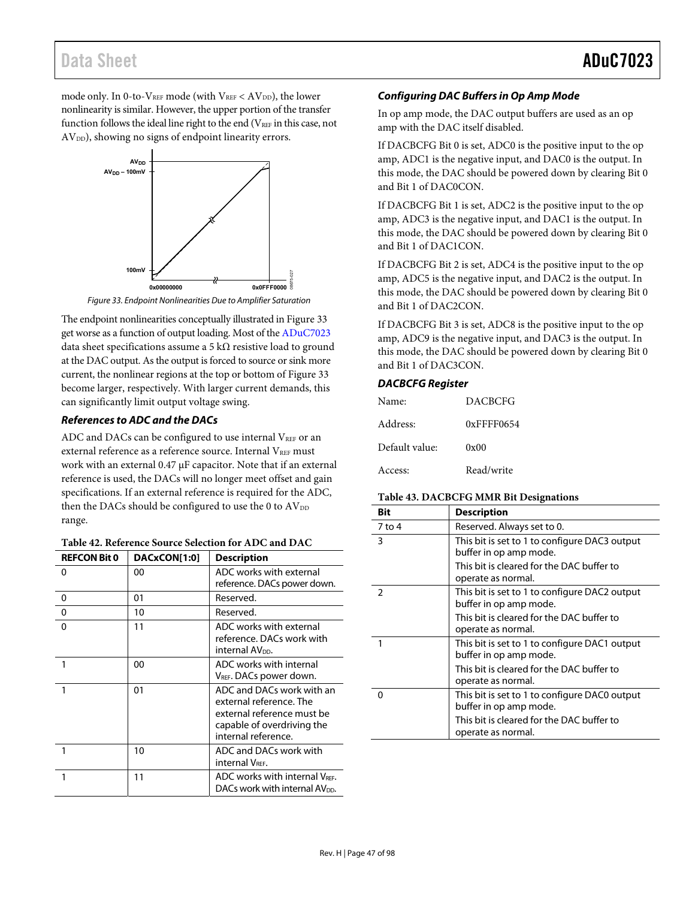## Data Sheet **ADuC7023**

mode only. In 0-to-VREF mode (with  $V_{REF} < AV_{DD}$ ), the lower nonlinearity is similar. However, the upper portion of the transfer function follows the ideal line right to the end ( $V<sub>REF</sub>$  in this case, not AV<sub>DD</sub>), showing no signs of endpoint linearity errors.



Figure 33. Endpoint Nonlinearities Due to Amplifier Saturation

<span id="page-46-1"></span>The endpoint nonlinearities conceptually illustrated i[n Figure 33](#page-46-1)  get worse as a function of output loading. Most of th[e ADuC7023](http://www.analog.com/ADuC7023?doc=ADuC7023.pdf) data sheet specifications assume a 5 k $\Omega$  resistive load to ground at the DAC output. As the output is forced to source or sink more current, the nonlinear regions at the top or bottom of [Figure 33](#page-46-1)  become larger, respectively. With larger current demands, this can significantly limit output voltage swing.

### **References to ADC and the DACs**

ADC and DACs can be configured to use internal VREF or an external reference as a reference source. Internal V<sub>REF</sub> must work with an external 0.47 μF capacitor. Note that if an external reference is used, the DACs will no longer meet offset and gain specifications. If an external reference is required for the ADC, then the DACs should be configured to use the 0 to  $AV_{DD}$ range.

| <b>REFCON Bit 0</b> | DACxCON[1:0] | <b>Description</b>                                                                                                                      |
|---------------------|--------------|-----------------------------------------------------------------------------------------------------------------------------------------|
| 0                   | 00           | ADC works with external<br>reference. DACs power down.                                                                                  |
| 0                   | 01           | Reserved.                                                                                                                               |
| $\mathbf 0$         | 10           | Reserved.                                                                                                                               |
| 0                   | 11           | ADC works with external<br>reference. DACs work with<br>internal AV <sub>pp</sub> .                                                     |
| 1                   | 00           | ADC works with internal<br>V <sub>REF</sub> . DACs power down.                                                                          |
| 1                   | 01           | ADC and DACs work with an<br>external reference. The<br>external reference must be<br>capable of overdriving the<br>internal reference. |
|                     | 10           | ADC and DACs work with<br>internal VREF.                                                                                                |
|                     | 11           | ADC works with internal VRFF.<br>DACs work with internal AV <sub>DD</sub> .                                                             |

<span id="page-46-0"></span>

| Table 42. Reference Source Selection for ADC and DAC |  |
|------------------------------------------------------|--|
|------------------------------------------------------|--|

### **Configuring DAC Buffers in Op Amp Mode**

In op amp mode, the DAC output buffers are used as an op amp with the DAC itself disabled.

If DACBCFG Bit 0 is set, ADC0 is the positive input to the op amp, ADC1 is the negative input, and DAC0 is the output. In this mode, the DAC should be powered down by clearing Bit 0 and Bit 1 of DAC0CON.

If DACBCFG Bit 1 is set, ADC2 is the positive input to the op amp, ADC3 is the negative input, and DAC1 is the output. In this mode, the DAC should be powered down by clearing Bit 0 and Bit 1 of DAC1CON.

If DACBCFG Bit 2 is set, ADC4 is the positive input to the op amp, ADC5 is the negative input, and DAC2 is the output. In this mode, the DAC should be powered down by clearing Bit 0 and Bit 1 of DAC2CON.

If DACBCFG Bit 3 is set, ADC8 is the positive input to the op amp, ADC9 is the negative input, and DAC3 is the output. In this mode, the DAC should be powered down by clearing Bit 0 and Bit 1 of DAC3CON.

### **DACBCFG Register**

| Name:          | <b>DACBCFG</b> |
|----------------|----------------|
| Address:       | 0xFFFF0654     |
| Default value: | 0x00           |
| Access:        | Read/write     |

### **Table 43. DACBCFG MMR Bit Designations**

| Bit           | <b>Description</b>                                                      |
|---------------|-------------------------------------------------------------------------|
| 7 to 4        | Reserved. Always set to 0.                                              |
| 3             | This bit is set to 1 to configure DAC3 output<br>buffer in op amp mode. |
|               | This bit is cleared for the DAC buffer to<br>operate as normal.         |
| $\mathcal{P}$ | This bit is set to 1 to configure DAC2 output<br>buffer in op amp mode. |
|               | This bit is cleared for the DAC buffer to<br>operate as normal.         |
|               | This bit is set to 1 to configure DAC1 output<br>buffer in op amp mode. |
|               | This bit is cleared for the DAC buffer to<br>operate as normal.         |
| O             | This bit is set to 1 to configure DAC0 output<br>buffer in op amp mode. |
|               | This bit is cleared for the DAC buffer to<br>operate as normal.         |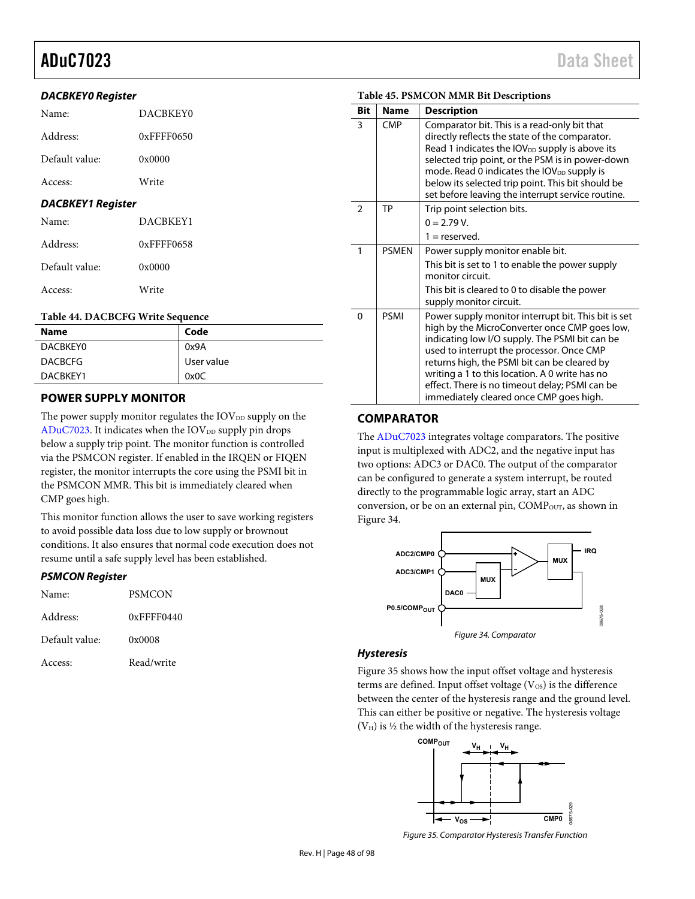### **DACBKEY0 Register**

| Name:                            | DACBKEY0   |  |  |  |
|----------------------------------|------------|--|--|--|
| Address:                         | 0xFFFF0650 |  |  |  |
| Default value:                   | 0x0000     |  |  |  |
| Access:                          | Write      |  |  |  |
| <b>DACBKEY1 Register</b>         |            |  |  |  |
| Name:                            | DACBKEY1   |  |  |  |
| Address:                         | 0xFFFF0658 |  |  |  |
| Default value:                   | 0x0000     |  |  |  |
| Access:                          | Write      |  |  |  |
| Table 44. DACBCFG Write Sequence |            |  |  |  |

| <b>Name</b>    | Code       |
|----------------|------------|
| DACBKEY0       | 0x9A       |
| <b>DACBCFG</b> | User value |
| DACBKEY1       | 0x0C       |

## **POWER SUPPLY MONITOR**

The power supply monitor regulates the  $IOV<sub>DD</sub>$  supply on the  $ADuC7023$ . It indicates when the  $IOV<sub>DD</sub>$  supply pin drops below a supply trip point. The monitor function is controlled via the PSMCON register. If enabled in the IRQEN or FIQEN register, the monitor interrupts the core using the PSMI bit in the PSMCON MMR. This bit is immediately cleared when CMP goes high.

This monitor function allows the user to save working registers to avoid possible data loss due to low supply or brownout conditions. It also ensures that normal code execution does not resume until a safe supply level has been established.

### **PSMCON Register**

| Name:          | PSMCON        |
|----------------|---------------|
| Address:       | $0x$ FFFF0440 |
| Default value: | 0x0008        |
| Access:        | Read/write    |

### **Table 45. PSMCON MMR Bit Descriptions**

| <b>Bit</b>    | <b>Name</b>  | <b>Description</b>                                                                                                                                                                                                                                                                                                                                                                                 |
|---------------|--------------|----------------------------------------------------------------------------------------------------------------------------------------------------------------------------------------------------------------------------------------------------------------------------------------------------------------------------------------------------------------------------------------------------|
| 3             | <b>CMP</b>   | Comparator bit. This is a read-only bit that<br>directly reflects the state of the comparator.<br>Read 1 indicates the $IOV_{DD}$ supply is above its<br>selected trip point, or the PSM is in power-down<br>mode. Read 0 indicates the $IOV_{DD}$ supply is<br>below its selected trip point. This bit should be<br>set before leaving the interrupt service routine.                             |
| $\mathcal{P}$ | TP           | Trip point selection bits.<br>$0 = 2.79$ V.                                                                                                                                                                                                                                                                                                                                                        |
|               |              | $1 =$ reserved.                                                                                                                                                                                                                                                                                                                                                                                    |
| 1             | <b>PSMFN</b> | Power supply monitor enable bit.<br>This bit is set to 1 to enable the power supply<br>monitor circuit.<br>This bit is cleared to 0 to disable the power                                                                                                                                                                                                                                           |
|               |              | supply monitor circuit.                                                                                                                                                                                                                                                                                                                                                                            |
| $\Omega$      | <b>PSMI</b>  | Power supply monitor interrupt bit. This bit is set<br>high by the MicroConverter once CMP goes low,<br>indicating low I/O supply. The PSMI bit can be<br>used to interrupt the processor. Once CMP<br>returns high, the PSMI bit can be cleared by<br>writing a 1 to this location. A 0 write has no<br>effect. There is no timeout delay; PSMI can be<br>immediately cleared once CMP goes high. |

## **COMPARATOR**

The [ADuC7023 i](http://www.analog.com/ADuC7023?doc=ADuC7023.pdf)ntegrates voltage comparators. The positive input is multiplexed with ADC2, and the negative input has two options: ADC3 or DAC0. The output of the comparator can be configured to generate a system interrupt, be routed directly to the programmable logic array, start an ADC conversion, or be on an external pin, COMP<sub>OUT</sub>, as shown in [Figure 34.](#page-47-0)



### <span id="page-47-0"></span>**Hysteresis**

[Figure 35 s](#page-47-1)hows how the input offset voltage and hysteresis terms are defined. Input offset voltage  $(V_{OS})$  is the difference between the center of the hysteresis range and the ground level. This can either be positive or negative. The hysteresis voltage  $(V_H)$  is  $\frac{1}{2}$  the width of the hysteresis range.



<span id="page-47-1"></span>Figure 35. Comparator Hysteresis Transfer Function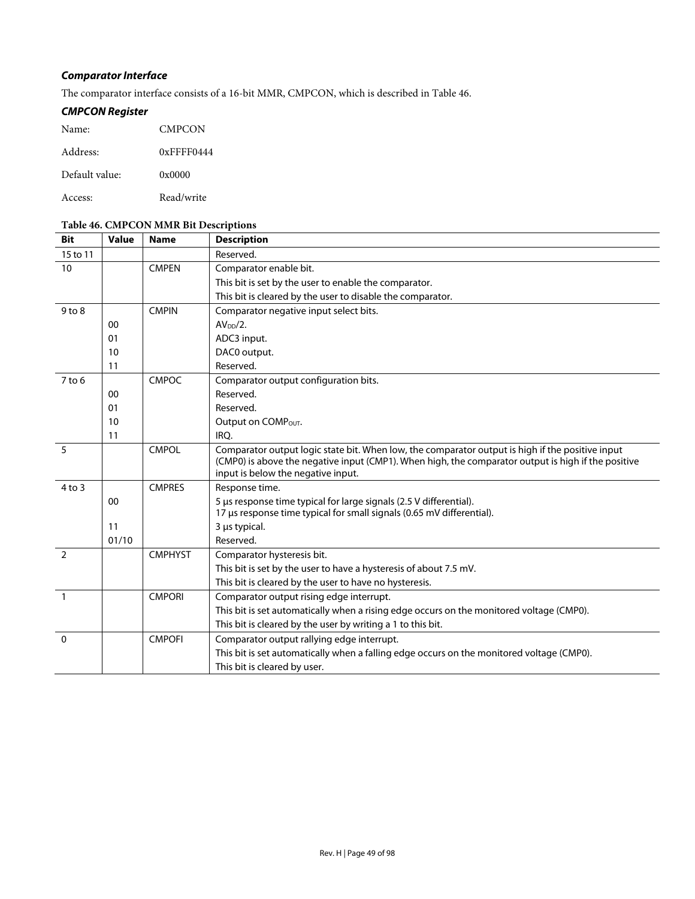## **Comparator Interface**

The comparator interface consists of a 16-bit MMR, CMPCON, which is described in [Table 46.](#page-48-0) 

## **CMPCON Register**

| Name:          | <b>CMPCON</b> |
|----------------|---------------|
| Address:       | $0x$ FFFF0444 |
| Default value: | 0x0000        |
| Access:        | Read/write    |

### <span id="page-48-0"></span>**Table 46. CMPCON MMR Bit Descriptions**

| <b>Bit</b>     | <b>Value</b> | <b>Name</b>    | <b>Description</b>                                                                                                                          |
|----------------|--------------|----------------|---------------------------------------------------------------------------------------------------------------------------------------------|
| 15 to 11       |              |                | Reserved.                                                                                                                                   |
| 10             |              | <b>CMPEN</b>   | Comparator enable bit.                                                                                                                      |
|                |              |                | This bit is set by the user to enable the comparator.                                                                                       |
|                |              |                | This bit is cleared by the user to disable the comparator.                                                                                  |
| $9$ to $8$     |              | <b>CMPIN</b>   | Comparator negative input select bits.                                                                                                      |
|                | 00           |                | AV <sub>DD</sub> /2.                                                                                                                        |
|                | 01           |                | ADC3 input.                                                                                                                                 |
|                | 10           |                | DAC0 output.                                                                                                                                |
|                | 11           |                | Reserved.                                                                                                                                   |
| $7$ to $6$     |              | <b>CMPOC</b>   | Comparator output configuration bits.                                                                                                       |
|                | 00           |                | Reserved.                                                                                                                                   |
|                | 01           |                | Reserved.                                                                                                                                   |
|                | 10           |                | Output on COMPOUT.                                                                                                                          |
|                | 11           |                | IRO.                                                                                                                                        |
| 5              |              | <b>CMPOL</b>   | Comparator output logic state bit. When low, the comparator output is high if the positive input                                            |
|                |              |                | (CMP0) is above the negative input (CMP1). When high, the comparator output is high if the positive                                         |
|                |              |                | input is below the negative input.                                                                                                          |
| $4$ to $3$     |              | <b>CMPRES</b>  | Response time.                                                                                                                              |
|                | 00           |                | 5 µs response time typical for large signals (2.5 V differential).<br>17 µs response time typical for small signals (0.65 mV differential). |
|                | 11           |                | 3 µs typical.                                                                                                                               |
|                | 01/10        |                | Reserved.                                                                                                                                   |
| $\overline{2}$ |              | <b>CMPHYST</b> | Comparator hysteresis bit.                                                                                                                  |
|                |              |                | This bit is set by the user to have a hysteresis of about 7.5 mV.                                                                           |
|                |              |                | This bit is cleared by the user to have no hysteresis.                                                                                      |
| $\overline{1}$ |              | <b>CMPORI</b>  | Comparator output rising edge interrupt.                                                                                                    |
|                |              |                | This bit is set automatically when a rising edge occurs on the monitored voltage (CMP0).                                                    |
|                |              |                | This bit is cleared by the user by writing a 1 to this bit.                                                                                 |
| $\Omega$       |              | <b>CMPOFI</b>  | Comparator output rallying edge interrupt.                                                                                                  |
|                |              |                |                                                                                                                                             |
|                |              |                | This bit is set automatically when a falling edge occurs on the monitored voltage (CMP0).                                                   |
|                |              |                | This bit is cleared by user.                                                                                                                |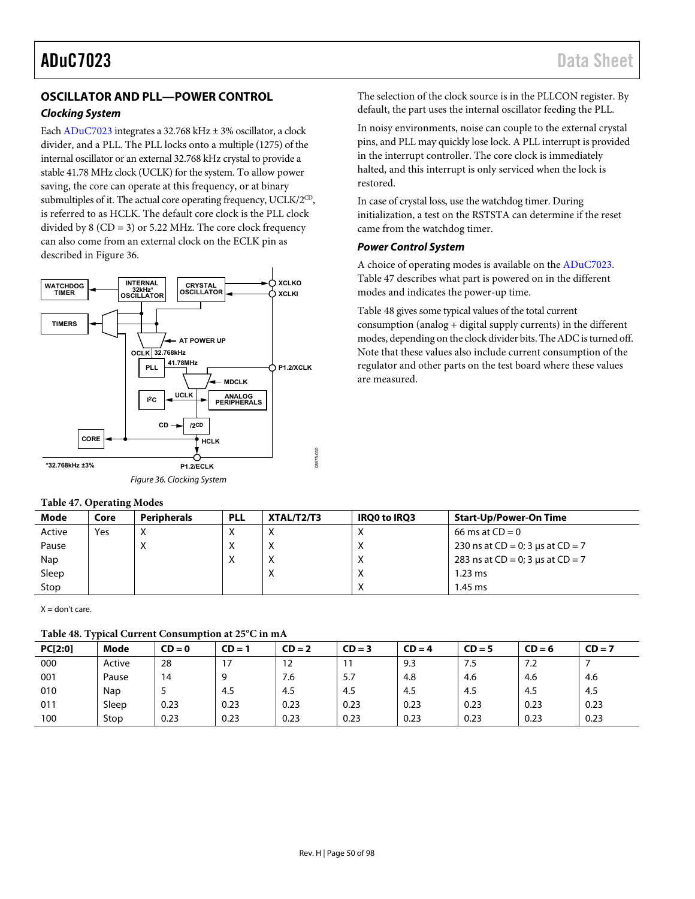## **OSCILLATOR AND PLL—POWER CONTROL**

### **Clocking System**

Eac[h ADuC7023 i](http://www.analog.com/ADuC7023?doc=ADuC7023.pdf)ntegrates a 32.768 kHz ± 3% oscillator, a clock divider, and a PLL. The PLL locks onto a multiple (1275) of the internal oscillator or an external 32.768 kHz crystal to provide a stable 41.78 MHz clock (UCLK) for the system. To allow power saving, the core can operate at this frequency, or at binary submultiples of it. The actual core operating frequency, UCLK/2<sup>CD</sup>, is referred to as HCLK. The default core clock is the PLL clock divided by 8 (CD = 3) or 5.22 MHz. The core clock frequency can also come from an external clock on the ECLK pin as described i[n Figure 36.](#page-49-0) 



### <span id="page-49-1"></span><span id="page-49-0"></span>**Table 47. Operating Modes**

The selection of the clock source is in the PLLCON register. By default, the part uses the internal oscillator feeding the PLL.

In noisy environments, noise can couple to the external crystal pins, and PLL may quickly lose lock. A PLL interrupt is provided in the interrupt controller. The core clock is immediately halted, and this interrupt is only serviced when the lock is restored.

In case of crystal loss, use the watchdog timer. During initialization, a test on the RSTSTA can determine if the reset came from the watchdog timer.

### **Power Control System**

A choice of operating modes is available on th[e ADuC7023.](http://www.analog.com/ADuC7023?doc=ADuC7023.pdf)  [Table 47 d](#page-49-1)escribes what part is powered on in the different modes and indicates the power-up time.

[Table 48 g](#page-49-2)ives some typical values of the total current consumption (analog + digital supply currents) in the different modes, depending on the clock divider bits. The ADC is turned off. Note that these values also include current consumption of the regulator and other parts on the test board where these values are measured.

| <b>Mode</b> | Core | Peripherals | <b>PLL</b>     | XTAL/T2/T3   | <b>IROO to IRO3</b> | <b>Start-Up/Power-On Time</b>         |
|-------------|------|-------------|----------------|--------------|---------------------|---------------------------------------|
| Active      | Yes  | $\sqrt{ }$  |                | $\mathbf{v}$ |                     | 66 ms at $CD = 0$                     |
| Pause       |      | $\lambda$   | X              | $\lambda$    | ∧                   | 230 ns at $CD = 0$ ; 3 µs at $CD = 7$ |
| Nap         |      |             | v<br>$\lambda$ |              | $\sim$              | 283 ns at $CD = 0$ ; 3 µs at $CD = 7$ |
| Sleep       |      |             |                | $\lambda$    | X                   | $1.23$ ms                             |
| Stop        |      |             |                |              |                     | $1.45$ ms                             |

<span id="page-49-2"></span> $X =$  don't care.

### **Table 48. Typical Current Consumption at 25°C in mA**

| PC[2:0] | Mode   | $CD = 0$ | CD = 1 | $CD = 2$ | $CD = 3$ | $CD = 4$ | $CD = 5$ | $CD = 6$ | $CD = 7$ |
|---------|--------|----------|--------|----------|----------|----------|----------|----------|----------|
| 000     | Active | 28       |        | 12       | 11       | 9.3      | 7.5      | 7.2      |          |
| 001     | Pause  | 14       |        | 7.6      | 5.7      | 4.8      | 4.6      | 4.6      | 4.6      |
| 010     | Nap    |          | 4.5    | 4.5      | 4.5      | 4.5      | 4.5      | 4.5      | 4.5      |
| 011     | Sleep  | 0.23     | 0.23   | 0.23     | 0.23     | 0.23     | 0.23     | 0.23     | 0.23     |
| 100     | Stop   | 0.23     | 0.23   | 0.23     | 0.23     | 0.23     | 0.23     | 0.23     | 0.23     |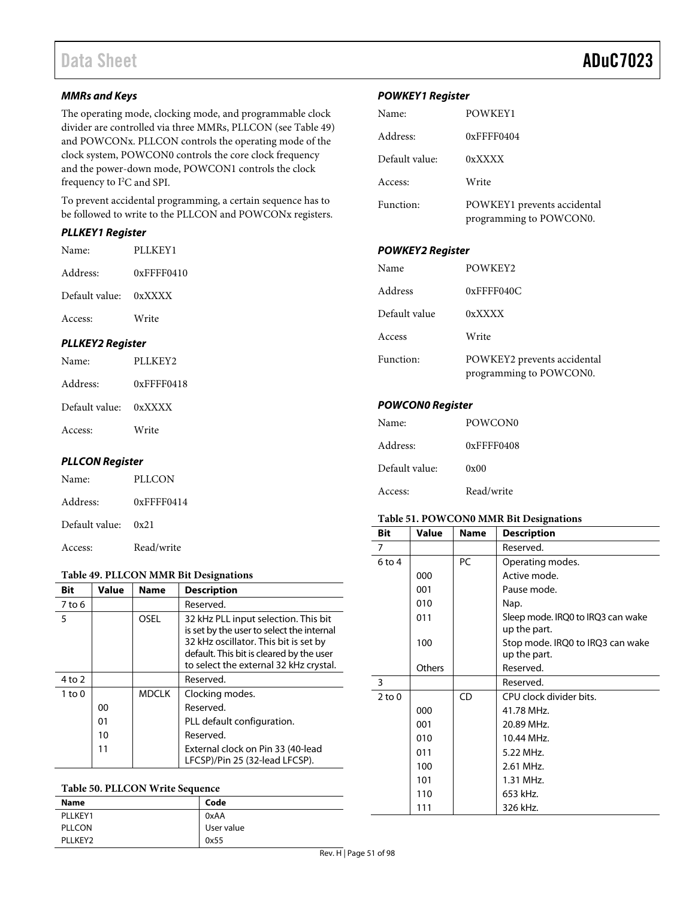### **MMRs and Keys**

The operating mode, clocking mode, and programmable clock divider are controlled via three MMRs, PLLCON (se[e Table 49\)](#page-50-0) and POWCONx. PLLCON controls the operating mode of the clock system, POWCON0 controls the core clock frequency and the power-down mode, POWCON1 controls the clock frequency to I<sup>2</sup>C and SPI.

To prevent accidental programming, a certain sequence has to be followed to write to the PLLCON and POWCONx registers.

## **PLLKEY1 Register**

| Name:                   | PLLKEY2       |
|-------------------------|---------------|
| <b>PLLKEY2 Register</b> |               |
| Access:                 | Write         |
| Default value: 0xXXXX   |               |
| Address:                | $0x$ FFFF0410 |
| Name:                   | PLLKEY1       |

| Address:              | $0x$ FFFF0418 |
|-----------------------|---------------|
| Default value: 0xXXXX |               |
| Access:               | Write         |

### **PLLCON Register**

| Name:          | PLLCON        |
|----------------|---------------|
| Address:       | $0x$ FFFF0414 |
| Default value: | 0x21          |
| Access:        | Read/write    |

### **POWKEY1 Register**

| Name:          | POWKEY1                                                |
|----------------|--------------------------------------------------------|
| Address:       | $0x$ FFFF0404                                          |
| Default value: | 0xXXXX                                                 |
| Access:        | Write                                                  |
| Function:      | POWKEY1 prevents accidental<br>programming to POWCON0. |

## **POWKEY2 Register**

| Name          | POWKEY2                                                |
|---------------|--------------------------------------------------------|
| Address       | $0x$ FFFF040C                                          |
| Default value | 0xXXXX                                                 |
| Access        | Write                                                  |
| Function:     | POWKEY2 prevents accidental<br>programming to POWCON0. |

### **POWCON0 Register**

| Name:          | POWCON <sub>0</sub> |
|----------------|---------------------|
| Address:       | 0xFFFF0408          |
| Default value: | 0x00                |
| Access:        | Read/write          |

### **Table 51. POWCON0 MMR Bit Designations**

| Bit        | Value  | Name | <b>Description</b>                                |
|------------|--------|------|---------------------------------------------------|
| 7          |        |      | Reserved.                                         |
| $6$ to 4   |        | PC   | Operating modes.                                  |
|            | 000    |      | Active mode.                                      |
|            | 001    |      | Pause mode.                                       |
|            | 010    |      | Nap.                                              |
|            | 011    |      | Sleep mode. IRQ0 to IRQ3 can wake<br>up the part. |
|            | 100    |      | Stop mode. IRQ0 to IRQ3 can wake<br>up the part.  |
|            | Others |      | Reserved.                                         |
| 3          |        |      | Reserved.                                         |
| $2$ to $0$ |        | CD   | CPU clock divider bits.                           |
|            | 000    |      | 41.78 MHz.                                        |
|            | 001    |      | 20.89 MHz.                                        |
|            | 010    |      | 10.44 MHz.                                        |
|            | 011    |      | 5.22 MHz.                                         |
|            | 100    |      | 2.61 MHz.                                         |
|            | 101    |      | 1.31 MHz.                                         |
|            | 110    |      | 653 kHz.                                          |
|            | 111    |      | 326 kHz.                                          |

## <span id="page-50-0"></span>**Table 49. PLLCON MMR Bit Designations**

| Bit        | <b>Value</b> | <b>Name</b>  | <b>Description</b>                                                                                                                                                                                               |
|------------|--------------|--------------|------------------------------------------------------------------------------------------------------------------------------------------------------------------------------------------------------------------|
| 7 to 6     |              |              | Reserved.                                                                                                                                                                                                        |
| 5          |              | <b>OSEL</b>  | 32 kHz PLL input selection. This bit<br>is set by the user to select the internal<br>32 kHz oscillator. This bit is set by<br>default. This bit is cleared by the user<br>to select the external 32 kHz crystal. |
| $4$ to $2$ |              |              | Reserved.                                                                                                                                                                                                        |
| $1$ to $0$ |              | <b>MDCLK</b> | Clocking modes.                                                                                                                                                                                                  |
|            | 00           |              | Reserved.                                                                                                                                                                                                        |
|            | 01           |              | PLL default configuration.                                                                                                                                                                                       |
|            | 10           |              | Reserved.                                                                                                                                                                                                        |
|            | 11           |              | External clock on Pin 33 (40-lead<br>LFCSP)/Pin 25 (32-lead LFCSP).                                                                                                                                              |

## **Table 50. PLLCON Write Sequence**

| <b>Name</b>          | Code       |
|----------------------|------------|
| PLLKEY1              | 0xAA       |
| <b>PLLCON</b>        | User value |
| PLI KFY <sub>2</sub> | 0x55       |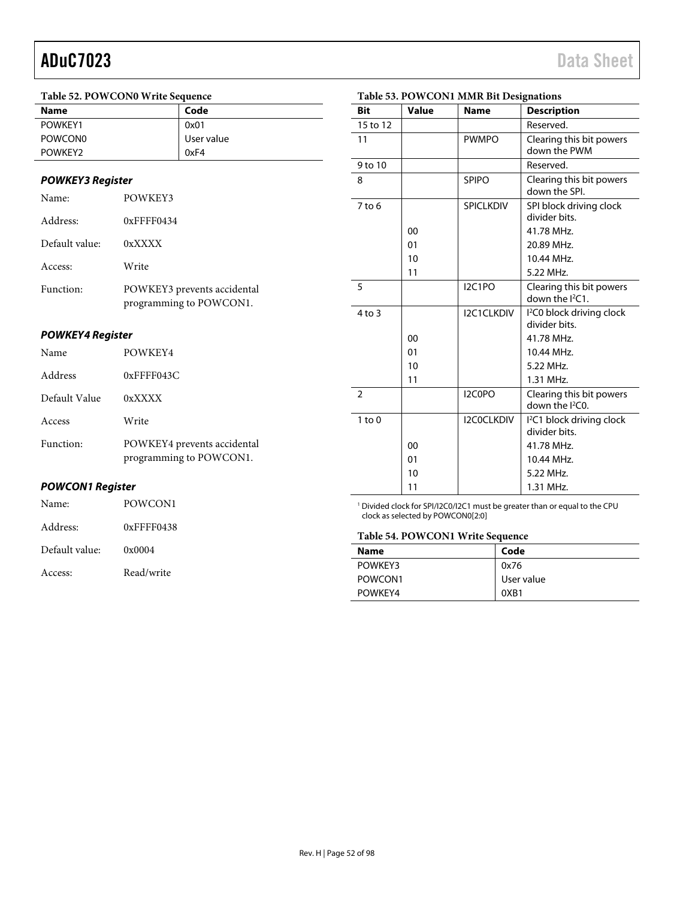#### **Table 52. POWCON0 Write Sequence**

| .                   |            |  |
|---------------------|------------|--|
| <b>Name</b>         | Code       |  |
| POWKEY1             | 0x01       |  |
| POWCON <sub>0</sub> | User value |  |
| POWKEY2             | 0xF4       |  |
|                     |            |  |

### **POWKEY3 Register**

| Name:          | POWKEY3                                                |
|----------------|--------------------------------------------------------|
| Address:       | $0x$ FFFF $0434$                                       |
| Default value: | 0xXXXX                                                 |
| Access:        | Write                                                  |
| Function:      | POWKEY3 prevents accidental<br>programming to POWCON1. |

### **POWKEY4 Register**

**POWCON1 Register** 

Name: POWCON1

Address: 0xFFFF0438

Default value: 0x0004

Access: Read/write

| Name          | POWKEY4                                                |
|---------------|--------------------------------------------------------|
| Address       | $0x$ FFFF043C                                          |
| Default Value | 0xXXXX                                                 |
| Access        | Write                                                  |
| Function:     | POWKEY4 prevents accidental<br>programming to POWCON1. |

### **Bit Value Name Description**  15 to 12 Reserved. 11 PWMPO Clearing this bit powers down the PWM 9 to 10 Reserved. 8 SPIPO Clearing this bit powers down the SPI. 7 to 6 | SPICLKDIV SPI block driving clock divider bits. 00 | 41.78 MHz. 01 20.89 MHz. 10  $10.44 \text{ MHz}$ . 11 | 5.22 MHz. 5 I2C1PO Clearing this bit powers down the <sup>2</sup>C1. 4 to 3 | I2C1CLKDIV 2 C0 block driving clock divider bits. 00 | 41.78 MHz. 01 | 10.44 MHz. 10 | 5.22 MHz. 11 | 1.31 MHz. 2 | I2C0PO | Clearing this bit powers down the I<sup>2</sup>C0. 1 to 0 I2C0CLKDIV I 2 C1 block driving clock divider bits. 00 | 41.78 MHz. 01 | 10.44 MHz. 10 | 5.22 MHz. 11 | 1.31 MHz.

### **Table 53. POWCON1 MMR Bit Designations**

<sup>1</sup> Divided clock for SPI/I2C0/I2C1 must be greater than or equal to the CPU clock as selected by POWCON0[2:0]

#### **Table 54. POWCON1 Write Sequence**

| <b>Name</b> | Code       |
|-------------|------------|
| POWKEY3     | 0x76       |
| POWCON1     | User value |
| POWKEY4     | 0XB1       |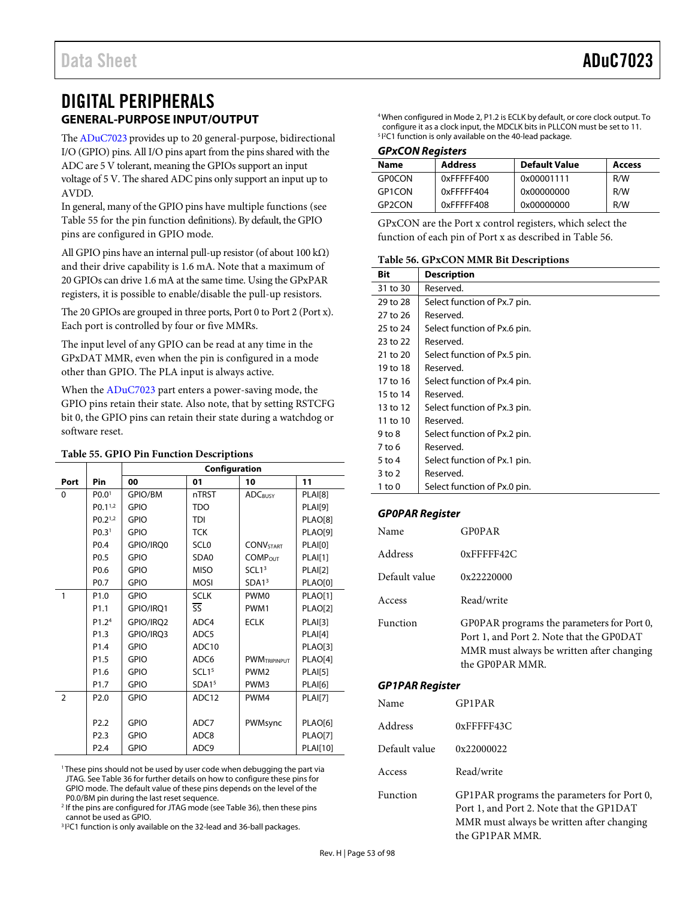## DIGITAL PERIPHERALS **GENERAL-PURPOSE INPUT/OUTPUT**

<span id="page-52-2"></span>Th[e ADuC7023 p](http://www.analog.com/ADuC7023?doc=ADuC7023.pdf)rovides up to 20 general-purpose, bidirectional I/O (GPIO) pins. All I/O pins apart from the pins shared with the ADC are 5 V tolerant, meaning the GPIOs support an input voltage of 5 V. The shared ADC pins only support an input up to AVDD.

In general, many of the GPIO pins have multiple functions (see [Table 55 f](#page-52-0)or the pin function definitions). By default, the GPIO pins are configured in GPIO mode.

All GPIO pins have an internal pull-up resistor (of about 100 kΩ) and their drive capability is 1.6 mA. Note that a maximum of 20 GPIOs can drive 1.6 mA at the same time. Using the GPxPAR registers, it is possible to enable/disable the pull-up resistors.

The 20 GPIOs are grouped in three ports, Port 0 to Port 2 (Port x). Each port is controlled by four or five MMRs.

The input level of any GPIO can be read at any time in the GPxDAT MMR, even when the pin is configured in a mode other than GPIO. The PLA input is always active.

When the [ADuC7023](http://www.analog.com/ADuC7023?doc=ADuC7023.pdf) part enters a power-saving mode, the GPIO pins retain their state. Also note, that by setting RSTCFG bit 0, the GPIO pins can retain their state during a watchdog or software reset.

### <span id="page-52-0"></span>**Table 55. GPIO Pin Function Descriptions**

|                |                                | Configuration |                          |                     |                 |
|----------------|--------------------------------|---------------|--------------------------|---------------------|-----------------|
| Port           | Pin                            | 00            | 01                       | 10                  | 11              |
| 0              | PO.0 <sup>1</sup>              | GPIO/BM       | nTRST                    | <b>ADCBUSY</b>      | PLAI[8]         |
|                | $PQ.1^{1,2}$                   | <b>GPIO</b>   | <b>TDO</b>               |                     | <b>PLAI[9]</b>  |
|                | P <sub>0.2<sup>1,2</sup></sub> | <b>GPIO</b>   | TDI                      |                     | PLAO[8]         |
|                | PO.3 <sup>1</sup>              | <b>GPIO</b>   | <b>TCK</b>               |                     | <b>PLAO[9]</b>  |
|                | P <sub>0.4</sub>               | GPIO/IRQ0     | SCL <sub>0</sub>         | <b>CONV</b> START   | PLAI[0]         |
|                | P <sub>0.5</sub>               | <b>GPIO</b>   | SD <sub>A0</sub>         | <b>COMPOUT</b>      | PLAI[1]         |
|                | P <sub>0.6</sub>               | <b>GPIO</b>   | <b>MISO</b>              | SCL1 <sup>3</sup>   | <b>PLAI[2]</b>  |
|                | P <sub>0.7</sub>               | <b>GPIO</b>   | <b>MOSI</b>              | SDA1 <sup>3</sup>   | PLAO[0]         |
| $\mathbf{1}$   | P <sub>1.0</sub>               | <b>GPIO</b>   | <b>SCLK</b>              | PWM <sub>0</sub>    | PLAO[1]         |
|                | P <sub>1.1</sub>               | GPIO/IRQ1     | $\overline{\mathsf{SS}}$ | PWM1                | <b>PLAO[2]</b>  |
|                | P1.2 <sup>4</sup>              | GPIO/IRQ2     | ADC4                     | <b>ECLK</b>         | <b>PLAI[3]</b>  |
|                | P <sub>1.3</sub>               | GPIO/IRQ3     | ADC <sub>5</sub>         |                     | <b>PLAI[4]</b>  |
|                | P <sub>1.4</sub>               | <b>GPIO</b>   | ADC10                    |                     | PLAO[3]         |
|                | P <sub>1.5</sub>               | <b>GPIO</b>   | ADC6                     | <b>PWMTRIPINPUT</b> | PLAO[4]         |
|                | P <sub>1.6</sub>               | <b>GPIO</b>   | SCL1 <sup>5</sup>        | PWM <sub>2</sub>    | <b>PLAI[5]</b>  |
|                | P <sub>1.7</sub>               | <b>GPIO</b>   | SDA1 <sup>5</sup>        | PWM3                | <b>PLAI[6]</b>  |
| $\overline{2}$ | P <sub>2.0</sub>               | <b>GPIO</b>   | ADC12                    | PWM4                | PLAI[7]         |
|                |                                |               |                          |                     |                 |
|                | P <sub>2.2</sub>               | <b>GPIO</b>   | ADC7                     | PWMsync             | <b>PLAO[6]</b>  |
|                | P <sub>2.3</sub>               | <b>GPIO</b>   | ADC8                     |                     | <b>PLAO[7]</b>  |
|                | P <sub>2.4</sub>               | <b>GPIO</b>   | ADC9                     |                     | <b>PLAI[10]</b> |

<sup>1</sup> These pins should not be used by user code when debugging the part via JTAG. Se[e Table 36 f](#page-43-0)or further details on how to configure these pins for GPIO mode. The default value of these pins depends on the level of the P0.0/BM pin during the last reset sequence.

<sup>2</sup> If the pins are configured for JTAG mode (se[e Table 36\)](#page-43-0), then these pins cannot be used as GPIO.

<sup>3</sup><sup>12</sup>C1 function is only available on the 32-lead and 36-ball packages.

4 When configured in Mode 2, P1.2 is ECLK by default, or core clock output. To configure it as a clock input, the MDCLK bits in PLLCON must be set to 11. 2 C1 function is only available on the 40-lead package.

### **GPxCON Registers**

| Name          | <b>Address</b> | <b>Default Value</b> | Access |
|---------------|----------------|----------------------|--------|
| GPOCON        | 0xFFFFF400     | 0x00001111           | R/W    |
| GP1CON        | 0xFFFFF404     | 0x00000000           | R/W    |
| <b>GP2CON</b> | 0xFFFFF408     | 0x00000000           | R/W    |

GPxCON are the Port x control registers, which select the function of each pin of Port x as described i[n Table 56.](#page-52-1)

#### <span id="page-52-1"></span>**Table 56. GPxCON MMR Bit Descriptions**

| Bit      | <b>Description</b>           |
|----------|------------------------------|
| 31 to 30 | Reserved.                    |
| 29 to 28 | Select function of Px.7 pin. |
| 27 to 26 | Reserved.                    |
| 25 to 24 | Select function of Px.6 pin. |
| 23 to 22 | Reserved.                    |
| 21 to 20 | Select function of Px.5 pin. |
| 19 to 18 | Reserved.                    |
| 17 to 16 | Select function of Px.4 pin. |
| 15 to 14 | Reserved.                    |
| 13 to 12 | Select function of Px.3 pin. |
| 11 to 10 | Reserved.                    |
| 9 to 8   | Select function of Px.2 pin. |
| 7 to 6   | Reserved.                    |
| 5 to 4   | Select function of Px.1 pin. |
| 3 to 2   | Reserved.                    |
| 1 to 0   | Select function of Px.0 pin. |

### **GP0PAR Register**

| Name          | <b>GPOPAR</b>                                                                                                                                          |
|---------------|--------------------------------------------------------------------------------------------------------------------------------------------------------|
| Address       | $0x$ FFFFF42C                                                                                                                                          |
| Default value | 0x22220000                                                                                                                                             |
| Access        | Read/write                                                                                                                                             |
| Function      | GP0PAR programs the parameters for Port 0,<br>Port 1, and Port 2. Note that the GP0DAT<br>MMR must always be written after changing<br>the GP0PAR MMR. |

### **GP1PAR Register**

| Name          | <b>GP1PAR</b>                                                                                                                       |
|---------------|-------------------------------------------------------------------------------------------------------------------------------------|
| Address       | 0xFFFFF43C                                                                                                                          |
| Default value | 0x22000022                                                                                                                          |
| Access        | Read/write                                                                                                                          |
| Function      | GP1PAR programs the parameters for Port 0,<br>Port 1, and Port 2. Note that the GP1DAT<br>MMR must always be written after changing |

the GP1PAR MMR.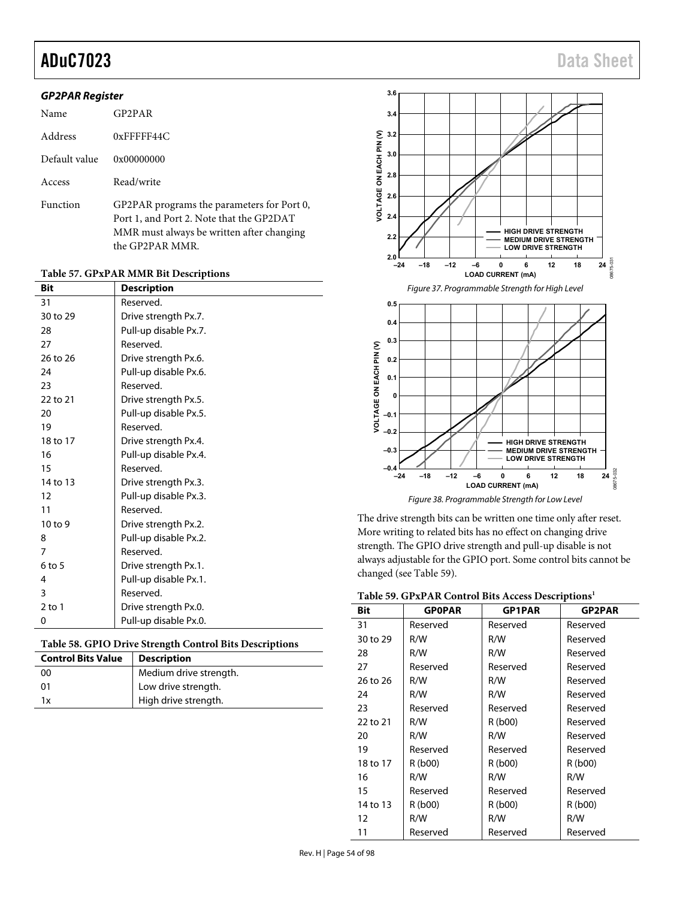## aduC7023 Data Sheet

### **GP2PAR Register**

| Name          | GP <sub>2</sub> P <sub>AR</sub>                                                                                                                        |
|---------------|--------------------------------------------------------------------------------------------------------------------------------------------------------|
| Address       | $0x$ FFFFF44 $C$                                                                                                                                       |
| Default value | 0x00000000                                                                                                                                             |
| Access        | Read/write                                                                                                                                             |
| Function      | GP2PAR programs the parameters for Port 0,<br>Port 1, and Port 2. Note that the GP2DAT<br>MMR must always be written after changing<br>the GP2PAR MMR. |

### **Table 57. GPxPAR MMR Bit Descriptions**

| Bit            | <b>Description</b>    |
|----------------|-----------------------|
| 31             | Reserved.             |
| 30 to 29       | Drive strength Px.7.  |
| 28             | Pull-up disable Px.7. |
| 27             | Reserved.             |
| 26 to 26       | Drive strength Px.6.  |
| 24             | Pull-up disable Px.6. |
| 23             | Reserved.             |
| 22 to 21       | Drive strength Px.5.  |
| 20             | Pull-up disable Px.5. |
| 19             | Reserved.             |
| 18 to 17       | Drive strength Px.4.  |
| 16             | Pull-up disable Px.4. |
| 15             | Reserved.             |
| 14 to 13       | Drive strength Px.3.  |
| 12             | Pull-up disable Px.3. |
| 11             | Reserved.             |
| 10 to 9        | Drive strength Px.2.  |
| 8              | Pull-up disable Px.2. |
| $\overline{7}$ | Reserved.             |
| $6$ to 5       | Drive strength Px.1.  |
| 4              | Pull-up disable Px.1. |
| 3              | Reserved.             |
| $2$ to 1       | Drive strength Px.0.  |
| 0              | Pull-up disable Px.0. |

### **Table 58. GPIO Drive Strength Control Bits Descriptions**

| <b>Control Bits Value</b> | <b>Description</b>     |
|---------------------------|------------------------|
| 00                        | Medium drive strength. |
| 01                        | Low drive strength.    |
| 1x                        | High drive strength.   |



Figure 38. Programmable Strength for Low Level

The drive strength bits can be written one time only after reset. More writing to related bits has no effect on changing drive strength. The GPIO drive strength and pull-up disable is not always adjustable for the GPIO port. Some control bits cannot be changed (see [Table 59\)](#page-53-0).

<span id="page-53-0"></span>

|  |  |  |  |  | Table 59. GPxPAR Control Bits Access Descriptions <sup>1</sup> |
|--|--|--|--|--|----------------------------------------------------------------|
|--|--|--|--|--|----------------------------------------------------------------|

| Bit               | <b>GPOPAR</b> | <b>GP1PAR</b> | <b>GP2PAR</b> |
|-------------------|---------------|---------------|---------------|
| 31                | Reserved      | Reserved      | Reserved      |
| 30 to 29          | R/W           | R/W           | Reserved      |
| 28                | R/W           | R/W           | Reserved      |
| 27                | Reserved      | Reserved      | Reserved      |
| 26 to 26          | R/W           | R/W           | Reserved      |
| 24                | R/W           | R/W           | Reserved      |
| 23                | Reserved      | Reserved      | Reserved      |
| 22 to 21          | R/W           | R (b00)       | Reserved      |
| 20                | R/W           | R/W           | Reserved      |
| 19                | Reserved      | Reserved      | Reserved      |
| 18 to 17          | R (b00)       | R (b00)       | R (b00)       |
| 16                | R/W           | R/W           | R/W           |
| 15                | Reserved      | Reserved      | Reserved      |
| 14 to 13          | R (b00)       | R (b00)       | R (b00)       |
| $12 \overline{ }$ | R/W           | R/W           | R/W           |
| 11                | Reserved      | Reserved      | Reserved      |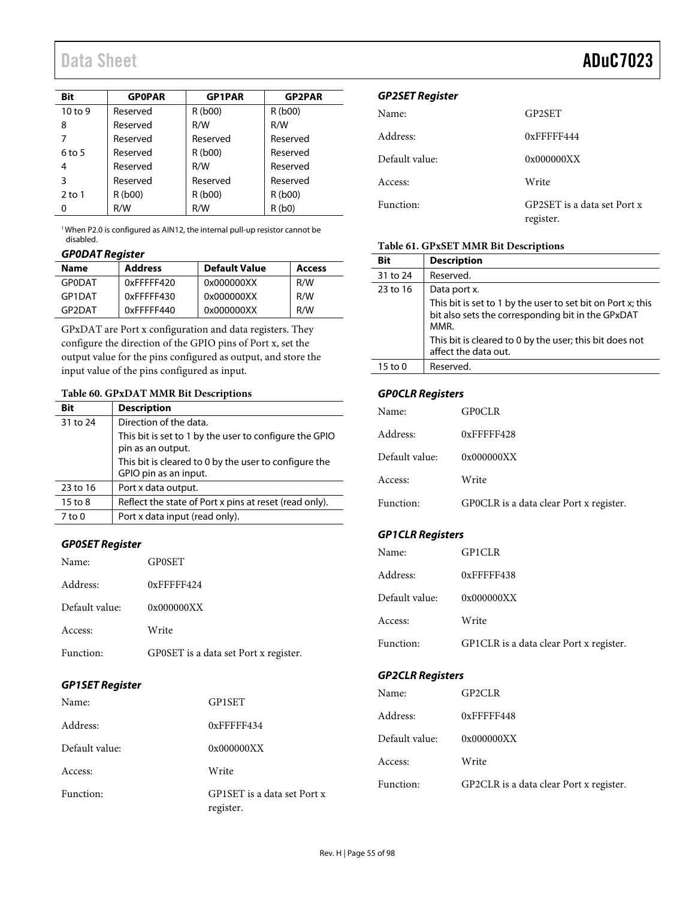| Bit       | <b>GPOPAR</b> | <b>GP1PAR</b> | <b>GP2PAR</b> |
|-----------|---------------|---------------|---------------|
| $10$ to 9 | Reserved      | R(b00)        | R(b00)        |
| 8         | Reserved      | R/W           | R/W           |
| 7         | Reserved      | Reserved      | Reserved      |
| $6$ to 5  | Reserved      | R(b00)        | Reserved      |
| 4         | Reserved      | R/W           | Reserved      |
| 3         | Reserved      | Reserved      | Reserved      |
| $2$ to 1  | R (b00)       | R (b00)       | R(b00)        |
| Ω         | R/W           | R/W           | R(b0)         |

<sup>1</sup> When P2.0 is configured as AIN12, the internal pull-up resistor cannot be disabled.

## **GP0DAT Register**

| <b>Name</b>   | <b>Address</b> | <b>Default Value</b> | Access |
|---------------|----------------|----------------------|--------|
| <b>GPODAT</b> | 0xFFFFF420     | 0x000000XX           | R/W    |
| GP1DAT        | 0xFFFFF430     | 0x000000XX           | R/W    |
| GP2DAT        | 0xFFFFF440     | 0x000000XX           | R/W    |

GPxDAT are Port x configuration and data registers. They configure the direction of the GPIO pins of Port x, set the output value for the pins configured as output, and store the input value of the pins configured as input.

### **Table 60. GPxDAT MMR Bit Descriptions**

| <b>Bit</b> | <b>Description</b>                                                             |
|------------|--------------------------------------------------------------------------------|
| 31 to 24   | Direction of the data.                                                         |
|            | This bit is set to 1 by the user to configure the GPIO                         |
|            | pin as an output.                                                              |
|            | This bit is cleared to 0 by the user to configure the<br>GPIO pin as an input. |
|            |                                                                                |
| 23 to 16   | Port x data output.                                                            |
| 15 to 8    | Reflect the state of Port x pins at reset (read only).                         |
| 7 to 0     | Port x data input (read only).                                                 |

### **GP0SET Register**

| Name:          | <b>GPOSET</b>                         |
|----------------|---------------------------------------|
| Address:       | $0x$ FFFFF424                         |
| Default value: | 0x000000XX                            |
| Access:        | Write                                 |
| Function:      | GP0SET is a data set Port x register. |

### **GP1SET Register**

| Name:          | GP1SET                                   |
|----------------|------------------------------------------|
| Address:       | $0x$ FFFFF434                            |
| Default value: | 0x000000XX                               |
| Access:        | Write                                    |
| Function:      | GP1SET is a data set Port x<br>register. |

### **GP2SET Register**

| Name:          | GP2SET                                   |
|----------------|------------------------------------------|
| Address:       | $0x$ FFFFF444                            |
| Default value: | 0x000000XX                               |
| Access:        | Write                                    |
| Function:      | GP2SET is a data set Port x<br>register. |

### **Table 61. GPxSET MMR Bit Descriptions**

| Bit      | <b>Description</b>                                                                                                       |
|----------|--------------------------------------------------------------------------------------------------------------------------|
| 31 to 24 | Reserved.                                                                                                                |
| 23 to 16 | Data port x.                                                                                                             |
|          | This bit is set to 1 by the user to set bit on Port x; this<br>bit also sets the corresponding bit in the GPxDAT<br>MMR. |
|          | This bit is cleared to 0 by the user; this bit does not<br>affect the data out.                                          |
| 15 to 0  | Reserved.                                                                                                                |

### **GP0CLR Registers**

| Name:          | <b>GPOCLR</b>                           |
|----------------|-----------------------------------------|
| Address:       | $0x$ FFFFF428                           |
| Default value: | 0x000000XX                              |
| Access:        | Write                                   |
| Function:      | GPOCLR is a data clear Port x register. |

## **GP1CLR Registers**

| Name:          | GP1CLR                                  |
|----------------|-----------------------------------------|
| Address:       | $0x$ FFFFF438                           |
| Default value: | 0x000000XX                              |
| Access:        | Write                                   |
| Function:      | GP1CLR is a data clear Port x register. |

## **GP2CLR Registers**

| Name:          | GP2CLR                                  |
|----------------|-----------------------------------------|
| Address:       | $0x$ FFFFF448                           |
| Default value: | 0x000000XX                              |
| Access:        | Write                                   |
| Function:      | GP2CLR is a data clear Port x register. |

## Data Sheet **ADuC7023**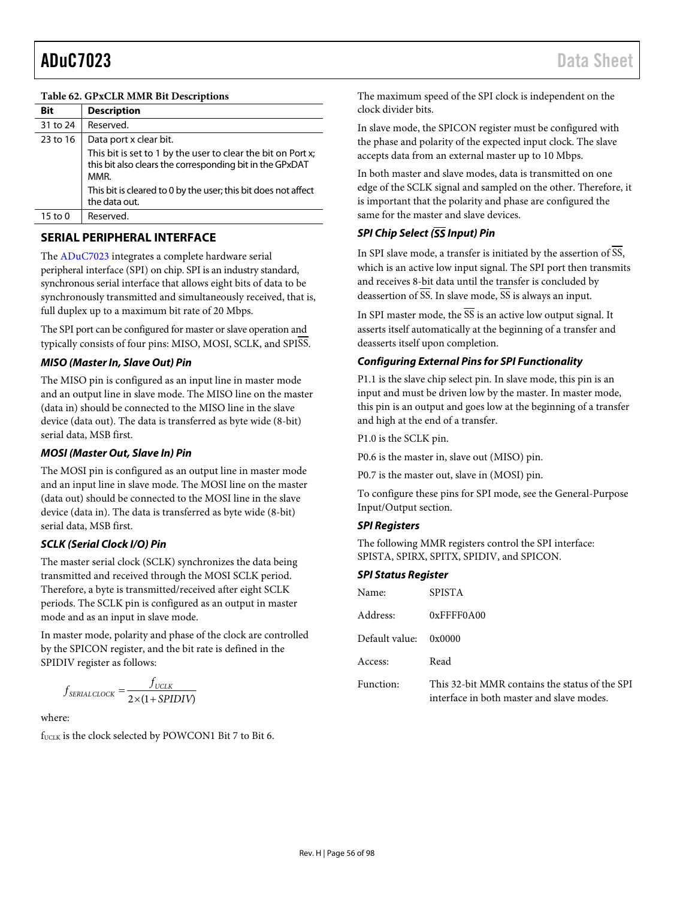### **Table 62. GPxCLR MMR Bit Descriptions**

| Bit      | <b>Description</b>                                                                                                               |
|----------|----------------------------------------------------------------------------------------------------------------------------------|
| 31 to 24 | Reserved.                                                                                                                        |
| 23 to 16 | Data port x clear bit.                                                                                                           |
|          | This bit is set to 1 by the user to clear the bit on Port x;<br>this bit also clears the corresponding bit in the GPxDAT<br>MMR. |
|          | This bit is cleared to 0 by the user; this bit does not affect<br>the data out.                                                  |
| 15 to 0  | Reserved.                                                                                                                        |

## **SERIAL PERIPHERAL INTERFACE**

The [ADuC7023 i](http://www.analog.com/ADuC7023?doc=ADuC7023.pdf)ntegrates a complete hardware serial peripheral interface (SPI) on chip. SPI is an industry standard, synchronous serial interface that allows eight bits of data to be synchronously transmitted and simultaneously received, that is, full duplex up to a maximum bit rate of 20 Mbps.

The SPI port can be configured for master or slave operation and typically consists of four pins: MISO, MOSI, SCLK, and SPISS.

## **MISO (Master In, Slave Out) Pin**

The MISO pin is configured as an input line in master mode and an output line in slave mode. The MISO line on the master (data in) should be connected to the MISO line in the slave device (data out). The data is transferred as byte wide (8-bit) serial data, MSB first.

### **MOSI (Master Out, Slave In) Pin**

The MOSI pin is configured as an output line in master mode and an input line in slave mode. The MOSI line on the master (data out) should be connected to the MOSI line in the slave device (data in). The data is transferred as byte wide (8-bit) serial data, MSB first.

### **SCLK (Serial Clock I/O) Pin**

The master serial clock (SCLK) synchronizes the data being transmitted and received through the MOSI SCLK period. Therefore, a byte is transmitted/received after eight SCLK periods. The SCLK pin is configured as an output in master mode and as an input in slave mode.

In master mode, polarity and phase of the clock are controlled by the SPICON register, and the bit rate is defined in the SPIDIV register as follows:

$$
f_{\text{SERIAL CLOCK}} = \frac{f_{\text{UCLK}}}{2 \times (1 + SPIDIV)}
$$

where:

f<sub>UCLK</sub> is the clock selected by POWCON1 Bit 7 to Bit 6.

The maximum speed of the SPI clock is independent on the clock divider bits.

In slave mode, the SPICON register must be configured with the phase and polarity of the expected input clock. The slave accepts data from an external master up to 10 Mbps.

In both master and slave modes, data is transmitted on one edge of the SCLK signal and sampled on the other. Therefore, it is important that the polarity and phase are configured the same for the master and slave devices.

## **SPI Chip Select (SS Input) Pin**

In SPI slave mode, a transfer is initiated by the assertion of SS, which is an active low input signal. The SPI port then transmits and receives 8-bit data until the transfer is concluded by deassertion of  $\overline{SS}$ . In slave mode,  $\overline{SS}$  is always an input.

In SPI master mode, the  $\overline{SS}$  is an active low output signal. It asserts itself automatically at the beginning of a transfer and deasserts itself upon completion.

## **Configuring External Pins for SPI Functionality**

P1.1 is the slave chip select pin. In slave mode, this pin is an input and must be driven low by the master. In master mode, this pin is an output and goes low at the beginning of a transfer and high at the end of a transfer.

P1.0 is the SCLK pin.

P0.6 is the master in, slave out (MISO) pin.

P0.7 is the master out, slave in (MOSI) pin.

To configure these pins for SPI mode, see the [General-Purpose](#page-52-2)  [Input/Output s](#page-52-2)ection.

### **SPI Registers**

The following MMR registers control the SPI interface: SPISTA, SPIRX, SPITX, SPIDIV, and SPICON.

### **SPI Status Register**

| Name:          | SPISTA                                                                                      |
|----------------|---------------------------------------------------------------------------------------------|
| Address:       | $0x$ FFFF0A00                                                                               |
| Default value: | 0x0000                                                                                      |
| Access:        | Read                                                                                        |
| Function:      | This 32-bit MMR contains the status of the SPI<br>interface in both master and slave modes. |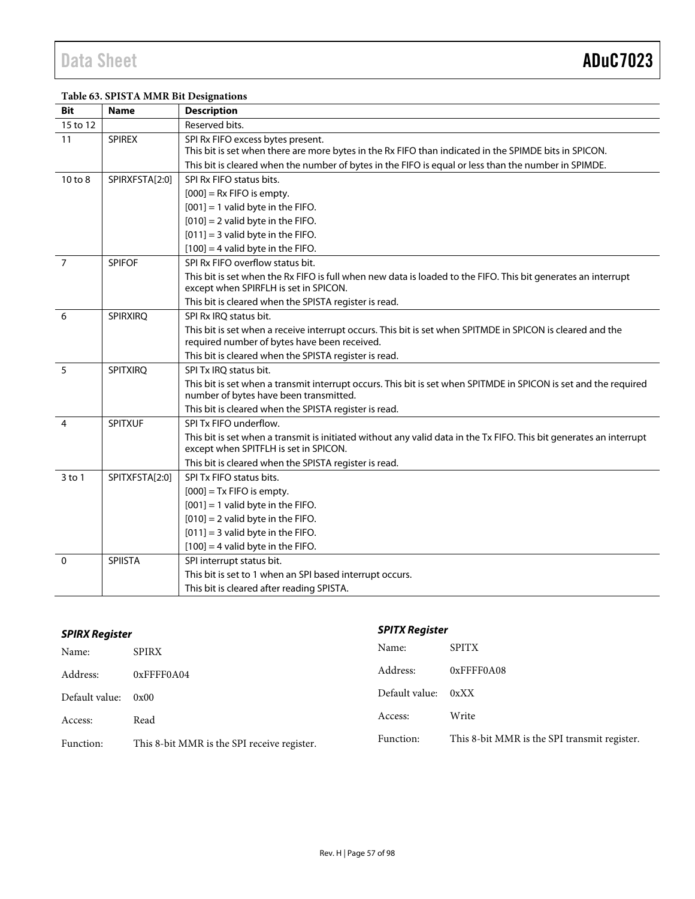## **Table 63. SPISTA MMR Bit Designations**

| <b>Bit</b>     | <b>Name</b>     | <b>Description</b>                                                                                                                                           |
|----------------|-----------------|--------------------------------------------------------------------------------------------------------------------------------------------------------------|
| 15 to 12       |                 | Reserved bits.                                                                                                                                               |
| 11             | <b>SPIREX</b>   | SPI Rx FIFO excess bytes present.                                                                                                                            |
|                |                 | This bit is set when there are more bytes in the Rx FIFO than indicated in the SPIMDE bits in SPICON.                                                        |
|                |                 | This bit is cleared when the number of bytes in the FIFO is equal or less than the number in SPIMDE.                                                         |
| 10 to 8        | SPIRXFSTA[2:0]  | SPI Rx FIFO status bits.                                                                                                                                     |
|                |                 | $[000]$ = Rx FIFO is empty.                                                                                                                                  |
|                |                 | $[001] = 1$ valid byte in the FIFO.                                                                                                                          |
|                |                 | $[010] = 2$ valid byte in the FIFO.                                                                                                                          |
|                |                 | $[011] = 3$ valid byte in the FIFO.                                                                                                                          |
|                |                 | $[100] = 4$ valid byte in the FIFO.                                                                                                                          |
| $\overline{7}$ | <b>SPIFOF</b>   | SPI Rx FIFO overflow status bit.                                                                                                                             |
|                |                 | This bit is set when the Rx FIFO is full when new data is loaded to the FIFO. This bit generates an interrupt<br>except when SPIRFLH is set in SPICON.       |
|                |                 | This bit is cleared when the SPISTA register is read.                                                                                                        |
| 6              | <b>SPIRXIRQ</b> | SPI Rx IRQ status bit.                                                                                                                                       |
|                |                 | This bit is set when a receive interrupt occurs. This bit is set when SPITMDE in SPICON is cleared and the<br>required number of bytes have been received.   |
|                |                 | This bit is cleared when the SPISTA register is read.                                                                                                        |
| 5              | <b>SPITXIRO</b> | SPI Tx IRO status bit.                                                                                                                                       |
|                |                 | This bit is set when a transmit interrupt occurs. This bit is set when SPITMDE in SPICON is set and the required<br>number of bytes have been transmitted.   |
|                |                 | This bit is cleared when the SPISTA register is read.                                                                                                        |
| 4              | <b>SPITXUF</b>  | SPI Tx FIFO underflow.                                                                                                                                       |
|                |                 | This bit is set when a transmit is initiated without any valid data in the Tx FIFO. This bit generates an interrupt<br>except when SPITFLH is set in SPICON. |
|                |                 | This bit is cleared when the SPISTA register is read.                                                                                                        |
| $3$ to 1       | SPITXFSTA[2:0]  | SPI Tx FIFO status bits.                                                                                                                                     |
|                |                 | $[000]$ = Tx FIFO is empty.                                                                                                                                  |
|                |                 | $[001] = 1$ valid byte in the FIFO.                                                                                                                          |
|                |                 | $[010] = 2$ valid byte in the FIFO.                                                                                                                          |
|                |                 | $[011] = 3$ valid byte in the FIFO.                                                                                                                          |
|                |                 | $[100] = 4$ valid byte in the FIFO.                                                                                                                          |
| 0              | <b>SPIISTA</b>  | SPI interrupt status bit.                                                                                                                                    |
|                |                 | This bit is set to 1 when an SPI based interrupt occurs.                                                                                                     |
|                |                 | This bit is cleared after reading SPISTA.                                                                                                                    |

| <b>SPIRX Register</b> |                                             | <b>SPITX Register</b> |                                              |
|-----------------------|---------------------------------------------|-----------------------|----------------------------------------------|
| Name:                 | <b>SPIRX</b>                                | Name:                 | <b>SPITX</b>                                 |
| Address:              | 0xFFFF0A04                                  | Address:              | 0xFFFF0A08                                   |
| Default value:        | 0x00                                        | Default value:        | 0xXX                                         |
| Access:               | Read                                        | Access:               | Write                                        |
| Function:             | This 8-bit MMR is the SPI receive register. | Function:             | This 8-bit MMR is the SPI transmit register. |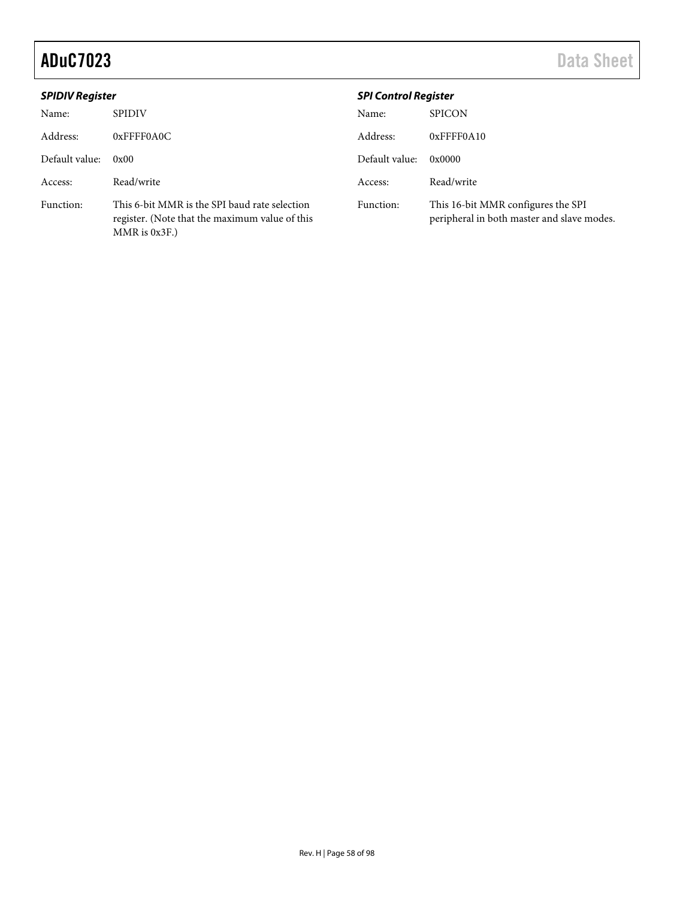| <b>SPIDIV Register</b> |                                                                                                                       | <b>SPI Control Register</b> |                                                                                  |
|------------------------|-----------------------------------------------------------------------------------------------------------------------|-----------------------------|----------------------------------------------------------------------------------|
| Name:                  | <b>SPIDIV</b>                                                                                                         | Name:                       | <b>SPICON</b>                                                                    |
| Address:               | $0x$ FFFF0A0C                                                                                                         | Address:                    | $0x$ FFFF0A10                                                                    |
| Default value:         | 0x00                                                                                                                  | Default value:              | 0x0000                                                                           |
| Access:                | Read/write                                                                                                            | Access:                     | Read/write                                                                       |
| Function:              | This 6-bit MMR is the SPI baud rate selection<br>register. (Note that the maximum value of this<br>$MMR$ is $0x3F$ .) | Function:                   | This 16-bit MMR configures the SPI<br>peripheral in both master and slave modes. |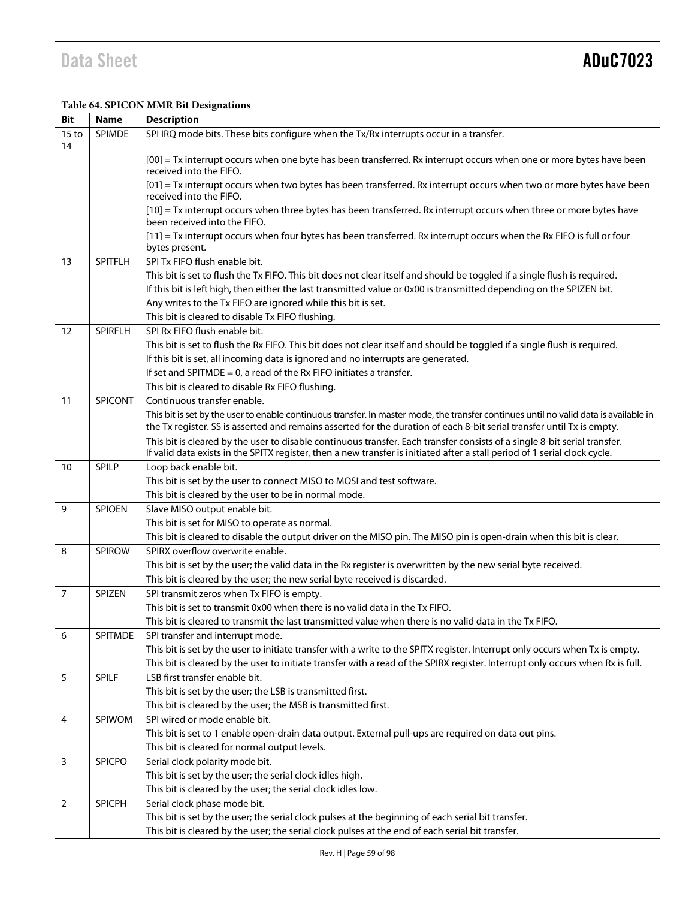### **Table 64. SPICON MMR Bit Designations**

| <b>Bit</b>             | <b>Name</b>    | <b>Description</b>                                                                                                                                                                                                                                              |  |  |
|------------------------|----------------|-----------------------------------------------------------------------------------------------------------------------------------------------------------------------------------------------------------------------------------------------------------------|--|--|
| 15 <sub>to</sub><br>14 | <b>SPIMDE</b>  | SPI IRQ mode bits. These bits configure when the Tx/Rx interrupts occur in a transfer.                                                                                                                                                                          |  |  |
|                        |                | [00] = Tx interrupt occurs when one byte has been transferred. Rx interrupt occurs when one or more bytes have been<br>received into the FIFO.                                                                                                                  |  |  |
|                        |                | [01] = Tx interrupt occurs when two bytes has been transferred. Rx interrupt occurs when two or more bytes have been<br>received into the FIFO.                                                                                                                 |  |  |
|                        |                | [10] = Tx interrupt occurs when three bytes has been transferred. Rx interrupt occurs when three or more bytes have<br>been received into the FIFO.                                                                                                             |  |  |
|                        |                | [11] = Tx interrupt occurs when four bytes has been transferred. Rx interrupt occurs when the Rx FIFO is full or four<br>bytes present.                                                                                                                         |  |  |
| 13                     | <b>SPITFLH</b> | SPI Tx FIFO flush enable bit.                                                                                                                                                                                                                                   |  |  |
|                        |                | This bit is set to flush the Tx FIFO. This bit does not clear itself and should be toggled if a single flush is required.                                                                                                                                       |  |  |
|                        |                | If this bit is left high, then either the last transmitted value or 0x00 is transmitted depending on the SPIZEN bit.                                                                                                                                            |  |  |
|                        |                | Any writes to the Tx FIFO are ignored while this bit is set.                                                                                                                                                                                                    |  |  |
|                        |                | This bit is cleared to disable Tx FIFO flushing.                                                                                                                                                                                                                |  |  |
| 12                     | <b>SPIRFLH</b> | SPI Rx FIFO flush enable bit.                                                                                                                                                                                                                                   |  |  |
|                        |                | This bit is set to flush the Rx FIFO. This bit does not clear itself and should be toggled if a single flush is required.                                                                                                                                       |  |  |
|                        |                | If this bit is set, all incoming data is ignored and no interrupts are generated.                                                                                                                                                                               |  |  |
|                        |                | If set and SPITMDE = $0$ , a read of the Rx FIFO initiates a transfer.                                                                                                                                                                                          |  |  |
|                        |                | This bit is cleared to disable Rx FIFO flushing.                                                                                                                                                                                                                |  |  |
| 11                     | <b>SPICONT</b> | Continuous transfer enable.                                                                                                                                                                                                                                     |  |  |
|                        |                | This bit is set by the user to enable continuous transfer. In master mode, the transfer continues until no valid data is available in<br>the Tx register. SS is asserted and remains asserted for the duration of each 8-bit serial transfer until Tx is empty. |  |  |
|                        |                | This bit is cleared by the user to disable continuous transfer. Each transfer consists of a single 8-bit serial transfer.                                                                                                                                       |  |  |
|                        |                | If valid data exists in the SPITX register, then a new transfer is initiated after a stall period of 1 serial clock cycle.                                                                                                                                      |  |  |
| 10                     | <b>SPILP</b>   | Loop back enable bit.                                                                                                                                                                                                                                           |  |  |
|                        |                | This bit is set by the user to connect MISO to MOSI and test software.                                                                                                                                                                                          |  |  |
|                        |                | This bit is cleared by the user to be in normal mode.                                                                                                                                                                                                           |  |  |
| 9                      | <b>SPIOEN</b>  | Slave MISO output enable bit.                                                                                                                                                                                                                                   |  |  |
|                        |                | This bit is set for MISO to operate as normal.                                                                                                                                                                                                                  |  |  |
|                        |                | This bit is cleared to disable the output driver on the MISO pin. The MISO pin is open-drain when this bit is clear.                                                                                                                                            |  |  |
| 8                      | SPIROW         | SPIRX overflow overwrite enable.                                                                                                                                                                                                                                |  |  |
|                        |                | This bit is set by the user; the valid data in the Rx register is overwritten by the new serial byte received.                                                                                                                                                  |  |  |
| $\overline{7}$         | SPIZEN         | This bit is cleared by the user; the new serial byte received is discarded.<br>SPI transmit zeros when Tx FIFO is empty.                                                                                                                                        |  |  |
|                        |                | This bit is set to transmit 0x00 when there is no valid data in the Tx FIFO.                                                                                                                                                                                    |  |  |
|                        |                | This bit is cleared to transmit the last transmitted value when there is no valid data in the Tx FIFO.                                                                                                                                                          |  |  |
| 6                      | SPITMDE        | SPI transfer and interrupt mode.                                                                                                                                                                                                                                |  |  |
|                        |                | This bit is set by the user to initiate transfer with a write to the SPITX register. Interrupt only occurs when Tx is empty.                                                                                                                                    |  |  |
|                        |                | This bit is cleared by the user to initiate transfer with a read of the SPIRX register. Interrupt only occurs when Rx is full.                                                                                                                                  |  |  |
| 5                      | SPILF          | LSB first transfer enable bit.                                                                                                                                                                                                                                  |  |  |
|                        |                | This bit is set by the user; the LSB is transmitted first.                                                                                                                                                                                                      |  |  |
|                        |                | This bit is cleared by the user; the MSB is transmitted first.                                                                                                                                                                                                  |  |  |
| 4                      | SPIWOM         | SPI wired or mode enable bit.                                                                                                                                                                                                                                   |  |  |
|                        |                | This bit is set to 1 enable open-drain data output. External pull-ups are required on data out pins.                                                                                                                                                            |  |  |
|                        |                | This bit is cleared for normal output levels.                                                                                                                                                                                                                   |  |  |
| 3                      | <b>SPICPO</b>  | Serial clock polarity mode bit.                                                                                                                                                                                                                                 |  |  |
|                        |                | This bit is set by the user; the serial clock idles high.                                                                                                                                                                                                       |  |  |
|                        |                | This bit is cleared by the user; the serial clock idles low.                                                                                                                                                                                                    |  |  |
| $\overline{2}$         | SPICPH         | Serial clock phase mode bit.                                                                                                                                                                                                                                    |  |  |
|                        |                | This bit is set by the user; the serial clock pulses at the beginning of each serial bit transfer.                                                                                                                                                              |  |  |
|                        |                | This bit is cleared by the user; the serial clock pulses at the end of each serial bit transfer.                                                                                                                                                                |  |  |
|                        |                |                                                                                                                                                                                                                                                                 |  |  |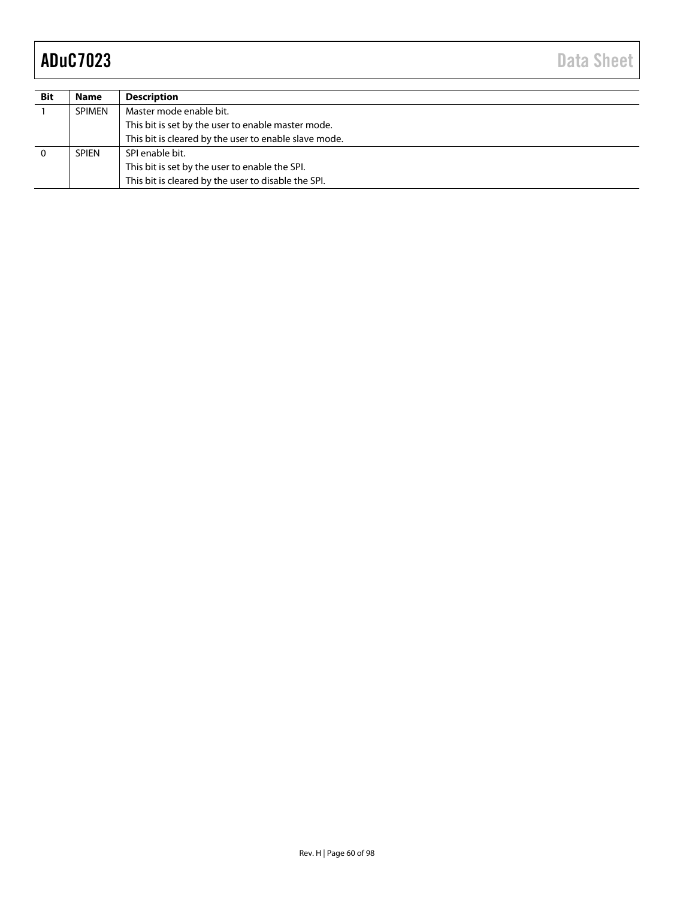| <b>Bit</b> | <b>Name</b>   | <b>Description</b>                                    |
|------------|---------------|-------------------------------------------------------|
|            | <b>SPIMEN</b> | Master mode enable bit.                               |
|            |               | This bit is set by the user to enable master mode.    |
|            |               | This bit is cleared by the user to enable slave mode. |
|            | <b>SPIEN</b>  | SPI enable bit.                                       |
|            |               | This bit is set by the user to enable the SPI.        |
|            |               | This bit is cleared by the user to disable the SPI.   |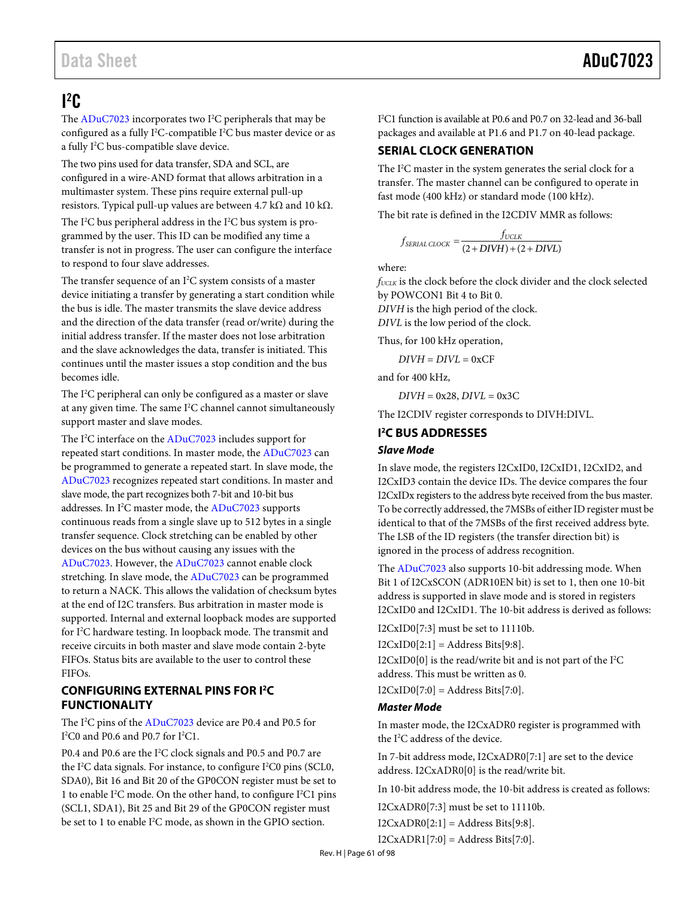## <span id="page-60-0"></span> $l^2C$

The  $ADuC7023$  incorporates two I<sup>2</sup>C peripherals that may be configured as a fully I<sup>2</sup>C-compatible I<sup>2</sup>C bus master device or as a fully I<sup>2</sup>C bus-compatible slave device.

The two pins used for data transfer, SDA and SCL, are configured in a wire-AND format that allows arbitration in a multimaster system. These pins require external pull-up resistors. Typical pull-up values are between 4.7 kΩ and 10 kΩ.

The I<sup>2</sup>C bus peripheral address in the I<sup>2</sup>C bus system is programmed by the user. This ID can be modified any time a transfer is not in progress. The user can configure the interface to respond to four slave addresses.

The transfer sequence of an  $I^2C$  system consists of a master device initiating a transfer by generating a start condition while the bus is idle. The master transmits the slave device address and the direction of the data transfer (read or/write) during the initial address transfer. If the master does not lose arbitration and the slave acknowledges the data, transfer is initiated. This continues until the master issues a stop condition and the bus becomes idle.

The I<sup>2</sup>C peripheral can only be configured as a master or slave at any given time. The same I<sup>2</sup>C channel cannot simultaneously support master and slave modes.

The I<sup>2</sup>C interface on th[e ADuC7023 i](http://www.analog.com/ADuC7023?doc=ADuC7023.pdf)ncludes support for repeated start conditions. In master mode, th[e ADuC7023 c](http://www.analog.com/ADuC7023?doc=ADuC7023.pdf)an be programmed to generate a repeated start. In slave mode, the [ADuC7023](http://www.analog.com/ADuC7023?doc=ADuC7023.pdf) recognizes repeated start conditions. In master and slave mode, the part recognizes both 7-bit and 10-bit bus addresses. In I<sup>2</sup>C master mode, the [ADuC7023](http://www.analog.com/ADuC7023?doc=ADuC7023.pdf) supports continuous reads from a single slave up to 512 bytes in a single transfer sequence. Clock stretching can be enabled by other devices on the bus without causing any issues with the [ADuC7023.](http://www.analog.com/ADuC7023?doc=ADuC7023.pdf) However, th[e ADuC7023 c](http://www.analog.com/ADuC7023?doc=ADuC7023.pdf)annot enable clock stretching. In slave mode, the [ADuC7023](http://www.analog.com/ADuC7023?doc=ADuC7023.pdf) can be programmed to return a NACK. This allows the validation of checksum bytes at the end of I2C transfers. Bus arbitration in master mode is supported. Internal and external loopback modes are supported for I<sup>2</sup>C hardware testing. In loopback mode. The transmit and receive circuits in both master and slave mode contain 2-byte FIFOs. Status bits are available to the user to control these FIFOs.

## **CONFIGURING EXTERNAL PINS FOR I2 C FUNCTIONALITY**

The I<sup>2</sup>C pins of the [ADuC7023](http://www.analog.com/ADuC7023?doc=ADuC7023.pdf) device are P0.4 and P0.5 for  $I<sup>2</sup>CO$  and P0.6 and P0.7 for  $I<sup>2</sup>Cl$ .

P0.4 and P0.6 are the I<sup>2</sup>C clock signals and P0.5 and P0.7 are the I<sup>2</sup>C data signals. For instance, to configure I<sup>2</sup>C0 pins (SCL0, SDA0), Bit 16 and Bit 20 of the GP0CON register must be set to 1 to enable I<sup>2</sup>C mode. On the other hand, to configure I<sup>2</sup>C1 pins (SCL1, SDA1), Bit 25 and Bit 29 of the GP0CON register must be set to 1 to enable I<sup>2</sup>C mode, as shown in the GPIO section.

I 2 C1 function is available at P0.6 and P0.7 on 32-lead and 36-ball packages and available at P1.6 and P1.7 on 40-lead package.

## **SERIAL CLOCK GENERATION**

The I<sup>2</sup>C master in the system generates the serial clock for a transfer. The master channel can be configured to operate in fast mode (400 kHz) or standard mode (100 kHz).

The bit rate is defined in the I2CDIV MMR as follows:

$$
f_{\text{SERAL CLOCK}} = \frac{f_{\text{UCLK}}}{(2 + DIVH) + (2 + DIVL)}
$$

where:

*fUCLK* is the clock before the clock divider and the clock selected by POWCON1 Bit 4 to Bit 0.

*DIVH* is the high period of the clock.

*DIVL* is the low period of the clock.

Thus, for 100 kHz operation,

 $DIVH = DIVL = 0xCF$ 

and for 400 kHz,

 $DIVH = 0x28$ ,  $DIVL = 0x3C$ 

The I2CDIV register corresponds to DIVH:DIVL.

## <span id="page-60-1"></span>**I 2 C BUS ADDRESSES**

## **Slave Mode**

In slave mode, the registers I2CxID0, I2CxID1, I2CxID2, and I2CxID3 contain the device IDs. The device compares the four I2CxIDx registers to the address byte received from the bus master. To be correctly addressed, the 7MSBs of either ID register must be identical to that of the 7MSBs of the first received address byte. The LSB of the ID registers (the transfer direction bit) is ignored in the process of address recognition.

The [ADuC7023 a](http://www.analog.com/ADuC7023?doc=ADuC7023.pdf)lso supports 10-bit addressing mode. When Bit 1 of I2CxSCON (ADR10EN bit) is set to 1, then one 10-bit address is supported in slave mode and is stored in registers I2CxID0 and I2CxID1. The 10-bit address is derived as follows:

I2CxID0[7:3] must be set to 11110b.

 $I2CxID0[2:1] = Address Bits[9:8].$ 

I2CxID0[0] is the read/write bit and is not part of the  $I^2C$ address. This must be written as 0.

 $I2CxID0[7:0] = Address \text{ bits}[7:0].$ 

## **Master Mode**

In master mode, the I2CxADR0 register is programmed with the I<sup>2</sup>C address of the device.

In 7-bit address mode, I2CxADR0[7:1] are set to the device address. I2CxADR0[0] is the read/write bit.

In 10-bit address mode, the 10-bit address is created as follows:

I2CxADR0[7:3] must be set to 11110b.

 $I2CxADR0[2:1] = Address \text{ bits}[9:8].$ 

 $I2CxADR1[7:0] = Address Bits[7:0].$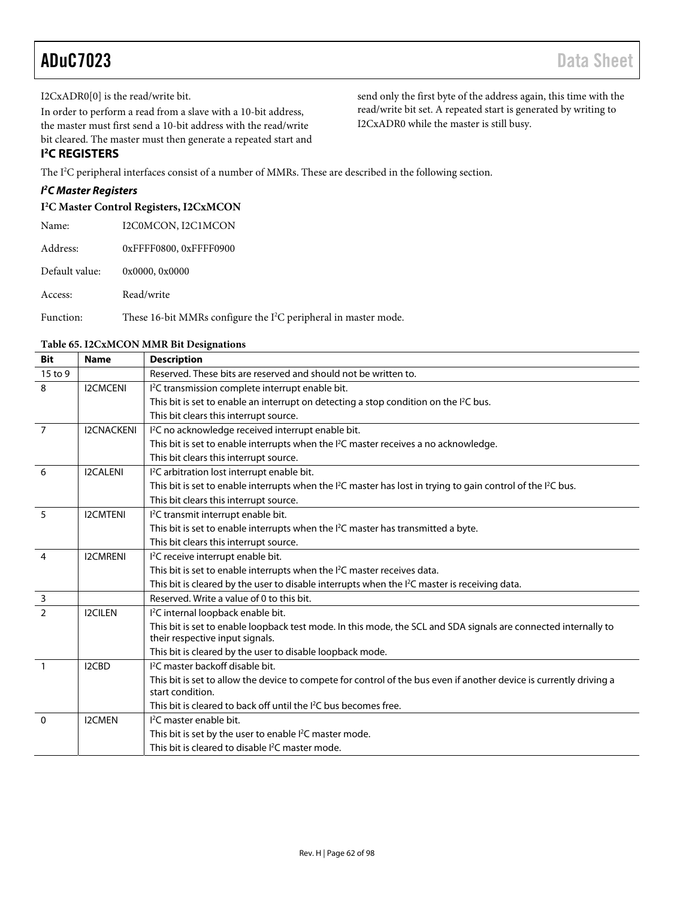I2CxADR0[0] is the read/write bit.

In order to perform a read from a slave with a 10-bit address, the master must first send a 10-bit address with the read/write bit cleared. The master must then generate a repeated start and send only the first byte of the address again, this time with the read/write bit set. A repeated start is generated by writing to I2CxADR0 while the master is still busy.

## **I 2 C REGISTERS**

The I<sup>2</sup>C peripheral interfaces consist of a number of MMRs. These are described in the following section.

## **I 2 C Master Registers**

### **I2 C Master Control Registers, I2CxMCON**

| Name:          | I2C0MCON, I2C1MCON                                                |
|----------------|-------------------------------------------------------------------|
| Address:       | 0xFFFF0800, 0xFFFF0900                                            |
| Default value: | 0x0000, 0x0000                                                    |
| Access:        | Read/write                                                        |
| Function:      | These 16-bit MMRs configure the $I^2C$ peripheral in master mode. |

### **Table 65. I2CxMCON MMR Bit Designations**

| <b>Bit</b>     | <b>Name</b>       | <b>Description</b>                                                                                                                    |
|----------------|-------------------|---------------------------------------------------------------------------------------------------------------------------------------|
| $15$ to 9      |                   | Reserved. These bits are reserved and should not be written to.                                                                       |
| 8              | <b>I2CMCENI</b>   | I <sup>2</sup> C transmission complete interrupt enable bit.                                                                          |
|                |                   | This bit is set to enable an interrupt on detecting a stop condition on the I <sup>2</sup> C bus.                                     |
|                |                   | This bit clears this interrupt source.                                                                                                |
| $\overline{7}$ | <b>I2CNACKENI</b> | I <sup>2</sup> C no acknowledge received interrupt enable bit.                                                                        |
|                |                   | This bit is set to enable interrupts when the I <sup>2</sup> C master receives a no acknowledge.                                      |
|                |                   | This bit clears this interrupt source.                                                                                                |
| 6              | <b>I2CALENI</b>   | I <sup>2</sup> C arbitration lost interrupt enable bit.                                                                               |
|                |                   | This bit is set to enable interrupts when the I <sup>2</sup> C master has lost in trying to gain control of the I <sup>2</sup> C bus. |
|                |                   | This bit clears this interrupt source.                                                                                                |
| 5              | <b>I2CMTENI</b>   | I <sup>2</sup> C transmit interrupt enable bit.                                                                                       |
|                |                   | This bit is set to enable interrupts when the I <sup>2</sup> C master has transmitted a byte.                                         |
|                |                   | This bit clears this interrupt source.                                                                                                |
| $\overline{4}$ | <b>I2CMRENI</b>   | I <sup>2</sup> C receive interrupt enable bit.                                                                                        |
|                |                   | This bit is set to enable interrupts when the I <sup>2</sup> C master receives data.                                                  |
|                |                   | This bit is cleared by the user to disable interrupts when the I <sup>2</sup> C master is receiving data.                             |
| $\overline{3}$ |                   | Reserved. Write a value of 0 to this bit.                                                                                             |
| $\overline{2}$ | <b>I2CILEN</b>    | I <sup>2</sup> C internal loopback enable bit.                                                                                        |
|                |                   | This bit is set to enable loopback test mode. In this mode, the SCL and SDA signals are connected internally to                       |
|                |                   | their respective input signals.                                                                                                       |
|                |                   | This bit is cleared by the user to disable loopback mode.                                                                             |
| $\overline{1}$ | I2CBD             | <sup>12</sup> C master backoff disable bit.                                                                                           |
|                |                   | This bit is set to allow the device to compete for control of the bus even if another device is currently driving a                   |
|                |                   | start condition.                                                                                                                      |
|                |                   | This bit is cleared to back off until the I <sup>2</sup> C bus becomes free.                                                          |
| $\Omega$       | <b>I2CMEN</b>     | <sup>12</sup> C master enable bit.                                                                                                    |
|                |                   | This bit is set by the user to enable I <sup>2</sup> C master mode.                                                                   |
|                |                   | This bit is cleared to disable I <sup>2</sup> C master mode.                                                                          |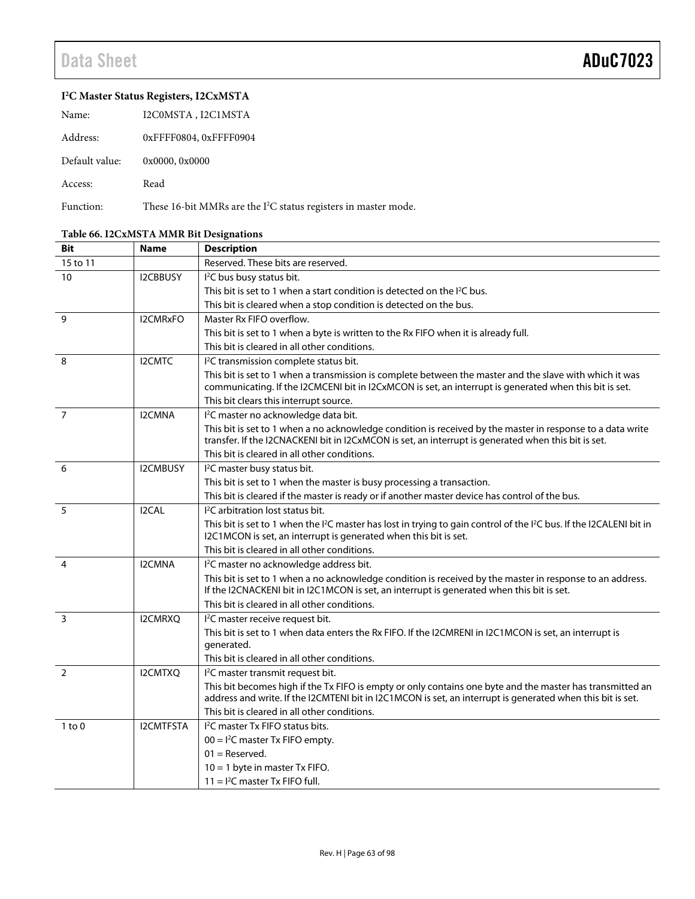### **I2 C Master Status Registers, I2CxMSTA**

| Name:          | I2C0MSTA, I2C1MSTA                    |
|----------------|---------------------------------------|
| Address:       | 0xFFFF0804, 0xFFFF0904                |
| Default value: | 0x0000, 0x0000                        |
| Access:        | Read                                  |
| $E$ unction    | $Th_{200}$ $16$ kit $MMD_{0}$ and the |

Function: These 16-bit MMRs are the  $I^2C$  status registers in master mode.

#### **Bit Name Description** 15 to 11 and 1 and 1 Reserved. These bits are reserved. 10 I2CBBUSY I<sup>2</sup>C bus busy status bit. This bit is set to 1 when a start condition is detected on the  $P^2C$  bus. This bit is cleared when a stop condition is detected on the bus. 9 I2CMRxFO Master Rx FIFO overflow. This bit is set to 1 when a byte is written to the Rx FIFO when it is already full. This bit is cleared in all other conditions. 8 I2CMTC <sup>12</sup>C transmission complete status bit. This bit is set to 1 when a transmission is complete between the master and the slave with which it was communicating. If the I2CMCENI bit in I2CxMCON is set, an interrupt is generated when this bit is set. This bit clears this interrupt source. 7 | I2CMNA C master no acknowledge data bit. This bit is set to 1 when a no acknowledge condition is received by the master in response to a data write transfer. If the I2CNACKENI bit in I2CxMCON is set, an interrupt is generated when this bit is set. This bit is cleared in all other conditions. 6 I2CMBUSY I 2 C master busy status bit. This bit is set to 1 when the master is busy processing a transaction. This bit is cleared if the master is ready or if another master device has control of the bus.  $5$   $12CA$ C arbitration lost status bit. This bit is set to 1 when the I<sup>2</sup>C master has lost in trying to gain control of the I<sup>2</sup>C bus. If the I2CALENI bit in I2C1MCON is set, an interrupt is generated when this bit is set. This bit is cleared in all other conditions. 4 | I2CMNA I<sup>2</sup>C master no acknowledge address bit. This bit is set to 1 when a no acknowledge condition is received by the master in response to an address. If the I2CNACKENI bit in I2C1MCON is set, an interrupt is generated when this bit is set. This bit is cleared in all other conditions. 3 I2CMRXO <sup>12</sup>C master receive request bit. This bit is set to 1 when data enters the Rx FIFO. If the I2CMRENI in I2C1MCON is set, an interrupt is generated. This bit is cleared in all other conditions. 2 I2CMTXO I<sup>2</sup>C master transmit request bit. This bit becomes high if the Tx FIFO is empty or only contains one byte and the master has transmitted an address and write. If the I2CMTENI bit in I2C1MCON is set, an interrupt is generated when this bit is set. This bit is cleared in all other conditions. 1 to 0 I2CMTFSTA C master Tx FIFO status bits.  $00 = 1<sup>2</sup>C$  master Tx FIFO empty. 01 = Reserved. 10 = 1 byte in master Tx FIFO.  $11 = 1<sup>2</sup>C$  master Tx FIFO full.

### **Table 66. I2CxMSTA MMR Bit Designations**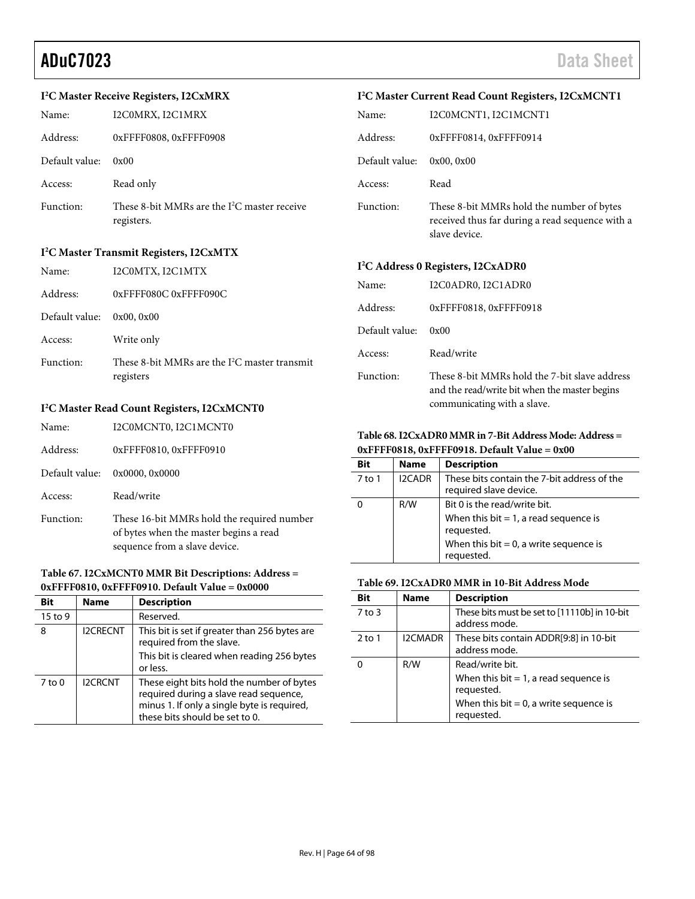## aduC7023 Data Sheet

### **I2 C Master Receive Registers, I2CxMRX**

| Name:          | I2C0MRX, I2C1MRX                                             | N |
|----------------|--------------------------------------------------------------|---|
| Address:       | 0xFFFF0808, 0xFFFF0908                                       | A |
| Default value: | 0x00                                                         | D |
| Access:        | Read only                                                    | A |
| Function:      | These 8-bit MMRs are the $I^2C$ master receive<br>registers. | F |

### **I2 C Master Transmit Registers, I2CxMTX**

| Name:          | I2C0MTX, I2C1MTX                                             |
|----------------|--------------------------------------------------------------|
| Address:       | 0xFFFF080C 0xFFFF090C                                        |
| Default value: | 0x00, 0x00                                                   |
| Access:        | Write only                                                   |
| Function:      | These 8-bit MMRs are the $I^2C$ master transmit<br>registers |
|                | $L^2C$ Mostor Dead Count Desisters, $L^2C$ MCNTD             |

## **I2 C Master Read Count Registers, I2CxMCNT0**

| Name:          | I2C0MCNT0, I2C1MCNT0                                                                                                  |
|----------------|-----------------------------------------------------------------------------------------------------------------------|
| Address:       | 0xFFFF0810, 0xFFFF0910                                                                                                |
| Default value: | 0x0000, 0x0000                                                                                                        |
| Access:        | Read/write                                                                                                            |
| Function:      | These 16-bit MMRs hold the required number<br>of bytes when the master begins a read<br>sequence from a slave device. |

### **Table 67. I2CxMCNT0 MMR Bit Descriptions: Address = 0xFFFF0810, 0xFFFF0910. Default Value = 0x0000**

| Bit        | <b>Name</b>     | <b>Description</b>                                                                                                                                                   |
|------------|-----------------|----------------------------------------------------------------------------------------------------------------------------------------------------------------------|
| 15 to 9    |                 | Reserved.                                                                                                                                                            |
| 8          | <b>I2CRECNT</b> | This bit is set if greater than 256 bytes are<br>required from the slave.<br>This bit is cleared when reading 256 bytes<br>or less.                                  |
| $7$ to $0$ | <b>I2CRCNT</b>  | These eight bits hold the number of bytes<br>required during a slave read sequence,<br>minus 1. If only a single byte is required,<br>these bits should be set to 0. |

#### $I^2C M$ **C Master Current Read Count Registers, I2CxMCNT1**

| TU Master Current Read Count Registers, IZCXMCNTT |                                                                                                               |  |
|---------------------------------------------------|---------------------------------------------------------------------------------------------------------------|--|
| Name:                                             | I2C0MCNT1, I2C1MCNT1                                                                                          |  |
| Address:                                          | 0xFFFF0814, 0xFFFF0914                                                                                        |  |
| Default value:                                    | 0x00, 0x00                                                                                                    |  |
| Access:                                           | Read                                                                                                          |  |
| Function:                                         | These 8-bit MMRs hold the number of bytes<br>received thus far during a read sequence with a<br>slave device. |  |
|                                                   | I <sup>2</sup> C Address 0 Registers, I2CxADR0                                                                |  |
| Name:                                             | I2C0ADR0, I2C1ADR0                                                                                            |  |
| Address:                                          | 0xFFFF0818, 0xFFFF0918                                                                                        |  |
| Default value:                                    | 0x00                                                                                                          |  |
| Access:                                           | Read/write                                                                                                    |  |
| Function:                                         | These 8-bit MMRs hold the 7-bit slave address<br>and the read/write bit when the master begins                |  |

### **Table 68. I2CxADR0 MMR in 7-Bit Address Mode: Address = 0xFFFF0818, 0xFFFF0918. Default Value = 0x00**

communicating with a slave.

| Bit    | <b>Name</b>   | <b>Description</b>                                                                                                                                |
|--------|---------------|---------------------------------------------------------------------------------------------------------------------------------------------------|
| 7 to 1 | <b>I2CADR</b> | These bits contain the 7-bit address of the<br>required slave device.                                                                             |
|        | R/W           | Bit 0 is the read/write bit.<br>When this bit $= 1$ , a read sequence is<br>requested.<br>When this bit $= 0$ , a write sequence is<br>requested. |

## **Table 69. I2CxADR0 MMR in 10-Bit Address Mode**

| Bit        | <b>Name</b>    | <b>Description</b>                                                                                                                   |
|------------|----------------|--------------------------------------------------------------------------------------------------------------------------------------|
| $7$ to $3$ |                | These bits must be set to [11110b] in 10-bit<br>address mode.                                                                        |
| $2$ to 1   | <b>I2CMADR</b> | These bits contain ADDR[9:8] in 10-bit<br>address mode.                                                                              |
|            | R/W            | Read/write bit.<br>When this bit $= 1$ , a read sequence is<br>requested.<br>When this bit $= 0$ , a write sequence is<br>requested. |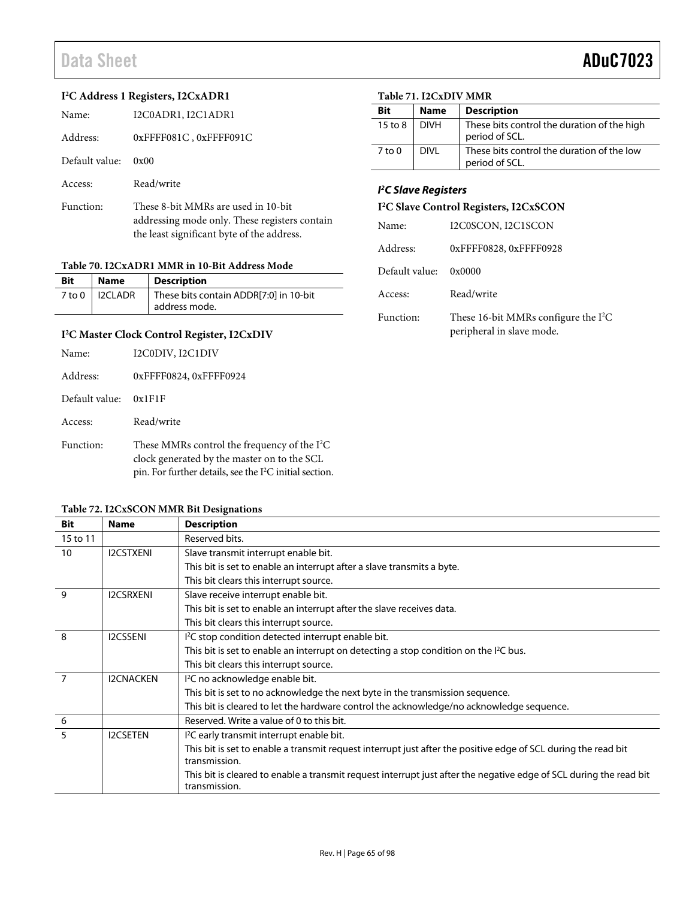$\overline{a}$ 

| I <sup>2</sup> C Address 1 Registers, I2CxADR1 |                                                                                                                                    |            | Table 71. I2CxDIV MMR                           |                                     |  |
|------------------------------------------------|------------------------------------------------------------------------------------------------------------------------------------|------------|-------------------------------------------------|-------------------------------------|--|
| Name:                                          | I2C0ADR1, I2C1ADR1                                                                                                                 | <b>Bit</b> | <b>Name</b>                                     | <b>Description</b>                  |  |
| Address:                                       | $0x$ FFFF081C, $0x$ FFFF091C                                                                                                       |            | <b>DIVH</b>                                     | These bits contro<br>period of SCL. |  |
| Default value:                                 | 0x00                                                                                                                               | $7$ to 0   | <b>DIVL</b>                                     | These bits contro<br>period of SCL. |  |
| Access:                                        | Read/write                                                                                                                         |            | <b>PC Slave Registers</b>                       |                                     |  |
| Function:                                      | These 8-bit MMRs are used in 10-bit<br>addressing mode only. These registers contain<br>the least significant byte of the address. |            | I <sup>2</sup> C Slave Control Registers, I2CxS |                                     |  |
|                                                |                                                                                                                                    |            |                                                 | I2C0SCON, I2C1SC                    |  |
|                                                |                                                                                                                                    | Addrace    |                                                 | $0$ vereenese $0$ verei             |  |

## **Table 70. I2CxADR1 MMR in 10-Bit Address Mode**

| <b>Bit</b> | Name             | <b>Description</b>                                      |
|------------|------------------|---------------------------------------------------------|
|            | 7 to 0   I2CLADR | These bits contain ADDR[7:0] in 10-bit<br>address mode. |

### **I2 C Master Clock Control Register, I2CxDIV**

| Name:          | I2C0DIV, I2C1DIV                                                                                                                                                     |
|----------------|----------------------------------------------------------------------------------------------------------------------------------------------------------------------|
| Address:       | 0xFFFF0824, 0xFFFF0924                                                                                                                                               |
| Default value: | 0x1F1F                                                                                                                                                               |
| Access:        | Read/write                                                                                                                                                           |
| Function:      | These MMRs control the frequency of the $I^2C$<br>clock generated by the master on to the SCL<br>pin. For further details, see the I <sup>2</sup> C initial section. |

### **Table 72. I2CxSCON MMR Bit Designations**

| Bit          | Name             | <b>Description</b>                                                                                                                  |
|--------------|------------------|-------------------------------------------------------------------------------------------------------------------------------------|
| 15 to 11     |                  | Reserved bits.                                                                                                                      |
| 10           | <b>I2CSTXENI</b> | Slave transmit interrupt enable bit.                                                                                                |
|              |                  | This bit is set to enable an interrupt after a slave transmits a byte.                                                              |
|              |                  | This bit clears this interrupt source.                                                                                              |
| $\mathsf{Q}$ | <b>I2CSRXENI</b> | Slave receive interrupt enable bit.                                                                                                 |
|              |                  | This bit is set to enable an interrupt after the slave receives data.                                                               |
|              |                  | This bit clears this interrupt source.                                                                                              |
| 8            | <b>I2CSSENI</b>  | I <sup>2</sup> C stop condition detected interrupt enable bit.                                                                      |
|              |                  | This bit is set to enable an interrupt on detecting a stop condition on the I <sup>2</sup> C bus.                                   |
|              |                  | This bit clears this interrupt source.                                                                                              |
|              | <b>I2CNACKEN</b> | <sup>12</sup> C no acknowledge enable bit.                                                                                          |
|              |                  | This bit is set to no acknowledge the next byte in the transmission sequence.                                                       |
|              |                  | This bit is cleared to let the hardware control the acknowledge/no acknowledge sequence.                                            |
| 6            |                  | Reserved. Write a value of 0 to this bit.                                                                                           |
| 5            | <b>I2CSETEN</b>  | I <sup>2</sup> C early transmit interrupt enable bit.                                                                               |
|              |                  | This bit is set to enable a transmit request interrupt just after the positive edge of SCL during the read bit                      |
|              |                  | transmission.                                                                                                                       |
|              |                  | This bit is cleared to enable a transmit request interrupt just after the negative edge of SCL during the read bit<br>transmission. |

| <b>Bit</b> | <b>Name</b> | <b>Description</b>                                            |
|------------|-------------|---------------------------------------------------------------|
| 15 to 8    | <b>DIVH</b> | These bits control the duration of the high<br>period of SCL. |
| 7 to 0     | DIVI        | These bits control the duration of the low<br>period of SCL.  |

| I <sup>2</sup> C Slave Control Registers, I2CxSCON |
|----------------------------------------------------|
|                                                    |

| Name:          | I2C0SCON, I2C1SCON                                                  |
|----------------|---------------------------------------------------------------------|
| Address:       | 0xFFFF0828, 0xFFFF0928                                              |
| Default value: | 0x0000                                                              |
| Access:        | Read/write                                                          |
| Function:      | These 16-bit MMRs configure the $I^2C$<br>peripheral in slave mode. |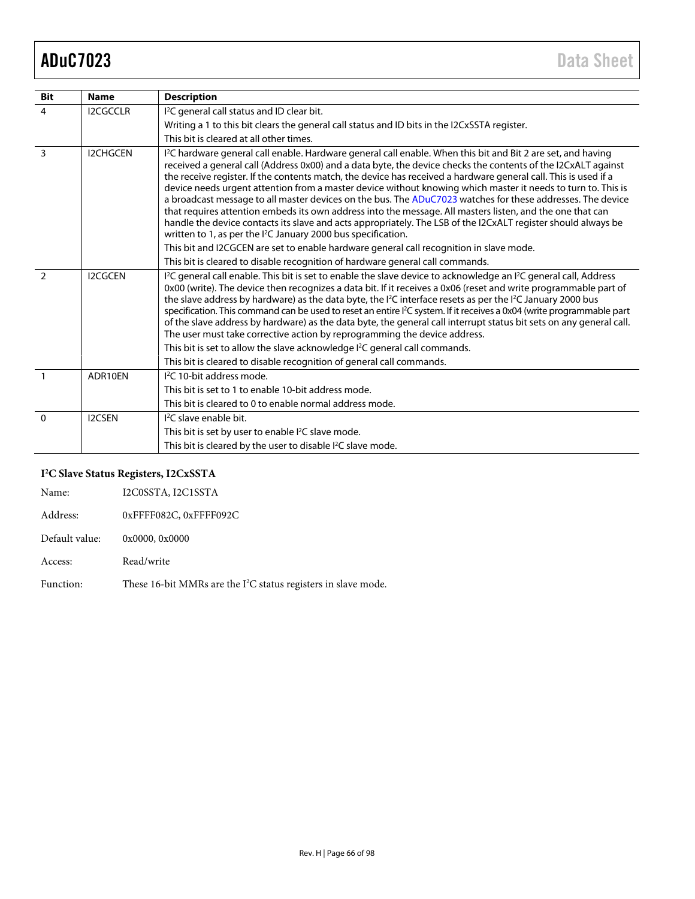| <b>Bit</b>     | <b>Name</b>     | <b>Description</b>                                                                                                                                                                                                                                                                                                                                                                                                                                                                                                                                                                                                                                                                                                                                                                                                                                                                                  |
|----------------|-----------------|-----------------------------------------------------------------------------------------------------------------------------------------------------------------------------------------------------------------------------------------------------------------------------------------------------------------------------------------------------------------------------------------------------------------------------------------------------------------------------------------------------------------------------------------------------------------------------------------------------------------------------------------------------------------------------------------------------------------------------------------------------------------------------------------------------------------------------------------------------------------------------------------------------|
| $\overline{4}$ | <b>I2CGCCLR</b> | I <sup>2</sup> C general call status and ID clear bit.                                                                                                                                                                                                                                                                                                                                                                                                                                                                                                                                                                                                                                                                                                                                                                                                                                              |
|                |                 | Writing a 1 to this bit clears the general call status and ID bits in the I2CxSSTA register.                                                                                                                                                                                                                                                                                                                                                                                                                                                                                                                                                                                                                                                                                                                                                                                                        |
|                |                 | This bit is cleared at all other times.                                                                                                                                                                                                                                                                                                                                                                                                                                                                                                                                                                                                                                                                                                                                                                                                                                                             |
| 3              | <b>I2CHGCEN</b> | l <sup>2</sup> C hardware general call enable. Hardware general call enable. When this bit and Bit 2 are set, and having<br>received a general call (Address 0x00) and a data byte, the device checks the contents of the I2CxALT against<br>the receive register. If the contents match, the device has received a hardware general call. This is used if a<br>device needs urgent attention from a master device without knowing which master it needs to turn to. This is<br>a broadcast message to all master devices on the bus. The ADuC7023 watches for these addresses. The device<br>that requires attention embeds its own address into the message. All masters listen, and the one that can<br>handle the device contacts its slave and acts appropriately. The LSB of the I2CxALT register should always be<br>written to 1, as per the <sup>2</sup> C January 2000 bus specification. |
|                |                 | This bit and I2CGCEN are set to enable hardware general call recognition in slave mode.                                                                                                                                                                                                                                                                                                                                                                                                                                                                                                                                                                                                                                                                                                                                                                                                             |
|                |                 | This bit is cleared to disable recognition of hardware general call commands.                                                                                                                                                                                                                                                                                                                                                                                                                                                                                                                                                                                                                                                                                                                                                                                                                       |
| $\mathcal{L}$  | <b>I2CGCEN</b>  | <sup>12</sup> C general call enable. This bit is set to enable the slave device to acknowledge an <sup>12</sup> C general call, Address<br>0x00 (write). The device then recognizes a data bit. If it receives a 0x06 (reset and write programmable part of<br>the slave address by hardware) as the data byte, the I <sup>2</sup> C interface resets as per the I <sup>2</sup> C January 2000 bus<br>specification. This command can be used to reset an entire <sup>12</sup> C system. If it receives a 0x04 (write programmable part<br>of the slave address by hardware) as the data byte, the general call interrupt status bit sets on any general call.<br>The user must take corrective action by reprogramming the device address.                                                                                                                                                         |
|                |                 | This bit is set to allow the slave acknowledge I <sup>2</sup> C general call commands.                                                                                                                                                                                                                                                                                                                                                                                                                                                                                                                                                                                                                                                                                                                                                                                                              |
|                |                 | This bit is cleared to disable recognition of general call commands.                                                                                                                                                                                                                                                                                                                                                                                                                                                                                                                                                                                                                                                                                                                                                                                                                                |
| $\overline{1}$ | ADR10EN         | <sup>12</sup> C 10-bit address mode.                                                                                                                                                                                                                                                                                                                                                                                                                                                                                                                                                                                                                                                                                                                                                                                                                                                                |
|                |                 | This bit is set to 1 to enable 10-bit address mode.                                                                                                                                                                                                                                                                                                                                                                                                                                                                                                                                                                                                                                                                                                                                                                                                                                                 |
|                |                 | This bit is cleared to 0 to enable normal address mode.                                                                                                                                                                                                                                                                                                                                                                                                                                                                                                                                                                                                                                                                                                                                                                                                                                             |
| $\Omega$       | <b>I2CSEN</b>   | <sup>12</sup> C slave enable bit.                                                                                                                                                                                                                                                                                                                                                                                                                                                                                                                                                                                                                                                                                                                                                                                                                                                                   |
|                |                 | This bit is set by user to enable l <sup>2</sup> C slave mode.                                                                                                                                                                                                                                                                                                                                                                                                                                                                                                                                                                                                                                                                                                                                                                                                                                      |
|                |                 | This bit is cleared by the user to disable I <sup>2</sup> C slave mode.                                                                                                                                                                                                                                                                                                                                                                                                                                                                                                                                                                                                                                                                                                                                                                                                                             |

## **I2 C Slave Status Registers, I2CxSSTA**

| Name:          | I2C0SSTA, I2C1SSTA                                                         |
|----------------|----------------------------------------------------------------------------|
| Address:       | 0xFFFF082C, 0xFFFF092C                                                     |
| Default value: | 0x0000, 0x0000                                                             |
| Access:        | Read/write                                                                 |
| Function:      | These 16-bit MMRs are the I <sup>2</sup> C status registers in slave mode. |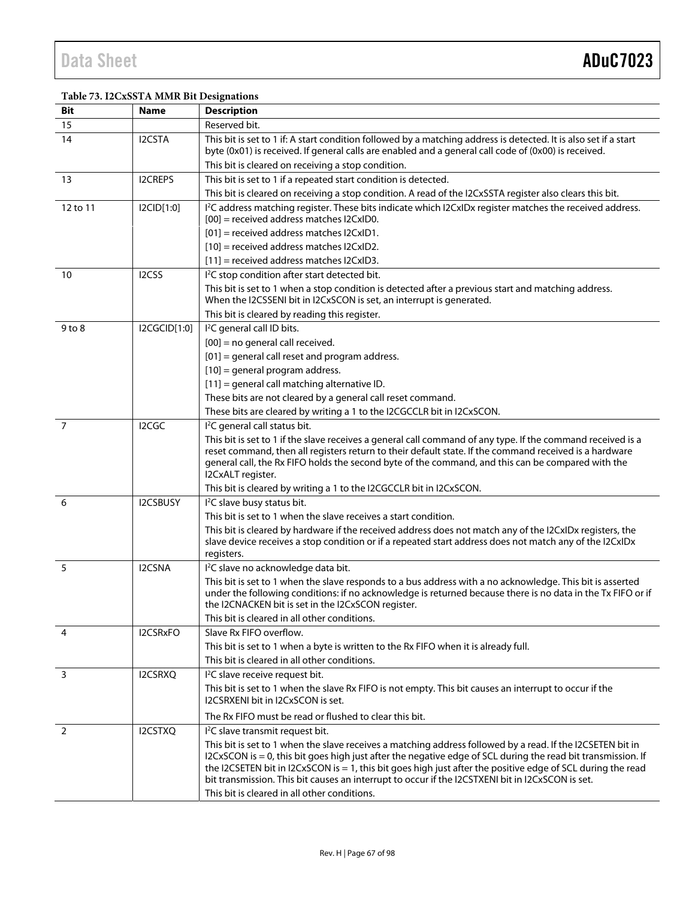## **Table 73. I2CxSSTA MMR Bit Designations**

| Bit            | <b>Name</b>     | <b>Description</b>                                                                                                                                                                                                                                                                                                                                                                                                                                                                            |
|----------------|-----------------|-----------------------------------------------------------------------------------------------------------------------------------------------------------------------------------------------------------------------------------------------------------------------------------------------------------------------------------------------------------------------------------------------------------------------------------------------------------------------------------------------|
| 15             |                 | Reserved bit.                                                                                                                                                                                                                                                                                                                                                                                                                                                                                 |
| 14             | I2CSTA          | This bit is set to 1 if: A start condition followed by a matching address is detected. It is also set if a start<br>byte (0x01) is received. If general calls are enabled and a general call code of (0x00) is received.                                                                                                                                                                                                                                                                      |
|                |                 | This bit is cleared on receiving a stop condition.                                                                                                                                                                                                                                                                                                                                                                                                                                            |
| 13             | <b>I2CREPS</b>  | This bit is set to 1 if a repeated start condition is detected.                                                                                                                                                                                                                                                                                                                                                                                                                               |
|                |                 | This bit is cleared on receiving a stop condition. A read of the I2CxSSTA register also clears this bit.                                                                                                                                                                                                                                                                                                                                                                                      |
| 12 to 11       | I2CID[1:0]      | <sup>12</sup> C address matching register. These bits indicate which I2CxIDx register matches the received address.<br>$[00]$ = received address matches $12CxID0$ .                                                                                                                                                                                                                                                                                                                          |
|                |                 | $[01]$ = received address matches $12CxID1$ .                                                                                                                                                                                                                                                                                                                                                                                                                                                 |
|                |                 | $[10]$ = received address matches $ 2Cx D2$ .                                                                                                                                                                                                                                                                                                                                                                                                                                                 |
|                |                 | $[11]$ = received address matches $ 2Cx D3$ .                                                                                                                                                                                                                                                                                                                                                                                                                                                 |
| 10             | I2CSS           | I <sup>2</sup> C stop condition after start detected bit.                                                                                                                                                                                                                                                                                                                                                                                                                                     |
|                |                 | This bit is set to 1 when a stop condition is detected after a previous start and matching address.<br>When the I2CSSENI bit in I2CxSCON is set, an interrupt is generated.                                                                                                                                                                                                                                                                                                                   |
|                |                 | This bit is cleared by reading this register.                                                                                                                                                                                                                                                                                                                                                                                                                                                 |
| $9$ to $8$     | I2CGCID[1:0]    | I <sup>2</sup> C general call ID bits.                                                                                                                                                                                                                                                                                                                                                                                                                                                        |
|                |                 | $[00]$ = no general call received.                                                                                                                                                                                                                                                                                                                                                                                                                                                            |
|                |                 | $[01]$ = general call reset and program address.                                                                                                                                                                                                                                                                                                                                                                                                                                              |
|                |                 | $[10]$ = general program address.                                                                                                                                                                                                                                                                                                                                                                                                                                                             |
|                |                 | [11] = general call matching alternative ID.                                                                                                                                                                                                                                                                                                                                                                                                                                                  |
|                |                 | These bits are not cleared by a general call reset command.                                                                                                                                                                                                                                                                                                                                                                                                                                   |
|                |                 | These bits are cleared by writing a 1 to the I2CGCCLR bit in I2CxSCON.                                                                                                                                                                                                                                                                                                                                                                                                                        |
| 7              | I2CGC           | I <sup>2</sup> C general call status bit.                                                                                                                                                                                                                                                                                                                                                                                                                                                     |
|                |                 | This bit is set to 1 if the slave receives a general call command of any type. If the command received is a<br>reset command, then all registers return to their default state. If the command received is a hardware<br>general call, the Rx FIFO holds the second byte of the command, and this can be compared with the<br>I2CxALT register.                                                                                                                                               |
|                |                 | This bit is cleared by writing a 1 to the I2CGCCLR bit in I2CxSCON.                                                                                                                                                                                                                                                                                                                                                                                                                           |
| 6              | <b>I2CSBUSY</b> | I <sup>2</sup> C slave busy status bit.                                                                                                                                                                                                                                                                                                                                                                                                                                                       |
|                |                 | This bit is set to 1 when the slave receives a start condition.                                                                                                                                                                                                                                                                                                                                                                                                                               |
|                |                 | This bit is cleared by hardware if the received address does not match any of the I2CxIDx registers, the<br>slave device receives a stop condition or if a repeated start address does not match any of the I2CxIDx<br>registers.                                                                                                                                                                                                                                                             |
| 5              | I2CSNA          | I <sup>2</sup> C slave no acknowledge data bit.                                                                                                                                                                                                                                                                                                                                                                                                                                               |
|                |                 | This bit is set to 1 when the slave responds to a bus address with a no acknowledge. This bit is asserted<br>under the following conditions: if no acknowledge is returned because there is no data in the Tx FIFO or if<br>the I2CNACKEN bit is set in the I2CxSCON register.                                                                                                                                                                                                                |
|                |                 | This bit is cleared in all other conditions.                                                                                                                                                                                                                                                                                                                                                                                                                                                  |
| 4              | I2CSRxFO        | Slave Rx FIFO overflow.                                                                                                                                                                                                                                                                                                                                                                                                                                                                       |
|                |                 | This bit is set to 1 when a byte is written to the Rx FIFO when it is already full.                                                                                                                                                                                                                                                                                                                                                                                                           |
|                |                 | This bit is cleared in all other conditions.                                                                                                                                                                                                                                                                                                                                                                                                                                                  |
| 3              | I2CSRXQ         | I <sup>2</sup> C slave receive request bit.<br>This bit is set to 1 when the slave Rx FIFO is not empty. This bit causes an interrupt to occur if the<br>I2CSRXENI bit in I2CxSCON is set.                                                                                                                                                                                                                                                                                                    |
|                |                 | The Rx FIFO must be read or flushed to clear this bit.                                                                                                                                                                                                                                                                                                                                                                                                                                        |
| $\overline{2}$ | I2CSTXQ         | I <sup>2</sup> C slave transmit request bit.                                                                                                                                                                                                                                                                                                                                                                                                                                                  |
|                |                 | This bit is set to 1 when the slave receives a matching address followed by a read. If the I2CSETEN bit in<br>I2CxSCON is = 0, this bit goes high just after the negative edge of SCL during the read bit transmission. If<br>the I2CSETEN bit in I2CxSCON is = 1, this bit goes high just after the positive edge of SCL during the read<br>bit transmission. This bit causes an interrupt to occur if the I2CSTXENI bit in I2CxSCON is set.<br>This bit is cleared in all other conditions. |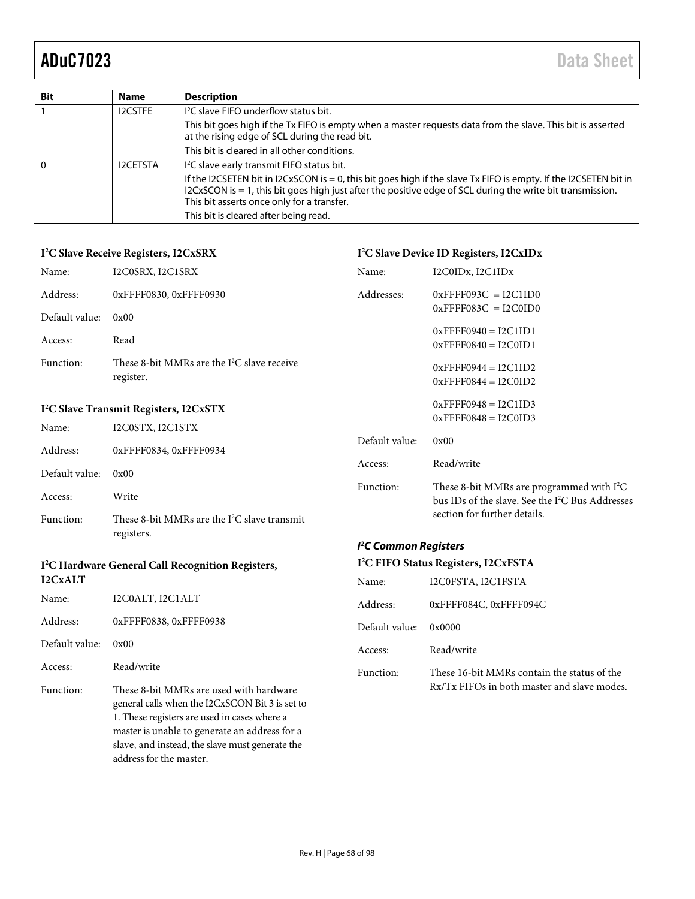| <b>Bit</b> | <b>Name</b>     | <b>Description</b>                                                                                                                                                                                                                                                                 |
|------------|-----------------|------------------------------------------------------------------------------------------------------------------------------------------------------------------------------------------------------------------------------------------------------------------------------------|
|            | <b>I2CSTFE</b>  | I <sup>2</sup> C slave FIFO underflow status bit.                                                                                                                                                                                                                                  |
|            |                 | This bit goes high if the Tx FIFO is empty when a master requests data from the slave. This bit is asserted<br>at the rising edge of SCL during the read bit.                                                                                                                      |
|            |                 | This bit is cleared in all other conditions.                                                                                                                                                                                                                                       |
| $\Omega$   | <b>I2CETSTA</b> | I <sup>2</sup> C slave early transmit FIFO status bit.                                                                                                                                                                                                                             |
|            |                 | If the I2CSETEN bit in I2CxSCON is $= 0$ , this bit goes high if the slave Tx FIFO is empty. If the I2CSETEN bit in<br>I2CxSCON is $= 1$ , this bit goes high just after the positive edge of SCL during the write bit transmission.<br>This bit asserts once only for a transfer. |
|            |                 | This bit is cleared after being read.                                                                                                                                                                                                                                              |

### **I2 C Slave Receive Registers, I2CxSRX**

|                                                    | I <sup>2</sup> C Slave Receive Registers, I2CxSRX          | I <sup>2</sup> C Slave Device ID Registers, I2CxIDx |                                                                                                                       |  |
|----------------------------------------------------|------------------------------------------------------------|-----------------------------------------------------|-----------------------------------------------------------------------------------------------------------------------|--|
| Name:                                              | I2C0SRX, I2C1SRX                                           | Name:                                               | I2C0IDx, I2C1IDx                                                                                                      |  |
| Address:                                           | 0xFFFF0830, 0xFFFF0930                                     | Addresses:                                          | $0x$ FFFF093C = I2C1ID0                                                                                               |  |
| Default value:                                     | 0x00                                                       |                                                     | $0x$ FFFF083C = I2C0ID0                                                                                               |  |
| Access:                                            | Read                                                       |                                                     | $0x$ FFFF0940 = I2C1ID1<br>$0x$ FFFF0840 = I2C0ID1                                                                    |  |
| Function:                                          | These 8-bit MMRs are the $I^2C$ slave receive<br>register. |                                                     | $0x$ FFFF0944 = I2C1ID2<br>$0x$ FFFF0844 = I2C0ID2                                                                    |  |
| I <sup>2</sup> C Slave Transmit Registers, I2CxSTX |                                                            |                                                     | $0x$ FFFF0948 = I2C1ID3                                                                                               |  |
| Name:                                              | I2C0STX, I2C1STX                                           |                                                     | $0x$ FFFF0848 = I2C0ID3                                                                                               |  |
| Address:                                           | 0xFFFF0834, 0xFFFF0934                                     | Default value:                                      | 0x00                                                                                                                  |  |
| Default value:                                     | 0x00                                                       | Access:                                             | Read/write                                                                                                            |  |
| Access:                                            | Write                                                      | Function:                                           | These 8-bit MMRs are programmed with I <sup>2</sup> C<br>bus IDs of the slave. See the I <sup>2</sup> C Bus Addresses |  |
| $E_{\rm{max}}$ ation.                              | $Th$ and $0$ bit MMDs are the $I2C$ algers transmit        |                                                     | section for further details.                                                                                          |  |

Function: These 8-bit MMRs are the  $I^2C$  slave transmit registers.

## **I2 C Hardware General Call Recognition Registers, I2CxALT**

| Name:          | I2C0ALT, I2C1ALT                                                                                                                                                                                                                                                          |
|----------------|---------------------------------------------------------------------------------------------------------------------------------------------------------------------------------------------------------------------------------------------------------------------------|
| Address:       | 0xFFFF0838, 0xFFFF0938                                                                                                                                                                                                                                                    |
| Default value: | 0x00                                                                                                                                                                                                                                                                      |
| Access:        | Read/write                                                                                                                                                                                                                                                                |
| Function:      | These 8-bit MMRs are used with hardware<br>general calls when the I2CxSCON Bit 3 is set to<br>1. These registers are used in cases where a<br>master is unable to generate an address for a<br>slave, and instead, the slave must generate the<br>address for the master. |

### **I 2 C Common Registers**

| I <sup>2</sup> C FIFO Status Registers, I2CxFSTA |                                             |  |  |
|--------------------------------------------------|---------------------------------------------|--|--|
| Name:                                            | I2C0FSTA, I2C1FSTA                          |  |  |
| Address:                                         | 0xFFFF084C, 0xFFFF094C                      |  |  |
| Default value:                                   | 0x0000                                      |  |  |
| Access:                                          | Read/write                                  |  |  |
| Function:                                        | These 16-bit MMRs contain the status of the |  |  |

Rx/Tx FIFOs in both master and slave modes.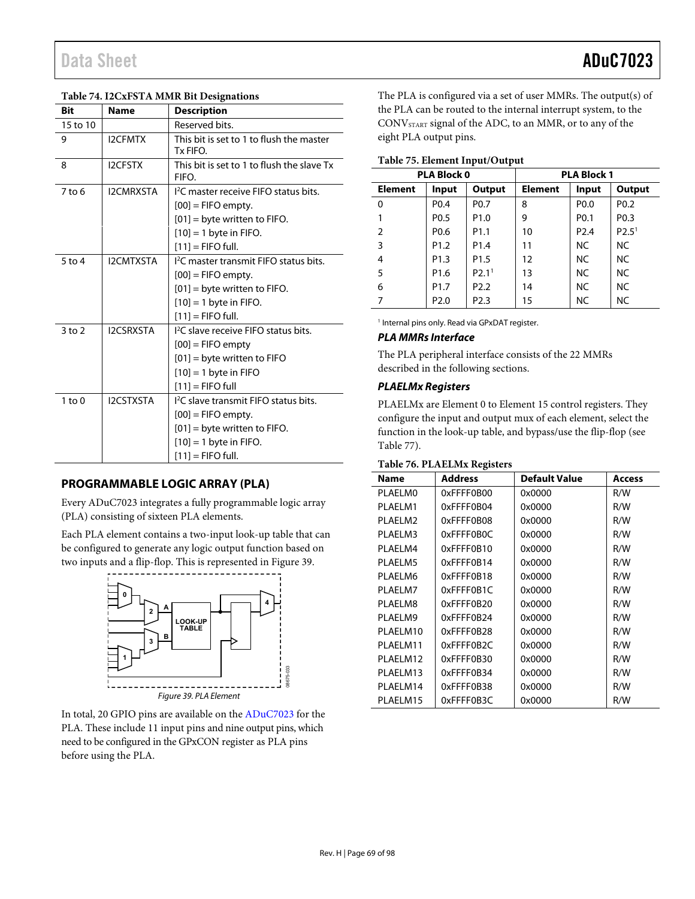| Table 74. I2CxFSTA MMR Bit Designations |                  |                                                                           |  |  |
|-----------------------------------------|------------------|---------------------------------------------------------------------------|--|--|
| Bit                                     | <b>Name</b>      | <b>Description</b>                                                        |  |  |
| 15 to 10                                |                  | Reserved bits.                                                            |  |  |
| 9                                       | <b>I2CFMTX</b>   | This bit is set to 1 to flush the master<br>Tx FIFO.                      |  |  |
| 8                                       | <b>I2CFSTX</b>   | This bit is set to 1 to flush the slave Tx<br>FIFO.                       |  |  |
| $7$ to 6                                | <b>I2CMRXSTA</b> | I <sup>2</sup> C master receive FIFO status bits.<br>$[00]$ = FIFO empty. |  |  |
|                                         |                  | $[01]$ = byte written to FIFO.                                            |  |  |
|                                         |                  | $[10] = 1$ byte in FIFO.                                                  |  |  |
|                                         |                  | $[11]$ = FIFO full.                                                       |  |  |
| $5$ to $4$                              | <b>I2CMTXSTA</b> | I <sup>2</sup> C master transmit FIFO status bits.                        |  |  |
|                                         |                  | $[00]$ = FIFO empty.                                                      |  |  |
|                                         |                  | $[01]$ = byte written to FIFO.                                            |  |  |
|                                         |                  | $[10] = 1$ byte in FIFO.                                                  |  |  |
|                                         |                  | $[11]$ = FIFO full.                                                       |  |  |
| $3$ to $2$                              | <b>I2CSRXSTA</b> | <sup>12</sup> C slave receive FIFO status bits.                           |  |  |
|                                         |                  | $[00]$ = FIFO empty                                                       |  |  |
|                                         |                  | $[01]$ = byte written to FIFO                                             |  |  |
|                                         |                  | $[10] = 1$ byte in FIFO                                                   |  |  |
|                                         |                  | $[11] =$ FIFO full                                                        |  |  |
| $1$ to $0$                              | <b>I2CSTXSTA</b> | I <sup>2</sup> C slave transmit FIFO status bits.                         |  |  |
|                                         |                  | $[00]$ = FIFO empty.                                                      |  |  |
|                                         |                  | $[01]$ = byte written to FIFO.                                            |  |  |
|                                         |                  | $[10] = 1$ byte in FIFO.                                                  |  |  |
|                                         |                  | $[11]$ = FIFO full.                                                       |  |  |

### **Table 74. I2CxFSTA MMR Bit Designations**

## **PROGRAMMABLE LOGIC ARRAY (PLA)**

Every ADuC7023 integrates a fully programmable logic array (PLA) consisting of sixteen PLA elements.

Each PLA element contains a two-input look-up table that can be configured to generate any logic output function based on two inputs and a flip-flop. This is represented i[n Figure 39.](#page-68-0)



<span id="page-68-0"></span>In total, 20 GPIO pins are available on the [ADuC7023](http://www.analog.com/ADuC7023?doc=ADuC7023.pdf) for the PLA. These include 11 input pins and nine output pins, which need to be configured in the GPxCON register as PLA pins before using the PLA.

The PLA is configured via a set of user MMRs. The output(s) of the PLA can be routed to the internal interrupt system, to the CONVSTART signal of the ADC, to an MMR, or to any of the eight PLA output pins.

### **Table 75. Element Input/Output**

|                | <b>PLA Block 0</b> |                   | <b>PLA Block 1</b> |                  |                   |
|----------------|--------------------|-------------------|--------------------|------------------|-------------------|
| <b>Element</b> | Input              | <b>Output</b>     | <b>Element</b>     | Input            | Output            |
| 0              | P <sub>0.4</sub>   | P <sub>0.7</sub>  | 8                  | P <sub>0.0</sub> | P <sub>0.2</sub>  |
|                | P <sub>0.5</sub>   | P <sub>1.0</sub>  | 9                  | P <sub>0.1</sub> | P <sub>0.3</sub>  |
| 2              | P <sub>0.6</sub>   | P <sub>1.1</sub>  | 10                 | P <sub>2.4</sub> | P2.5 <sup>1</sup> |
| 3              | P <sub>1.2</sub>   | P <sub>1.4</sub>  | 11                 | NC.              | NC.               |
| 4              | P <sub>1.3</sub>   | P <sub>1.5</sub>  | 12                 | <b>NC</b>        | NC.               |
| 5              | P <sub>1.6</sub>   | P2.1 <sup>1</sup> | 13                 | <b>NC</b>        | <b>NC</b>         |
| 6              | P <sub>1.7</sub>   | P <sub>2.2</sub>  | 14                 | NC.              | NC.               |
|                | P <sub>2.0</sub>   | P <sub>2.3</sub>  | 15                 | NC               | NC.               |

<sup>1</sup> Internal pins only. Read via GPxDAT register.

### **PLA MMRs Interface**

The PLA peripheral interface consists of the 22 MMRs described in the following sections.

### **PLAELMx Registers**

PLAELMx are Element 0 to Element 15 control registers. They configure the input and output mux of each element, select the function in the look-up table, and bypass/use the flip-flop (see [Table 77\)](#page-69-0).

### **Table 76. PLAELMx Registers**

|                       | $\sigma$       |               |        |  |  |  |  |
|-----------------------|----------------|---------------|--------|--|--|--|--|
| <b>Name</b>           | <b>Address</b> | Default Value | Access |  |  |  |  |
| <b>PLAELMO</b>        | 0xFFFF0B00     | 0x0000        | R/W    |  |  |  |  |
| PLAELM1               | 0xFFFF0B04     | 0x0000        | R/W    |  |  |  |  |
| PI AFI M <sub>2</sub> | 0xFFFF0B08     | 0x0000        | R/W    |  |  |  |  |
| PLAELM3               | 0xFFFF0B0C     | 0x0000        | R/W    |  |  |  |  |
| PLAELM4               | 0xFFFF0B10     | 0x0000        | R/W    |  |  |  |  |
| PLAELM5               | 0xFFFF0B14     | 0x0000        | R/W    |  |  |  |  |
| PLAELM6               | 0xFFFF0B18     | 0x0000        | R/W    |  |  |  |  |
| PLAELM7               | 0xFFFF0B1C     | 0x0000        | R/W    |  |  |  |  |
| PLAELM8               | 0xFFFF0B20     | 0x0000        | R/W    |  |  |  |  |
| PLAELM9               | 0xFFFF0B24     | 0x0000        | R/W    |  |  |  |  |
| PI AFI M10            | 0xFFFF0B28     | 0x0000        | R/W    |  |  |  |  |
| PLAELM11              | 0xFFFF0B2C     | 0x0000        | R/W    |  |  |  |  |
| PLAELM12              | 0xFFFF0B30     | 0x0000        | R/W    |  |  |  |  |
| PLAELM13              | 0xFFFF0B34     | 0x0000        | R/W    |  |  |  |  |
| PLAELM14              | 0xFFFF0B38     | 0x0000        | R/W    |  |  |  |  |
| PLAELM15              | 0xFFFF0B3C     | 0x0000        | R/W    |  |  |  |  |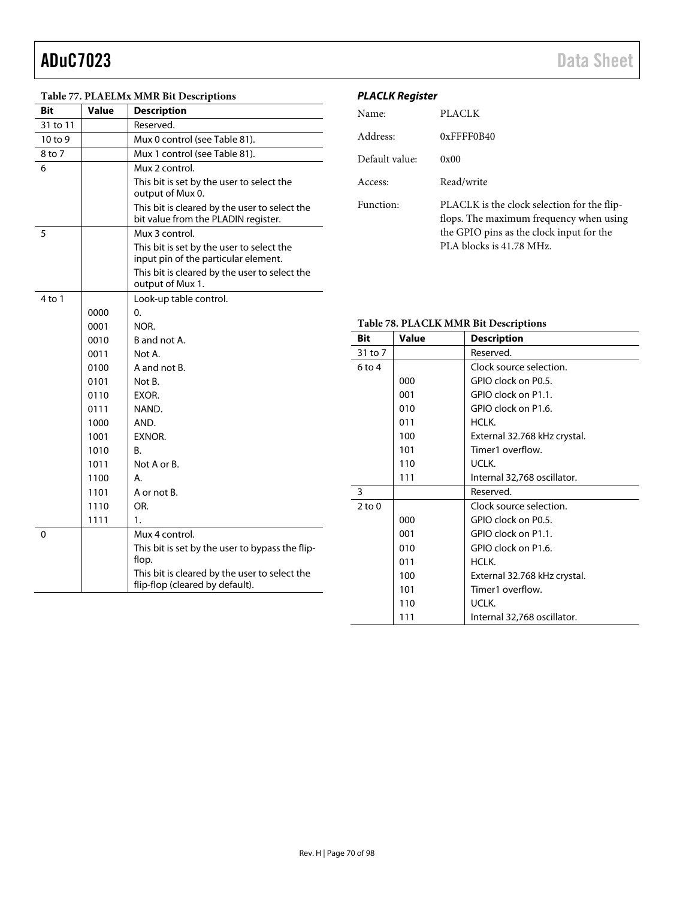| Bit      | <b>Value</b> | Table 77. FLALLINA MININ DIL DESCriptions<br><b>Description</b>                      | r LACLIN NEYISLE<br>Name: |                        |
|----------|--------------|--------------------------------------------------------------------------------------|---------------------------|------------------------|
| 31 to 11 |              | Reserved.                                                                            |                           |                        |
| 10 to 9  |              | Mux 0 control (see Table 81).                                                        | Address:                  |                        |
| 8 to 7   |              | Mux 1 control (see Table 81).                                                        |                           |                        |
| 6        |              | Mux 2 control.                                                                       | Default value:            |                        |
|          |              | This bit is set by the user to select the<br>output of Mux 0.                        | Access:                   |                        |
|          |              | This bit is cleared by the user to select the<br>bit value from the PLADIN register. | Function:                 |                        |
| 5        |              | Mux 3 control.                                                                       |                           |                        |
|          |              | This bit is set by the user to select the<br>input pin of the particular element.    |                           |                        |
|          |              | This bit is cleared by the user to select the<br>output of Mux 1.                    |                           |                        |
| 4 to 1   |              | Look-up table control.                                                               |                           |                        |
|          | 0000         | 0.                                                                                   |                           |                        |
|          | 0001         | NOR.                                                                                 |                           | <b>Table 78. PLACI</b> |
|          | 0010         | B and not A.                                                                         | <b>Bit</b>                | <b>Value</b>           |
|          | 0011         | Not A.                                                                               | 31 to 7                   |                        |
|          | 0100         | A and not B.                                                                         | $6$ to 4                  |                        |
|          | 0101         | Not B.                                                                               |                           | 000                    |
|          | 0110         | EXOR.                                                                                |                           | 001                    |
|          | 0111         | NAND.                                                                                |                           | 010                    |
|          | 1000         | AND.                                                                                 |                           | 011                    |
|          | 1001         | EXNOR.                                                                               |                           | 100                    |
|          | 1010         | <b>B.</b>                                                                            |                           | 101                    |
|          | 1011         | Not A or B.                                                                          |                           | 110                    |
|          | 1100         | А.                                                                                   |                           | 111                    |
|          | 1101         | A or not B.                                                                          | 3                         |                        |
|          | 1110         | OR.                                                                                  | $2$ to $0$                |                        |
|          | 1111         | 1.                                                                                   |                           | 000                    |
| 0        |              | Mux 4 control.                                                                       |                           | 001                    |
|          |              | This bit is set by the user to bypass the flip-                                      |                           | 010                    |
|          |              | flop.                                                                                |                           | 011                    |
|          |              | This bit is cleared by the user to select the<br>flip-flop (cleared by default).     |                           | 100                    |

## <span id="page-69-0"></span>**Table 77. PLAELMx MMR Bit Descriptions**

## **PLACLK Register**

| Name <sup>.</sup> | PLACLK                                                                                                                                                         |
|-------------------|----------------------------------------------------------------------------------------------------------------------------------------------------------------|
| Address:          | $0x$ FFFF0B40                                                                                                                                                  |
| Default value:    | 0x00                                                                                                                                                           |
| Access:           | Read/write                                                                                                                                                     |
| Function:         | PLACLK is the clock selection for the flip-<br>flops. The maximum frequency when using<br>the GPIO pins as the clock input for the<br>PLA blocks is 41.78 MHz. |

## **LK MMR Bit Descriptions**

| Bit        | <b>Value</b> | <b>Description</b>           |  |
|------------|--------------|------------------------------|--|
| 31 to 7    |              | Reserved.                    |  |
| $6$ to $4$ |              | Clock source selection.      |  |
|            | 000          | GPIO clock on P0.5.          |  |
|            | 001          | GPIO clock on P1.1.          |  |
|            | 010          | GPIO clock on P1.6.          |  |
|            | 011          | HCLK.                        |  |
|            | 100          | External 32.768 kHz crystal. |  |
|            | 101          | Timer1 overflow.             |  |
|            | 110          | UCLK.                        |  |
|            | 111          | Internal 32,768 oscillator.  |  |
| 3          |              | Reserved.                    |  |
| $2$ to $0$ |              | Clock source selection.      |  |
|            | 000          | GPIO clock on P0.5.          |  |
|            | 001          | GPIO clock on P1.1.          |  |
|            | 010          | GPIO clock on P1.6.          |  |
|            | 011          | HCLK.                        |  |
|            | 100          | External 32.768 kHz crystal. |  |
|            | 101          | Timer1 overflow.             |  |
|            | 110          | UCLK.                        |  |
|            | 111          | Internal 32,768 oscillator.  |  |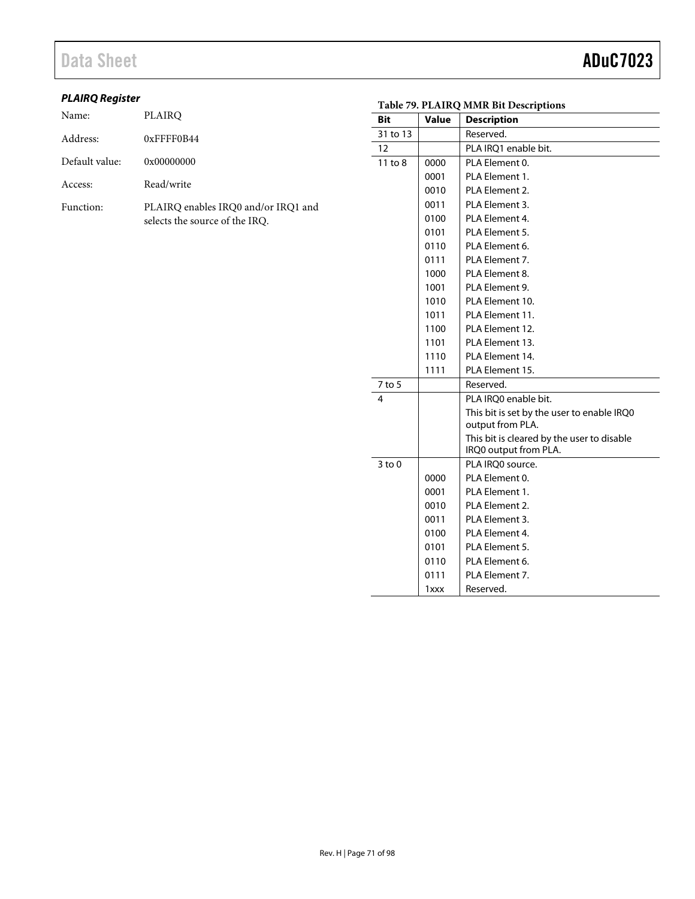## **PLAIRQ Register**

| Name:          | PLAIRO                                                                |
|----------------|-----------------------------------------------------------------------|
| Address:       | $0x$ FFFF0B44                                                         |
| Default value: | 0x00000000                                                            |
| Access:        | Read/write                                                            |
| Function:      | PLAIRO enables IRO0 and/or IRO1 and<br>selects the source of the IRQ. |

|            | Table 79. PLAIRQ MMR Bit Descriptions |                                            |  |  |
|------------|---------------------------------------|--------------------------------------------|--|--|
| <b>Bit</b> | <b>Value</b>                          | <b>Description</b>                         |  |  |
| 31 to 13   |                                       | Reserved.                                  |  |  |
| 12         |                                       | PLA IRQ1 enable bit.                       |  |  |
| 11 to 8    | 0000                                  | PLA Element 0.                             |  |  |
|            | 0001                                  | PLA Element 1.                             |  |  |
|            | 0010                                  | PLA Element 2.                             |  |  |
|            | 0011                                  | PLA Element 3.                             |  |  |
|            | 0100                                  | PLA Element 4.                             |  |  |
|            | 0101                                  | PLA Element 5.                             |  |  |
|            | 0110                                  | PLA Element 6.                             |  |  |
|            | 0111                                  | PLA Element 7.                             |  |  |
|            | 1000                                  | PLA Element 8.                             |  |  |
|            | 1001                                  | PLA Element 9.                             |  |  |
|            | 1010                                  | PLA Element 10.                            |  |  |
|            | 1011                                  | PLA Element 11.                            |  |  |
|            | 1100                                  | PLA Element 12.                            |  |  |
|            | 1101                                  | PLA Element 13.                            |  |  |
|            | 1110                                  | PLA Element 14.                            |  |  |
|            | 1111                                  | PLA Element 15.                            |  |  |
| $7$ to 5   |                                       | Reserved.                                  |  |  |
| 4          |                                       | PLA IRQ0 enable bit.                       |  |  |
|            |                                       | This bit is set by the user to enable IRQ0 |  |  |
|            |                                       | output from PLA.                           |  |  |
|            |                                       | This bit is cleared by the user to disable |  |  |
|            |                                       | IRQ0 output from PLA.                      |  |  |
| $3$ to $0$ |                                       | PLA IRO0 source.                           |  |  |
|            | 0000                                  | PLA Element 0.                             |  |  |
|            | 0001                                  | PLA Element 1.                             |  |  |
|            | 0010                                  | PLA Element 2.                             |  |  |
|            | 0011                                  | PLA Element 3.                             |  |  |
|            | 0100                                  | PLA Element 4.                             |  |  |
|            | 0101                                  | PLA Element 5.                             |  |  |
|            | 0110                                  | PLA Element 6.                             |  |  |
|            | 0111                                  | PLA Element 7.                             |  |  |
|            | 1xxx                                  | Reserved.                                  |  |  |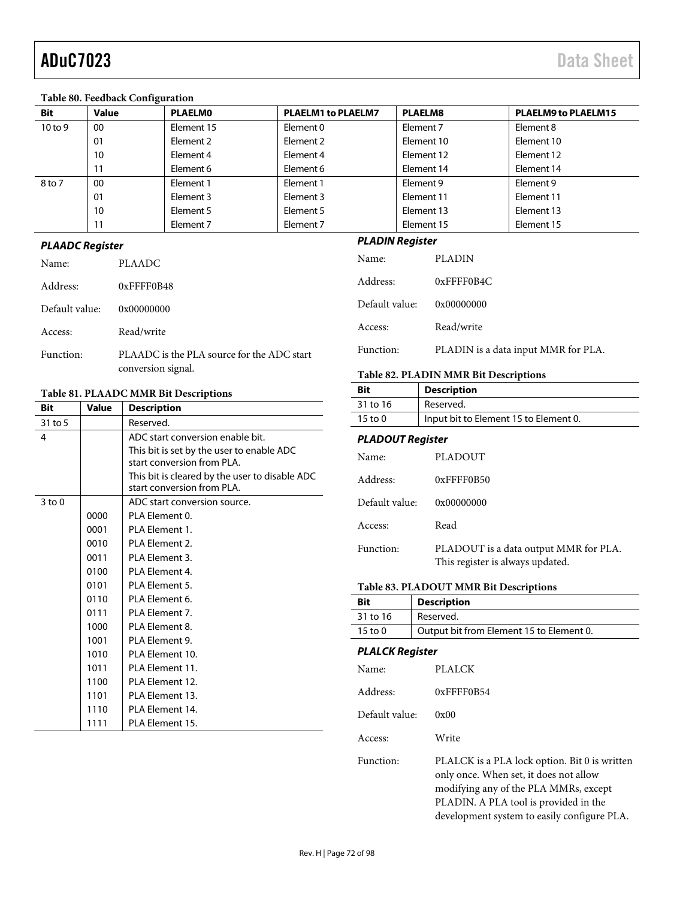### **Table 80. Feedback Configuration**

| <b>Bit</b> | <b>Value</b> | <b>PLAELMO</b> | <b>PLAELM1 to PLAELM7</b> | <b>PLAELM8</b> | <b>PLAELM9 to PLAELM15</b> |
|------------|--------------|----------------|---------------------------|----------------|----------------------------|
| 10 to 9    | 00           | Element 15     | Element 0                 | Element 7      | Element 8                  |
|            | 01           | Element 2      | Element 2                 | Element 10     | Element 10                 |
|            | 10           | Element 4      | Element 4                 | Element 12     | Element 12                 |
|            |              | Element 6      | Element 6                 | Element 14     | Element 14                 |
| 8 to 7     | 00           | Element 1      | Element 1                 | Element 9      | Element 9                  |
|            | 01           | Element 3      | Element 3                 | Element 11     | Element 11                 |
|            | 10           | Element 5      | Element 5                 | Element 13     | Element 13                 |
|            |              | Element 7      | Element 7                 | Element 15     | Element 15                 |

### **PLAADC Register**

| Name:          | PLAADC                                                           |
|----------------|------------------------------------------------------------------|
| Address:       | $0x$ FFFF0B48                                                    |
| Default value: | 0x00000000                                                       |
| Access:        | Read/write                                                       |
| Function:      | PLAADC is the PLA source for the ADC start<br>conversion signal. |

### <span id="page-71-0"></span>**Table 81. PLAADC MMR Bit Descriptions**

| <b>Bit</b> | Value | <b>Description</b>                             |
|------------|-------|------------------------------------------------|
| 31 to 5    |       | Reserved.                                      |
| 4          |       | ADC start conversion enable bit.               |
|            |       | This bit is set by the user to enable ADC      |
|            |       | start conversion from PLA.                     |
|            |       | This bit is cleared by the user to disable ADC |
|            |       | start conversion from PLA.                     |
| $3$ to $0$ |       | ADC start conversion source.                   |
|            | 0000  | PLA Flement 0.                                 |
|            | 0001  | PLA Element 1.                                 |
|            | 0010  | PLA Element 2.                                 |
|            | 0011  | PLA Flement 3.                                 |
|            | 0100  | PLA Element 4.                                 |
|            | 0101  | PLA Flement 5.                                 |
|            | 0110  | PLA Flement 6.                                 |
|            | 0111  | PLA Element 7.                                 |
|            | 1000  | PLA Element 8.                                 |
|            | 1001  | PLA Element 9.                                 |
|            | 1010  | PLA Element 10.                                |
|            | 1011  | PI A Flement 11.                               |
|            | 1100  | PLA Flement 12.                                |
|            | 1101  | PLA Element 13.                                |
|            | 1110  | PLA Element 14.                                |
|            | 1111  | PLA Element 15.                                |

## **PLADIN Register**

| Name:          | <b>PLADIN</b>                       |
|----------------|-------------------------------------|
| Address:       | $0x$ FFFF0B4C                       |
| Default value: | 0x00000000                          |
| Access:        | Read/write                          |
| Function:      | PLADIN is a data input MMR for PLA. |

### **Table 82. PLADIN MMR Bit Descriptions**

| Bit                | <b>Description</b>                    |
|--------------------|---------------------------------------|
| 31 to 16           | Reserved.                             |
| $15 \text{ to } 0$ | Input bit to Element 15 to Element 0. |

### **PLADOUT Register**

| Name:          | PLADOUT                                                                   |
|----------------|---------------------------------------------------------------------------|
| Address:       | $0x$ FFFF0B50                                                             |
| Default value: | 0x00000000                                                                |
| Access:        | Read                                                                      |
| Function:      | PLADOUT is a data output MMR for PLA.<br>This register is always updated. |

### **Table 83. PLADOUT MMR Bit Descriptions**

| Bit                | <b>Description</b>                       |
|--------------------|------------------------------------------|
| 31 to 16           | Reserved.                                |
| $15 \text{ to } 0$ | Output bit from Element 15 to Element 0. |

### **PLALCK Register**

| Name:          | <b>PLALCK</b>                                                                                                                                                                                                            |
|----------------|--------------------------------------------------------------------------------------------------------------------------------------------------------------------------------------------------------------------------|
| Address:       | $0x$ FFFF $0B54$                                                                                                                                                                                                         |
| Default value: | 0x00                                                                                                                                                                                                                     |
| Access:        | Write                                                                                                                                                                                                                    |
| Function:      | PLALCK is a PLA lock option. Bit 0 is written<br>only once. When set, it does not allow<br>modifying any of the PLA MMRs, except<br>PLADIN. A PLA tool is provided in the<br>development system to easily configure PLA. |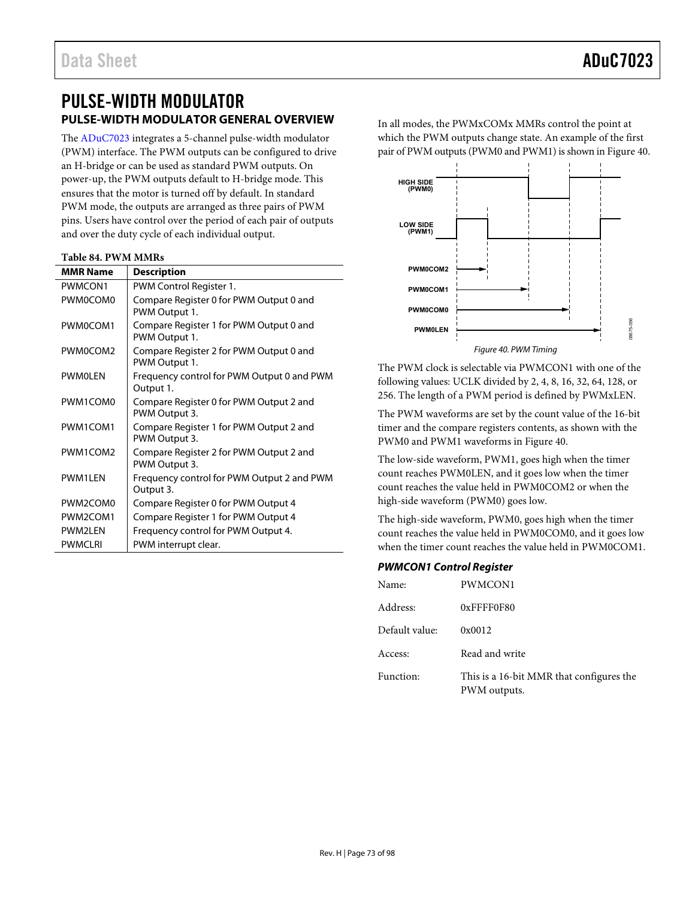## PULSE-WIDTH MODULATOR **PULSE-WIDTH MODULATOR GENERAL OVERVIEW**

The [ADuC7023 i](http://www.analog.com/ADuC7023?doc=ADuC7023.pdf)ntegrates a 5-channel pulse-width modulator (PWM) interface. The PWM outputs can be configured to drive an H-bridge or can be used as standard PWM outputs. On power-up, the PWM outputs default to H-bridge mode. This ensures that the motor is turned off by default. In standard PWM mode, the outputs are arranged as three pairs of PWM pins. Users have control over the period of each pair of outputs and over the duty cycle of each individual output.

#### **Table 84. PWM MMRs**

| <b>MMR Name</b>                   | <b>Description</b>                                       |
|-----------------------------------|----------------------------------------------------------|
| PWMCON1                           | PWM Control Register 1.                                  |
| <b>PWM0COM0</b>                   | Compare Register 0 for PWM Output 0 and<br>PWM Output 1. |
| PWM0COM1                          | Compare Register 1 for PWM Output 0 and<br>PWM Output 1. |
| PWM0COM2                          | Compare Register 2 for PWM Output 0 and<br>PWM Output 1. |
| <b>PWMOLEN</b>                    | Frequency control for PWM Output 0 and PWM<br>Output 1.  |
| PWM1COM0                          | Compare Register 0 for PWM Output 2 and<br>PWM Output 3. |
| PWM1COM1                          | Compare Register 1 for PWM Output 2 and<br>PWM Output 3. |
| PWM1COM2                          | Compare Register 2 for PWM Output 2 and<br>PWM Output 3. |
| <b>PWM1IFN</b>                    | Frequency control for PWM Output 2 and PWM<br>Output 3.  |
| PWM2COM0                          | Compare Register 0 for PWM Output 4                      |
| PWM <sub>2</sub> COM <sub>1</sub> | Compare Register 1 for PWM Output 4                      |
| <b>PWM2I FN</b>                   | Frequency control for PWM Output 4.                      |
| <b>PWMCLRI</b>                    | PWM interrupt clear.                                     |

In all modes, the PWMxCOMx MMRs control the point at which the PWM outputs change state. An example of the first pair of PWM outputs (PWM0 and PWM1) is shown i[n Figure 40.](#page-72-0)



<span id="page-72-0"></span>The PWM clock is selectable via PWMCON1 with one of the following values: UCLK divided by 2, 4, 8, 16, 32, 64, 128, or 256. The length of a PWM period is defined by PWMxLEN.

The PWM waveforms are set by the count value of the 16-bit timer and the compare registers contents, as shown with the PWM0 and PWM1 waveforms i[n Figure 40.](#page-72-0) 

The low-side waveform, PWM1, goes high when the timer count reaches PWM0LEN, and it goes low when the timer count reaches the value held in PWM0COM2 or when the high-side waveform (PWM0) goes low.

The high-side waveform, PWM0, goes high when the timer count reaches the value held in PWM0COM0, and it goes low when the timer count reaches the value held in PWM0COM1.

#### **PWMCON1 Control Register**

| Name:          | PWMCON1                                                  |
|----------------|----------------------------------------------------------|
| Address:       | $0x$ FFFF0F80                                            |
| Default value: | 0x0012                                                   |
| Access:        | Read and write                                           |
| Function:      | This is a 16-bit MMR that configures the<br>PWM outputs. |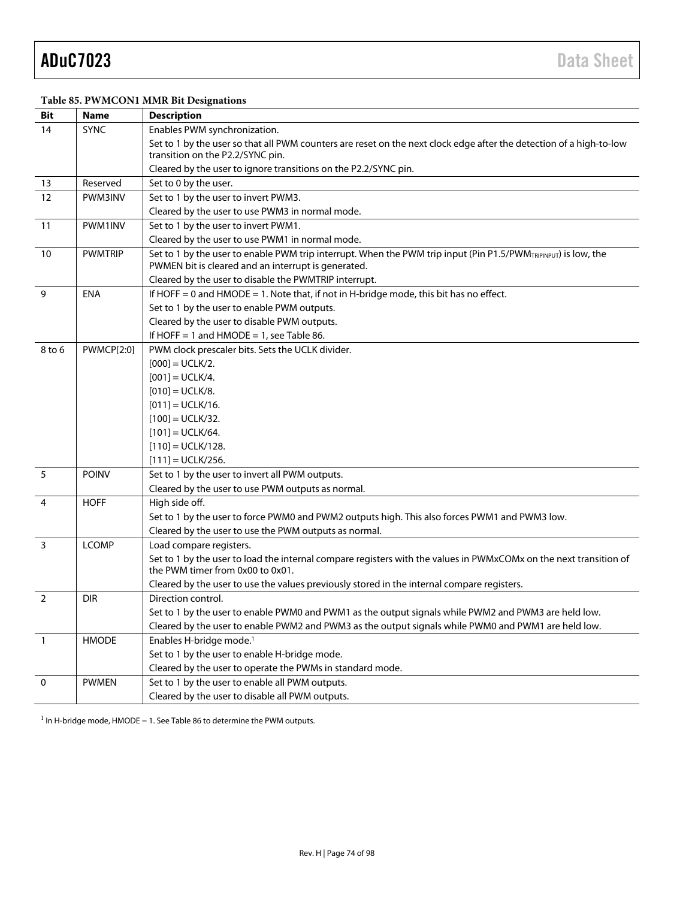#### **Table 85. PWMCON1 MMR Bit Designations**

| Bit            | <b>Name</b>       | <b>Description</b>                                                                                                                                                    |
|----------------|-------------------|-----------------------------------------------------------------------------------------------------------------------------------------------------------------------|
| 14             | <b>SYNC</b>       | Enables PWM synchronization.                                                                                                                                          |
|                |                   | Set to 1 by the user so that all PWM counters are reset on the next clock edge after the detection of a high-to-low<br>transition on the P2.2/SYNC pin.               |
|                |                   | Cleared by the user to ignore transitions on the P2.2/SYNC pin.                                                                                                       |
| 13             | Reserved          | Set to 0 by the user.                                                                                                                                                 |
| 12             | PWM3INV           | Set to 1 by the user to invert PWM3.                                                                                                                                  |
|                |                   | Cleared by the user to use PWM3 in normal mode.                                                                                                                       |
| 11             | PWM1INV           | Set to 1 by the user to invert PWM1.                                                                                                                                  |
|                |                   | Cleared by the user to use PWM1 in normal mode.                                                                                                                       |
| 10             | <b>PWMTRIP</b>    | Set to 1 by the user to enable PWM trip interrupt. When the PWM trip input (Pin P1.5/PWMTRIPINPUT) is low, the<br>PWMEN bit is cleared and an interrupt is generated. |
|                |                   | Cleared by the user to disable the PWMTRIP interrupt.                                                                                                                 |
| 9              | <b>ENA</b>        | If HOFF = 0 and HMODE = 1. Note that, if not in H-bridge mode, this bit has no effect.                                                                                |
|                |                   | Set to 1 by the user to enable PWM outputs.                                                                                                                           |
|                |                   | Cleared by the user to disable PWM outputs.                                                                                                                           |
|                |                   | If HOFF = 1 and $HMODE = 1$ , see Table 86.                                                                                                                           |
| 8 to 6         | <b>PWMCP[2:0]</b> | PWM clock prescaler bits. Sets the UCLK divider.                                                                                                                      |
|                |                   | $[000] = UCLK/2.$                                                                                                                                                     |
|                |                   | $[001] = UCLK/4.$                                                                                                                                                     |
|                |                   | $[010] = UCLK/8.$                                                                                                                                                     |
|                |                   | $[011] = UCLK/16.$                                                                                                                                                    |
|                |                   | $[100] = UCLK/32.$                                                                                                                                                    |
|                |                   | $[101] = UCLK/64.$                                                                                                                                                    |
|                |                   | $[110] = UCLK/128.$                                                                                                                                                   |
|                |                   | $[111] = \text{UCLK}/256.$                                                                                                                                            |
| 5              | <b>POINV</b>      | Set to 1 by the user to invert all PWM outputs.                                                                                                                       |
|                |                   | Cleared by the user to use PWM outputs as normal.                                                                                                                     |
| $\overline{4}$ | <b>HOFF</b>       | High side off.                                                                                                                                                        |
|                |                   | Set to 1 by the user to force PWM0 and PWM2 outputs high. This also forces PWM1 and PWM3 low.                                                                         |
|                |                   | Cleared by the user to use the PWM outputs as normal.                                                                                                                 |
| 3              | <b>LCOMP</b>      | Load compare registers.                                                                                                                                               |
|                |                   | Set to 1 by the user to load the internal compare registers with the values in PWMxCOMx on the next transition of<br>the PWM timer from 0x00 to 0x01.                 |
|                |                   | Cleared by the user to use the values previously stored in the internal compare registers.                                                                            |
| $\overline{2}$ | <b>DIR</b>        | Direction control.                                                                                                                                                    |
|                |                   | Set to 1 by the user to enable PWM0 and PWM1 as the output signals while PWM2 and PWM3 are held low.                                                                  |
|                |                   | Cleared by the user to enable PWM2 and PWM3 as the output signals while PWM0 and PWM1 are held low.                                                                   |
| $\overline{1}$ | <b>HMODE</b>      | Enables H-bridge mode. <sup>1</sup>                                                                                                                                   |
|                |                   | Set to 1 by the user to enable H-bridge mode.                                                                                                                         |
|                |                   | Cleared by the user to operate the PWMs in standard mode.                                                                                                             |
| $\mathbf 0$    | <b>PWMEN</b>      | Set to 1 by the user to enable all PWM outputs.                                                                                                                       |
|                |                   | Cleared by the user to disable all PWM outputs.                                                                                                                       |

 $1$  In H-bridge mode, HMODE = 1. Se[e Table 86 t](#page-74-0)o determine the PWM outputs.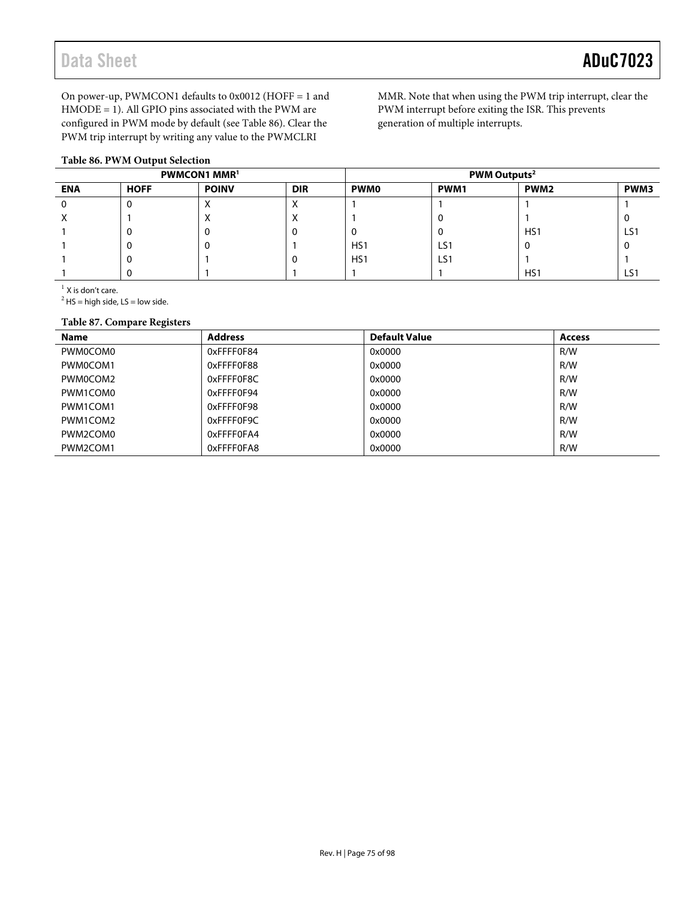Data Sheet **ADuC7023** 

On power-up, PWMCON1 defaults to 0x0012 (HOFF = 1 and HMODE = 1). All GPIO pins associated with the PWM are configured in PWM mode by default (se[e Table 86\)](#page-74-0). Clear the PWM trip interrupt by writing any value to the PWMCLRI

#### <span id="page-74-0"></span>**Table 86. PWM Output Selection**

MMR. Note that when using the PWM trip interrupt, clear the PWM interrupt before exiting the ISR. This prevents generation of multiple interrupts.

| <b>PWMCON1 MMR1</b> |             |              | PWM Outputs <sup>2</sup> |                 |      |                  |      |
|---------------------|-------------|--------------|--------------------------|-----------------|------|------------------|------|
| <b>ENA</b>          | <b>HOFF</b> | <b>POINV</b> | <b>DIR</b>               | <b>PWM0</b>     | PWM1 | PWM <sub>2</sub> | PWM3 |
|                     | υ           |              |                          |                 |      |                  |      |
| ⋏                   |             | $\sqrt{ }$   | ⋏                        |                 |      |                  |      |
|                     | υ           | U            | u                        |                 |      | HS1              | LS1  |
|                     | υ           | U            |                          | HS <sub>1</sub> | LS1  |                  |      |
|                     | v           |              | v                        | HS <sub>1</sub> | LS1  |                  |      |
|                     |             |              |                          |                 |      | HS1              | LS1  |

 $<sup>1</sup>$  X is don't care.</sup>

 $2$  HS = high side, LS = low side.

#### **Table 87. Compare Registers**

| <b>Name</b> | <b>Address</b> | <b>Default Value</b> | <b>Access</b> |
|-------------|----------------|----------------------|---------------|
| PWM0COM0    | 0xFFFF0F84     | 0x0000               | R/W           |
| PWM0COM1    | 0xFFFF0F88     | 0x0000               | R/W           |
| PWM0COM2    | 0xFFFF0F8C     | 0x0000               | R/W           |
| PWM1COM0    | 0xFFFF0F94     | 0x0000               | R/W           |
| PWM1COM1    | 0xFFFF0F98     | 0x0000               | R/W           |
| PWM1COM2    | 0xFFFF0F9C     | 0x0000               | R/W           |
| PWM2COM0    | 0xFFFF0FA4     | 0x0000               | R/W           |
| PWM2COM1    | 0xFFFF0FA8     | 0x0000               | R/W           |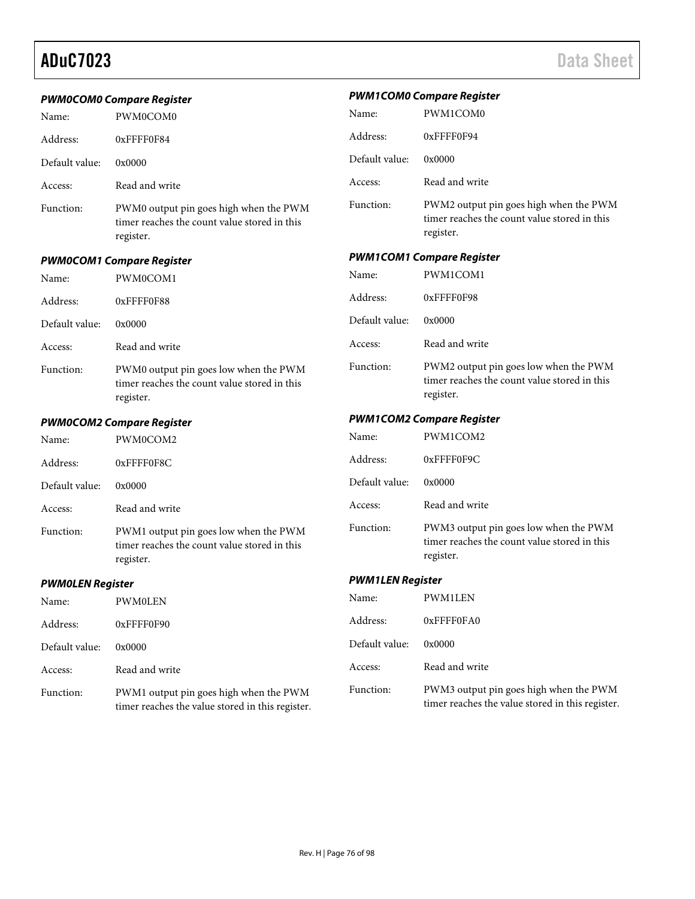|                                  | <b>PWM0COM0 Compare Register</b>                                                                    | <b>PWM1COM0 Compare Register</b> |                                                                                                     |  |
|----------------------------------|-----------------------------------------------------------------------------------------------------|----------------------------------|-----------------------------------------------------------------------------------------------------|--|
| Name:                            | PWM0COM0                                                                                            | Name:                            | PWM1COM0                                                                                            |  |
| Address:                         | 0xFFFF0F84                                                                                          | Address:                         | 0xFFFF0F94                                                                                          |  |
| Default value:                   | 0x0000                                                                                              | Default value:                   | 0x0000                                                                                              |  |
| Access:                          | Read and write                                                                                      | Access:                          | Read and write                                                                                      |  |
| Function:                        | PWM0 output pin goes high when the PWM<br>timer reaches the count value stored in this<br>register. | Function:                        | PWM2 output pin goes high when the PWM<br>timer reaches the count value stored in this<br>register. |  |
|                                  | <b>PWM0COM1 Compare Register</b>                                                                    |                                  | <b>PWM1COM1 Compare Register</b>                                                                    |  |
| Name:                            | PWM0COM1                                                                                            | Name:                            | PWM1COM1                                                                                            |  |
| Address:                         | 0xFFFF0F88                                                                                          | Address:                         | 0xFFFF0F98                                                                                          |  |
| Default value:                   | 0x0000                                                                                              | Default value:                   | 0x0000                                                                                              |  |
| Access:                          | Read and write                                                                                      | Access:                          | Read and write                                                                                      |  |
| Function:                        | PWM0 output pin goes low when the PWM<br>timer reaches the count value stored in this<br>register.  | Function:                        | PWM2 output pin goes low when the PWM<br>timer reaches the count value stored in this<br>register.  |  |
| <b>PWM0COM2 Compare Register</b> |                                                                                                     | <b>PWM1COM2 Compare Register</b> |                                                                                                     |  |
| Name:                            | PWM0COM2                                                                                            | Name:                            | PWM1COM2                                                                                            |  |
| Address:                         | 0xFFFF0F8C                                                                                          | Address:                         | 0xFFFF0F9C                                                                                          |  |
| Default value:                   | 0x0000                                                                                              | Default value:                   | 0x0000                                                                                              |  |
| Access:                          | Read and write                                                                                      | Access:                          | Read and write                                                                                      |  |
| Function:                        | PWM1 output pin goes low when the PWM<br>timer reaches the count value stored in this<br>register.  | Function:                        | PWM3 output pin goes low when the PWM<br>timer reaches the count value stored in this<br>register.  |  |
| <b>PWMOLEN Register</b>          |                                                                                                     | <b>PWM1LEN Register</b>          |                                                                                                     |  |
| Name:                            | PWM0LEN                                                                                             | Name:                            | PWM1LEN                                                                                             |  |
| Address:                         | 0xFFFF0F90                                                                                          | Address:                         | 0xFFFF0FA0                                                                                          |  |
| Default value:                   | 0x0000                                                                                              | Default value:                   | 0x0000                                                                                              |  |
| Access:                          |                                                                                                     |                                  |                                                                                                     |  |
|                                  | Read and write                                                                                      | Access:                          | Read and write                                                                                      |  |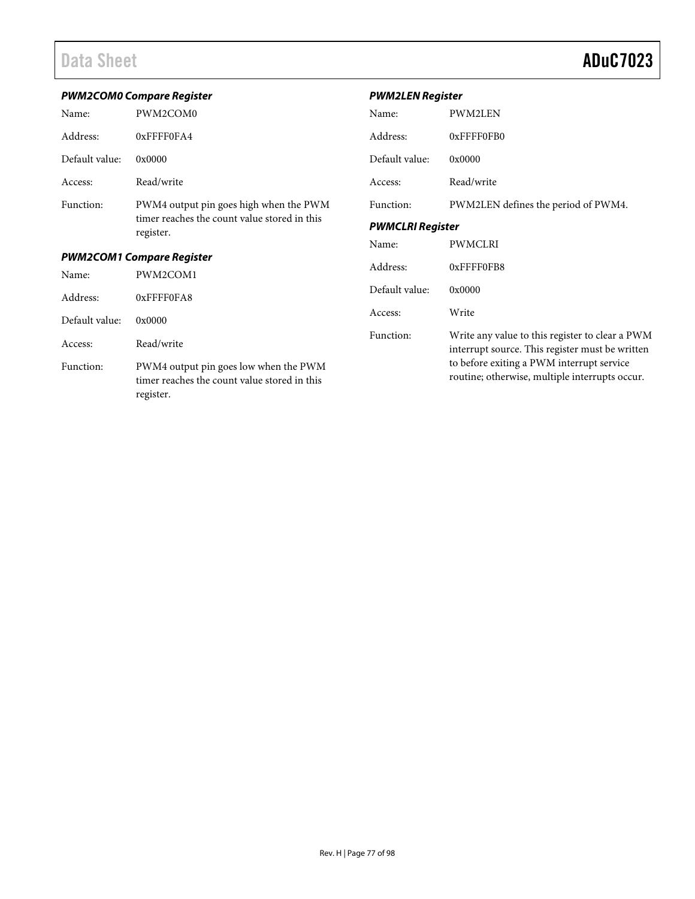|                                  | <b>PWM2COM0 Compare Register</b>                                                                   | <b>PWM2LEN Register</b> |                                                                                                    |  |
|----------------------------------|----------------------------------------------------------------------------------------------------|-------------------------|----------------------------------------------------------------------------------------------------|--|
| Name:                            | PWM2COM0                                                                                           | Name:                   | PWM2LEN                                                                                            |  |
| Address:                         | 0xFFFF0FA4                                                                                         | Address:                | 0xFFFF0FB0                                                                                         |  |
| Default value:                   | 0x0000                                                                                             | Default value:          | 0x0000                                                                                             |  |
| Access:                          | Read/write                                                                                         | Access:                 | Read/write                                                                                         |  |
| Function:                        | PWM4 output pin goes high when the PWM                                                             | Function:               | PWM2LEN defines the period of PWM4.                                                                |  |
|                                  | timer reaches the count value stored in this<br>register.                                          | <b>PWMCLRI Register</b> |                                                                                                    |  |
|                                  |                                                                                                    | Name:                   | <b>PWMCLRI</b>                                                                                     |  |
| <b>PWM2COM1 Compare Register</b> |                                                                                                    | Address:                | 0xFFFF0FB8                                                                                         |  |
| Name:                            | PWM2COM1                                                                                           |                         |                                                                                                    |  |
| Address:                         | 0xFFFF0FA8                                                                                         | Default value:          | 0x0000                                                                                             |  |
| Default value:                   | 0x0000                                                                                             | Access:                 | Write                                                                                              |  |
| Access:                          | Read/write                                                                                         | Function:               | Write any value to this register to clear a PWM<br>interrupt source. This register must be written |  |
| Function:                        | PWM4 output pin goes low when the PWM<br>timer reaches the count value stored in this<br>register. |                         | to before exiting a PWM interrupt service<br>routine; otherwise, multiple interrupts occur.        |  |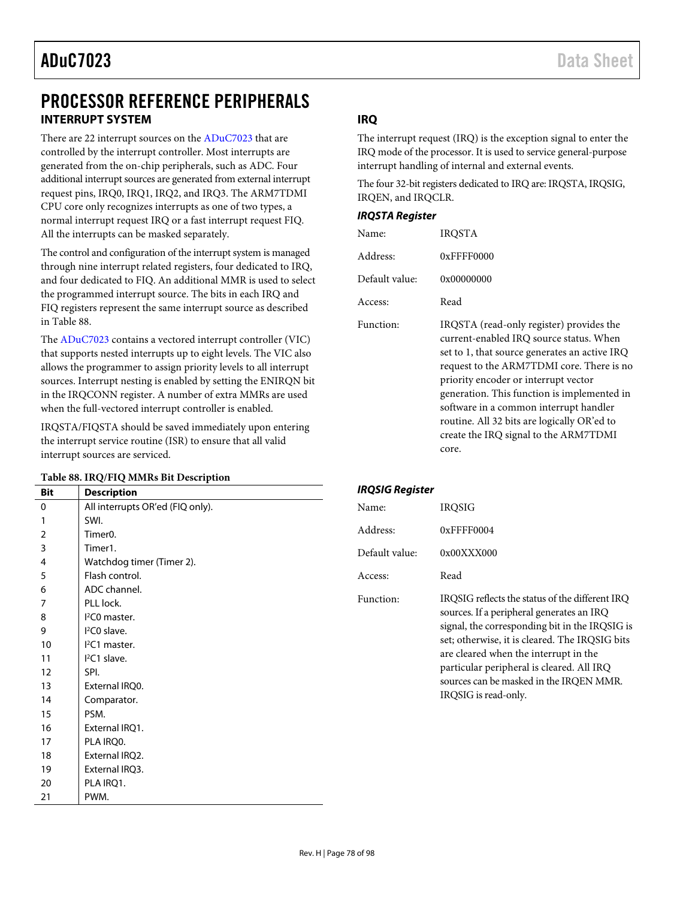# PROCESSOR REFERENCE PERIPHERALS **INTERRUPT SYSTEM**

There are 22 interrupt sources on th[e ADuC7023 t](http://www.analog.com/ADuC7023?doc=ADuC7023.pdf)hat are controlled by the interrupt controller. Most interrupts are generated from the on-chip peripherals, such as ADC. Four additional interrupt sources are generated from external interrupt request pins, IRQ0, IRQ1, IRQ2, and IRQ3. The ARM7TDMI CPU core only recognizes interrupts as one of two types, a normal interrupt request IRQ or a fast interrupt request FIQ. All the interrupts can be masked separately.

The control and configuration of the interrupt system is managed through nine interrupt related registers, four dedicated to IRQ, and four dedicated to FIQ. An additional MMR is used to select the programmed interrupt source. The bits in each IRQ and FIQ registers represent the same interrupt source as described in [Table 88.](#page-77-0) 

The [ADuC7023 c](http://www.analog.com/ADuC7023?doc=ADuC7023.pdf)ontains a vectored interrupt controller (VIC) that supports nested interrupts up to eight levels. The VIC also allows the programmer to assign priority levels to all interrupt sources. Interrupt nesting is enabled by setting the ENIRQN bit in the IRQCONN register. A number of extra MMRs are used when the full-vectored interrupt controller is enabled.

IRQSTA/FIQSTA should be saved immediately upon entering the interrupt service routine (ISR) to ensure that all valid interrupt sources are serviced.

#### <span id="page-77-0"></span>**Table 88. IRQ/FIQ MMRs Bit Description**

|            | Twore oo! INQ/11Q MINING BR Description |                        |                                                 |  |
|------------|-----------------------------------------|------------------------|-------------------------------------------------|--|
| <b>Bit</b> | <b>Description</b>                      | <b>IRQSIG Register</b> |                                                 |  |
| $\pmb{0}$  | All interrupts OR'ed (FIQ only).        | Name:                  | <b>IRQSIG</b>                                   |  |
| 1          | SWI.                                    |                        |                                                 |  |
| 2          | Timer <sub>0</sub> .                    | Address:               | 0xFFFF0004                                      |  |
| 3          | Timer1.                                 | Default value:         | 0x00XXX000                                      |  |
| 4          | Watchdog timer (Timer 2).               |                        |                                                 |  |
| 5          | Flash control.                          | Access:                | Read                                            |  |
| 6          | ADC channel.                            |                        |                                                 |  |
| 7          | PLL lock.                               | Function:              | IRQSIG reflects the status of the different IRQ |  |
| 8          | $l^2CO$ master.                         |                        | sources. If a peripheral generates an IRQ       |  |
| 9          | $I2CO$ slave.                           |                        | signal, the corresponding bit in the IRQSIG is  |  |
| 10         | $I2CI master$ .                         |                        | set; otherwise, it is cleared. The IRQSIG bits  |  |
| 11         | $I2CI$ slave.                           |                        | are cleared when the interrupt in the           |  |
| 12         | SPI.                                    |                        | particular peripheral is cleared. All IRQ       |  |
| 13         | External IRQ0.                          |                        | sources can be masked in the IRQEN MMR.         |  |
| 14         | Comparator.                             |                        | IRQSIG is read-only.                            |  |
| 15         | PSM.                                    |                        |                                                 |  |
| 16         | External IRQ1.                          |                        |                                                 |  |
| 17         | PLA IRQ0.                               |                        |                                                 |  |
| 18         | External IRQ2.                          |                        |                                                 |  |
| 19         | External IRQ3.                          |                        |                                                 |  |
| 20         | PLA IRQ1.                               |                        |                                                 |  |
| 21         | PWM.                                    |                        |                                                 |  |

### **IRQ**

The interrupt request (IRQ) is the exception signal to enter the IRQ mode of the processor. It is used to service general-purpose interrupt handling of internal and external events.

The four 32-bit registers dedicated to IRQ are: IRQSTA, IRQSIG, IRQEN, and IRQCLR.

#### **IRQSTA Register**

| Name:          | IROSTA                                                                                                                                                                                                                                                                                                             |
|----------------|--------------------------------------------------------------------------------------------------------------------------------------------------------------------------------------------------------------------------------------------------------------------------------------------------------------------|
| Address:       | $0x$ FFFF0000                                                                                                                                                                                                                                                                                                      |
| Default value: | 0x00000000                                                                                                                                                                                                                                                                                                         |
| Access:        | Read                                                                                                                                                                                                                                                                                                               |
| Function:      | IRQSTA (read-only register) provides the<br>current-enabled IRQ source status. When<br>set to 1, that source generates an active IRQ<br>request to the ARM7TDMI core. There is no<br>priority encoder or interrupt vector<br>generation. This function is implemented in<br>software in a common interrupt handler |

routine. All 32 bits are logically OR'ed to create the IRQ signal to the ARM7TDMI core.

| Rev. H   Page 78 of 98 |  |
|------------------------|--|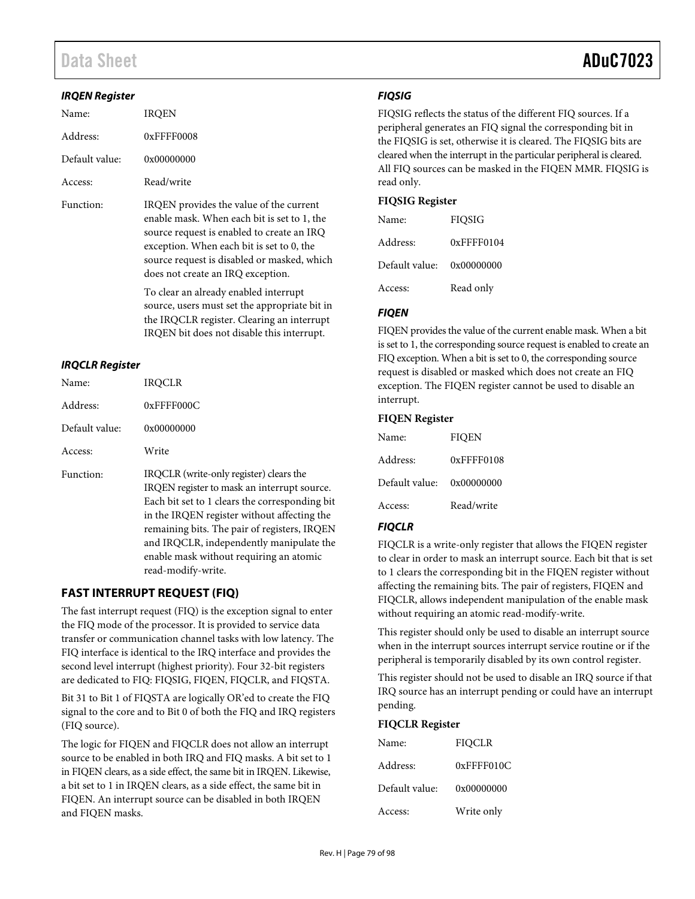# Data Sheet **ADuC7023**

#### **IRQEN Register**

| Name:          | <b>IROEN</b>                                                                                                                                                                                                                                                          |
|----------------|-----------------------------------------------------------------------------------------------------------------------------------------------------------------------------------------------------------------------------------------------------------------------|
| Address:       | 0xFFFF0008                                                                                                                                                                                                                                                            |
| Default value: | 0x00000000                                                                                                                                                                                                                                                            |
| Access:        | Read/write                                                                                                                                                                                                                                                            |
| Function:      | IRQEN provides the value of the current<br>enable mask. When each bit is set to 1, the<br>source request is enabled to create an IRQ<br>exception. When each bit is set to 0, the<br>source request is disabled or masked, which<br>does not create an IRQ exception. |
|                | To clear an already enabled interrupt<br>source, users must set the appropriate bit in                                                                                                                                                                                |

iate bit in the IRQCLR register. Clearing an interrupt IRQEN bit does not disable this interrupt.

#### **IRQCLR Register**

| Name:          | IROCLR                                                                                                                                                                                                                                                                                                                                               |
|----------------|------------------------------------------------------------------------------------------------------------------------------------------------------------------------------------------------------------------------------------------------------------------------------------------------------------------------------------------------------|
| Address:       | $0x$ FFFF000C                                                                                                                                                                                                                                                                                                                                        |
| Default value: | 0x00000000                                                                                                                                                                                                                                                                                                                                           |
| Access:        | Write                                                                                                                                                                                                                                                                                                                                                |
| Function:      | IRQCLR (write-only register) clears the<br>IRQEN register to mask an interrupt source.<br>Each bit set to 1 clears the corresponding bit<br>in the IRQEN register without affecting the<br>remaining bits. The pair of registers, IRQEN<br>and IRQCLR, independently manipulate the<br>enable mask without requiring an atomic<br>read-modify-write. |

### **FAST INTERRUPT REQUEST (FIQ)**

The fast interrupt request (FIQ) is the exception signal to enter the FIQ mode of the processor. It is provided to service data transfer or communication channel tasks with low latency. The FIQ interface is identical to the IRQ interface and provides the second level interrupt (highest priority). Four 32-bit registers are dedicated to FIQ: FIQSIG, FIQEN, FIQCLR, and FIQSTA.

Bit 31 to Bit 1 of FIQSTA are logically OR'ed to create the FIQ signal to the core and to Bit 0 of both the FIQ and IRQ registers (FIQ source).

The logic for FIQEN and FIQCLR does not allow an interrupt source to be enabled in both IRQ and FIQ masks. A bit set to 1 in FIQEN clears, as a side effect, the same bit in IRQEN. Likewise, a bit set to 1 in IRQEN clears, as a side effect, the same bit in FIQEN. An interrupt source can be disabled in both IRQEN and FIQEN masks.

#### **FIQSIG**

FIQSIG reflects the status of the different FIQ sources. If a peripheral generates an FIQ signal the corresponding bit in the FIQSIG is set, otherwise it is cleared. The FIQSIG bits are cleared when the interrupt in the particular peripheral is cleared. All FIQ sources can be masked in the FIQEN MMR. FIQSIG is read only.

#### **FIQSIG Register**

| Name:                     | <b>FIOSIG</b> |
|---------------------------|---------------|
| Address:                  | $0x$ FFFF0104 |
| Default value: 0x00000000 |               |
| Access:                   | Read only     |

#### **FIQEN**

FIQEN provides the value of the current enable mask. When a bit is set to 1, the corresponding source request is enabled to create an FIQ exception. When a bit is set to 0, the corresponding source request is disabled or masked which does not create an FIQ exception. The FIQEN register cannot be used to disable an interrupt.

#### **FIQEN Register**

| Name:          | <b>FIOEN</b> |
|----------------|--------------|
| Address:       | 0xFFFF0108   |
| Default value: | 0x00000000   |
| Access:        | Read/write   |

#### **FIQCLR**

FIQCLR is a write-only register that allows the FIQEN register to clear in order to mask an interrupt source. Each bit that is set to 1 clears the corresponding bit in the FIQEN register without affecting the remaining bits. The pair of registers, FIQEN and FIQCLR, allows independent manipulation of the enable mask without requiring an atomic read-modify-write.

This register should only be used to disable an interrupt source when in the interrupt sources interrupt service routine or if the peripheral is temporarily disabled by its own control register.

This register should not be used to disable an IRQ source if that IRQ source has an interrupt pending or could have an interrupt pending.

#### **FIQCLR Register**

| Name:          | FIOCLR        |
|----------------|---------------|
| Address:       | $0x$ FFFF010C |
| Default value: | 0x00000000    |
| Access:        | Write only    |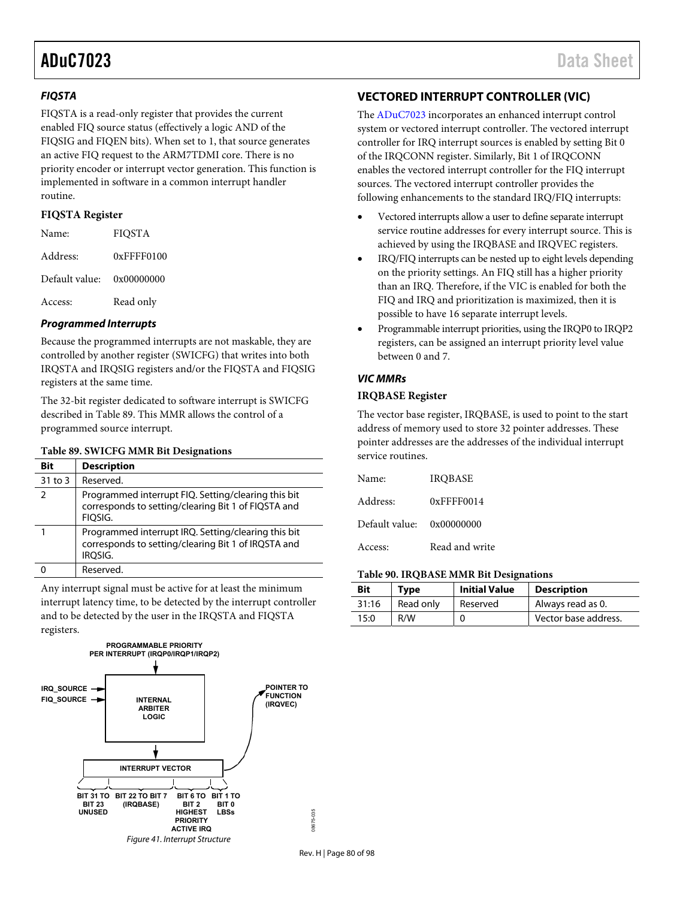#### **FIQSTA**

FIQSTA is a read-only register that provides the current enabled FIQ source status (effectively a logic AND of the FIQSIG and FIQEN bits). When set to 1, that source generates an active FIQ request to the ARM7TDMI core. There is no priority encoder or interrupt vector generation. This function is implemented in software in a common interrupt handler routine.

#### **FIQSTA Register**

| Name:                     | <b>FIOSTA</b> |
|---------------------------|---------------|
| Address:                  | $0x$ FFFF0100 |
| Default value: 0x00000000 |               |
| Access:                   | Read only     |
|                           |               |

### **Programmed Interrupts**

Because the programmed interrupts are not maskable, they are controlled by another register (SWICFG) that writes into both IRQSTA and IRQSIG registers and/or the FIQSTA and FIQSIG registers at the same time.

The 32-bit register dedicated to software interrupt is SWICFG described i[n Table 89.](#page-79-0) This MMR allows the control of a programmed source interrupt.

#### <span id="page-79-0"></span>**Table 89. SWICFG MMR Bit Designations**

| Bit           | <b>Description</b>                                                                                                    |
|---------------|-----------------------------------------------------------------------------------------------------------------------|
| 31 to 3       | Reserved.                                                                                                             |
| $\mathcal{P}$ | Programmed interrupt FIQ. Setting/clearing this bit<br>corresponds to setting/clearing Bit 1 of FIQSTA and<br>FIOSIG. |
|               | Programmed interrupt IRQ. Setting/clearing this bit<br>corresponds to setting/clearing Bit 1 of IRQSTA and<br>IROSIG. |
|               | Reserved.                                                                                                             |

Any interrupt signal must be active for at least the minimum interrupt latency time, to be detected by the interrupt controller and to be detected by the user in the IRQSTA and FIQSTA registers.



## **VECTORED INTERRUPT CONTROLLER (VIC)**

The [ADuC7023 i](http://www.analog.com/ADuC7023?doc=ADuC7023.pdf)ncorporates an enhanced interrupt control system or vectored interrupt controller. The vectored interrupt controller for IRQ interrupt sources is enabled by setting Bit 0 of the IRQCONN register. Similarly, Bit 1 of IRQCONN enables the vectored interrupt controller for the FIQ interrupt sources. The vectored interrupt controller provides the following enhancements to the standard IRQ/FIQ interrupts:

- Vectored interrupts allow a user to define separate interrupt service routine addresses for every interrupt source. This is achieved by using the IRQBASE and IRQVEC registers.
- IRQ/FIQ interrupts can be nested up to eight levels depending on the priority settings. An FIQ still has a higher priority than an IRQ. Therefore, if the VIC is enabled for both the FIQ and IRQ and prioritization is maximized, then it is possible to have 16 separate interrupt levels.
- Programmable interrupt priorities, using the IRQP0 to IRQP2 registers, can be assigned an interrupt priority level value between 0 and 7.

#### **VIC MMRs**

#### **IRQBASE Register**

The vector base register, IRQBASE, is used to point to the start address of memory used to store 32 pointer addresses. These pointer addresses are the addresses of the individual interrupt service routines.

| Name:          | <b>IROBASE</b> |
|----------------|----------------|
| Address:       | $0x$ FFFF0014  |
| Default value: | 0x00000000     |
| Access:        | Read and write |

#### **Table 90. IRQBASE MMR Bit Designations**

| Bit   | Tvpe      | <b>Initial Value</b> | <b>Description</b>   |
|-------|-----------|----------------------|----------------------|
| 31:16 | Read only | Reserved             | Always read as 0.    |
| 15:0  | R/W       |                      | Vector base address. |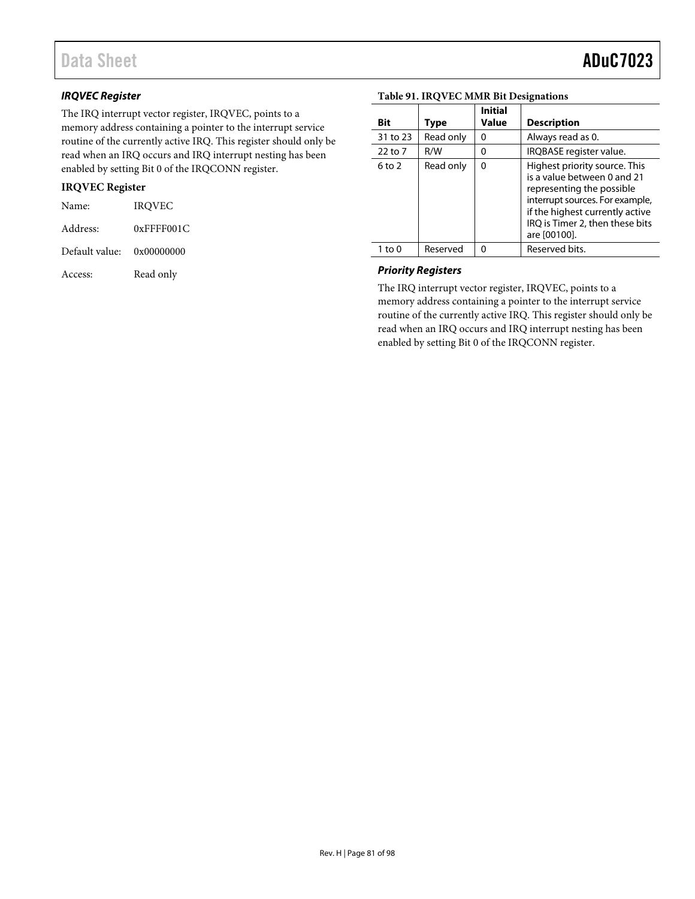#### **IRQVEC Register**

The IRQ interrupt vector register, IRQVEC, points to a memory address containing a pointer to the interrupt service routine of the currently active IRQ. This register should only be read when an IRQ occurs and IRQ interrupt nesting has been enabled by setting Bit 0 of the IRQCONN register.

#### **IRQVEC Register**

| Name:                     | <b>IROVEC</b>    |
|---------------------------|------------------|
| Address:                  | $0x$ FFFF001 $C$ |
| Default value: 0x00000000 |                  |
| Access:                   | Read only        |

| Bit        | Type      | <b>Initial</b><br>Value | <b>Description</b>                                                                                                                                                                                                 |
|------------|-----------|-------------------------|--------------------------------------------------------------------------------------------------------------------------------------------------------------------------------------------------------------------|
| 31 to 23   | Read only | 0                       | Always read as 0.                                                                                                                                                                                                  |
| 22 to 7    | R/W       | $\Omega$                | IRQBASE register value.                                                                                                                                                                                            |
| $6$ to $2$ | Read only | 0                       | Highest priority source. This<br>is a value between 0 and 21<br>representing the possible<br>interrupt sources. For example,<br>if the highest currently active<br>IRQ is Timer 2, then these bits<br>are [00100]. |
| 1 to 0     | Reserved  | ŋ                       | Reserved bits.                                                                                                                                                                                                     |

#### **Table 91. IRQVEC MMR Bit Designations**

#### **Priority Registers**

The IRQ interrupt vector register, IRQVEC, points to a memory address containing a pointer to the interrupt service routine of the currently active IRQ. This register should only be read when an IRQ occurs and IRQ interrupt nesting has been enabled by setting Bit 0 of the IRQCONN register.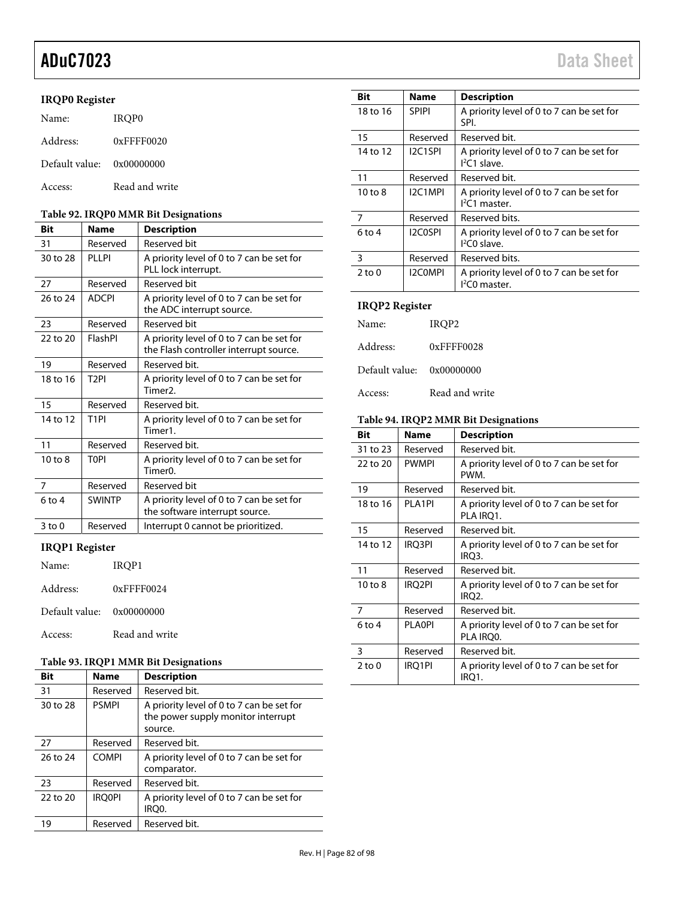## **IRQP0 Register**

| Name:                     | IROP0          |
|---------------------------|----------------|
| Address:                  | $0x$ FFFF0020  |
| Default value: 0x00000000 |                |
| Access:                   | Read and write |

#### **Table 92. IRQP0 MMR Bit Designations**

| Bit         | <b>Name</b>       | <b>Description</b>                                                                  |
|-------------|-------------------|-------------------------------------------------------------------------------------|
| 31          | Reserved          | Reserved bit                                                                        |
| 30 to 28    | PLLPI             | A priority level of 0 to 7 can be set for<br>PLL lock interrupt.                    |
| 27          | Reserved          | <b>Reserved bit</b>                                                                 |
| 26 to 24    | <b>ADCPI</b>      | A priority level of 0 to 7 can be set for<br>the ADC interrupt source.              |
| 23          | Reserved          | <b>Reserved bit</b>                                                                 |
| 22 to 20    | FlashPl           | A priority level of 0 to 7 can be set for<br>the Flash controller interrupt source. |
| 19          | Reserved          | Reserved bit.                                                                       |
| 18 to 16    | T <sub>2</sub> PI | A priority level of 0 to 7 can be set for<br>Timer2.                                |
| 15          | Reserved          | Reserved bit.                                                                       |
| 14 to 12    | T <sub>1</sub> PI | A priority level of 0 to 7 can be set for<br>Timer1.                                |
| 11          | Reserved          | Reserved bit.                                                                       |
| $10$ to $8$ | <b>TOPI</b>       | A priority level of 0 to 7 can be set for<br>Timer0.                                |
| 7           | Reserved          | Reserved bit                                                                        |
| $6$ to 4    | <b>SWINTP</b>     | A priority level of 0 to 7 can be set for<br>the software interrupt source.         |
| $3$ to $0$  | Reserved          | Interrupt 0 cannot be prioritized.                                                  |

## **IRQP1 Register**

| Name:                     | IROP1            |
|---------------------------|------------------|
| Address:                  | $0x$ FFFF $0024$ |
| Default value: 0x00000000 |                  |
| Access:                   | Read and write   |

#### **Table 93. IRQP1 MMR Bit Designations**

| <b>Bit</b> | <b>Name</b>   | <b>Description</b>                                                                         |
|------------|---------------|--------------------------------------------------------------------------------------------|
| 31         | Reserved      | Reserved bit.                                                                              |
| 30 to 28   | <b>PSMPI</b>  | A priority level of 0 to 7 can be set for<br>the power supply monitor interrupt<br>source. |
| 27         | Reserved      | Reserved bit.                                                                              |
| 26 to 24   | <b>COMPI</b>  | A priority level of 0 to 7 can be set for<br>comparator.                                   |
| 23         | Reserved      | Reserved bit.                                                                              |
| 22 to 20   | <b>IROOPI</b> | A priority level of 0 to 7 can be set for<br>IRO0.                                         |
| 19         | Reserved      | Reserved bit.                                                                              |

| Bit                | Name           | <b>Description</b>                                          |
|--------------------|----------------|-------------------------------------------------------------|
| 18 to 16           | <b>SPIPI</b>   | A priority level of 0 to 7 can be set for<br>SPI.           |
| 15                 | Reserved       | Reserved bit.                                               |
| 14 to 12           | I2C1SPI        | A priority level of 0 to 7 can be set for<br>$1^2C1$ slave. |
| 11                 | Reserved       | Reserved bit.                                               |
| $10 \text{ to } 8$ | I2C1MPI        | A priority level of 0 to 7 can be set for<br>$12C1$ master. |
| 7                  | Reserved       | Reserved bits.                                              |
| $6$ to 4           | I2C0SPI        | A priority level of 0 to 7 can be set for<br>$I2CO$ slave.  |
| 3                  | Reserved       | Reserved bits.                                              |
| $2 \text{ to } 0$  | <b>I2COMPI</b> | A priority level of 0 to 7 can be set for<br>$I2CO$ master. |

## **IRQP2 Register**

| Name:                     | IROP2          |
|---------------------------|----------------|
| Address:                  | 0xFFFF0028     |
| Default value: 0x00000000 |                |
| Access:                   | Read and write |

#### **Table 94. IRQP2 MMR Bit Designations**

| Name          | <b>Description</b>                                     |  |
|---------------|--------------------------------------------------------|--|
| Reserved      | Reserved bit.                                          |  |
| <b>PWMPI</b>  | A priority level of 0 to 7 can be set for<br>PWM.      |  |
| Reserved      | Reserved bit.                                          |  |
| <b>PLA1PI</b> | A priority level of 0 to 7 can be set for<br>PLA IRO1. |  |
| Reserved      | Reserved bit.                                          |  |
| IRQ3PI        | A priority level of 0 to 7 can be set for<br>IRQ3.     |  |
| Reserved      | Reserved bit.                                          |  |
| <b>IRQ2PI</b> | A priority level of 0 to 7 can be set for<br>IRQ2.     |  |
| Reserved      | Reserved bit.                                          |  |
| <b>PLAOPI</b> | A priority level of 0 to 7 can be set for<br>PLA IRQ0. |  |
| Reserved      | Reserved bit.                                          |  |
| IRQ1PI        | A priority level of 0 to 7 can be set for<br>IRQ1.     |  |
|               |                                                        |  |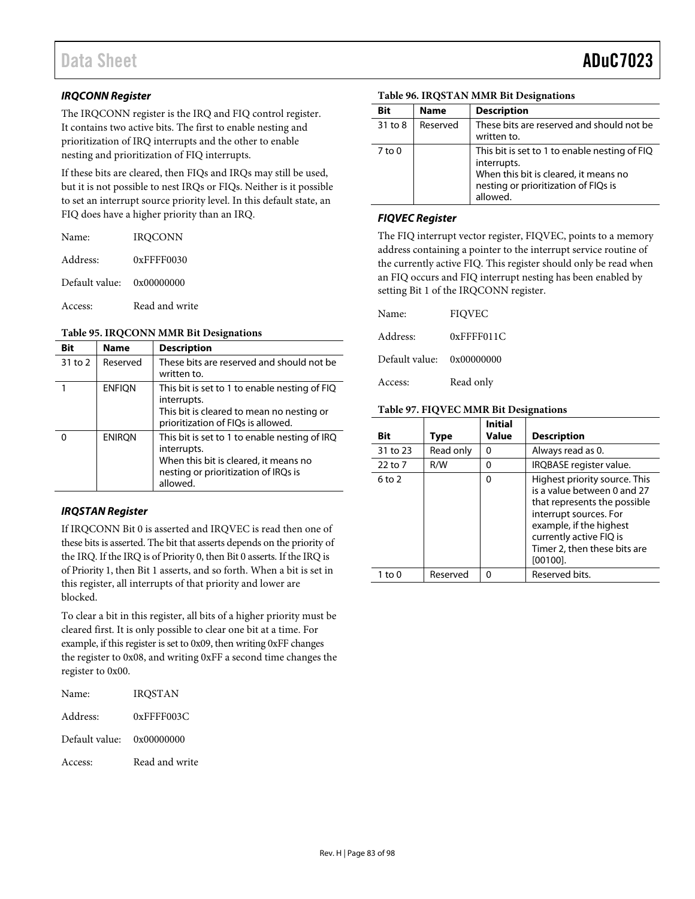#### **IRQCONN Register**

The IRQCONN register is the IRQ and FIQ control register. It contains two active bits. The first to enable nesting and prioritization of IRQ interrupts and the other to enable nesting and prioritization of FIQ interrupts.

If these bits are cleared, then FIQs and IRQs may still be used, but it is not possible to nest IRQs or FIQs. Neither is it possible to set an interrupt source priority level. In this default state, an FIQ does have a higher priority than an IRQ.

| Name:                       | <b>IROCONN</b> |
|-----------------------------|----------------|
| Address:                    | $0x$ FFFF0030  |
| Default value: $0x00000000$ |                |
| Access:                     | Read and write |

#### **Table 95. IRQCONN MMR Bit Designations**

| Bit     | <b>Name</b>   | <b>Description</b>                                                                                                                                        |
|---------|---------------|-----------------------------------------------------------------------------------------------------------------------------------------------------------|
| 31 to 2 | Reserved      | These bits are reserved and should not be<br>written to.                                                                                                  |
|         | <b>ENFIQN</b> | This bit is set to 1 to enable nesting of FIQ<br>interrupts.<br>This bit is cleared to mean no nesting or<br>prioritization of FIQs is allowed.           |
|         | <b>ENIRON</b> | This bit is set to 1 to enable nesting of IRQ<br>interrupts.<br>When this bit is cleared, it means no<br>nesting or prioritization of IRQs is<br>allowed. |

#### **IRQSTAN Register**

If IRQCONN Bit 0 is asserted and IRQVEC is read then one of these bits is asserted. The bit that asserts depends on the priority of the IRQ. If the IRQ is of Priority 0, then Bit 0 asserts. If the IRQ is of Priority 1, then Bit 1 asserts, and so forth. When a bit is set in this register, all interrupts of that priority and lower are blocked.

To clear a bit in this register, all bits of a higher priority must be cleared first. It is only possible to clear one bit at a time. For example, if this register is set to 0x09, then writing 0xFF changes the register to 0x08, and writing 0xFF a second time changes the register to 0x00.

| Name:                     | <b>IRQSTAN</b> |
|---------------------------|----------------|
| Address:                  | 0xFFFF003C     |
| Default value: 0x00000000 |                |
| Access:                   | Read and write |

| Table 96. IRQSTAN MMR Bit Designations |  |  |
|----------------------------------------|--|--|
|----------------------------------------|--|--|

| Bit        | <b>Name</b> | <b>Description</b>                                                                                                                                        |
|------------|-------------|-----------------------------------------------------------------------------------------------------------------------------------------------------------|
| 31 to 8    | Reserved    | These bits are reserved and should not be<br>written to.                                                                                                  |
| $7$ to $0$ |             | This bit is set to 1 to enable nesting of FIQ<br>interrupts.<br>When this bit is cleared, it means no<br>nesting or prioritization of FIQs is<br>allowed. |

#### **FIQVEC Register**

The FIQ interrupt vector register, FIQVEC, points to a memory address containing a pointer to the interrupt service routine of the currently active FIQ. This register should only be read when an FIQ occurs and FIQ interrupt nesting has been enabled by setting Bit 1 of the IRQCONN register.

| Name:          | <b>FIOVEC</b>    |
|----------------|------------------|
| Address:       | $0x$ FFFF011 $C$ |
| Default value: | 0x00000000       |
| Access:        | Read only        |

#### **Table 97. FIQVEC MMR Bit Designations**

| Bit        | Type      | <b>Initial</b><br>Value | <b>Description</b>                                                                                                                                                                                                          |
|------------|-----------|-------------------------|-----------------------------------------------------------------------------------------------------------------------------------------------------------------------------------------------------------------------------|
| 31 to 23   | Read only | 0                       | Always read as 0.                                                                                                                                                                                                           |
| 22 to 7    | R/W       | 0                       | IRQBASE register value.                                                                                                                                                                                                     |
| $6$ to $2$ |           | $\Omega$                | Highest priority source. This<br>is a value between 0 and 27<br>that represents the possible<br>interrupt sources. For<br>example, if the highest<br>currently active FIQ is<br>Timer 2, then these bits are<br>$[00100]$ . |
| 1 to 0     | Reserved  | n                       | Reserved bits.                                                                                                                                                                                                              |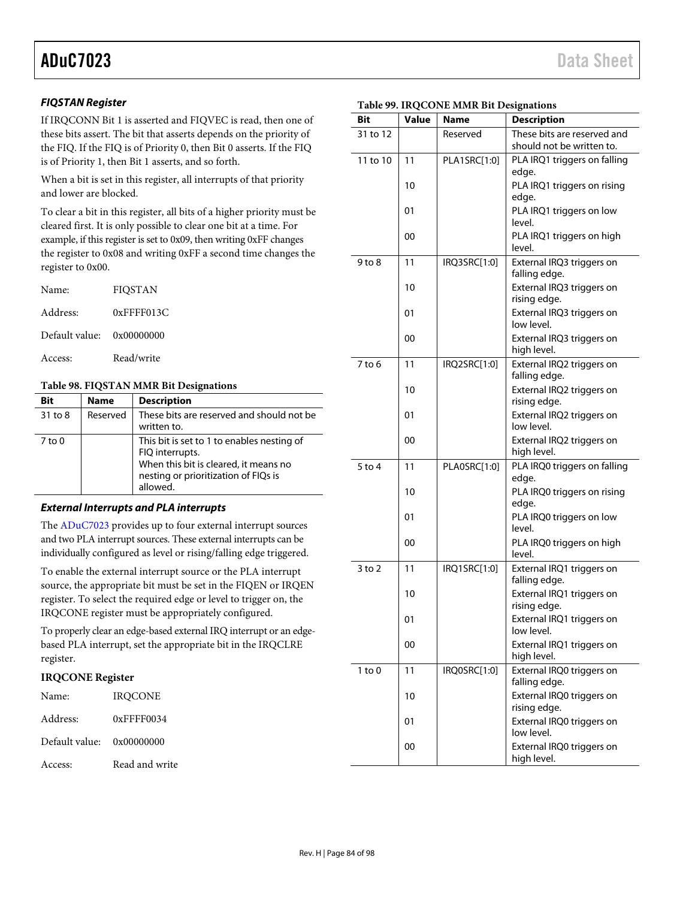#### **FIQSTAN Register**

If IRQCONN Bit 1 is asserted and FIQVEC is read, then one of these bits assert. The bit that asserts depends on the priority of the FIQ. If the FIQ is of Priority 0, then Bit 0 asserts. If the FIQ is of Priority 1, then Bit 1 asserts, and so forth.

When a bit is set in this register, all interrupts of that priority and lower are blocked.

To clear a bit in this register, all bits of a higher priority must be cleared first. It is only possible to clear one bit at a time. For example, if this register is set to 0x09, then writing 0xFF changes the register to 0x08 and writing 0xFF a second time changes the register to 0x00.

| Name:                     | <b>FIQSTAN</b> |
|---------------------------|----------------|
| Address:                  | $0x$ FFFF013C  |
| Default value: 0x00000000 |                |
| Access:                   | Read/write     |

#### **Table 98. FIQSTAN MMR Bit Designations**

| <b>Bit</b> | <b>Name</b> | <b>Description</b>                                                                                                                                         |
|------------|-------------|------------------------------------------------------------------------------------------------------------------------------------------------------------|
| 31 to 8    | Reserved    | These bits are reserved and should not be<br>written to.                                                                                                   |
| $7$ to $0$ |             | This bit is set to 1 to enables nesting of<br>FIQ interrupts.<br>When this bit is cleared, it means no<br>nesting or prioritization of FIQs is<br>allowed. |

#### **External Interrupts and PLA interrupts**

The [ADuC7023 p](http://www.analog.com/ADuC7023?doc=ADuC7023.pdf)rovides up to four external interrupt sources and two PLA interrupt sources. These external interrupts can be individually configured as level or rising/falling edge triggered.

To enable the external interrupt source or the PLA interrupt source, the appropriate bit must be set in the FIQEN or IRQEN register. To select the required edge or level to trigger on, the IRQCONE register must be appropriately configured.

To properly clear an edge-based external IRQ interrupt or an edgebased PLA interrupt, set the appropriate bit in the IRQCLRE register.

#### **IRQCONE Register**

| Name:                     | <b>IROCONE</b> |
|---------------------------|----------------|
| Address:                  | $0x$ FFFF0034  |
| Default value: 0x00000000 |                |
| Access:                   | Read and write |

| Table 99. IRQCONE MMR Bit Designations |  |
|----------------------------------------|--|
|                                        |  |

| Bit        | <b>Value</b> | <b>Name</b>  | <b>Description</b>                         |
|------------|--------------|--------------|--------------------------------------------|
| 31 to 12   |              | Reserved     | These bits are reserved and                |
|            |              |              | should not be written to.                  |
| 11 to 10   | 11           | PLA1SRC[1:0] | PLA IRQ1 triggers on falling<br>edge.      |
|            | 10           |              | PLA IRQ1 triggers on rising                |
|            |              |              | edge.                                      |
|            | 01           |              | PLA IRQ1 triggers on low                   |
|            |              |              | level.                                     |
|            | 00           |              | PLA IRQ1 triggers on high                  |
| 9 to 8     | 11           | IRQ3SRC[1:0] | level.<br>External IRQ3 triggers on        |
|            |              |              | falling edge.                              |
|            | 10           |              | External IRQ3 triggers on                  |
|            |              |              | rising edge.                               |
|            | 01           |              | External IRQ3 triggers on                  |
|            |              |              | low level.                                 |
|            | 00           |              | External IRQ3 triggers on<br>high level.   |
| 7 to 6     | 11           | IRQ2SRC[1:0] | External IRQ2 triggers on                  |
|            |              |              | falling edge.                              |
|            | 10           |              | External IRQ2 triggers on                  |
|            | 01           |              | rising edge.<br>External IRQ2 triggers on  |
|            |              |              | low level.                                 |
|            | 00           |              | External IRQ2 triggers on                  |
|            |              |              | high level.                                |
| $5$ to 4   | 11           | PLA0SRC[1:0] | PLA IRQ0 triggers on falling<br>edge.      |
|            | 10           |              | PLA IRQ0 triggers on rising                |
|            |              |              | edge.                                      |
|            | 01           |              | PLA IRQ0 triggers on low                   |
|            |              |              | level.                                     |
|            | 00           |              | PLA IRQ0 triggers on high<br>level.        |
| $3$ to $2$ | 11           | IRQ1SRC[1:0] | External IRQ1 triggers on                  |
|            |              |              | falling edge.                              |
|            | 10           |              | External IRQ1 triggers on                  |
|            |              |              | rising edge.                               |
|            | 01           |              | External IRQ1 triggers on<br>low level.    |
|            | 00           |              | External IRQ1 triggers on                  |
|            |              |              | high level.                                |
| $1$ to $0$ | 11           | IRQ0SRC[1:0] | External IRQ0 triggers on                  |
|            |              |              | falling edge.<br>External IRQ0 triggers on |
|            | 10           |              | rising edge.                               |
|            | 01           |              | External IRQ0 triggers on                  |
|            |              |              | low level.                                 |
|            | 00           |              | External IRQ0 triggers on                  |
|            |              |              | high level.                                |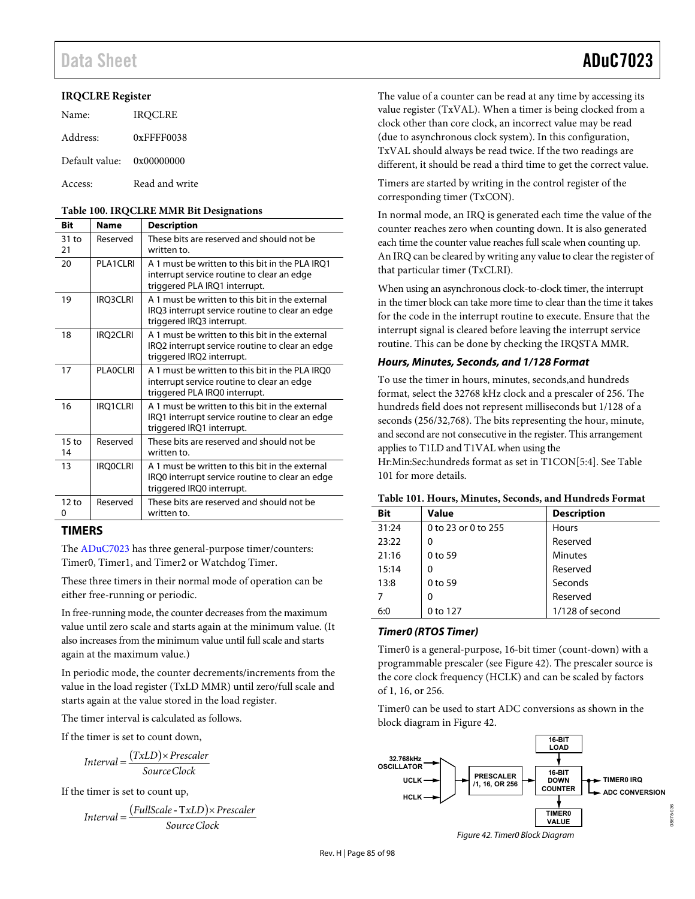#### **IRQCLRE Register**

| Name:                     | <b>IROCLRE</b> |
|---------------------------|----------------|
| Address:                  | 0xFFFF0038     |
| Default value: 0x00000000 |                |
| Access:                   | Read and write |

#### **Table 100. IRQCLRE MMR Bit Designations**

| <b>Bit</b>            | <b>Name</b>     | <b>Description</b>                                                                                                              |
|-----------------------|-----------------|---------------------------------------------------------------------------------------------------------------------------------|
| $31$ to<br>21         | Reserved        | These bits are reserved and should not be<br>written to.                                                                        |
| 20                    | PLA1CLRL        | A 1 must be written to this bit in the PLA IRO1<br>interrupt service routine to clear an edge<br>triggered PLA IRQ1 interrupt.  |
| 19                    | <b>IRQ3CLRI</b> | A 1 must be written to this bit in the external<br>IRQ3 interrupt service routine to clear an edge<br>triggered IRQ3 interrupt. |
| 18                    | IRQ2CLRI        | A 1 must be written to this bit in the external<br>IRQ2 interrupt service routine to clear an edge<br>triggered IRQ2 interrupt. |
| 17                    | PI AOCI RI      | A 1 must be written to this bit in the PLA IRO0<br>interrupt service routine to clear an edge<br>triggered PLA IRQ0 interrupt.  |
| 16                    | IRQ1CLRI        | A 1 must be written to this bit in the external<br>IRQ1 interrupt service routine to clear an edge<br>triggered IRQ1 interrupt. |
| $15 \text{ to}$<br>14 | Reserved        | These bits are reserved and should not be<br>written to.                                                                        |
| 13                    | <b>IRQ0CLRI</b> | A 1 must be written to this bit in the external<br>IRQ0 interrupt service routine to clear an edge<br>triggered IRQ0 interrupt. |
| 12 to<br>0            | Reserved        | These bits are reserved and should not be<br>written to.                                                                        |

### **TIMERS**

The [ADuC7023 h](http://www.analog.com/ADuC7023?doc=ADuC7023.pdf)as three general-purpose timer/counters: Timer0, Timer1, and Timer2 or Watchdog Timer.

These three timers in their normal mode of operation can be either free-running or periodic.

In free-running mode, the counter decreases from the maximum value until zero scale and starts again at the minimum value. (It also increases from the minimum value until full scale and starts again at the maximum value.)

In periodic mode, the counter decrements/increments from the value in the load register (TxLD MMR) until zero/full scale and starts again at the value stored in the load register.

<span id="page-84-0"></span>The timer interval is calculated as follows.

If the timer is set to count down,

$$
Interval = \frac{(TxLD) \times Prescaler}{SourceClock}
$$

If the timer is set to count up,

$$
Interval = \frac{(FullScale - TxLD) \times Prescale}{Source Clock}
$$

The value of a counter can be read at any time by accessing its value register (TxVAL). When a timer is being clocked from a clock other than core clock, an incorrect value may be read (due to asynchronous clock system). In this configuration, TxVAL should always be read twice. If the two readings are different, it should be read a third time to get the correct value.

Timers are started by writing in the control register of the corresponding timer (TxCON).

In normal mode, an IRQ is generated each time the value of the counter reaches zero when counting down. It is also generated each time the counter value reaches full scale when counting up. An IRQ can be cleared by writing any value to clear the register of that particular timer (TxCLRI).

When using an asynchronous clock-to-clock timer, the interrupt in the timer block can take more time to clear than the time it takes for the code in the interrupt routine to execute. Ensure that the interrupt signal is cleared before leaving the interrupt service routine. This can be done by checking the IRQSTA MMR.

#### **Hours, Minutes, Seconds, and 1/128 Format**

To use the timer in hours, minutes, seconds,and hundreds format, select the 32768 kHz clock and a prescaler of 256. The hundreds field does not represent milliseconds but 1/128 of a seconds (256/32,768). The bits representing the hour, minute, and second are not consecutive in the register. This arrangement applies to T1LD and T1VAL when using the Hr:Min:Sec:hundreds format as set in T1CON[5:4]. Se[e Table](#page-84-1) 

[101 f](#page-84-1)or more details.

#### <span id="page-84-1"></span>**Table 101. Hours, Minutes, Seconds, and Hundreds Format**

| <b>Bit</b> | <b>Value</b>        | <b>Description</b> |
|------------|---------------------|--------------------|
| 31:24      | 0 to 23 or 0 to 255 | Hours              |
| 23:22      | 0                   | Reserved           |
| 21:16      | 0 to 59             | <b>Minutes</b>     |
| 15:14      | 0                   | Reserved           |
| 13:8       | 0 to 59             | Seconds            |
|            | 0                   | Reserved           |
| 6:0        | 0 to 127            | 1/128 of second    |

#### **Timer0 (RTOS Timer)**

Timer0 is a general-purpose, 16-bit timer (count-down) with a programmable prescaler (see [Figure 42\)](#page-84-2). The prescaler source is the core clock frequency (HCLK) and can be scaled by factors of 1, 16, or 256.

Timer0 can be used to start ADC conversions as shown in the block diagram i[n Figure 42.](#page-84-2) 



<span id="page-84-2"></span>Figure 42. Timer0 Block Diagram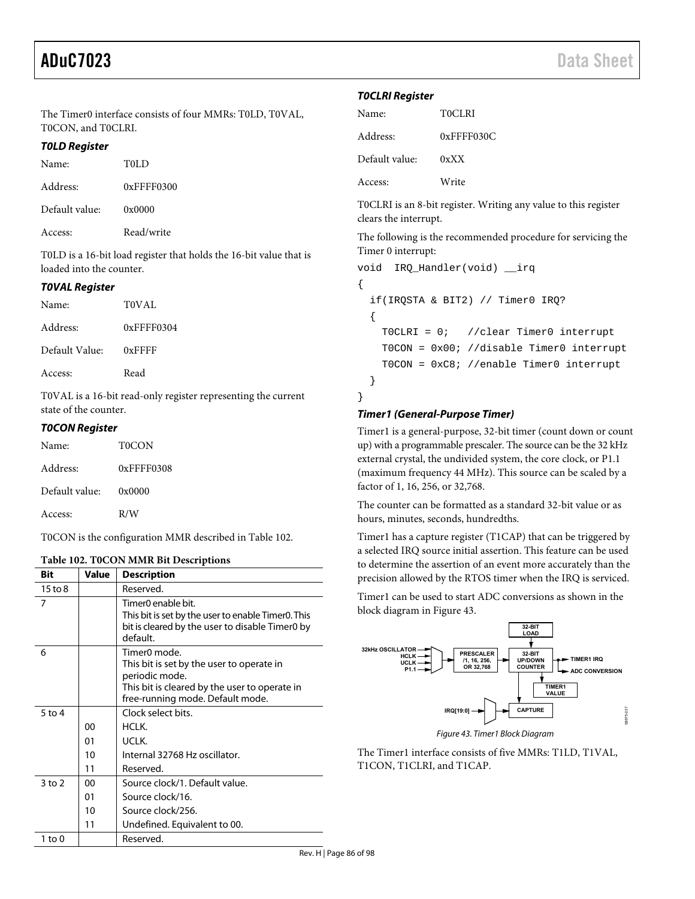The Timer0 interface consists of four MMRs: T0LD, T0VAL, T0CON, and T0CLRI.

#### **T0LD Register**

| Name:          | T0LD          |
|----------------|---------------|
| Address:       | $0x$ FFFF0300 |
| Default value: | 0x0000        |
| Access:        | Read/write    |

T0LD is a 16-bit load register that holds the 16-bit value that is loaded into the counter.

#### **T0VAL Register**

| Name:          | TOVAL            |
|----------------|------------------|
| Address:       | $0x$ FFFF $0304$ |
| Default Value: | $0x$ FFFF        |
| Access:        | Read             |

T0VAL is a 16-bit read-only register representing the current state of the counter.

#### **T0CON Register**

| Name:          | T0CON      |
|----------------|------------|
| Address:       | 0xFFFF0308 |
| Default value: | 0x0000     |
| Access:        | R/W        |

T0CON is the configuration MMR described in [Table 102.](#page-85-0) 

#### <span id="page-85-0"></span>**Table 102. T0CON MMR Bit Descriptions**

| Bit        | Value | <b>Description</b>                                                                                                                                                           |
|------------|-------|------------------------------------------------------------------------------------------------------------------------------------------------------------------------------|
| 15 to 8    |       | Reserved.                                                                                                                                                                    |
| 7          |       | Timer0 enable bit.<br>This bit is set by the user to enable Timer0. This<br>bit is cleared by the user to disable Timer0 by<br>default.                                      |
| 6          |       | Timer <sub>0</sub> mode.<br>This bit is set by the user to operate in<br>periodic mode.<br>This bit is cleared by the user to operate in<br>free-running mode. Default mode. |
| $5$ to $4$ |       | Clock select bits.                                                                                                                                                           |
|            | 00    | HCI K.                                                                                                                                                                       |
|            | 01    | UCLK.                                                                                                                                                                        |
|            | 10    | Internal 32768 Hz oscillator.                                                                                                                                                |
|            | 11    | Reserved.                                                                                                                                                                    |
| $3$ to $2$ | 00    | Source clock/1. Default value.                                                                                                                                               |
|            | 01    | Source clock/16.                                                                                                                                                             |
|            | 10    | Source clock/256.                                                                                                                                                            |
|            | 11    | Undefined. Equivalent to 00.                                                                                                                                                 |
| 1 to 0     |       | Reserved.                                                                                                                                                                    |

#### **T0CLRI Register**

| Name:          | T0CLRI        |
|----------------|---------------|
| Address:       | $0x$ FFFF030C |
| Default value: | 0xXX          |
| Access:        | Write         |

T0CLRI is an 8-bit register. Writing any value to this register clears the interrupt.

The following is the recommended procedure for servicing the Timer 0 interrupt:

```
void IRQ_Handler(void) __irq 
{ 
   if(IRQSTA & BIT2) // Timer0 IRQ? 
   { 
     T0CLRI = 0; //clear Timer0 interrupt 
     T0CON = 0x00; //disable Timer0 interrupt 
     T0CON = 0xC8; //enable Timer0 interrupt 
   } 
}
```
#### **Timer1 (General-Purpose Timer)**

Timer1 is a general-purpose, 32-bit timer (count down or count up) with a programmable prescaler. The source can be the 32 kHz external crystal, the undivided system, the core clock, or P1.1 (maximum frequency 44 MHz). This source can be scaled by a factor of 1, 16, 256, or 32,768.

The counter can be formatted as a standard 32-bit value or as hours, minutes, seconds, hundredths.

Timer1 has a capture register (T1CAP) that can be triggered by a selected IRQ source initial assertion. This feature can be used to determine the assertion of an event more accurately than the precision allowed by the RTOS timer when the IRQ is serviced.

Timer1 can be used to start ADC conversions as shown in the block diagram i[n Figure 43.](#page-85-1) 



<span id="page-85-1"></span>The Timer1 interface consists of five MMRs: T1LD, T1VAL, T1CON, T1CLRI, and T1CAP.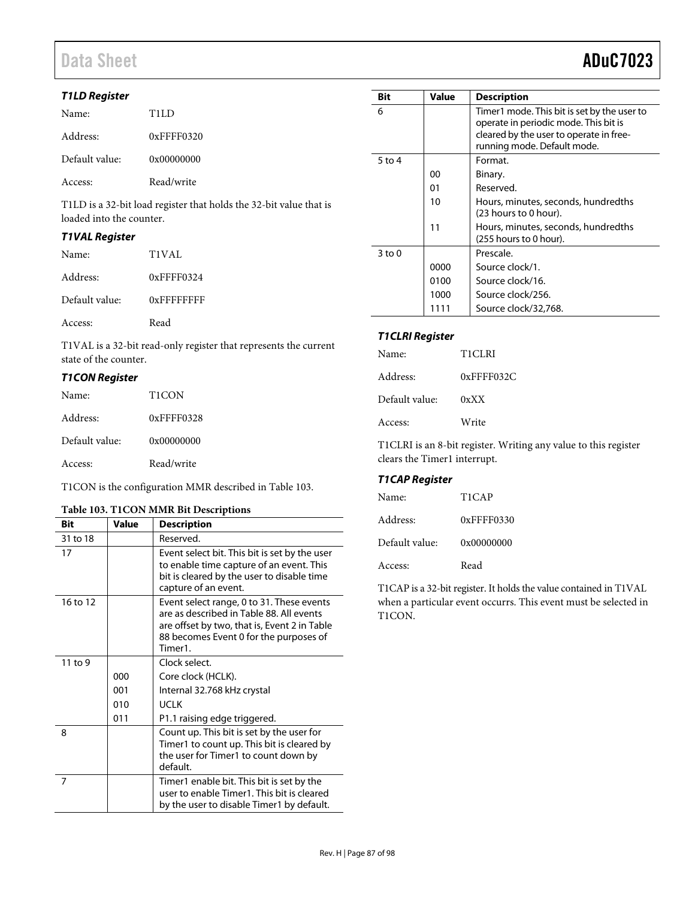# Data Sheet **ADuC7023**

#### **T1LD Register**

| Name:          | TH.D             |
|----------------|------------------|
| Address:       | $0x$ FFFF $0320$ |
| Default value: | 0x00000000       |
| Access:        | Read/write       |

T1LD is a 32-bit load register that holds the 32-bit value that is loaded into the counter.

#### **T1VAL Register**

| Name:          | T1VAL            |
|----------------|------------------|
| Address:       | $0x$ FFFF $0324$ |
| Default value: | $0x$ FFFFFFFFF   |
| Access:        | Read             |

T1VAL is a 32-bit read-only register that represents the current state of the counter.

#### **T1CON Register**

| Name:          | T <sub>1</sub> CON |
|----------------|--------------------|
| Address:       | $0x$ FFFF $0328$   |
| Default value: | 0x00000000         |
| Access:        | Read/write         |

T1CON is the configuration MMR described in [Table 103.](#page-86-0) 

#### <span id="page-86-0"></span>**Table 103. T1CON MMR Bit Descriptions**

| <b>Bit</b> | Value | <b>Description</b>                                                                                                                                                                         |
|------------|-------|--------------------------------------------------------------------------------------------------------------------------------------------------------------------------------------------|
| 31 to 18   |       | Reserved.                                                                                                                                                                                  |
| 17         |       | Event select bit. This bit is set by the user<br>to enable time capture of an event. This<br>bit is cleared by the user to disable time<br>capture of an event.                            |
| 16 to 12   |       | Event select range, 0 to 31. These events<br>are as described in Table 88. All events<br>are offset by two, that is, Event 2 in Table<br>88 becomes Event 0 for the purposes of<br>Timer1. |
| $11$ to 9  |       | Clock select.                                                                                                                                                                              |
|            | 000   | Core clock (HCLK).                                                                                                                                                                         |
|            | 001   | Internal 32.768 kHz crystal                                                                                                                                                                |
|            | 010   | <b>UCLK</b>                                                                                                                                                                                |
|            | 011   | P1.1 raising edge triggered.                                                                                                                                                               |
| 8          |       | Count up. This bit is set by the user for<br>Timer1 to count up. This bit is cleared by<br>the user for Timer1 to count down by<br>default.                                                |
| 7          |       | Timer1 enable bit. This bit is set by the<br>user to enable Timer1. This bit is cleared<br>by the user to disable Timer1 by default.                                                       |

| Bit        | Value | <b>Description</b>                                                                                                                                             |
|------------|-------|----------------------------------------------------------------------------------------------------------------------------------------------------------------|
| 6          |       | Timer1 mode. This bit is set by the user to<br>operate in periodic mode. This bit is<br>cleared by the user to operate in free-<br>running mode. Default mode. |
| $5$ to 4   |       | Format.                                                                                                                                                        |
|            | 00    | Binary.                                                                                                                                                        |
|            | 01    | Reserved.                                                                                                                                                      |
|            | 10    | Hours, minutes, seconds, hundredths<br>(23 hours to 0 hour).                                                                                                   |
|            | 11    | Hours, minutes, seconds, hundredths<br>(255 hours to 0 hour).                                                                                                  |
| $3$ to $0$ |       | Prescale.                                                                                                                                                      |
|            | 0000  | Source clock/1.                                                                                                                                                |
|            | 0100  | Source clock/16.                                                                                                                                               |
|            | 1000  | Source clock/256.                                                                                                                                              |
|            |       | Source clock/32,768.                                                                                                                                           |

#### **T1CLRI Register**

| Name:          | T1CLRI           |
|----------------|------------------|
| Address:       | $0x$ FFFF $032C$ |
| Default value: | 0xXX             |
| Access:        | Write            |

T1CLRI is an 8-bit register. Writing any value to this register clears the Timer1 interrupt.

#### **T1CAP Register**

| Name:          | T1CAP      |
|----------------|------------|
| Address:       | 0xFFFF0330 |
| Default value: | 0x00000000 |
| Access:        | Read       |

T1CAP is a 32-bit register. It holds the value contained in T1VAL when a particular event occurrs. This event must be selected in T1CON.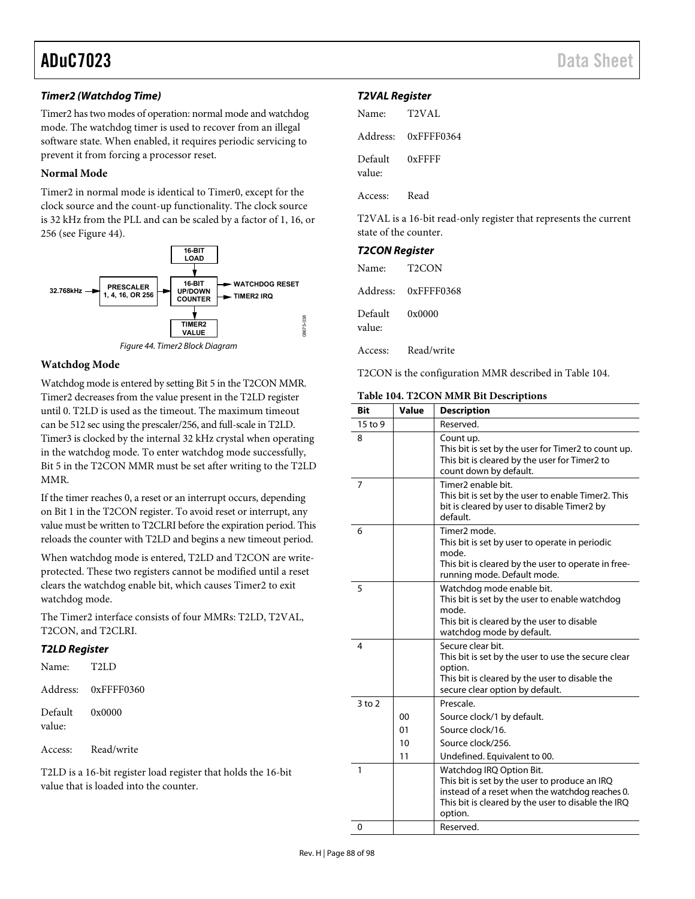#### **Timer2 (Watchdog Time)**

Timer2 has two modes of operation: normal mode and watchdog mode. The watchdog timer is used to recover from an illegal software state. When enabled, it requires periodic servicing to prevent it from forcing a processor reset.

#### **Normal Mode**

Timer2 in normal mode is identical to Timer0, except for the clock source and the count-up functionality. The clock source is 32 kHz from the PLL and can be scaled by a factor of 1, 16, or 256 (see [Figure 44\)](#page-87-0).





#### <span id="page-87-0"></span>**Watchdog Mode**

Watchdog mode is entered by setting Bit 5 in the T2CON MMR. Timer2 decreases from the value present in the T2LD register until 0. T2LD is used as the timeout. The maximum timeout can be 512 sec using the prescaler/256, and full-scale in T2LD. Timer3 is clocked by the internal 32 kHz crystal when operating in the watchdog mode. To enter watchdog mode successfully, Bit 5 in the T2CON MMR must be set after writing to the T2LD MMR.

If the timer reaches 0, a reset or an interrupt occurs, depending on Bit 1 in the T2CON register. To avoid reset or interrupt, any value must be written to T2CLRI before the expiration period. This reloads the counter with T2LD and begins a new timeout period.

When watchdog mode is entered, T2LD and T2CON are writeprotected. These two registers cannot be modified until a reset clears the watchdog enable bit, which causes Timer2 to exit watchdog mode.

The Timer2 interface consists of four MMRs: T2LD, T2VAL, T2CON, and T2CLRI.

### **T2LD Register**

| Name:             | T <sub>2LD</sub>    |
|-------------------|---------------------|
|                   | Address: 0xFFFF0360 |
| Default<br>value: | 0x0000              |

Access: Read/write

T2LD is a 16-bit register load register that holds the 16-bit value that is loaded into the counter.

#### **T2VAL Register**

| Name: T2VAL              |                     |
|--------------------------|---------------------|
|                          | Address: 0xFFFF0364 |
| Default 0xFFFF<br>value: |                     |
| Access: Read             |                     |

T2VAL is a 16-bit read-only register that represents the current state of the counter.

## **T2CON Register**

| Name:             | T2CON               |
|-------------------|---------------------|
|                   | Address: 0xFFFF0368 |
| Default<br>value: | 0x0000              |
| Access:           | Read/write          |

T2CON is the configuration MMR described in [Table 104.](#page-87-1) 

#### <span id="page-87-1"></span>**Table 104. T2CON MMR Bit Descriptions**

| <b>Bit</b> | Value | <b>Description</b>                                                                                                                                                                            |
|------------|-------|-----------------------------------------------------------------------------------------------------------------------------------------------------------------------------------------------|
| 15 to 9    |       | Reserved.                                                                                                                                                                                     |
| 8          |       | Count up.<br>This bit is set by the user for Timer2 to count up.<br>This bit is cleared by the user for Timer2 to<br>count down by default.                                                   |
| 7          |       | Timer2 enable bit.<br>This bit is set by the user to enable Timer2. This<br>bit is cleared by user to disable Timer2 by<br>default.                                                           |
| 6          |       | Timer <sub>2</sub> mode.<br>This bit is set by user to operate in periodic<br>mode.<br>This bit is cleared by the user to operate in free-<br>running mode. Default mode.                     |
| 5          |       | Watchdog mode enable bit.<br>This bit is set by the user to enable watchdog<br>mode.<br>This bit is cleared by the user to disable<br>watchdog mode by default.                               |
| 4          |       | Secure clear bit.<br>This bit is set by the user to use the secure clear<br>option.<br>This bit is cleared by the user to disable the<br>secure clear option by default.                      |
| $3$ to $2$ |       | Prescale.                                                                                                                                                                                     |
|            | 00    | Source clock/1 by default.                                                                                                                                                                    |
|            | 01    | Source clock/16.                                                                                                                                                                              |
|            | 10    | Source clock/256.                                                                                                                                                                             |
|            | 11    | Undefined. Equivalent to 00.                                                                                                                                                                  |
| 1          |       | Watchdog IRQ Option Bit.<br>This bit is set by the user to produce an IRQ<br>instead of a reset when the watchdog reaches 0.<br>This bit is cleared by the user to disable the IRQ<br>option. |
| 0          |       | Reserved.                                                                                                                                                                                     |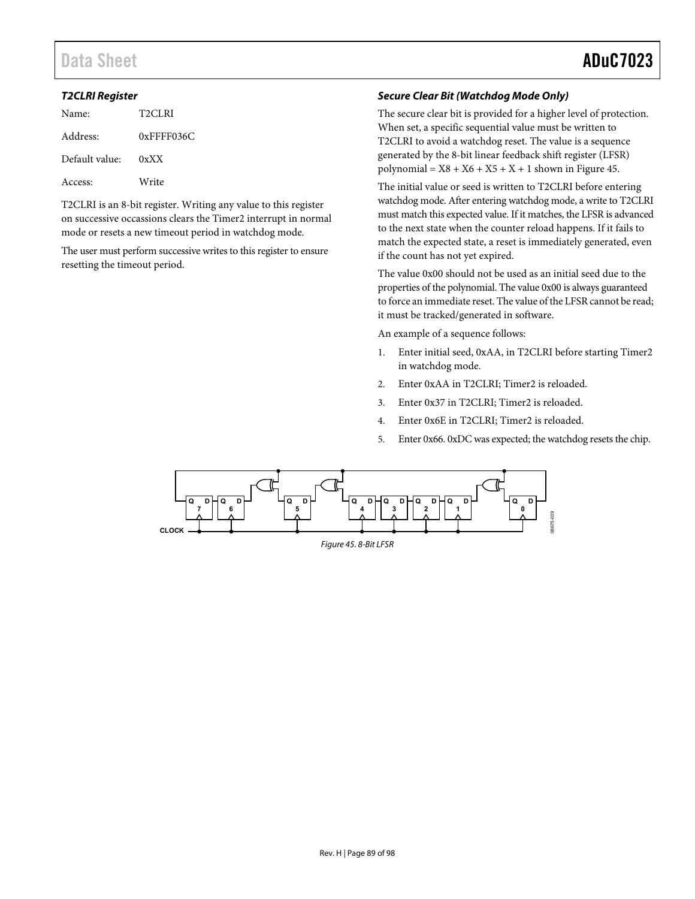# Data Sheet **ADuC7023**

#### **T2CLRI Register**

| Name:          | T2CLRI           |
|----------------|------------------|
| Address:       | $0x$ FFFF $036C$ |
| Default value: | 0xXX             |
| Access:        | Write            |

T2CLRI is an 8-bit register. Writing any value to this register on successive occassions clears the Timer2 interrupt in normal mode or resets a new timeout period in watchdog mode*.* 

The user must perform successive writes to this register to ensure resetting the timeout period.

### **Secure Clear Bit (Watchdog Mode Only)**

The secure clear bit is provided for a higher level of protection. When set, a specific sequential value must be written to T2CLRI to avoid a watchdog reset. The value is a sequence generated by the 8-bit linear feedback shift register (LFSR) polynomial =  $X8 + X6 + X5 + X + 1$  shown in [Figure 45.](#page-88-0)

The initial value or seed is written to T2CLRI before entering watchdog mode. After entering watchdog mode, a write to T2CLRI must match this expected value. If it matches, the LFSR is advanced to the next state when the counter reload happens. If it fails to match the expected state, a reset is immediately generated, even if the count has not yet expired.

The value 0x00 should not be used as an initial seed due to the properties of the polynomial. The value 0x00 is always guaranteed to force an immediate reset. The value of the LFSR cannot be read; it must be tracked/generated in software.

An example of a sequence follows:

- 1. Enter initial seed, 0xAA, in T2CLRI before starting Timer2 in watchdog mode.
- 2. Enter 0xAA in T2CLRI; Timer2 is reloaded.
- 3. Enter 0x37 in T2CLRI; Timer2 is reloaded.
- 4. Enter 0x6E in T2CLRI; Timer2 is reloaded.
- 5. Enter 0x66. 0xDC was expected; the watchdog resets the chip.

<span id="page-88-0"></span>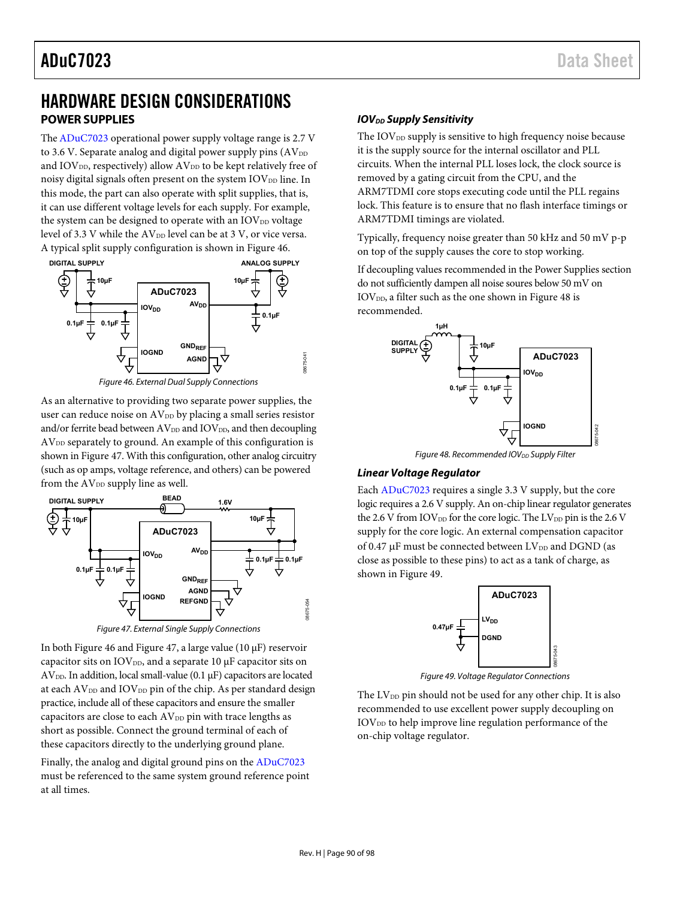## <span id="page-89-2"></span>HARDWARE DESIGN CONSIDERATIONS **POWER SUPPLIES**

Th[e ADuC7023 o](http://www.analog.com/ADuC7023?doc=ADuC7023.pdf)perational power supply voltage range is 2.7 V to 3.6 V. Separate analog and digital power supply pins  $(AV_{DD})$ and  $IOV<sub>DD</sub>$ , respectively) allow  $AV<sub>DD</sub>$  to be kept relatively free of noisy digital signals often present on the system  $IOV<sub>DD</sub>$  line. In this mode, the part can also operate with split supplies, that is, it can use different voltage levels for each supply. For example, the system can be designed to operate with an  $IOV<sub>DD</sub>$  voltage level of 3.3 V while the AV<sub>DD</sub> level can be at 3 V, or vice versa. A typical split supply configuration is shown i[n Figure 46.](#page-89-0) 



Figure 46. External Dual Supply Connections

<span id="page-89-0"></span>As an alternative to providing two separate power supplies, the user can reduce noise on AV<sub>DD</sub> by placing a small series resistor and/or ferrite bead between  $AV_{DD}$  and  $IOV_{DD}$ , and then decoupling  $AV<sub>DD</sub>$  separately to ground. An example of this configuration is shown i[n Figure 47.](#page-89-1) With this configuration, other analog circuitry (such as op amps, voltage reference, and others) can be powered from the  $AV_{DD}$  supply line as well.



Figure 47. External Single Supply Connections

<span id="page-89-1"></span>In bot[h Figure 46 a](#page-89-0)n[d Figure 47,](#page-89-1) a large value (10 μF) reservoir capacitor sits on  $IOV<sub>DD</sub>$ , and a separate 10  $µF$  capacitor sits on  $AV<sub>DD</sub>$ . In addition, local small-value (0.1  $\mu$ F) capacitors are located at each  $AV_{DD}$  and  $IOV_{DD}$  pin of the chip. As per standard design practice, include all of these capacitors and ensure the smaller capacitors are close to each  $AV<sub>DD</sub>$  pin with trace lengths as short as possible. Connect the ground terminal of each of these capacitors directly to the underlying ground plane.

Finally, the analog and digital ground pins on th[e ADuC7023](http://www.analog.com/ADuC7023?doc=ADuC7023.pdf) must be referenced to the same system ground reference point at all times.

## **IOV<sub>DD</sub>** Supply Sensitivity

The IOV<sub>DD</sub> supply is sensitive to high frequency noise because it is the supply source for the internal oscillator and PLL circuits. When the internal PLL loses lock, the clock source is removed by a gating circuit from the CPU, and the ARM7TDMI core stops executing code until the PLL regains lock. This feature is to ensure that no flash interface timings or ARM7TDMI timings are violated.

Typically, frequency noise greater than 50 kHz and 50 mV p-p on top of the supply causes the core to stop working.

If decoupling values recommended in th[e Power Supplies](#page-89-2) section do not sufficiently dampen all noise soures below 50 mV on  $IOV<sub>DD</sub>$ , a filter such as the one shown in [Figure 48 i](#page-89-3)s recommended.



Figure 48. Recommended IOV<sub>DD</sub> Supply Filter

### <span id="page-89-3"></span>**Linear Voltage Regulator**

Each [ADuC7023](http://www.analog.com/ADuC7023?doc=ADuC7023.pdf) requires a single 3.3 V supply, but the core logic requires a 2.6 V supply. An on-chip linear regulator generates the 2.6 V from IOV<sub>DD</sub> for the core logic. The LV<sub>DD</sub> pin is the 2.6 V supply for the core logic. An external compensation capacitor of 0.47  $\mu$ F must be connected between LV<sub>DD</sub> and DGND (as close as possible to these pins) to act as a tank of charge, as shown in [Figure 49.](#page-89-4)



Figure 49. Voltage Regulator Connections

<span id="page-89-4"></span>The  $LV_{DD}$  pin should not be used for any other chip. It is also recommended to use excellent power supply decoupling on IOV<sub>DD</sub> to help improve line regulation performance of the on-chip voltage regulator.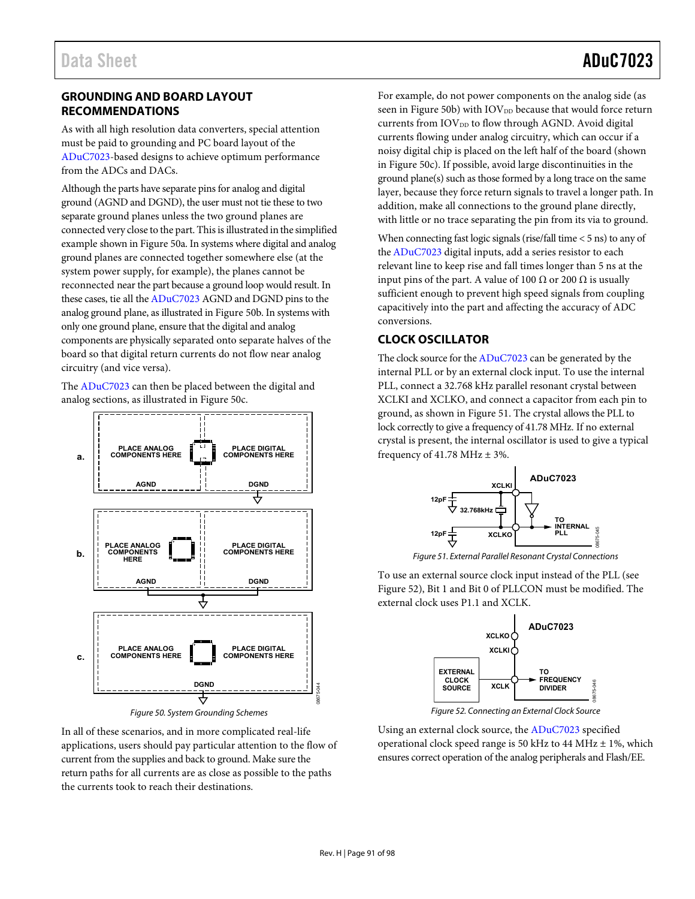## **GROUNDING AND BOARD LAYOUT RECOMMENDATIONS**

As with all high resolution data converters, special attention must be paid to grounding and PC board layout of the [ADuC7023-](http://www.analog.com/ADuC7023?doc=ADuC7023.pdf)based designs to achieve optimum performance from the ADCs and DACs.

Although the parts have separate pins for analog and digital ground (AGND and DGND), the user must not tie these to two separate ground planes unless the two ground planes are connected very close to the part. This is illustrated in the simplified example shown i[n Figure 50a](#page-90-0). In systems where digital and analog ground planes are connected together somewhere else (at the system power supply, for example), the planes cannot be reconnected near the part because a ground loop would result. In these cases, tie all th[e ADuC7023](http://www.analog.com/ADuC7023?doc=ADuC7023.pdf) AGND and DGND pins to the analog ground plane, as illustrated i[n Figure 50b](#page-90-0). In systems with only one ground plane, ensure that the digital and analog components are physically separated onto separate halves of the board so that digital return currents do not flow near analog circuitry (and vice versa).

The [ADuC7023 c](http://www.analog.com/ADuC7023?doc=ADuC7023.pdf)an then be placed between the digital and analog sections, as illustrated i[n Figure 50c](#page-90-0).



Figure 50. System Grounding Schemes

<span id="page-90-0"></span>In all of these scenarios, and in more complicated real-life applications, users should pay particular attention to the flow of current from the supplies and back to ground. Make sure the return paths for all currents are as close as possible to the paths the currents took to reach their destinations.

For example, do not power components on the analog side (as seen in [Figure 50b](#page-90-0)) with  $\mathrm{IOV_{DD}}$  because that would force return currents from  $IOV<sub>DD</sub>$  to flow through AGND. Avoid digital currents flowing under analog circuitry, which can occur if a noisy digital chip is placed on the left half of the board (shown in [Figure 50c](#page-90-0)). If possible, avoid large discontinuities in the ground plane(s) such as those formed by a long trace on the same layer, because they force return signals to travel a longer path. In addition, make all connections to the ground plane directly, with little or no trace separating the pin from its via to ground.

When connecting fast logic signals (rise/fall time < 5 ns) to any of th[e ADuC7023 d](http://www.analog.com/ADuC7023?doc=ADuC7023.pdf)igital inputs, add a series resistor to each relevant line to keep rise and fall times longer than 5 ns at the input pins of the part. A value of 100  $\Omega$  or 200  $\Omega$  is usually sufficient enough to prevent high speed signals from coupling capacitively into the part and affecting the accuracy of ADC conversions.

## **CLOCK OSCILLATOR**

The clock source for th[e ADuC7023 c](http://www.analog.com/ADuC7023?doc=ADuC7023.pdf)an be generated by the internal PLL or by an external clock input. To use the internal PLL, connect a 32.768 kHz parallel resonant crystal between XCLKI and XCLKO, and connect a capacitor from each pin to ground, as shown i[n Figure 51.](#page-90-1) The crystal allows the PLL to lock correctly to give a frequency of 41.78 MHz. If no external crystal is present, the internal oscillator is used to give a typical frequency of 41.78 MHz  $\pm$  3%.



Figure 51. External Parallel Resonant Crystal Connections

<span id="page-90-1"></span>To use an external source clock input instead of the PLL (see [Figure 52\)](#page-90-2), Bit 1 and Bit 0 of PLLCON must be modified. The external clock uses P1.1 and XCLK.



Figure 52. Connecting an External Clock Source

<span id="page-90-2"></span>Using an external clock source, the [ADuC7023](http://www.analog.com/ADuC7023?doc=ADuC7023.pdf) specified operational clock speed range is 50 kHz to 44 MHz ± 1%, which ensures correct operation of the analog peripherals and Flash/EE.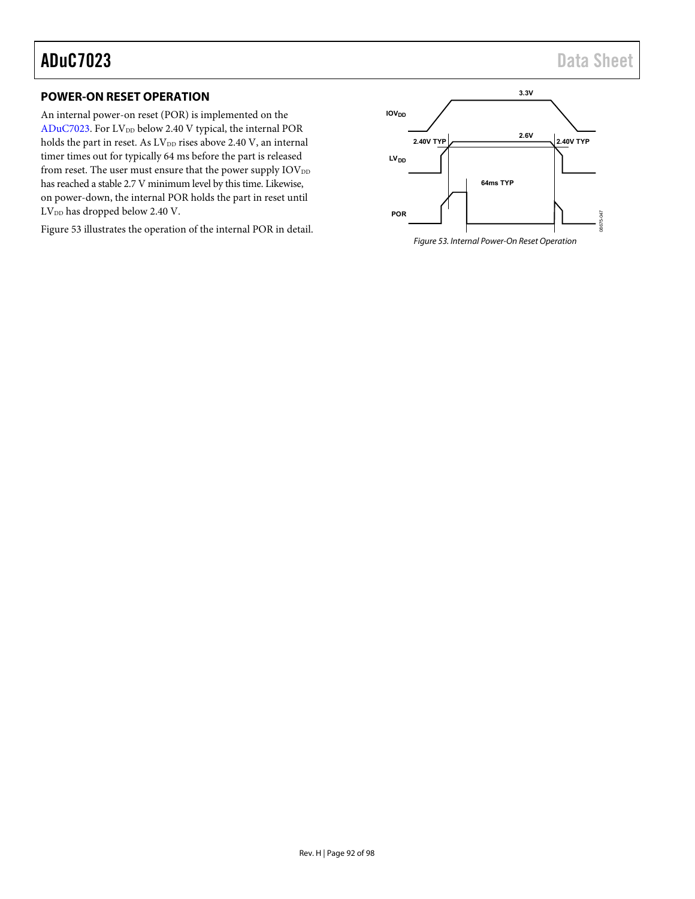## **POWER-ON RESET OPERATION**

An internal power-on reset (POR) is implemented on the [ADuC7023.](http://www.analog.com/ADuC7023?doc=ADuC7023.pdf) For LV<sub>DD</sub> below 2.40 V typical, the internal POR holds the part in reset. As  $LV_{\scriptscriptstyle \rm DD}$  rises above 2.40 V, an internal timer times out for typically 64 ms before the part is released from reset. The user must ensure that the power supply  $\text{IOV}_{\text{DD}}$ has reached a stable 2.7 V minimum level by this time. Likewise, on power-down, the internal POR holds the part in reset until LV<sub>DD</sub> has dropped below 2.40 V.

[Figure 53 i](#page-91-0)llustrates the operation of the internal POR in detail.

<span id="page-91-0"></span>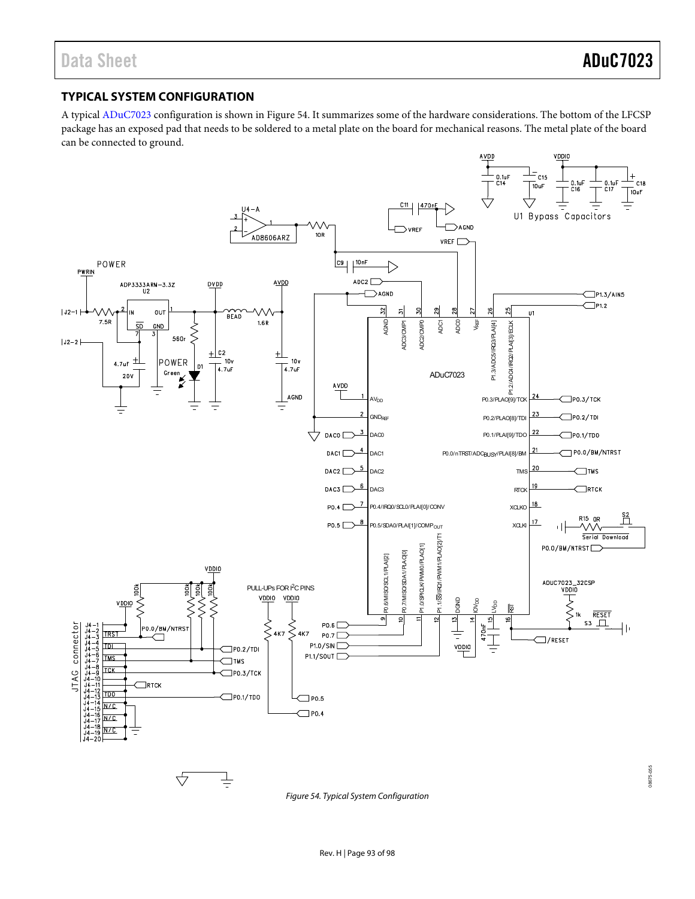## **TYPICAL SYSTEM CONFIGURATION**

A typica[l ADuC7023 c](http://www.analog.com/ADuC7023?doc=ADuC7023.pdf)onfiguration is shown in [Figure 54.](#page-92-0) It summarizes some of the hardware considerations. The bottom of the LFCSP package has an exposed pad that needs to be soldered to a metal plate on the board for mechanical reasons. The metal plate of the board can be connected to ground.



<span id="page-92-0"></span>Figure 54. Typical System Configuration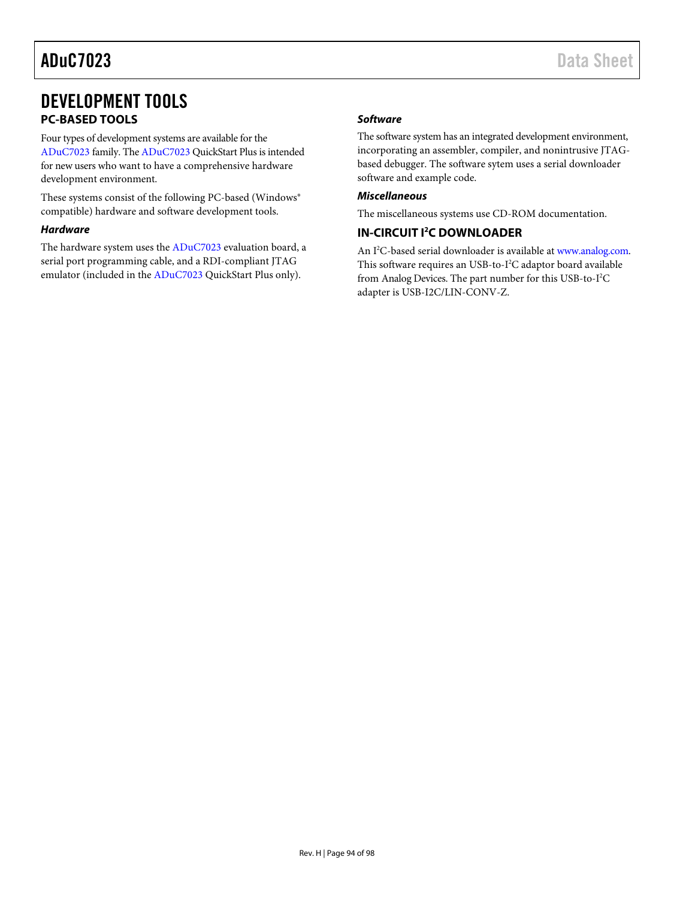# DEVELOPMENT TOOLS **PC-BASED TOOLS**

Four types of development systems are available for the [ADuC7023](http://www.analog.com/ADuC7023?doc=ADuC7023.pdf) family. Th[e ADuC7023 Q](http://www.analog.com/ADuC7023?doc=ADuC7023.pdf)uickStart Plus is intended for new users who want to have a comprehensive hardware development environment.

These systems consist of the following PC-based (Windows® compatible) hardware and software development tools.

#### **Hardware**

The hardware system uses the [ADuC7023](http://www.analog.com/ADuC7023?doc=ADuC7023.pdf) evaluation board, a serial port programming cable, and a RDI-compliant JTAG emulator (included in th[e ADuC7023 Q](http://www.analog.com/ADuC7023?doc=ADuC7023.pdf)uickStart Plus only).

### **Software**

The software system has an integrated development environment, incorporating an assembler, compiler, and nonintrusive JTAGbased debugger. The software sytem uses a serial downloader software and example code.

#### **Miscellaneous**

The miscellaneous systems use CD-ROM documentation.

### **IN-CIRCUIT I2 C DOWNLOADER**

An I<sup>2</sup>C-based serial downloader is available at [www.analog.com.](http://www.analog.com/) This software requires an USB-to-I<sup>2</sup>C adaptor board available from Analog Devices. The part number for this USB-to-I<sup>2</sup>C adapter is USB-I2C/LIN-CONV-Z.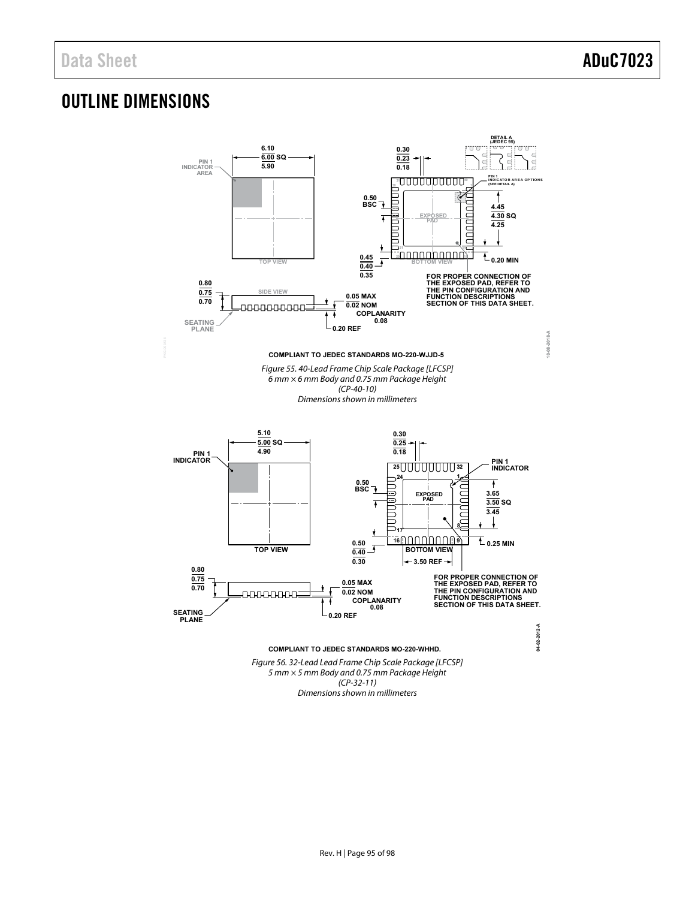# OUTLINE DIMENSIONS



Dimensions shown in millimeters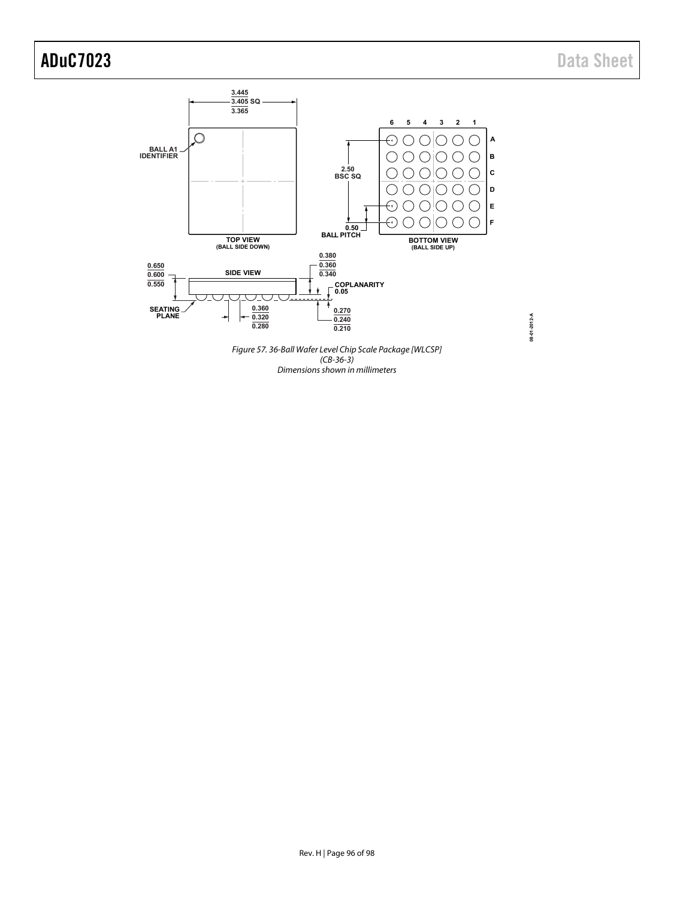**08-01-2012-A**

08-01-2012-A



Dimensions shown in millimeters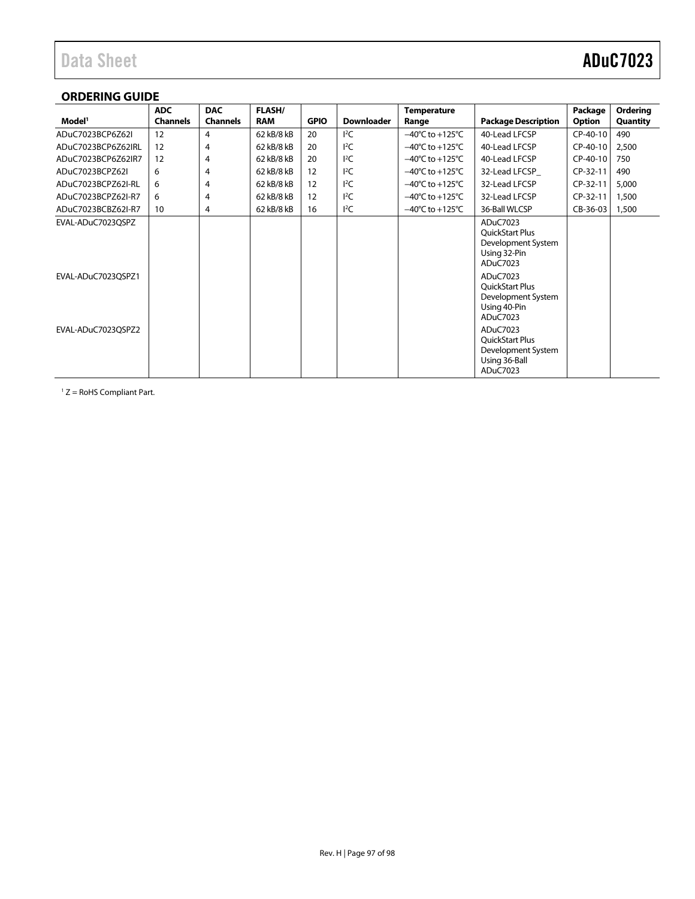## **ORDERING GUIDE**

|                    | <b>ADC</b>      | <b>DAC</b>      | <b>FLASH/</b> |             |                   | <b>Temperature</b>                  |                                                                                       | Package  | Ordering |
|--------------------|-----------------|-----------------|---------------|-------------|-------------------|-------------------------------------|---------------------------------------------------------------------------------------|----------|----------|
| Model <sup>1</sup> | <b>Channels</b> | <b>Channels</b> | <b>RAM</b>    | <b>GPIO</b> | <b>Downloader</b> | Range                               | <b>Package Description</b>                                                            | Option   | Quantity |
| ADuC7023BCP6Z62I   | 12              | 4               | 62 kB/8 kB    | 20          | $I^2C$            | $-40^{\circ}$ C to $+125^{\circ}$ C | 40-Lead LFCSP                                                                         | CP-40-10 | 490      |
| ADuC7023BCP6Z62IRL | 12              | 4               | 62 kB/8 kB    | 20          | $I^2C$            | $-40^{\circ}$ C to $+125^{\circ}$ C | 40-Lead LFCSP                                                                         | CP-40-10 | 2,500    |
| ADuC7023BCP6Z62IR7 | 12              | 4               | 62 kB/8 kB    | 20          | $I^2C$            | $-40^{\circ}$ C to $+125^{\circ}$ C | 40-Lead LFCSP                                                                         | CP-40-10 | 750      |
| ADuC7023BCPZ62I    | 6               | 4               | 62 kB/8 kB    | 12          | $I^2C$            | $-40^{\circ}$ C to $+125^{\circ}$ C | 32-Lead LFCSP                                                                         | CP-32-11 | 490      |
| ADuC7023BCPZ62I-RL | 6               | 4               | 62 kB/8 kB    | 12          | $I^2C$            | $-40^{\circ}$ C to $+125^{\circ}$ C | 32-Lead LFCSP                                                                         | CP-32-11 | 5,000    |
| ADuC7023BCPZ62I-R7 | 6               | 4               | 62 kB/8 kB    | 12          | $I^2C$            | $-40^{\circ}$ C to $+125^{\circ}$ C | 32-Lead LFCSP                                                                         | CP-32-11 | 1,500    |
| ADuC7023BCBZ62I-R7 | 10              | 4               | 62 kB/8 kB    | 16          | $I^2C$            | $-40^{\circ}$ C to $+125^{\circ}$ C | 36-Ball WLCSP                                                                         | CB-36-03 | 1,500    |
| EVAL-ADuC7023QSPZ  |                 |                 |               |             |                   |                                     | ADuC7023<br><b>OuickStart Plus</b><br>Development System<br>Using 32-Pin<br>ADuC7023  |          |          |
| EVAL-ADuC7023QSPZ1 |                 |                 |               |             |                   |                                     | ADuC7023<br><b>OuickStart Plus</b><br>Development System<br>Using 40-Pin<br>ADuC7023  |          |          |
| EVAL-ADuC7023QSPZ2 |                 |                 |               |             |                   |                                     | ADuC7023<br><b>OuickStart Plus</b><br>Development System<br>Using 36-Ball<br>ADuC7023 |          |          |

 $1 Z =$  RoHS Compliant Part.